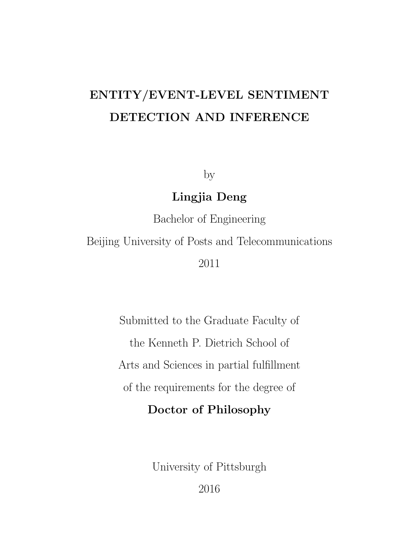# **ENTITY/EVENT-LEVEL SENTIMENT DETECTION AND INFERENCE**

by

# **Lingjia Deng**

Bachelor of Engineering

Beijing University of Posts and Telecommunications

2011

Submitted to the Graduate Faculty of the Kenneth P. Dietrich School of Arts and Sciences in partial fulfillment of the requirements for the degree of **Doctor of Philosophy**

University of Pittsburgh

2016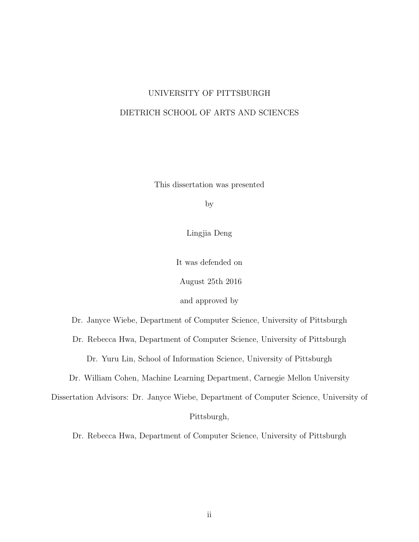# UNIVERSITY OF PITTSBURGH DIETRICH SCHOOL OF ARTS AND SCIENCES

This dissertation was presented

by

Lingjia Deng

It was defended on

August 25th 2016

and approved by

Dr. Janyce Wiebe, Department of Computer Science, University of Pittsburgh

Dr. Rebecca Hwa, Department of Computer Science, University of Pittsburgh

Dr. Yuru Lin, School of Information Science, University of Pittsburgh

Dr. William Cohen, Machine Learning Department, Carnegie Mellon University

Dissertation Advisors: Dr. Janyce Wiebe, Department of Computer Science, University of Pittsburgh,

Dr. Rebecca Hwa, Department of Computer Science, University of Pittsburgh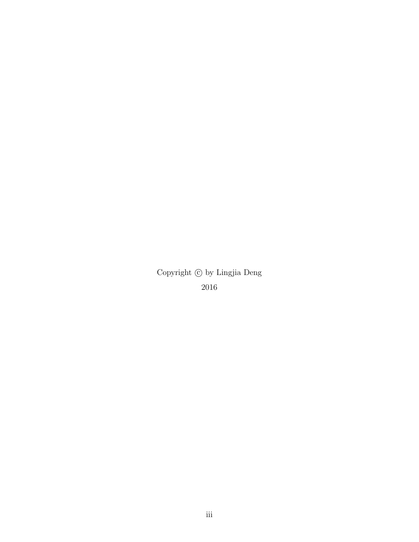Copyright *⃝*c by Lingjia Deng 2016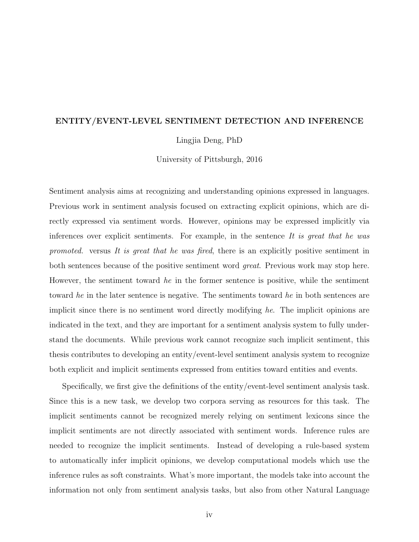#### **ENTITY/EVENT-LEVEL SENTIMENT DETECTION AND INFERENCE**

Lingjia Deng, PhD

University of Pittsburgh, 2016

Sentiment analysis aims at recognizing and understanding opinions expressed in languages. Previous work in sentiment analysis focused on extracting explicit opinions, which are directly expressed via sentiment words. However, opinions may be expressed implicitly via inferences over explicit sentiments. For example, in the sentence *It is great that he was promoted.* versus *It is great that he was fired*, there is an explicitly positive sentiment in both sentences because of the positive sentiment word *great*. Previous work may stop here. However, the sentiment toward *he* in the former sentence is positive, while the sentiment toward *he* in the later sentence is negative. The sentiments toward *he* in both sentences are implicit since there is no sentiment word directly modifying *he*. The implicit opinions are indicated in the text, and they are important for a sentiment analysis system to fully understand the documents. While previous work cannot recognize such implicit sentiment, this thesis contributes to developing an entity/event-level sentiment analysis system to recognize both explicit and implicit sentiments expressed from entities toward entities and events.

Specifically, we first give the definitions of the entity/event-level sentiment analysis task. Since this is a new task, we develop two corpora serving as resources for this task. The implicit sentiments cannot be recognized merely relying on sentiment lexicons since the implicit sentiments are not directly associated with sentiment words. Inference rules are needed to recognize the implicit sentiments. Instead of developing a rule-based system to automatically infer implicit opinions, we develop computational models which use the inference rules as soft constraints. What's more important, the models take into account the information not only from sentiment analysis tasks, but also from other Natural Language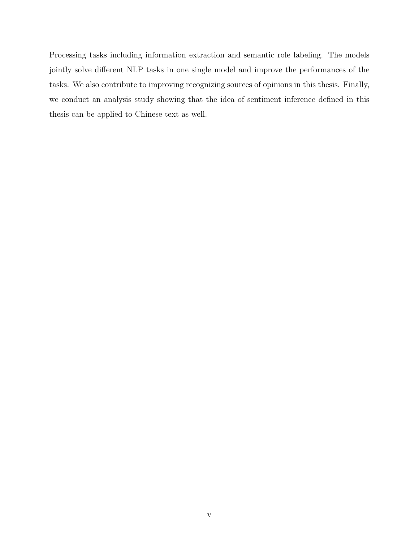Processing tasks including information extraction and semantic role labeling. The models jointly solve different NLP tasks in one single model and improve the performances of the tasks. We also contribute to improving recognizing sources of opinions in this thesis. Finally, we conduct an analysis study showing that the idea of sentiment inference defined in this thesis can be applied to Chinese text as well.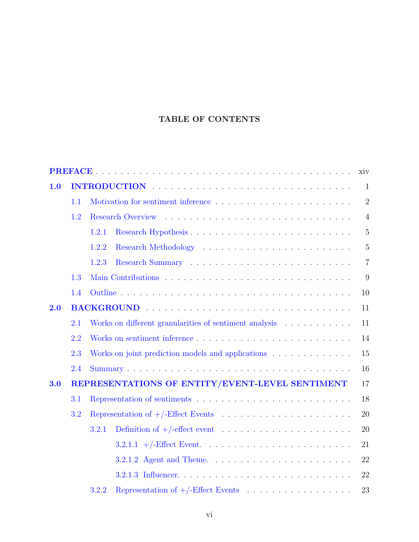# **TABLE OF CONTENTS**

| xiv |     |                                                              |  |  |
|-----|-----|--------------------------------------------------------------|--|--|
| 1.0 |     |                                                              |  |  |
|     | 1.1 | $\overline{2}$                                               |  |  |
|     | 1.2 | $\overline{4}$                                               |  |  |
|     |     | 1.2.1<br>$\overline{5}$                                      |  |  |
|     |     | $\overline{5}$<br>1.2.2                                      |  |  |
|     |     | 1.2.3<br>$\overline{7}$                                      |  |  |
|     | 1.3 | 9                                                            |  |  |
|     | 1.4 | 10                                                           |  |  |
| 2.0 |     | BACKGROUND<br>11                                             |  |  |
|     | 2.1 | Works on different granularities of sentiment analysis<br>11 |  |  |
|     | 2.2 | 14                                                           |  |  |
|     | 2.3 | Works on joint prediction models and applications            |  |  |
|     | 2.4 | 16                                                           |  |  |
| 3.0 |     | REPRESENTATIONS OF ENTITY/EVENT-LEVEL SENTIMENT<br>17        |  |  |
|     | 3.1 | 18                                                           |  |  |
|     | 3.2 |                                                              |  |  |
|     |     | 3.2.1<br>20                                                  |  |  |
|     |     | 21                                                           |  |  |
|     |     | 22                                                           |  |  |
|     |     | 22                                                           |  |  |
|     |     | 3.2.2<br>23                                                  |  |  |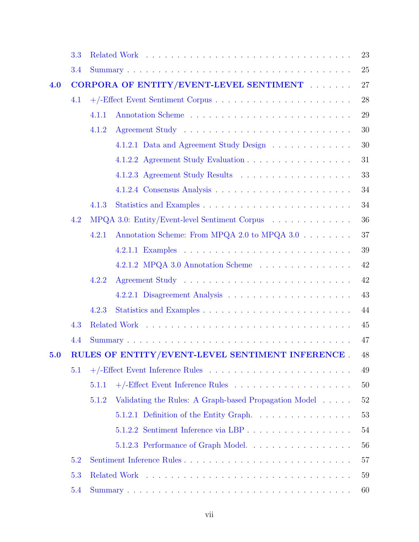|         | 3.3 |                                                                       |  | 23 |
|---------|-----|-----------------------------------------------------------------------|--|----|
|         | 3.4 |                                                                       |  | 25 |
| 4.0     |     | CORPORA OF ENTITY/EVENT-LEVEL SENTIMENT                               |  |    |
|         | 4.1 |                                                                       |  |    |
|         |     | 4.1.1                                                                 |  | 29 |
|         |     | 4.1.2                                                                 |  | 30 |
|         |     | 4.1.2.1 Data and Agreement Study Design                               |  | 30 |
|         |     | 4.1.2.2 Agreement Study Evaluation                                    |  | 31 |
|         |     |                                                                       |  | 33 |
|         |     |                                                                       |  | 34 |
|         |     | 4.1.3                                                                 |  | 34 |
|         | 4.2 | MPQA 3.0: Entity/Event-level Sentiment Corpus                         |  | 36 |
|         |     | Annotation Scheme: From MPQA 2.0 to MPQA 3.0 $\ldots \ldots$<br>4.2.1 |  | 37 |
|         |     |                                                                       |  | 39 |
|         |     | 4.2.1.2 MPQA 3.0 Annotation Scheme                                    |  | 42 |
|         |     | 4.2.2                                                                 |  | 42 |
|         |     |                                                                       |  | 43 |
|         |     | 4.2.3                                                                 |  | 44 |
|         | 4.3 |                                                                       |  | 45 |
|         | 4.4 |                                                                       |  | 47 |
| $5.0\,$ |     | RULES OF ENTITY/EVENT-LEVEL SENTIMENT INFERENCE.                      |  | 48 |
|         | 5.1 |                                                                       |  | 49 |
|         |     | 5.1.1                                                                 |  | 50 |
|         |     | Validating the Rules: A Graph-based Propagation Model<br>5.1.2        |  | 52 |
|         |     | 5.1.2.1 Definition of the Entity Graph                                |  | 53 |
|         |     |                                                                       |  | 54 |
|         |     | 5.1.2.3 Performance of Graph Model                                    |  | 56 |
|         | 5.2 |                                                                       |  | 57 |
|         | 5.3 |                                                                       |  | 59 |
|         | 5.4 |                                                                       |  |    |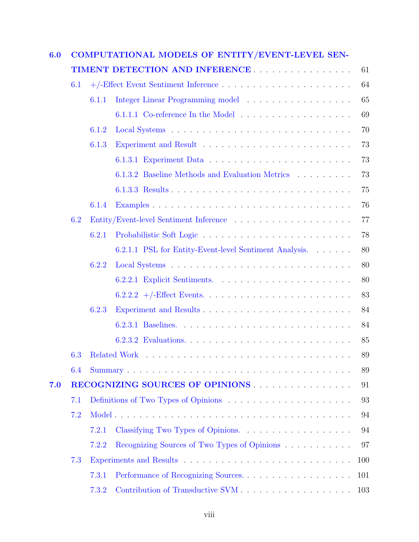| 6.0 | COMPUTATIONAL MODELS OF ENTITY/EVENT-LEVEL SEN- |       |                                                        |    |  |  |
|-----|-------------------------------------------------|-------|--------------------------------------------------------|----|--|--|
|     |                                                 |       | TIMENT DETECTION AND INFERENCE                         | 61 |  |  |
|     | 6.1                                             |       |                                                        | 64 |  |  |
|     |                                                 | 6.1.1 |                                                        | 65 |  |  |
|     |                                                 |       |                                                        | 69 |  |  |
|     |                                                 | 6.1.2 |                                                        | 70 |  |  |
|     |                                                 | 6.1.3 |                                                        | 73 |  |  |
|     |                                                 |       |                                                        | 73 |  |  |
|     |                                                 |       | 6.1.3.2 Baseline Methods and Evaluation Metrics        | 73 |  |  |
|     |                                                 |       |                                                        | 75 |  |  |
|     |                                                 | 6.1.4 |                                                        | 76 |  |  |
|     | 6.2                                             |       |                                                        | 77 |  |  |
|     |                                                 | 6.2.1 |                                                        | 78 |  |  |
|     |                                                 |       | 6.2.1.1 PSL for Entity-Event-level Sentiment Analysis. | 80 |  |  |
|     |                                                 | 6.2.2 |                                                        | 80 |  |  |
|     |                                                 |       |                                                        | 80 |  |  |
|     |                                                 |       |                                                        | 83 |  |  |
|     |                                                 | 6.2.3 |                                                        | 84 |  |  |
|     |                                                 |       |                                                        | 84 |  |  |
|     |                                                 |       |                                                        | 85 |  |  |
|     |                                                 |       | 6.3 Related Work                                       | 89 |  |  |
|     | 6.4                                             |       |                                                        | 89 |  |  |
| 7.0 |                                                 |       |                                                        | 91 |  |  |
|     | 7.1                                             |       |                                                        | 93 |  |  |
|     | 7.2                                             |       |                                                        | 94 |  |  |
|     |                                                 | 7.2.1 |                                                        | 94 |  |  |
|     |                                                 | 7.2.2 | Recognizing Sources of Two Types of Opinions           | 97 |  |  |
|     | 7.3                                             |       | 100                                                    |    |  |  |
|     |                                                 | 7.3.1 | Performance of Recognizing Sources<br>101              |    |  |  |
|     |                                                 | 7.3.2 | 103                                                    |    |  |  |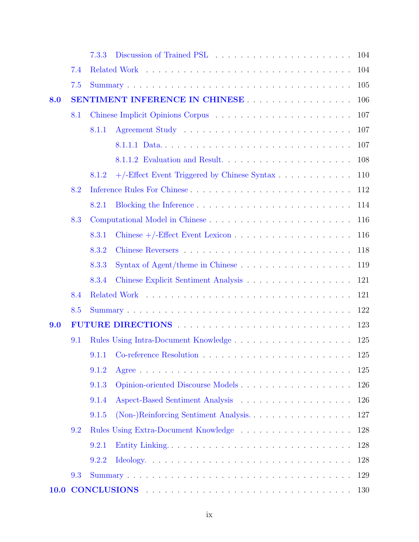|      |     | 7.3.3                                 | 104                                         |     |  |  |  |
|------|-----|---------------------------------------|---------------------------------------------|-----|--|--|--|
|      | 7.4 |                                       | 104                                         |     |  |  |  |
|      | 7.5 |                                       |                                             | 105 |  |  |  |
| 8.0  |     | SENTIMENT INFERENCE IN CHINESE<br>106 |                                             |     |  |  |  |
|      | 8.1 |                                       | 107                                         |     |  |  |  |
|      |     | 8.1.1                                 | 107                                         |     |  |  |  |
|      |     |                                       | 8.1.1.1 Data<br>107                         |     |  |  |  |
|      |     |                                       | 8.1.1.2 Evaluation and Result<br>108        |     |  |  |  |
|      |     | 8.1.2                                 | 110                                         |     |  |  |  |
|      | 8.2 |                                       | 112                                         |     |  |  |  |
|      |     | 8.2.1                                 | 114                                         |     |  |  |  |
|      | 8.3 |                                       | 116                                         |     |  |  |  |
|      |     | 8.3.1                                 | 116                                         |     |  |  |  |
|      |     | 8.3.2                                 | 118                                         |     |  |  |  |
|      |     | 8.3.3                                 | 119                                         |     |  |  |  |
|      |     | 8.3.4                                 | 121                                         |     |  |  |  |
|      | 8.4 |                                       | 121                                         |     |  |  |  |
|      | 8.5 |                                       | 122                                         |     |  |  |  |
| 9.0  |     | 123                                   |                                             |     |  |  |  |
| 9.1  |     | 125                                   |                                             |     |  |  |  |
|      |     |                                       | 9.1.1 Co-reference Resolution<br>125        |     |  |  |  |
|      |     | 9.1.2                                 | 125                                         |     |  |  |  |
|      |     | 9.1.3                                 | 126                                         |     |  |  |  |
|      |     | 9.1.4                                 | 126                                         |     |  |  |  |
|      |     | 9.1.5                                 | (Non-)Reinforcing Sentiment Analysis<br>127 |     |  |  |  |
|      | 9.2 |                                       | 128                                         |     |  |  |  |
|      |     | 9.2.1                                 | 128                                         |     |  |  |  |
|      |     | 9.2.2                                 | 128                                         |     |  |  |  |
|      | 9.3 |                                       | 129                                         |     |  |  |  |
| 10.0 |     |                                       | 130                                         |     |  |  |  |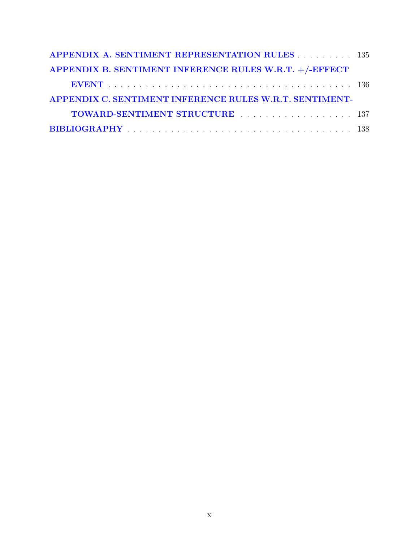| <b>APPENDIX A. SENTIMENT REPRESENTATION RULES 135</b>   |  |
|---------------------------------------------------------|--|
| APPENDIX B. SENTIMENT INFERENCE RULES W.R.T. +/-EFFECT  |  |
|                                                         |  |
| APPENDIX C. SENTIMENT INFERENCE RULES W.R.T. SENTIMENT- |  |
| TOWARD-SENTIMENT STRUCTURE  137                         |  |
|                                                         |  |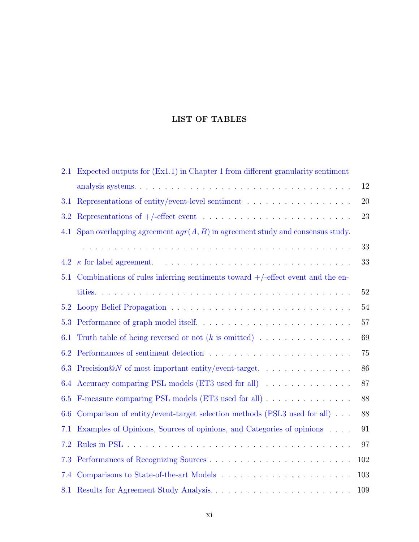### **LIST OF TABLES**

| 2.1     | Expected outputs for (Ex1.1) in Chapter 1 from different granularity sentiment        |        |
|---------|---------------------------------------------------------------------------------------|--------|
|         |                                                                                       | 12     |
| $3.1\,$ | Representations of entity/event-level sentiment $\dots \dots \dots \dots \dots \dots$ | 20     |
| 3.2     |                                                                                       | 23     |
| 4.1     | Span overlapping agreement $agr(A, B)$ in agreement study and consensus study.        |        |
|         |                                                                                       | 33     |
|         |                                                                                       | 33     |
| 5.1     | Combinations of rules inferring sentiments toward $+/-$ effect event and the en-      |        |
|         |                                                                                       | $52\,$ |
| 5.2     |                                                                                       | 54     |
| 5.3     |                                                                                       | 57     |
| 6.1     |                                                                                       | 69     |
| 6.2     |                                                                                       | 75     |
| 6.3     |                                                                                       | 86     |
|         | 6.4 Accuracy comparing PSL models (ET3 used for all)                                  | 87     |
| 6.5     | F-measure comparing PSL models (ET3 used for all)                                     | 88     |
| 6.6     | Comparison of entity/event-target selection methods (PSL3 used for all) $\ldots$      | 88     |
| 7.1     | Examples of Opinions, Sources of opinions, and Categories of opinions                 | 91     |
| 7.2     |                                                                                       | 97     |
| 7.3     |                                                                                       | 102    |
| 7.4     |                                                                                       | 103    |
|         |                                                                                       | 109    |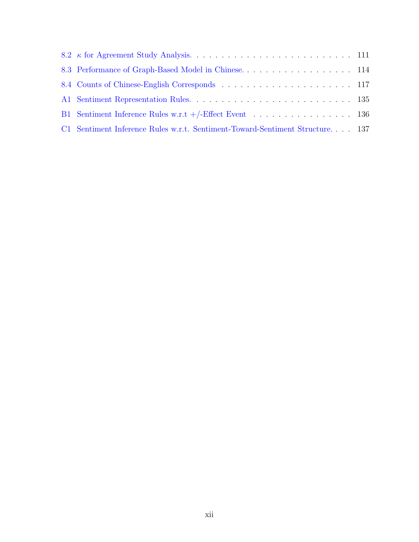| 8.3 Performance of Graph-Based Model in Chinese. 114                         |  |
|------------------------------------------------------------------------------|--|
|                                                                              |  |
|                                                                              |  |
| B1 Sentiment Inference Rules w.r.t $+/-$ Effect Event 136                    |  |
| C1 Sentiment Inference Rules w.r.t. Sentiment-Toward-Sentiment Structure 137 |  |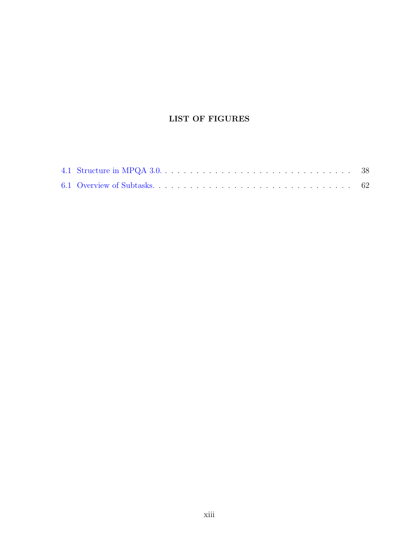# **LIST OF FIGURES**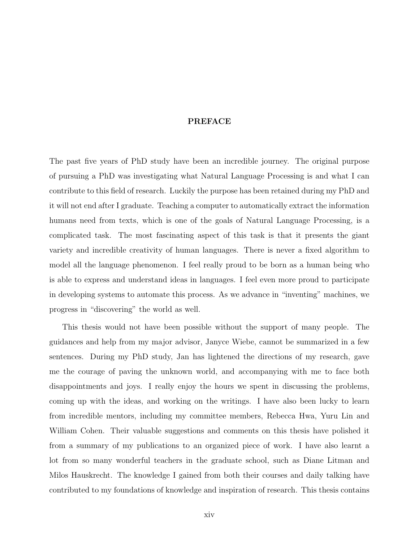#### **PREFACE**

<span id="page-13-0"></span>The past five years of PhD study have been an incredible journey. The original purpose of pursuing a PhD was investigating what Natural Language Processing is and what I can contribute to this field of research. Luckily the purpose has been retained during my PhD and it will not end after I graduate. Teaching a computer to automatically extract the information humans need from texts, which is one of the goals of Natural Language Processing, is a complicated task. The most fascinating aspect of this task is that it presents the giant variety and incredible creativity of human languages. There is never a fixed algorithm to model all the language phenomenon. I feel really proud to be born as a human being who is able to express and understand ideas in languages. I feel even more proud to participate in developing systems to automate this process. As we advance in "inventing" machines, we progress in "discovering" the world as well.

This thesis would not have been possible without the support of many people. The guidances and help from my major advisor, Janyce Wiebe, cannot be summarized in a few sentences. During my PhD study, Jan has lightened the directions of my research, gave me the courage of paving the unknown world, and accompanying with me to face both disappointments and joys. I really enjoy the hours we spent in discussing the problems, coming up with the ideas, and working on the writings. I have also been lucky to learn from incredible mentors, including my committee members, Rebecca Hwa, Yuru Lin and William Cohen. Their valuable suggestions and comments on this thesis have polished it from a summary of my publications to an organized piece of work. I have also learnt a lot from so many wonderful teachers in the graduate school, such as Diane Litman and Milos Hauskrecht. The knowledge I gained from both their courses and daily talking have contributed to my foundations of knowledge and inspiration of research. This thesis contains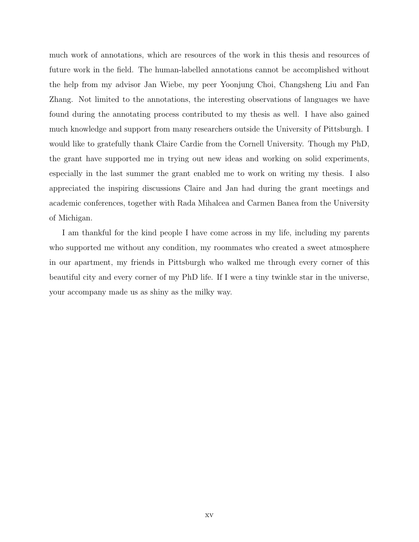much work of annotations, which are resources of the work in this thesis and resources of future work in the field. The human-labelled annotations cannot be accomplished without the help from my advisor Jan Wiebe, my peer Yoonjung Choi, Changsheng Liu and Fan Zhang. Not limited to the annotations, the interesting observations of languages we have found during the annotating process contributed to my thesis as well. I have also gained much knowledge and support from many researchers outside the University of Pittsburgh. I would like to gratefully thank Claire Cardie from the Cornell University. Though my PhD, the grant have supported me in trying out new ideas and working on solid experiments, especially in the last summer the grant enabled me to work on writing my thesis. I also appreciated the inspiring discussions Claire and Jan had during the grant meetings and academic conferences, together with Rada Mihalcea and Carmen Banea from the University of Michigan.

I am thankful for the kind people I have come across in my life, including my parents who supported me without any condition, my roommates who created a sweet atmosphere in our apartment, my friends in Pittsburgh who walked me through every corner of this beautiful city and every corner of my PhD life. If I were a tiny twinkle star in the universe, your accompany made us as shiny as the milky way.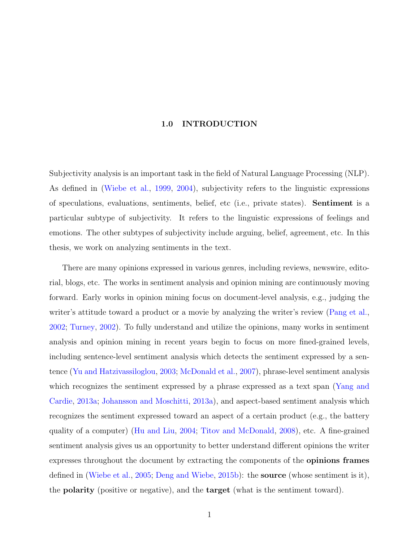#### **1.0 INTRODUCTION**

<span id="page-15-0"></span>Subjectivity analysis is an important task in the field of Natural Language Processing (NLP). As defined in [\(Wiebe et al.,](#page-162-0) [1999,](#page-162-0) [2004\)](#page-162-1), subjectivity refers to the linguistic expressions of speculations, evaluations, sentiments, belief, etc (i.e., private states). **Sentiment** is a particular subtype of subjectivity. It refers to the linguistic expressions of feelings and emotions. The other subtypes of subjectivity include arguing, belief, agreement, etc. In this thesis, we work on analyzing sentiments in the text.

There are many opinions expressed in various genres, including reviews, newswire, editorial, blogs, etc. The works in sentiment analysis and opinion mining are continuously moving forward. Early works in opinion mining focus on document-level analysis, e.g., judging the writer's attitude toward a product or a movie by analyzing the writer's review ([Pang et al.,](#page-159-0) [2002](#page-159-0); [Turney,](#page-161-0) [2002\)](#page-161-0). To fully understand and utilize the opinions, many works in sentiment analysis and opinion mining in recent years begin to focus on more fined-grained levels, including sentence-level sentiment analysis which detects the sentiment expressed by a sentence [\(Yu and Hatzivassiloglou](#page-163-0), [2003;](#page-163-0) [McDonald et al.](#page-158-0), [2007\)](#page-158-0), phrase-level sentiment analysis which recognizes the sentiment expressed by a phrase expressed as a text span ([Yang and](#page-163-1) [Cardie,](#page-163-1) [2013a;](#page-163-1) [Johansson and Moschitti](#page-156-0), [2013a](#page-156-0)), and aspect-based sentiment analysis which recognizes the sentiment expressed toward an aspect of a certain product (e.g., the battery quality of a computer) ([Hu and Liu](#page-156-1), [2004](#page-156-1); [Titov and McDonald](#page-161-1), [2008\)](#page-161-1), etc. A fine-grained sentiment analysis gives us an opportunity to better understand different opinions the writer expresses throughout the document by extracting the components of the **opinions frames** defined in ([Wiebe et al.,](#page-162-2) [2005;](#page-162-2) [Deng and Wiebe](#page-154-0), [2015b\)](#page-154-0): the **source** (whose sentiment is it), the **polarity** (positive or negative), and the **target** (what is the sentiment toward).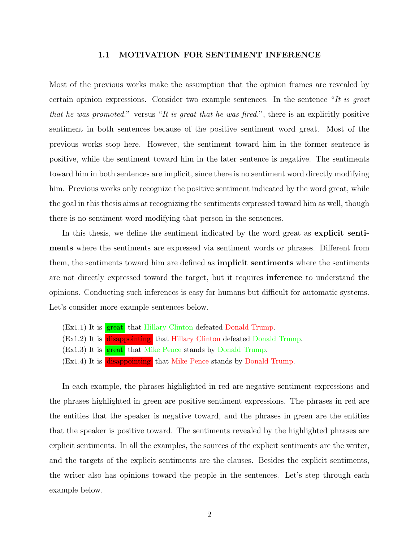#### **1.1 MOTIVATION FOR SENTIMENT INFERENCE**

<span id="page-16-0"></span>Most of the previous works make the assumption that the opinion frames are revealed by certain opinion expressions. Consider two example sentences. In the sentence "*It is great that he was promoted.*" versus "*It is great that he was fired.*", there is an explicitly positive sentiment in both sentences because of the positive sentiment word great. Most of the previous works stop here. However, the sentiment toward him in the former sentence is positive, while the sentiment toward him in the later sentence is negative. The sentiments toward him in both sentences are implicit, since there is no sentiment word directly modifying him. Previous works only recognize the positive sentiment indicated by the word great, while the goal in this thesis aims at recognizing the sentiments expressed toward him as well, though there is no sentiment word modifying that person in the sentences.

In this thesis, we define the sentiment indicated by the word great as **explicit sentiments** where the sentiments are expressed via sentiment words or phrases. Different from them, the sentiments toward him are defined as **implicit sentiments** where the sentiments are not directly expressed toward the target, but it requires **inference** to understand the opinions. Conducting such inferences is easy for humans but difficult for automatic systems. Let's consider more example sentences below.

- (Ex1.1) It is **great** that Hillary Clinton defeated Donald Trump.
- (Ex1.2) It is disappointing that Hillary Clinton defeated Donald Trump.
- (Ex1.3) It is **great** that Mike Pence stands by Donald Trump.
- (Ex1.4) It is disappointing that Mike Pence stands by Donald Trump.

In each example, the phrases highlighted in red are negative sentiment expressions and the phrases highlighted in green are positive sentiment expressions. The phrases in red are the entities that the speaker is negative toward, and the phrases in green are the entities that the speaker is positive toward. The sentiments revealed by the highlighted phrases are explicit sentiments. In all the examples, the sources of the explicit sentiments are the writer, and the targets of the explicit sentiments are the clauses. Besides the explicit sentiments, the writer also has opinions toward the people in the sentences. Let's step through each example below.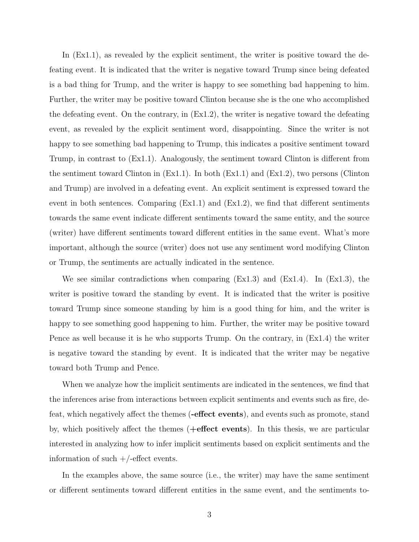In  $(Ex1.1)$ , as revealed by the explicit sentiment, the writer is positive toward the defeating event. It is indicated that the writer is negative toward Trump since being defeated is a bad thing for Trump, and the writer is happy to see something bad happening to him. Further, the writer may be positive toward Clinton because she is the one who accomplished the defeating event. On the contrary, in (Ex1.2), the writer is negative toward the defeating event, as revealed by the explicit sentiment word, disappointing. Since the writer is not happy to see something bad happening to Trump, this indicates a positive sentiment toward Trump, in contrast to (Ex1.1). Analogously, the sentiment toward Clinton is different from the sentiment toward Clinton in (Ex1.1). In both (Ex1.1) and (Ex1.2), two persons (Clinton and Trump) are involved in a defeating event. An explicit sentiment is expressed toward the event in both sentences. Comparing (Ex1.1) and (Ex1.2), we find that different sentiments towards the same event indicate different sentiments toward the same entity, and the source (writer) have different sentiments toward different entities in the same event. What's more important, although the source (writer) does not use any sentiment word modifying Clinton or Trump, the sentiments are actually indicated in the sentence.

We see similar contradictions when comparing (Ex1.3) and (Ex1.4). In (Ex1.3), the writer is positive toward the standing by event. It is indicated that the writer is positive toward Trump since someone standing by him is a good thing for him, and the writer is happy to see something good happening to him. Further, the writer may be positive toward Pence as well because it is he who supports Trump. On the contrary, in (Ex1.4) the writer is negative toward the standing by event. It is indicated that the writer may be negative toward both Trump and Pence.

When we analyze how the implicit sentiments are indicated in the sentences, we find that the inferences arise from interactions between explicit sentiments and events such as fire, defeat, which negatively affect the themes (**-effect events**), and events such as promote, stand by, which positively affect the themes (**+effect events**). In this thesis, we are particular interested in analyzing how to infer implicit sentiments based on explicit sentiments and the information of such  $+/-$ effect events.

In the examples above, the same source (i.e., the writer) may have the same sentiment or different sentiments toward different entities in the same event, and the sentiments to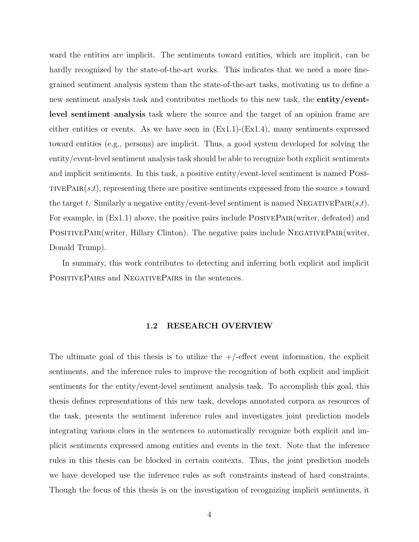ward the entities are implicit. The sentiments toward entities, which are implicit, can be hardly recognized by the state-of-the-art works. This indicates that we need a more finegrained sentiment analysis system than the state-of-the-art tasks, motivating us to define a new sentiment analysis task and contributes methods to this new task, the **entity/eventlevel sentiment analysis** task where the source and the target of an opinion frame are either entities or events. As we have seen in  $(Ex1.1)-(Ex1.4)$ , many sentiments expressed toward entities (e.g., persons) are implicit. Thus, a good system developed for solving the entity/event-level sentiment analysis task should be able to recognize both explicit sentiments and implicit sentiments. In this task, a positive entity/event-level sentiment is named Posi-TIVEPAIR $(s,t)$ , representing there are positive sentiments expressed from the source  $s$  toward the target *t*. Similarly a negative entity/event-level sentiment is named NEGATIVEPAIR $(s,t)$ . For example, in (Ex1.1) above, the positive pairs include POSIVEPAIR(writer, defeated) and POSITIVEPAIR(writer, Hillary Clinton). The negative pairs include NEGATIVEPAIR(writer, Donald Trump).

In summary, this work contributes to detecting and inferring both explicit and implicit POSITIVEPAIRS and NEGATIVEPAIRS in the sentences.

#### **1.2 RESEARCH OVERVIEW**

<span id="page-18-0"></span>The ultimate goal of this thesis is to utilize the  $+/-$  effect event information, the explicit sentiments, and the inference rules to improve the recognition of both explicit and implicit sentiments for the entity/event-level sentiment analysis task. To accomplish this goal, this thesis defines representations of this new task, develops annotated corpora as resources of the task, presents the sentiment inference rules and investigates joint prediction models integrating various clues in the sentences to automatically recognize both explicit and implicit sentiments expressed among entities and events in the text. Note that the inference rules in this thesis can be blocked in certain contexts. Thus, the joint prediction models we have developed use the inference rules as soft constraints instead of hard constraints. Though the focus of this thesis is on the investigation of recognizing implicit sentiments, it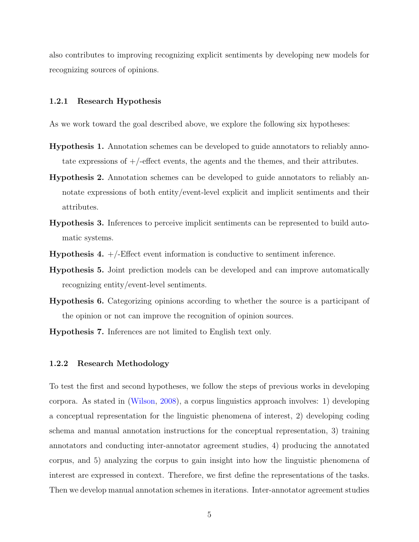also contributes to improving recognizing explicit sentiments by developing new models for recognizing sources of opinions.

#### <span id="page-19-0"></span>**1.2.1 Research Hypothesis**

As we work toward the goal described above, we explore the following six hypotheses:

- **Hypothesis 1.** Annotation schemes can be developed to guide annotators to reliably annotate expressions of  $+/-$  effect events, the agents and the themes, and their attributes.
- **Hypothesis 2.** Annotation schemes can be developed to guide annotators to reliably annotate expressions of both entity/event-level explicit and implicit sentiments and their attributes.
- **Hypothesis 3.** Inferences to perceive implicit sentiments can be represented to build automatic systems.
- **Hypothesis 4.** +/-Effect event information is conductive to sentiment inference.
- **Hypothesis 5.** Joint prediction models can be developed and can improve automatically recognizing entity/event-level sentiments.
- **Hypothesis 6.** Categorizing opinions according to whether the source is a participant of the opinion or not can improve the recognition of opinion sources.
- **Hypothesis 7.** Inferences are not limited to English text only.

#### <span id="page-19-1"></span>**1.2.2 Research Methodology**

To test the first and second hypotheses, we follow the steps of previous works in developing corpora. As stated in [\(Wilson,](#page-163-2) [2008\)](#page-163-2), a corpus linguistics approach involves: 1) developing a conceptual representation for the linguistic phenomena of interest, 2) developing coding schema and manual annotation instructions for the conceptual representation, 3) training annotators and conducting inter-annotator agreement studies, 4) producing the annotated corpus, and 5) analyzing the corpus to gain insight into how the linguistic phenomena of interest are expressed in context. Therefore, we first define the representations of the tasks. Then we develop manual annotation schemes in iterations. Inter-annotator agreement studies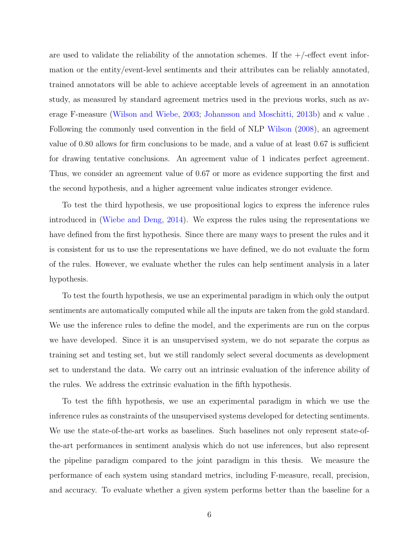are used to validate the reliability of the annotation schemes. If the  $+/-$  effect event information or the entity/event-level sentiments and their attributes can be reliably annotated, trained annotators will be able to achieve acceptable levels of agreement in an annotation study, as measured by standard agreement metrics used in the previous works, such as average F-measure ([Wilson and Wiebe](#page-163-3), [2003;](#page-163-3) [Johansson and Moschitti](#page-156-2), [2013b](#page-156-2)) and *κ* value . Following the commonly used convention in the field of NLP [Wilson](#page-163-2) [\(2008\)](#page-163-2), an agreement value of 0.80 allows for firm conclusions to be made, and a value of at least 0.67 is sufficient for drawing tentative conclusions. An agreement value of 1 indicates perfect agreement. Thus, we consider an agreement value of 0.67 or more as evidence supporting the first and the second hypothesis, and a higher agreement value indicates stronger evidence.

To test the third hypothesis, we use propositional logics to express the inference rules introduced in ([Wiebe and Deng](#page-162-3), [2014\)](#page-162-3). We express the rules using the representations we have defined from the first hypothesis. Since there are many ways to present the rules and it is consistent for us to use the representations we have defined, we do not evaluate the form of the rules. However, we evaluate whether the rules can help sentiment analysis in a later hypothesis.

To test the fourth hypothesis, we use an experimental paradigm in which only the output sentiments are automatically computed while all the inputs are taken from the gold standard. We use the inference rules to define the model, and the experiments are run on the corpus we have developed. Since it is an unsupervised system, we do not separate the corpus as training set and testing set, but we still randomly select several documents as development set to understand the data. We carry out an intrinsic evaluation of the inference ability of the rules. We address the extrinsic evaluation in the fifth hypothesis.

To test the fifth hypothesis, we use an experimental paradigm in which we use the inference rules as constraints of the unsupervised systems developed for detecting sentiments. We use the state-of-the-art works as baselines. Such baselines not only represent state-ofthe-art performances in sentiment analysis which do not use inferences, but also represent the pipeline paradigm compared to the joint paradigm in this thesis. We measure the performance of each system using standard metrics, including F-measure, recall, precision, and accuracy. To evaluate whether a given system performs better than the baseline for a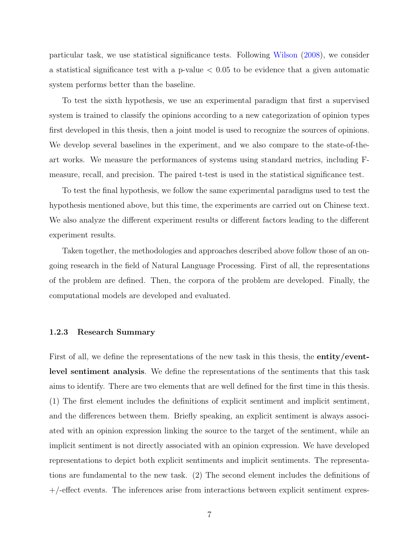particular task, we use statistical significance tests. Following [Wilson](#page-163-2) [\(2008\)](#page-163-2), we consider a statistical significance test with a p-value *<* 0.05 to be evidence that a given automatic system performs better than the baseline.

To test the sixth hypothesis, we use an experimental paradigm that first a supervised system is trained to classify the opinions according to a new categorization of opinion types first developed in this thesis, then a joint model is used to recognize the sources of opinions. We develop several baselines in the experiment, and we also compare to the state-of-theart works. We measure the performances of systems using standard metrics, including Fmeasure, recall, and precision. The paired t-test is used in the statistical significance test.

To test the final hypothesis, we follow the same experimental paradigms used to test the hypothesis mentioned above, but this time, the experiments are carried out on Chinese text. We also analyze the different experiment results or different factors leading to the different experiment results.

Taken together, the methodologies and approaches described above follow those of an ongoing research in the field of Natural Language Processing. First of all, the representations of the problem are defined. Then, the corpora of the problem are developed. Finally, the computational models are developed and evaluated.

#### <span id="page-21-0"></span>**1.2.3 Research Summary**

First of all, we define the representations of the new task in this thesis, the **entity/eventlevel sentiment analysis**. We define the representations of the sentiments that this task aims to identify. There are two elements that are well defined for the first time in this thesis. (1) The first element includes the definitions of explicit sentiment and implicit sentiment, and the differences between them. Briefly speaking, an explicit sentiment is always associated with an opinion expression linking the source to the target of the sentiment, while an implicit sentiment is not directly associated with an opinion expression. We have developed representations to depict both explicit sentiments and implicit sentiments. The representations are fundamental to the new task. (2) The second element includes the definitions of +/-effect events. The inferences arise from interactions between explicit sentiment expres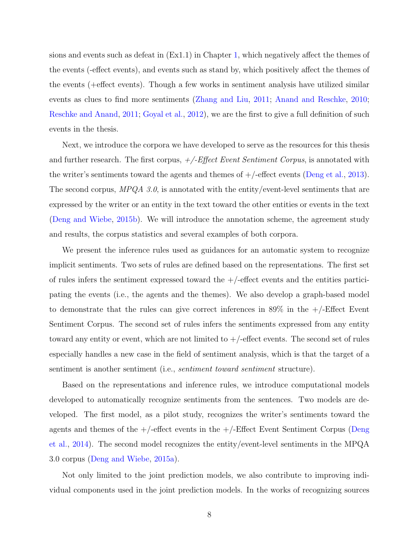sions and events such as defeat in (Ex1.1) in Chapter [1](#page-15-0), which negatively affect the themes of the events (-effect events), and events such as stand by, which positively affect the themes of the events (+effect events). Though a few works in sentiment analysis have utilized similar events as clues to find more sentiments ([Zhang and Liu,](#page-163-4) [2011](#page-163-4); [Anand and Reschke](#page-152-1), [2010;](#page-152-1) [Reschke and Anand](#page-160-0), [2011](#page-160-0); [Goyal et al.](#page-155-0), [2012](#page-155-0)), we are the first to give a full definition of such events in the thesis.

Next, we introduce the corpora we have developed to serve as the resources for this thesis and further research. The first corpus, *+/-Effect Event Sentiment Corpus*, is annotated with the writer's sentiments toward the agents and themes of  $+/-$ effect events ([Deng et al.](#page-154-1), [2013](#page-154-1)). The second corpus, *MPQA 3.0*, is annotated with the entity/event-level sentiments that are expressed by the writer or an entity in the text toward the other entities or events in the text ([Deng and Wiebe](#page-154-0), [2015b\)](#page-154-0). We will introduce the annotation scheme, the agreement study and results, the corpus statistics and several examples of both corpora.

We present the inference rules used as guidances for an automatic system to recognize implicit sentiments. Two sets of rules are defined based on the representations. The first set of rules infers the sentiment expressed toward the  $+/-$ effect events and the entities participating the events (i.e., the agents and the themes). We also develop a graph-based model to demonstrate that the rules can give correct inferences in  $89\%$  in the  $+/-$ Effect Event Sentiment Corpus. The second set of rules infers the sentiments expressed from any entity toward any entity or event, which are not limited to  $+/-$  effect events. The second set of rules especially handles a new case in the field of sentiment analysis, which is that the target of a sentiment is another sentiment (i.e., *sentiment toward sentiment* structure).

Based on the representations and inference rules, we introduce computational models developed to automatically recognize sentiments from the sentences. Two models are developed. The first model, as a pilot study, recognizes the writer's sentiments toward the agents and themes of the  $+/-$ effect events in the  $+/-$ Effect Event Sentiment Corpus ([Deng](#page-155-1) [et al.](#page-155-1), [2014](#page-155-1)). The second model recognizes the entity/event-level sentiments in the MPQA 3.0 corpus ([Deng and Wiebe](#page-154-2), [2015a\)](#page-154-2).

Not only limited to the joint prediction models, we also contribute to improving individual components used in the joint prediction models. In the works of recognizing sources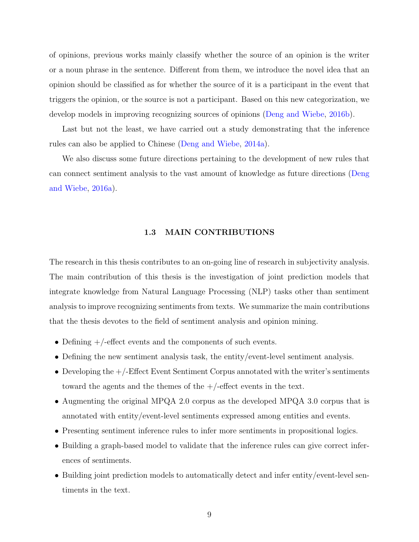of opinions, previous works mainly classify whether the source of an opinion is the writer or a noun phrase in the sentence. Different from them, we introduce the novel idea that an opinion should be classified as for whether the source of it is a participant in the event that triggers the opinion, or the source is not a participant. Based on this new categorization, we develop models in improving recognizing sources of opinions [\(Deng and Wiebe,](#page-155-2) [2016b](#page-155-2)).

Last but not the least, we have carried out a study demonstrating that the inference rules can also be applied to Chinese [\(Deng and Wiebe](#page-154-3), [2014a](#page-154-3)).

We also discuss some future directions pertaining to the development of new rules that can connect sentiment analysis to the vast amount of knowledge as future directions ([Deng](#page-154-4) [and Wiebe](#page-154-4), [2016a\)](#page-154-4).

#### **1.3 MAIN CONTRIBUTIONS**

<span id="page-23-0"></span>The research in this thesis contributes to an on-going line of research in subjectivity analysis. The main contribution of this thesis is the investigation of joint prediction models that integrate knowledge from Natural Language Processing (NLP) tasks other than sentiment analysis to improve recognizing sentiments from texts. We summarize the main contributions that the thesis devotes to the field of sentiment analysis and opinion mining.

- Defining  $+$ /-effect events and the components of such events.
- Defining the new sentiment analysis task, the entity/event-level sentiment analysis.
- Developing the  $+/-$ Effect Event Sentiment Corpus annotated with the writer's sentiments toward the agents and the themes of the  $+/-$ effect events in the text.
- *•* Augmenting the original MPQA 2.0 corpus as the developed MPQA 3.0 corpus that is annotated with entity/event-level sentiments expressed among entities and events.
- Presenting sentiment inference rules to infer more sentiments in propositional logics.
- Building a graph-based model to validate that the inference rules can give correct inferences of sentiments.
- Building joint prediction models to automatically detect and infer entity/event-level sentiments in the text.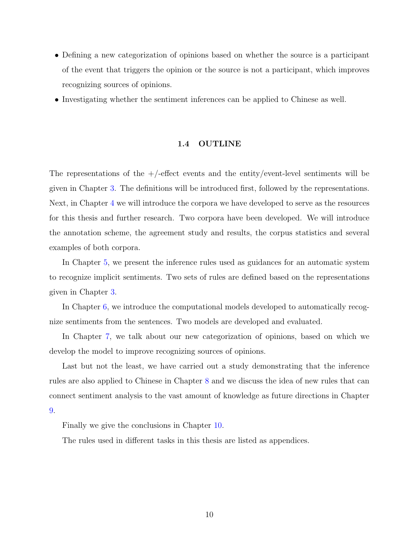- Defining a new categorization of opinions based on whether the source is a participant of the event that triggers the opinion or the source is not a participant, which improves recognizing sources of opinions.
- Investigating whether the sentiment inferences can be applied to Chinese as well.

#### **1.4 OUTLINE**

<span id="page-24-0"></span>The representations of the  $+/-$  effect events and the entity/event-level sentiments will be given in Chapter [3.](#page-31-0) The definitions will be introduced first, followed by the representations. Next, in Chapter [4](#page-41-0) we will introduce the corpora we have developed to serve as the resources for this thesis and further research. Two corpora have been developed. We will introduce the annotation scheme, the agreement study and results, the corpus statistics and several examples of both corpora.

In Chapter [5](#page-62-0), we present the inference rules used as guidances for an automatic system to recognize implicit sentiments. Two sets of rules are defined based on the representations given in Chapter [3.](#page-31-0)

In Chapter [6](#page-75-0), we introduce the computational models developed to automatically recognize sentiments from the sentences. Two models are developed and evaluated.

In Chapter [7](#page-105-0), we talk about our new categorization of opinions, based on which we develop the model to improve recognizing sources of opinions.

Last but not the least, we have carried out a study demonstrating that the inference rules are also applied to Chinese in Chapter [8](#page-120-0) and we discuss the idea of new rules that can connect sentiment analysis to the vast amount of knowledge as future directions in Chapter [9.](#page-137-0)

Finally we give the conclusions in Chapter [10](#page-144-0).

The rules used in different tasks in this thesis are listed as appendices.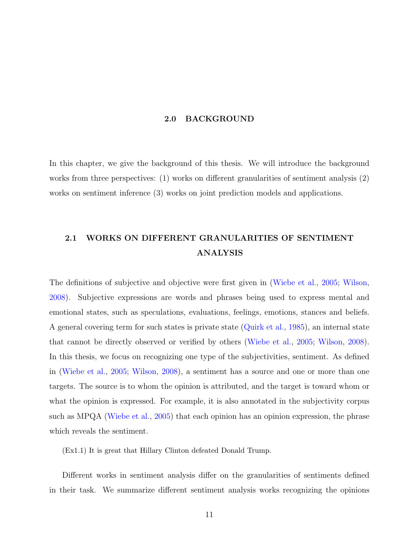#### **2.0 BACKGROUND**

<span id="page-25-0"></span>In this chapter, we give the background of this thesis. We will introduce the background works from three perspectives: (1) works on different granularities of sentiment analysis (2) works on sentiment inference (3) works on joint prediction models and applications.

# <span id="page-25-1"></span>**2.1 WORKS ON DIFFERENT GRANULARITIES OF SENTIMENT ANALYSIS**

The definitions of subjective and objective were first given in ([Wiebe et al.](#page-162-2), [2005;](#page-162-2) [Wilson,](#page-163-2) [2008](#page-163-2)). Subjective expressions are words and phrases being used to express mental and emotional states, such as speculations, evaluations, feelings, emotions, stances and beliefs. A general covering term for such states is private state [\(Quirk et al.](#page-159-1), [1985](#page-159-1)), an internal state that cannot be directly observed or verified by others ([Wiebe et al.,](#page-162-2) [2005](#page-162-2); [Wilson,](#page-163-2) [2008](#page-163-2)). In this thesis, we focus on recognizing one type of the subjectivities, sentiment. As defined in ([Wiebe et al.](#page-162-2), [2005](#page-162-2); [Wilson,](#page-163-2) [2008\)](#page-163-2), a sentiment has a source and one or more than one targets. The source is to whom the opinion is attributed, and the target is toward whom or what the opinion is expressed. For example, it is also annotated in the subjectivity corpus such as MPQA ([Wiebe et al.,](#page-162-2) [2005](#page-162-2)) that each opinion has an opinion expression, the phrase which reveals the sentiment.

(Ex1.1) It is great that Hillary Clinton defeated Donald Trump.

Different works in sentiment analysis differ on the granularities of sentiments defined in their task. We summarize different sentiment analysis works recognizing the opinions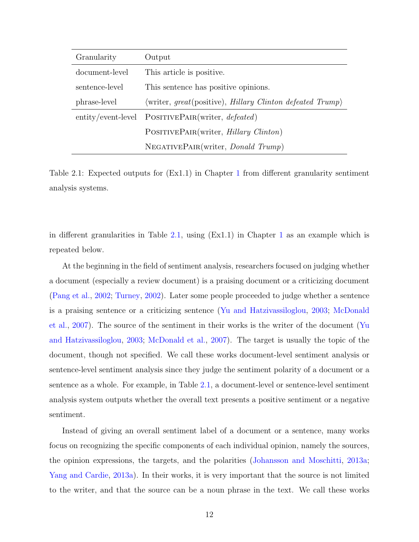| Granularity    | Output                                                    |
|----------------|-----------------------------------------------------------|
| document-level | This article is positive.                                 |
| sentence-level | This sentence has positive opinions.                      |
| phrase-level   | (writer, great(positive), Hillary Clinton defeated Trump) |
|                | entity/event-level POSITIVEPAIR(writer, <i>defeated</i> ) |
|                | POSITIVEPAIR(writer, <i>Hillary Clinton</i> )             |
|                | NEGATIVEPAIR(writer, <i>Donald Trump</i> )                |

<span id="page-26-0"></span>Table 2.1: Expected outputs for (Ex1.1) in Chapter [1](#page-15-0) from different granularity sentiment analysis systems.

in different granularities in Table [2.1](#page-26-0), using (Ex1.1) in Chapter [1](#page-15-0) as an example which is repeated below.

At the beginning in the field of sentiment analysis, researchers focused on judging whether a document (especially a review document) is a praising document or a criticizing document ([Pang et al.](#page-159-0), [2002;](#page-159-0) [Turney,](#page-161-0) [2002\)](#page-161-0). Later some people proceeded to judge whether a sentence is a praising sentence or a criticizing sentence ([Yu and Hatzivassiloglou](#page-163-0), [2003;](#page-163-0) [McDonald](#page-158-0) [et al.](#page-158-0), [2007](#page-158-0)). The source of the sentiment in their works is the writer of the document ([Yu](#page-163-0) [and Hatzivassiloglou](#page-163-0), [2003;](#page-163-0) [McDonald et al.](#page-158-0), [2007\)](#page-158-0). The target is usually the topic of the document, though not specified. We call these works document-level sentiment analysis or sentence-level sentiment analysis since they judge the sentiment polarity of a document or a sentence as a whole. For example, in Table [2.1,](#page-26-0) a document-level or sentence-level sentiment analysis system outputs whether the overall text presents a positive sentiment or a negative sentiment.

Instead of giving an overall sentiment label of a document or a sentence, many works focus on recognizing the specific components of each individual opinion, namely the sources, the opinion expressions, the targets, and the polarities ([Johansson and Moschitti](#page-156-0), [2013a;](#page-156-0) [Yang and Cardie](#page-163-1), [2013a\)](#page-163-1). In their works, it is very important that the source is not limited to the writer, and that the source can be a noun phrase in the text. We call these works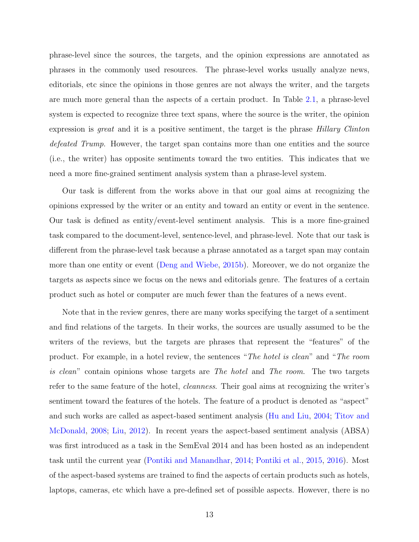phrase-level since the sources, the targets, and the opinion expressions are annotated as phrases in the commonly used resources. The phrase-level works usually analyze news, editorials, etc since the opinions in those genres are not always the writer, and the targets are much more general than the aspects of a certain product. In Table [2.1,](#page-26-0) a phrase-level system is expected to recognize three text spans, where the source is the writer, the opinion expression is *great* and it is a positive sentiment, the target is the phrase *Hillary Clinton defeated Trump*. However, the target span contains more than one entities and the source (i.e., the writer) has opposite sentiments toward the two entities. This indicates that we need a more fine-grained sentiment analysis system than a phrase-level system.

Our task is different from the works above in that our goal aims at recognizing the opinions expressed by the writer or an entity and toward an entity or event in the sentence. Our task is defined as entity/event-level sentiment analysis. This is a more fine-grained task compared to the document-level, sentence-level, and phrase-level. Note that our task is different from the phrase-level task because a phrase annotated as a target span may contain more than one entity or event ([Deng and Wiebe,](#page-154-0) [2015b\)](#page-154-0). Moreover, we do not organize the targets as aspects since we focus on the news and editorials genre. The features of a certain product such as hotel or computer are much fewer than the features of a news event.

Note that in the review genres, there are many works specifying the target of a sentiment and find relations of the targets. In their works, the sources are usually assumed to be the writers of the reviews, but the targets are phrases that represent the "features" of the product. For example, in a hotel review, the sentences "*The hotel is clean*" and "*The room is clean*" contain opinions whose targets are *The hotel* and *The room*. The two targets refer to the same feature of the hotel, *cleanness*. Their goal aims at recognizing the writer's sentiment toward the features of the hotels. The feature of a product is denoted as "aspect" and such works are called as aspect-based sentiment analysis [\(Hu and Liu](#page-156-1), [2004](#page-156-1); [Titov and](#page-161-1) [McDonald,](#page-161-1) [2008](#page-161-1); [Liu](#page-157-0), [2012](#page-157-0)). In recent years the aspect-based sentiment analysis (ABSA) was first introduced as a task in the SemEval 2014 and has been hosted as an independent task until the current year ([Pontiki and Manandhar,](#page-159-2) [2014](#page-159-2); [Pontiki et al.,](#page-159-3) [2015,](#page-159-3) [2016](#page-159-4)). Most of the aspect-based systems are trained to find the aspects of certain products such as hotels, laptops, cameras, etc which have a pre-defined set of possible aspects. However, there is no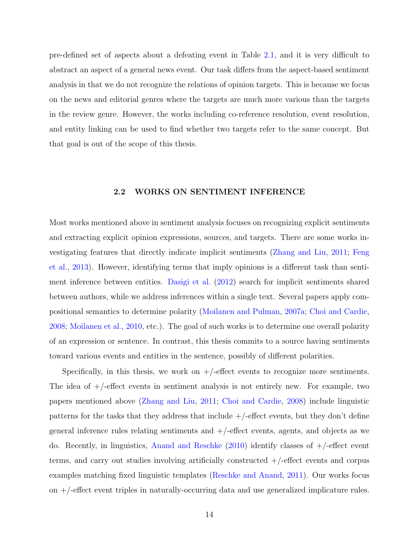pre-defined set of aspects about a defeating event in Table [2.1,](#page-26-0) and it is very difficult to abstract an aspect of a general news event. Our task differs from the aspect-based sentiment analysis in that we do not recognize the relations of opinion targets. This is because we focus on the news and editorial genres where the targets are much more various than the targets in the review genre. However, the works including co-reference resolution, event resolution, and entity linking can be used to find whether two targets refer to the same concept. But that goal is out of the scope of this thesis.

#### **2.2 WORKS ON SENTIMENT INFERENCE**

<span id="page-28-0"></span>Most works mentioned above in sentiment analysis focuses on recognizing explicit sentiments and extracting explicit opinion expressions, sources, and targets. There are some works investigating features that directly indicate implicit sentiments ([Zhang and Liu](#page-163-4), [2011;](#page-163-4) [Feng](#page-155-3) [et al.](#page-155-3), [2013](#page-155-3)). However, identifying terms that imply opinions is a different task than sentiment inference between entities. [Dasigi et al.](#page-154-5) [\(2012\)](#page-154-5) search for implicit sentiments shared between authors, while we address inferences within a single text. Several papers apply compositional semantics to determine polarity ([Moilanen and Pulman](#page-158-1), [2007a](#page-158-1); [Choi and Cardie,](#page-153-0) [2008](#page-153-0); [Moilanen et al.,](#page-158-2) [2010,](#page-158-2) etc.). The goal of such works is to determine one overall polarity of an expression or sentence. In contrast, this thesis commits to a source having sentiments toward various events and entities in the sentence, possibly of different polarities.

Specifically, in this thesis, we work on  $+/-$  effect events to recognize more sentiments. The idea of +/-effect events in sentiment analysis is not entirely new. For example, two papers mentioned above [\(Zhang and Liu,](#page-163-4) [2011](#page-163-4); [Choi and Cardie](#page-153-0), [2008\)](#page-153-0) include linguistic patterns for the tasks that they address that include  $+/-$  effect events, but they don't define general inference rules relating sentiments and  $+/-$  effect events, agents, and objects as we do. Recently, in linguistics, [Anand and Reschke](#page-152-1)  $(2010)$  $(2010)$  $(2010)$  identify classes of  $+/-$  effect event terms, and carry out studies involving artificially constructed +/-effect events and corpus examples matching fixed linguistic templates [\(Reschke and Anand](#page-160-0), [2011](#page-160-0)). Our works focus on +/-effect event triples in naturally-occurring data and use generalized implicature rules.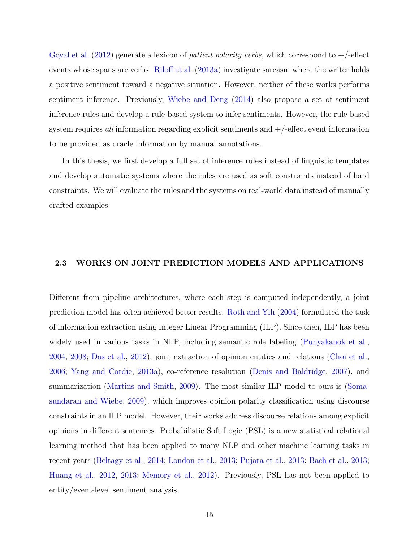[Goyal et al.](#page-155-0) [\(2012\)](#page-155-0) generate a lexicon of *patient polarity verbs*, which correspond to +/-effect events whose spans are verbs. [Riloff et al.](#page-160-1) [\(2013a](#page-160-1)) investigate sarcasm where the writer holds a positive sentiment toward a negative situation. However, neither of these works performs sentiment inference. Previously, [Wiebe and Deng](#page-162-3) [\(2014](#page-162-3)) also propose a set of sentiment inference rules and develop a rule-based system to infer sentiments. However, the rule-based system requires *all* information regarding explicit sentiments and  $+/-$ effect event information to be provided as oracle information by manual annotations.

In this thesis, we first develop a full set of inference rules instead of linguistic templates and develop automatic systems where the rules are used as soft constraints instead of hard constraints. We will evaluate the rules and the systems on real-world data instead of manually crafted examples.

#### <span id="page-29-0"></span>**2.3 WORKS ON JOINT PREDICTION MODELS AND APPLICATIONS**

Different from pipeline architectures, where each step is computed independently, a joint prediction model has often achieved better results. [Roth and Yih](#page-160-2) [\(2004\)](#page-160-2) formulated the task of information extraction using Integer Linear Programming (ILP). Since then, ILP has been widely used in various tasks in NLP, including semantic role labeling ([Punyakanok et al.,](#page-159-5) [2004](#page-159-5), [2008](#page-159-6); [Das et al.,](#page-154-6) [2012\)](#page-154-6), joint extraction of opinion entities and relations ([Choi et al.,](#page-153-1) [2006](#page-153-1); [Yang and Cardie,](#page-163-1) [2013a\)](#page-163-1), co-reference resolution ([Denis and Baldridge](#page-155-4), [2007\)](#page-155-4), and summarization [\(Martins and Smith](#page-157-1), [2009](#page-157-1)). The most similar ILP model to ours is [\(Soma](#page-161-2)[sundaran and Wiebe](#page-161-2), [2009](#page-161-2)), which improves opinion polarity classification using discourse constraints in an ILP model. However, their works address discourse relations among explicit opinions in different sentences. Probabilistic Soft Logic (PSL) is a new statistical relational learning method that has been applied to many NLP and other machine learning tasks in recent years ([Beltagy et al.](#page-152-2), [2014](#page-152-2); [London et al.,](#page-157-2) [2013](#page-157-2); [Pujara et al.,](#page-159-7) [2013;](#page-159-7) [Bach et al.,](#page-152-3) [2013;](#page-152-3) [Huang et al.](#page-156-3), [2012](#page-156-3), [2013;](#page-156-4) [Memory et al.,](#page-158-3) [2012](#page-158-3)). Previously, PSL has not been applied to entity/event-level sentiment analysis.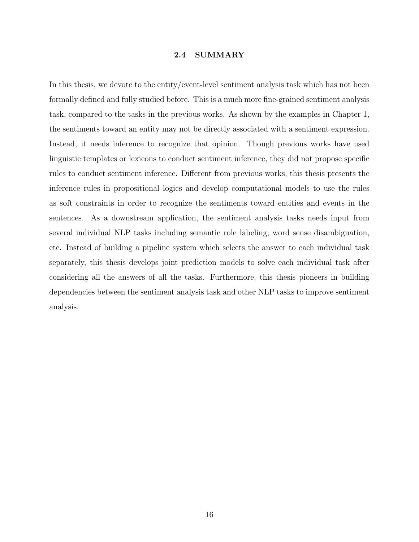#### **2.4 SUMMARY**

<span id="page-30-0"></span>In this thesis, we devote to the entity/event-level sentiment analysis task which has not been formally defined and fully studied before. This is a much more fine-grained sentiment analysis task, compared to the tasks in the previous works. As shown by the examples in Chapter [1,](#page-15-0) the sentiments toward an entity may not be directly associated with a sentiment expression. Instead, it needs inference to recognize that opinion. Though previous works have used linguistic templates or lexicons to conduct sentiment inference, they did not propose specific rules to conduct sentiment inference. Different from previous works, this thesis presents the inference rules in propositional logics and develop computational models to use the rules as soft constraints in order to recognize the sentiments toward entities and events in the sentences. As a downstream application, the sentiment analysis tasks needs input from several individual NLP tasks including semantic role labeling, word sense disambiguation, etc. Instead of building a pipeline system which selects the answer to each individual task separately, this thesis develops joint prediction models to solve each individual task after considering all the answers of all the tasks. Furthermore, this thesis pioneers in building dependencies between the sentiment analysis task and other NLP tasks to improve sentiment analysis.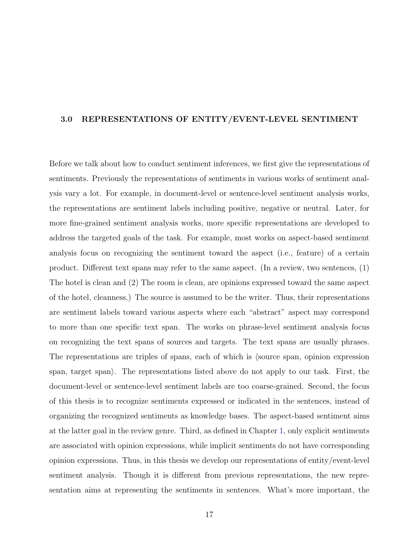#### <span id="page-31-0"></span>**3.0 REPRESENTATIONS OF ENTITY/EVENT-LEVEL SENTIMENT**

Before we talk about how to conduct sentiment inferences, we first give the representations of sentiments. Previously the representations of sentiments in various works of sentiment analysis vary a lot. For example, in document-level or sentence-level sentiment analysis works, the representations are sentiment labels including positive, negative or neutral. Later, for more fine-grained sentiment analysis works, more specific representations are developed to address the targeted goals of the task. For example, most works on aspect-based sentiment analysis focus on recognizing the sentiment toward the aspect (i.e., feature) of a certain product. Different text spans may refer to the same aspect. (In a review, two sentences, (1) The hotel is clean and (2) The room is clean, are opinions expressed toward the same aspect of the hotel, cleanness.) The source is assumed to be the writer. Thus, their representations are sentiment labels toward various aspects where each "abstract" aspect may correspond to more than one specific text span. The works on phrase-level sentiment analysis focus on recognizing the text spans of sources and targets. The text spans are usually phrases. The representations are triples of spans, each of which is  $\langle$ source span, opinion expression span, target span*⟩*. The representations listed above do not apply to our task. First, the document-level or sentence-level sentiment labels are too coarse-grained. Second, the focus of this thesis is to recognize sentiments expressed or indicated in the sentences, instead of organizing the recognized sentiments as knowledge bases. The aspect-based sentiment aims at the latter goal in the review genre. Third, as defined in Chapter [1](#page-15-0), only explicit sentiments are associated with opinion expressions, while implicit sentiments do not have corresponding opinion expressions. Thus, in this thesis we develop our representations of entity/event-level sentiment analysis. Though it is different from previous representations, the new representation aims at representing the sentiments in sentences. What's more important, the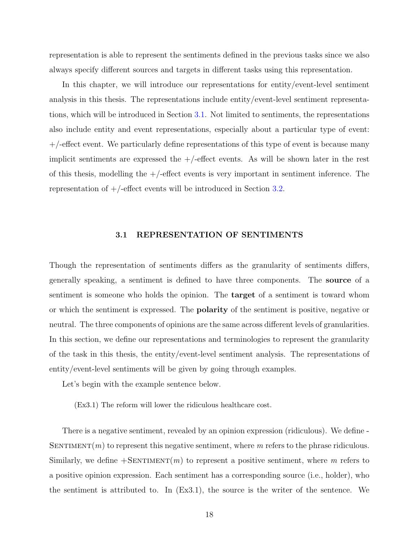representation is able to represent the sentiments defined in the previous tasks since we also always specify different sources and targets in different tasks using this representation.

In this chapter, we will introduce our representations for entity/event-level sentiment analysis in this thesis. The representations include entity/event-level sentiment representations, which will be introduced in Section [3.1](#page-32-0). Not limited to sentiments, the representations also include entity and event representations, especially about a particular type of event:  $+/-$  effect event. We particularly define representations of this type of event is because many implicit sentiments are expressed the  $+/-$ effect events. As will be shown later in the rest of this thesis, modelling the  $+/-$  effect events is very important in sentiment inference. The representation of  $+/-$ effect events will be introduced in Section [3.2](#page-34-0).

#### **3.1 REPRESENTATION OF SENTIMENTS**

<span id="page-32-0"></span>Though the representation of sentiments differs as the granularity of sentiments differs, generally speaking, a sentiment is defined to have three components. The **source** of a sentiment is someone who holds the opinion. The **target** of a sentiment is toward whom or which the sentiment is expressed. The **polarity** of the sentiment is positive, negative or neutral. The three components of opinions are the same across different levels of granularities. In this section, we define our representations and terminologies to represent the granularity of the task in this thesis, the entity/event-level sentiment analysis. The representations of entity/event-level sentiments will be given by going through examples.

Let's begin with the example sentence below.

(Ex3.1) The reform will lower the ridiculous healthcare cost.

There is a negative sentiment, revealed by an opinion expression (ridiculous). We define - SENTIMENT $(m)$  to represent this negative sentiment, where  $m$  refers to the phrase ridiculous. Similarly, we define  $+$ SENTIMENT $(m)$  to represent a positive sentiment, where m refers to a positive opinion expression. Each sentiment has a corresponding source (i.e., holder), who the sentiment is attributed to. In (Ex3.1), the source is the writer of the sentence. We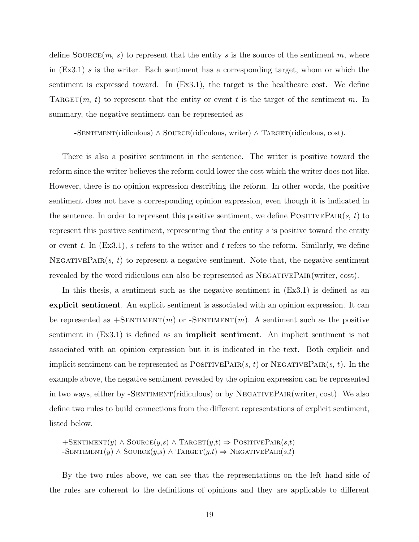define  $\text{Source}(m, s)$  to represent that the entity s is the source of the sentiment m, where in (Ex3.1) *s* is the writer. Each sentiment has a corresponding target, whom or which the sentiment is expressed toward. In (Ex3.1), the target is the healthcare cost. We define TARGET(*m*, *t*) to represent that the entity or event *t* is the target of the sentiment *m*. In summary, the negative sentiment can be represented as

-Sentiment(ridiculous) *∧* Source(ridiculous, writer) *∧* Target(ridiculous, cost).

There is also a positive sentiment in the sentence. The writer is positive toward the reform since the writer believes the reform could lower the cost which the writer does not like. However, there is no opinion expression describing the reform. In other words, the positive sentiment does not have a corresponding opinion expression, even though it is indicated in the sentence. In order to represent this positive sentiment, we define  $\text{POSITIVEPAR}(s, t)$  to represent this positive sentiment, representing that the entity *s* is positive toward the entity or event *t*. In (Ex3.1), *s* refers to the writer and *t* refers to the reform. Similarly, we define NEGATIVEPAIR $(s, t)$  to represent a negative sentiment. Note that, the negative sentiment revealed by the word ridiculous can also be represented as  $NEGATIVEPAIR(writer, cost)$ .

In this thesis, a sentiment such as the negative sentiment in  $(Ex3.1)$  is defined as an **explicit sentiment**. An explicit sentiment is associated with an opinion expression. It can be represented as  $+$ SENTIMENT $(m)$  or  $-$ SENTIMENT $(m)$ . A sentiment such as the positive sentiment in (Ex3.1) is defined as an **implicit sentiment**. An implicit sentiment is not associated with an opinion expression but it is indicated in the text. Both explicit and implicit sentiment can be represented as  $\text{POSITIVEPAIR}(s, t)$  or  $\text{NEGATIVEPAIR}(s, t)$ . In the example above, the negative sentiment revealed by the opinion expression can be represented in two ways, either by  $-$ SENTIMENT(ridiculous) or by NEGATIVEPAIR(writer, cost). We also define two rules to build connections from the different representations of explicit sentiment, listed below.

 $+$ SENTIMENT $(y)$   $\wedge$  SOURCE $(y,s)$   $\wedge$  TARGET $(y,t) \Rightarrow$  POSITIVEPAIR $(s,t)$  $\rightarrow$  SENTIMENT $(y) \land$  SOURCE $(y,s) \land$  TARGET $(y,t) \Rightarrow$  NEGATIVEPAIR $(s,t)$ 

By the two rules above, we can see that the representations on the left hand side of the rules are coherent to the definitions of opinions and they are applicable to different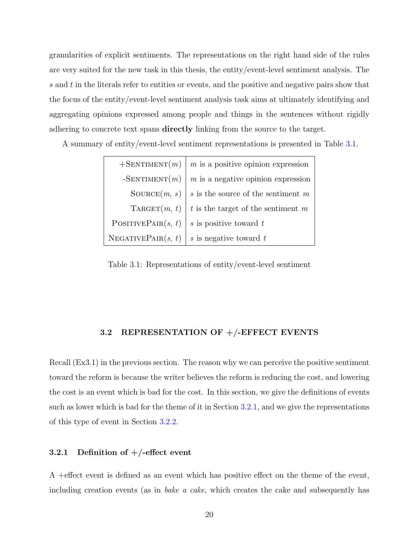granularities of explicit sentiments. The representations on the right hand side of the rules are very suited for the new task in this thesis, the entity/event-level sentiment analysis. The *s* and *t* in the literals refer to entities or events, and the positive and negative pairs show that the focus of the entity/event-level sentiment analysis task aims at ultimately identifying and aggregating opinions expressed among people and things in the sentences without rigidly adhering to concrete text spans **directly** linking from the source to the target.

A summary of entity/event-level sentiment representations is presented in Table [3.1.](#page-34-2)

| $+$ SENTIMENT $(m)$            | $m$ is a positive opinion expression   |
|--------------------------------|----------------------------------------|
| $-SENTIMENT(m)$                | $m$ is a negative opinion expression   |
| $\text{Source}(m, s)$          | $s$ is the source of the sentiment $m$ |
| $\text{TARGE}(m, t)$           | $t$ is the target of the sentiment $m$ |
| POSITIVEPAIR $(s, t)$          | s is positive toward t                 |
| $N_{\text{EGATIVEPAIR}(s, t)}$ | $s$ is negative toward $t$             |

<span id="page-34-2"></span>Table 3.1: Representations of entity/event-level sentiment

#### **3.2 REPRESENTATION OF +/-EFFECT EVENTS**

<span id="page-34-0"></span>Recall (Ex3.1) in the previous section. The reason why we can perceive the positive sentiment toward the reform is because the writer believes the reform is reducing the cost, and lowering the cost is an event which is bad for the cost. In this section, we give the definitions of events such as lower which is bad for the theme of it in Section [3.2.1,](#page-34-1) and we give the representations of this type of event in Section [3.2.2](#page-37-0).

### <span id="page-34-1"></span>**3.2.1 Definition of +/-effect event**

A +effect event is defined as an event which has positive effect on the theme of the event, including creation events (as in *bake a cake*, which creates the cake and subsequently has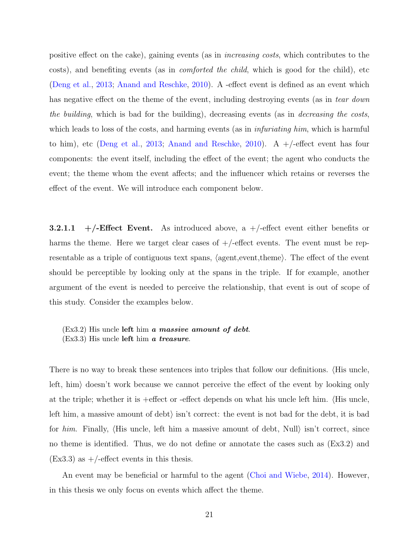positive effect on the cake), gaining events (as in *increasing costs*, which contributes to the costs), and benefiting events (as in *comforted the child*, which is good for the child), etc ([Deng et al.](#page-154-1), [2013;](#page-154-1) [Anand and Reschke](#page-152-1), [2010\)](#page-152-1). A -effect event is defined as an event which has negative effect on the theme of the event, including destroying events (as in *tear down the building*, which is bad for the building), decreasing events (as in *decreasing the costs*, which leads to loss of the costs, and harming events (as in *infuriating him*, which is harmful to him), etc ([Deng et al.,](#page-154-1) [2013;](#page-154-1) [Anand and Reschke](#page-152-1), [2010](#page-152-1)). A  $+/-$  effect event has four components: the event itself, including the effect of the event; the agent who conducts the event; the theme whom the event affects; and the influencer which retains or reverses the effect of the event. We will introduce each component below.

<span id="page-35-0"></span>**3.2.1.1**  $+/-$ **Effect Event.** As introduced above, a  $+/-$  effect event either benefits or harms the theme. Here we target clear cases of  $+/-$ effect events. The event must be representable as a triple of contiguous text spans, *⟨*agent,event,theme*⟩*. The effect of the event should be perceptible by looking only at the spans in the triple. If for example, another argument of the event is needed to perceive the relationship, that event is out of scope of this study. Consider the examples below.

(Ex3.2) His uncle **left** him *a massive amount of debt*. (Ex3.3) His uncle **left** him *a treasure*.

There is no way to break these sentences into triples that follow our definitions. *⟨*His uncle, left, him*⟩* doesn't work because we cannot perceive the effect of the event by looking only at the triple; whether it is +effect or -effect depends on what his uncle left him. *⟨*His uncle, left him, a massive amount of debt*⟩* isn't correct: the event is not bad for the debt, it is bad for *him*. Finally, *⟨*His uncle, left him a massive amount of debt, Null*⟩* isn't correct, since no theme is identified. Thus, we do not define or annotate the cases such as (Ex3.2) and  $(Ex3.3)$  as  $+/-$ effect events in this thesis.

An event may be beneficial or harmful to the agent [\(Choi and Wiebe,](#page-153-2) [2014\)](#page-153-2). However, in this thesis we only focus on events which affect the theme.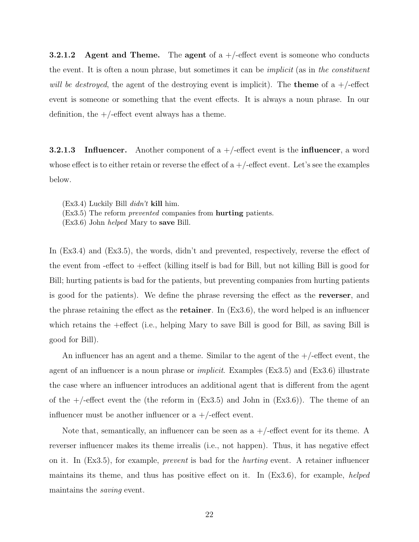**3.2.1.2 Agent and Theme.** The **agent** of a +/-effect event is someone who conducts the event. It is often a noun phrase, but sometimes it can be *implicit* (as in *the constituent will be destroyed*, the agent of the destroying event is implicit). The **theme** of a +/-effect event is someone or something that the event effects. It is always a noun phrase. In our definition, the  $+/-$ effect event always has a theme.

**3.2.1.3 Influencer.** Another component of a +/-effect event is the **influencer**, a word whose effect is to either retain or reverse the effect of  $a +$ /-effect event. Let's see the examples below.

(Ex3.4) Luckily Bill *didn't* **kill** him.

(Ex3.5) The reform *prevented* companies from **hurting** patients.

(Ex3.6) John *helped* Mary to **save** Bill.

In (Ex3.4) and (Ex3.5), the words, didn't and prevented, respectively, reverse the effect of the event from -effect to +effect (killing itself is bad for Bill, but not killing Bill is good for Bill; hurting patients is bad for the patients, but preventing companies from hurting patients is good for the patients). We define the phrase reversing the effect as the **reverser**, and the phrase retaining the effect as the **retainer**. In (Ex3.6), the word helped is an influencer which retains the +effect (i.e., helping Mary to save Bill is good for Bill, as saving Bill is good for Bill).

An influencer has an agent and a theme. Similar to the agent of the  $+/-$ effect event, the agent of an influencer is a noun phrase or *implicit*. Examples (Ex3.5) and (Ex3.6) illustrate the case where an influencer introduces an additional agent that is different from the agent of the  $+/-$ -effect event the (the reform in  $(EX3.5)$  and John in  $(EX3.6)$ ). The theme of an influencer must be another influencer or  $a +$ /-effect event.

Note that, semantically, an influencer can be seen as  $a +/-$  effect event for its theme. A reverser influencer makes its theme irrealis (i.e., not happen). Thus, it has negative effect on it. In (Ex3.5), for example, *prevent* is bad for the *hurting* event. A retainer influencer maintains its theme, and thus has positive effect on it. In (Ex3.6), for example, *helped* maintains the *saving* event.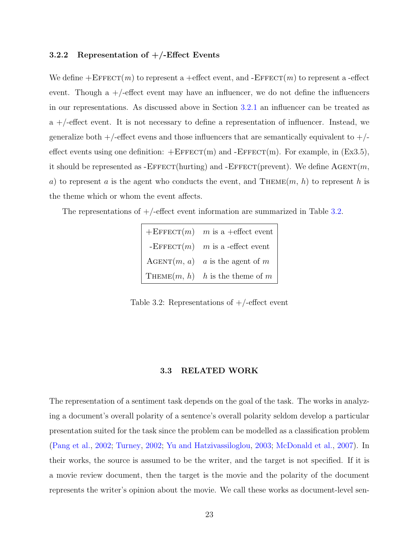# **3.2.2 Representation of +/-Effect Events**

We define  $+ \text{EFFECT}(m)$  to represent a  $+ \text{effect event}$ , and  $- \text{EFFECT}(m)$  to represent a -effect event. Though a  $+/-$  effect event may have an influencer, we do not define the influencers in our representations. As discussed above in Section [3.2.1](#page-34-0) an influencer can be treated as  $a +$ -effect event. It is not necessary to define a representation of influencer. Instead, we generalize both  $+/-$  effect evens and those influencers that are semantically equivalent to  $+/$ effect events using one definition:  $+E$ FFECT(m) and  $-E$ FFECT(m). For example, in (Ex3.5), it should be represented as  $-$ EFFECT(hurting) and  $-$ EFFECT(prevent). We define  $\Lambda$ GENT(*m*, *a*) to represent *a* is the agent who conducts the event, and THEME $(m, h)$  to represent *h* is the theme which or whom the event affects.

The representations of  $+/-$  effect event information are summarized in Table [3.2.](#page-37-0)

| $+$ EFFECT $(m)$ m is a +effect event |
|---------------------------------------|
| -EFFECT $(m)$ m is a -effect event    |
| $AGENT(m, a)$ a is the agent of m     |
| THEME $(m, h)$ h is the theme of m    |

<span id="page-37-0"></span>Table 3.2: Representations of  $+/-$ effect event

## **3.3 RELATED WORK**

The representation of a sentiment task depends on the goal of the task. The works in analyzing a document's overall polarity of a sentence's overall polarity seldom develop a particular presentation suited for the task since the problem can be modelled as a classification problem ([Pang et al.](#page-159-0), [2002](#page-159-0); [Turney,](#page-161-0) [2002](#page-161-0); [Yu and Hatzivassiloglou](#page-163-0), [2003](#page-163-0); [McDonald et al.,](#page-158-0) [2007](#page-158-0)). In their works, the source is assumed to be the writer, and the target is not specified. If it is a movie review document, then the target is the movie and the polarity of the document represents the writer's opinion about the movie. We call these works as document-level sen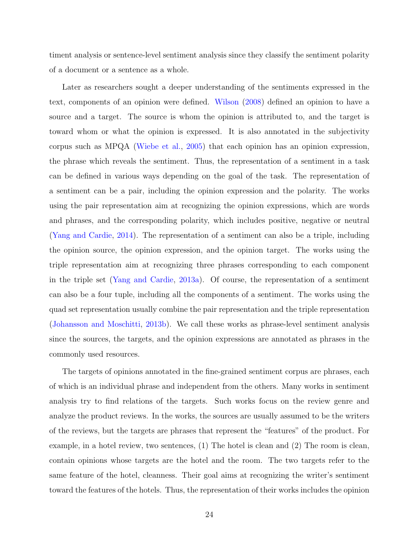timent analysis or sentence-level sentiment analysis since they classify the sentiment polarity of a document or a sentence as a whole.

Later as researchers sought a deeper understanding of the sentiments expressed in the text, components of an opinion were defined. [Wilson](#page-163-1) [\(2008\)](#page-163-1) defined an opinion to have a source and a target. The source is whom the opinion is attributed to, and the target is toward whom or what the opinion is expressed. It is also annotated in the subjectivity corpus such as MPQA [\(Wiebe et al.](#page-162-0), [2005\)](#page-162-0) that each opinion has an opinion expression, the phrase which reveals the sentiment. Thus, the representation of a sentiment in a task can be defined in various ways depending on the goal of the task. The representation of a sentiment can be a pair, including the opinion expression and the polarity. The works using the pair representation aim at recognizing the opinion expressions, which are words and phrases, and the corresponding polarity, which includes positive, negative or neutral ([Yang and Cardie,](#page-163-2) [2014](#page-163-2)). The representation of a sentiment can also be a triple, including the opinion source, the opinion expression, and the opinion target. The works using the triple representation aim at recognizing three phrases corresponding to each component in the triple set ([Yang and Cardie](#page-163-3), [2013a](#page-163-3)). Of course, the representation of a sentiment can also be a four tuple, including all the components of a sentiment. The works using the quad set representation usually combine the pair representation and the triple representation ([Johansson and Moschitti](#page-156-0), [2013b](#page-156-0)). We call these works as phrase-level sentiment analysis since the sources, the targets, and the opinion expressions are annotated as phrases in the commonly used resources.

The targets of opinions annotated in the fine-grained sentiment corpus are phrases, each of which is an individual phrase and independent from the others. Many works in sentiment analysis try to find relations of the targets. Such works focus on the review genre and analyze the product reviews. In the works, the sources are usually assumed to be the writers of the reviews, but the targets are phrases that represent the "features" of the product. For example, in a hotel review, two sentences, (1) The hotel is clean and (2) The room is clean, contain opinions whose targets are the hotel and the room. The two targets refer to the same feature of the hotel, cleanness. Their goal aims at recognizing the writer's sentiment toward the features of the hotels. Thus, the representation of their works includes the opinion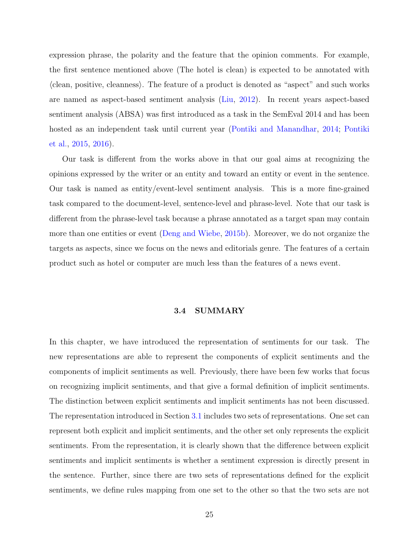expression phrase, the polarity and the feature that the opinion comments. For example, the first sentence mentioned above (The hotel is clean) is expected to be annotated with *⟨*clean, positive, cleanness*⟩*. The feature of a product is denoted as "aspect" and such works are named as aspect-based sentiment analysis ([Liu,](#page-157-0) [2012](#page-157-0)). In recent years aspect-based sentiment analysis (ABSA) was first introduced as a task in the SemEval 2014 and has been hosted as an independent task until current year [\(Pontiki and Manandhar](#page-159-1), [2014;](#page-159-1) [Pontiki](#page-159-2) [et al.](#page-159-2), [2015,](#page-159-2) [2016](#page-159-3)).

Our task is different from the works above in that our goal aims at recognizing the opinions expressed by the writer or an entity and toward an entity or event in the sentence. Our task is named as entity/event-level sentiment analysis. This is a more fine-grained task compared to the document-level, sentence-level and phrase-level. Note that our task is different from the phrase-level task because a phrase annotated as a target span may contain more than one entities or event [\(Deng and Wiebe,](#page-154-0) [2015b](#page-154-0)). Moreover, we do not organize the targets as aspects, since we focus on the news and editorials genre. The features of a certain product such as hotel or computer are much less than the features of a news event.

#### **3.4 SUMMARY**

In this chapter, we have introduced the representation of sentiments for our task. The new representations are able to represent the components of explicit sentiments and the components of implicit sentiments as well. Previously, there have been few works that focus on recognizing implicit sentiments, and that give a formal definition of implicit sentiments. The distinction between explicit sentiments and implicit sentiments has not been discussed. The representation introduced in Section [3.1](#page-32-0) includes two sets of representations. One set can represent both explicit and implicit sentiments, and the other set only represents the explicit sentiments. From the representation, it is clearly shown that the difference between explicit sentiments and implicit sentiments is whether a sentiment expression is directly present in the sentence. Further, since there are two sets of representations defined for the explicit sentiments, we define rules mapping from one set to the other so that the two sets are not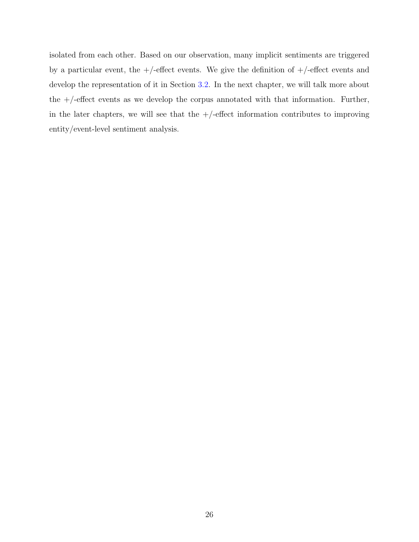isolated from each other. Based on our observation, many implicit sentiments are triggered by a particular event, the  $+/-$ effect events. We give the definition of  $+/-$ effect events and develop the representation of it in Section [3.2](#page-34-1). In the next chapter, we will talk more about the  $+/-$ -effect events as we develop the corpus annotated with that information. Further, in the later chapters, we will see that the  $+/-$ effect information contributes to improving entity/event-level sentiment analysis.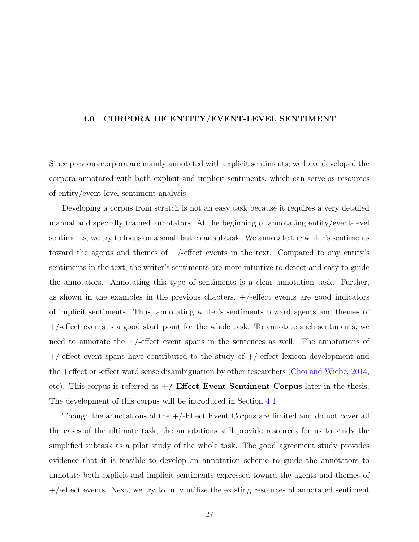#### **4.0 CORPORA OF ENTITY/EVENT-LEVEL SENTIMENT**

Since previous corpora are mainly annotated with explicit sentiments, we have developed the corpora annotated with both explicit and implicit sentiments, which can serve as resources of entity/event-level sentiment analysis.

Developing a corpus from scratch is not an easy task because it requires a very detailed manual and specially trained annotators. At the beginning of annotating entity/event-level sentiments, we try to focus on a small but clear subtask. We annotate the writer's sentiments toward the agents and themes of  $+/-$  effect events in the text. Compared to any entity's sentiments in the text, the writer's sentiments are more intuitive to detect and easy to guide the annotators. Annotating this type of sentiments is a clear annotation task. Further, as shown in the examples in the previous chapters,  $+/-$  effect events are good indicators of implicit sentiments. Thus, annotating writer's sentiments toward agents and themes of  $+/-$  effect events is a good start point for the whole task. To annotate such sentiments, we need to annotate the  $+/-$ -effect event spans in the sentences as well. The annotations of  $+/-$ effect event spans have contributed to the study of  $+/-$ effect lexicon development and the +effect or -effect word sense disambiguation by other researchers [\(Choi and Wiebe,](#page-153-0) [2014,](#page-153-0) etc). This corpus is referred as **+/-Effect Event Sentiment Corpus** later in the thesis. The development of this corpus will be introduced in Section [4.1](#page-42-0).

Though the annotations of the +/-Effect Event Corpus are limited and do not cover all the cases of the ultimate task, the annotations still provide resources for us to study the simplified subtask as a pilot study of the whole task. The good agreement study provides evidence that it is feasible to develop an annotation scheme to guide the annotators to annotate both explicit and implicit sentiments expressed toward the agents and themes of  $+/-$  effect events. Next, we try to fully utilize the existing resources of annotated sentiment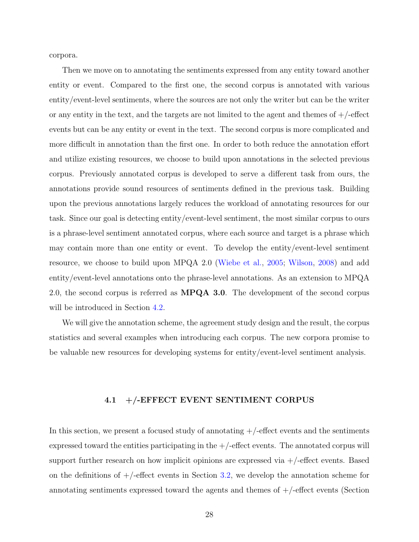corpora.

Then we move on to annotating the sentiments expressed from any entity toward another entity or event. Compared to the first one, the second corpus is annotated with various entity/event-level sentiments, where the sources are not only the writer but can be the writer or any entity in the text, and the targets are not limited to the agent and themes of  $+/-$ effect events but can be any entity or event in the text. The second corpus is more complicated and more difficult in annotation than the first one. In order to both reduce the annotation effort and utilize existing resources, we choose to build upon annotations in the selected previous corpus. Previously annotated corpus is developed to serve a different task from ours, the annotations provide sound resources of sentiments defined in the previous task. Building upon the previous annotations largely reduces the workload of annotating resources for our task. Since our goal is detecting entity/event-level sentiment, the most similar corpus to ours is a phrase-level sentiment annotated corpus, where each source and target is a phrase which may contain more than one entity or event. To develop the entity/event-level sentiment resource, we choose to build upon MPQA 2.0 ([Wiebe et al.,](#page-162-0) [2005;](#page-162-0) [Wilson](#page-163-1), [2008\)](#page-163-1) and add entity/event-level annotations onto the phrase-level annotations. As an extension to MPQA 2.0, the second corpus is referred as **MPQA 3.0**. The development of the second corpus will be introduced in Section [4.2](#page-50-0).

We will give the annotation scheme, the agreement study design and the result, the corpus statistics and several examples when introducing each corpus. The new corpora promise to be valuable new resources for developing systems for entity/event-level sentiment analysis.

### **4.1 +/-EFFECT EVENT SENTIMENT CORPUS**

<span id="page-42-0"></span>In this section, we present a focused study of annotating  $+/-$  effect events and the sentiments expressed toward the entities participating in the  $+/-$  effect events. The annotated corpus will support further research on how implicit opinions are expressed via +/-effect events. Based on the definitions of  $+/-$  effect events in Section [3.2](#page-34-1), we develop the annotation scheme for annotating sentiments expressed toward the agents and themes of  $+/-$ effect events (Section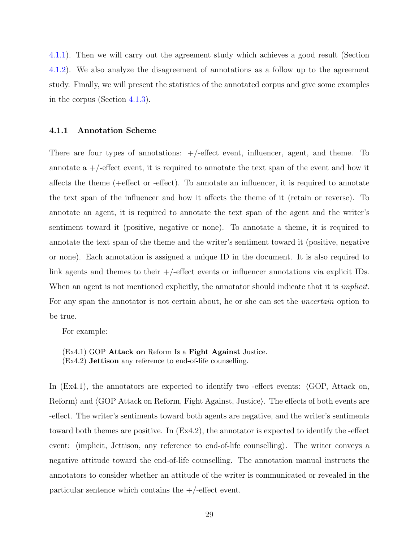[4.1.1](#page-43-0)). Then we will carry out the agreement study which achieves a good result (Section [4.1.2](#page-44-0)). We also analyze the disagreement of annotations as a follow up to the agreement study. Finally, we will present the statistics of the annotated corpus and give some examples in the corpus (Section [4.1.3\)](#page-48-0).

#### <span id="page-43-0"></span>**4.1.1 Annotation Scheme**

There are four types of annotations:  $+/-$  effect event, influencer, agent, and theme. To annotate a  $+/-$  effect event, it is required to annotate the text span of the event and how it affects the theme (+effect or -effect). To annotate an influencer, it is required to annotate the text span of the influencer and how it affects the theme of it (retain or reverse). To annotate an agent, it is required to annotate the text span of the agent and the writer's sentiment toward it (positive, negative or none). To annotate a theme, it is required to annotate the text span of the theme and the writer's sentiment toward it (positive, negative or none). Each annotation is assigned a unique ID in the document. It is also required to link agents and themes to their +/-effect events or influencer annotations via explicit IDs. When an agent is not mentioned explicitly, the annotator should indicate that it is *implicit*. For any span the annotator is not certain about, he or she can set the *uncertain* option to be true.

For example:

(Ex4.1) GOP **Attack on** Reform Is a **Fight Against** Justice. (Ex4.2) **Jettison** any reference to end-of-life counselling.

In (Ex4.1), the annotators are expected to identify two -effect events: *⟨*GOP, Attack on, Reform*⟩* and *⟨*GOP Attack on Reform, Fight Against, Justice*⟩*. The effects of both events are -effect. The writer's sentiments toward both agents are negative, and the writer's sentiments toward both themes are positive. In (Ex4.2), the annotator is expected to identify the -effect event: *⟨*implicit, Jettison, any reference to end-of-life counselling*⟩*. The writer conveys a negative attitude toward the end-of-life counselling. The annotation manual instructs the annotators to consider whether an attitude of the writer is communicated or revealed in the particular sentence which contains the  $+/-$ effect event.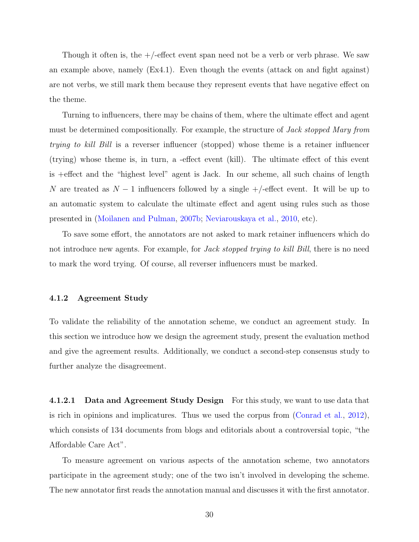Though it often is, the  $+/-$  effect event span need not be a verb or verb phrase. We saw an example above, namely (Ex4.1). Even though the events (attack on and fight against) are not verbs, we still mark them because they represent events that have negative effect on the theme.

Turning to influencers, there may be chains of them, where the ultimate effect and agent must be determined compositionally. For example, the structure of *Jack stopped Mary from trying to kill Bill* is a reverser influencer (stopped) whose theme is a retainer influencer (trying) whose theme is, in turn, a -effect event (kill). The ultimate effect of this event is +effect and the "highest level" agent is Jack. In our scheme, all such chains of length *N* are treated as *N* − 1 influencers followed by a single +/-effect event. It will be up to an automatic system to calculate the ultimate effect and agent using rules such as those presented in ([Moilanen and Pulman](#page-158-1), [2007b](#page-158-1); [Neviarouskaya et al.,](#page-158-2) [2010,](#page-158-2) etc).

To save some effort, the annotators are not asked to mark retainer influencers which do not introduce new agents. For example, for *Jack stopped trying to kill Bill*, there is no need to mark the word trying. Of course, all reverser influencers must be marked.

### <span id="page-44-0"></span>**4.1.2 Agreement Study**

To validate the reliability of the annotation scheme, we conduct an agreement study. In this section we introduce how we design the agreement study, present the evaluation method and give the agreement results. Additionally, we conduct a second-step consensus study to further analyze the disagreement.

**4.1.2.1 Data and Agreement Study Design** For this study, we want to use data that is rich in opinions and implicatures. Thus we used the corpus from [\(Conrad et al.](#page-154-1), [2012](#page-154-1)), which consists of 134 documents from blogs and editorials about a controversial topic, "the Affordable Care Act".

To measure agreement on various aspects of the annotation scheme, two annotators participate in the agreement study; one of the two isn't involved in developing the scheme. The new annotator first reads the annotation manual and discusses it with the first annotator.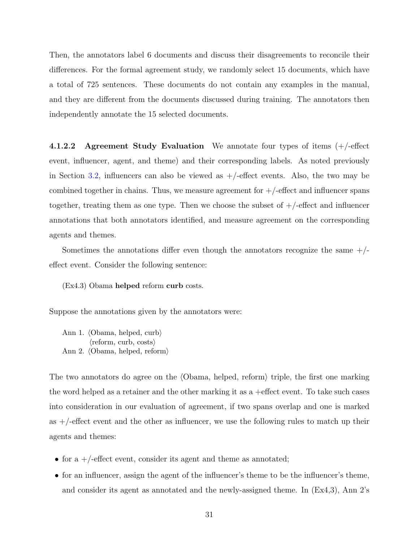Then, the annotators label 6 documents and discuss their disagreements to reconcile their differences. For the formal agreement study, we randomly select 15 documents, which have a total of 725 sentences. These documents do not contain any examples in the manual, and they are different from the documents discussed during training. The annotators then independently annotate the 15 selected documents.

**4.1.2.2 Agreement Study Evaluation** We annotate four types of items (+/-effect event, influencer, agent, and theme) and their corresponding labels. As noted previously in Section [3.2,](#page-34-1) influencers can also be viewed as  $+/-$  effect events. Also, the two may be combined together in chains. Thus, we measure agreement for  $+/-$  effect and influencer spans together, treating them as one type. Then we choose the subset of  $+/-$ effect and influencer annotations that both annotators identified, and measure agreement on the corresponding agents and themes.

Sometimes the annotations differ even though the annotators recognize the same  $+/$ effect event. Consider the following sentence:

(Ex4.3) Obama **helped** reform **curb** costs.

Suppose the annotations given by the annotators were:

Ann 1. *⟨*Obama, helped, curb*⟩ ⟨*reform, curb, costs*⟩* Ann 2. *⟨*Obama, helped, reform*⟩*

The two annotators do agree on the *⟨*Obama, helped, reform*⟩* triple, the first one marking the word helped as a retainer and the other marking it as a +effect event. To take such cases into consideration in our evaluation of agreement, if two spans overlap and one is marked as  $+/-$  effect event and the other as influencer, we use the following rules to match up their agents and themes:

- for a +/-effect event, consider its agent and theme as annotated;
- for an influencer, assign the agent of the influencer's theme to be the influencer's theme, and consider its agent as annotated and the newly-assigned theme. In (Ex4,3), Ann 2's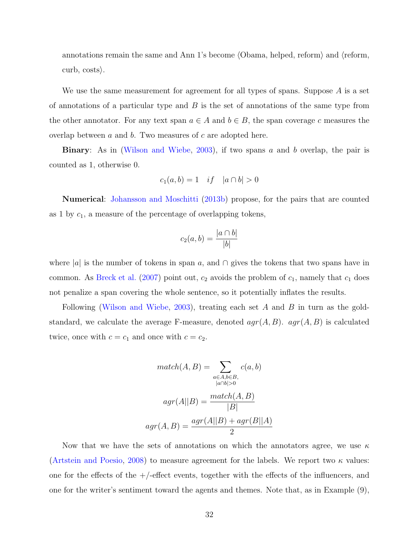annotations remain the same and Ann 1's become *⟨*Obama, helped, reform*⟩* and *⟨*reform, curb, costs*⟩*.

We use the same measurement for agreement for all types of spans. Suppose *A* is a set of annotations of a particular type and *B* is the set of annotations of the same type from the other annotator. For any text span  $a \in A$  and  $b \in B$ , the span coverage *c* measures the overlap between *a* and *b*. Two measures of *c* are adopted here.

**Binary**: As in ([Wilson and Wiebe](#page-163-4), [2003](#page-163-4)), if two spans *a* and *b* overlap, the pair is counted as 1, otherwise 0.

$$
c_1(a, b) = 1 \quad \text{if} \quad |a \cap b| > 0
$$

**Numerical**: [Johansson and Moschitti](#page-156-0) ([2013b\)](#page-156-0) propose, for the pairs that are counted as 1 by *c*1, a measure of the percentage of overlapping tokens,

$$
c_2(a,b) = \frac{|a \cap b|}{|b|}
$$

where  $|a|$  is the number of tokens in span *a*, and  $\cap$  gives the tokens that two spans have in common. As [Breck et al.](#page-153-1)  $(2007)$  $(2007)$  $(2007)$  point out,  $c_2$  avoids the problem of  $c_1$ , namely that  $c_1$  does not penalize a span covering the whole sentence, so it potentially inflates the results.

Following [\(Wilson and Wiebe](#page-163-4), [2003\)](#page-163-4), treating each set *A* and *B* in turn as the goldstandard, we calculate the average F-measure, denoted *agr*(*A, B*). *agr*(*A, B*) is calculated twice, once with  $c = c_1$  and once with  $c = c_2$ .

$$
match(A, B) = \sum_{\substack{a \in A, b \in B, \\ |a \cap b| > 0}} c(a, b)
$$

$$
agr(A||B) = \frac{match(A, B)}{|B|}
$$

$$
agr(A, B) = \frac{agr(A||B) + agr(B||A)}{2}
$$

Now that we have the sets of annotations on which the annotators agree, we use *κ* ([Artstein and Poesio](#page-152-0), [2008](#page-152-0)) to measure agreement for the labels. We report two *κ* values: one for the effects of the  $+/-$  effect events, together with the effects of the influencers, and one for the writer's sentiment toward the agents and themes. Note that, as in Example (9),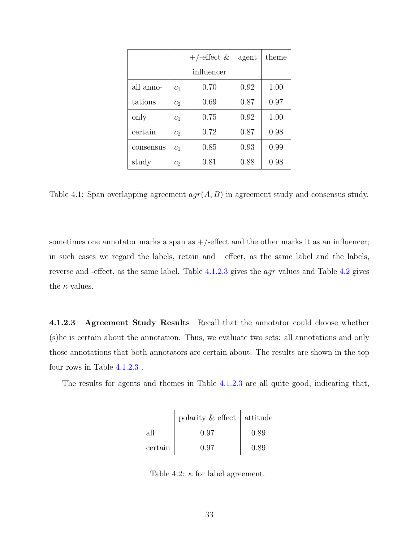|           |                | $+/-$ effect & | agent | theme |
|-----------|----------------|----------------|-------|-------|
|           |                | influencer     |       |       |
| all anno- | c <sub>1</sub> | 0.70           | 0.92  | 1.00  |
| tations   | c <sub>2</sub> | 0.69           | 0.87  | 0.97  |
| only      | c <sub>1</sub> | 0.75           | 0.92  | 1.00  |
| certain   | $c_2$          | 0.72           | 0.87  | 0.98  |
| consensus | c <sub>1</sub> | 0.85           | 0.93  | 0.99  |
| study     | $c_2$          | 0.81           | 0.88  | 0.98  |

Table 4.1: Span overlapping agreement *agr*(*A, B*) in agreement study and consensus study.

sometimes one annotator marks a span as  $+/-$ effect and the other marks it as an influencer; in such cases we regard the labels, retain and +effect, as the same label and the labels, reverse and -effect, as the same label. Table [4.1.2.3](#page-47-0) gives the *agr* values and Table [4.2](#page-47-1) gives the  $\kappa$  values.

<span id="page-47-0"></span>**4.1.2.3 Agreement Study Results** Recall that the annotator could choose whether (s)he is certain about the annotation. Thus, we evaluate two sets: all annotations and only those annotations that both annotators are certain about. The results are shown in the top four rows in Table [4.1.2.3](#page-47-0) .

The results for agents and themes in Table [4.1.2.3](#page-47-0) are all quite good, indicating that,

|         | polarity $\&$ effect   attitude |      |
|---------|---------------------------------|------|
| all     | 0.97                            | 0.89 |
| certain | 0.97                            | 0.89 |

<span id="page-47-1"></span>Table 4.2:  $\kappa$  for label agreement.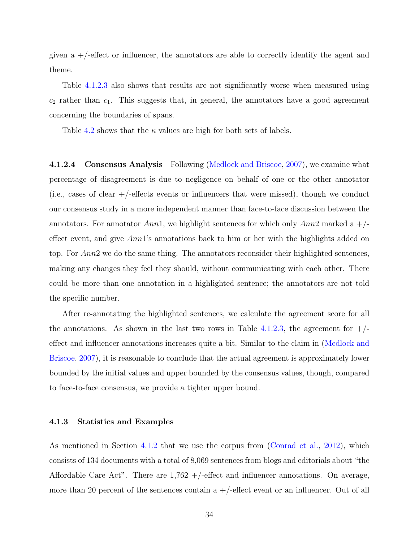given a  $+/-$  effect or influencer, the annotators are able to correctly identify the agent and theme.

Table [4.1.2.3](#page-47-0) also shows that results are not significantly worse when measured using  $c_2$  rather than  $c_1$ . This suggests that, in general, the annotators have a good agreement concerning the boundaries of spans.

Table [4.2](#page-47-1) shows that the  $\kappa$  values are high for both sets of labels.

**4.1.2.4 Consensus Analysis** Following ([Medlock and Briscoe,](#page-158-3) [2007](#page-158-3)), we examine what percentage of disagreement is due to negligence on behalf of one or the other annotator (i.e., cases of clear +/-effects events or influencers that were missed), though we conduct our consensus study in a more independent manner than face-to-face discussion between the annotators. For annotator *Ann*1, we highlight sentences for which only *Ann*2 marked a +/ effect event, and give *Ann*1's annotations back to him or her with the highlights added on top. For *Ann*2 we do the same thing. The annotators reconsider their highlighted sentences, making any changes they feel they should, without communicating with each other. There could be more than one annotation in a highlighted sentence; the annotators are not told the specific number.

After re-annotating the highlighted sentences, we calculate the agreement score for all the annotations. As shown in the last two rows in Table [4.1.2.3](#page-47-0), the agreement for  $+/$ effect and influencer annotations increases quite a bit. Similar to the claim in ([Medlock and](#page-158-3) [Briscoe](#page-158-3), [2007](#page-158-3)), it is reasonable to conclude that the actual agreement is approximately lower bounded by the initial values and upper bounded by the consensus values, though, compared to face-to-face consensus, we provide a tighter upper bound.

#### <span id="page-48-0"></span>**4.1.3 Statistics and Examples**

As mentioned in Section [4.1.2](#page-44-0) that we use the corpus from ([Conrad et al.](#page-154-1), [2012](#page-154-1)), which consists of 134 documents with a total of 8,069 sentences from blogs and editorials about "the Affordable Care Act". There are  $1,762 +$ -effect and influencer annotations. On average, more than 20 percent of the sentences contain a  $+/-$  effect event or an influencer. Out of all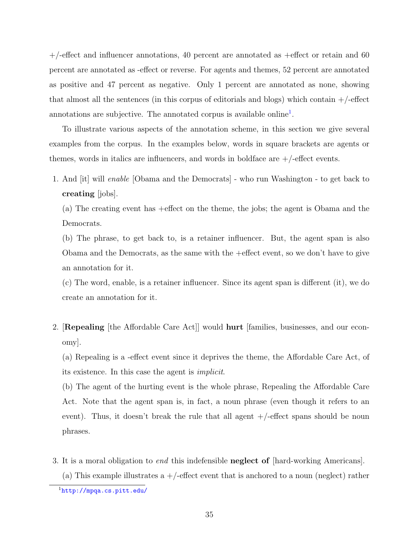$+/-$ effect and influencer annotations, 40 percent are annotated as  $+$ effect or retain and 60 percent are annotated as -effect or reverse. For agents and themes, 52 percent are annotated as positive and 47 percent as negative. Only 1 percent are annotated as none, showing that almost all the sentences (in this corpus of editorials and blogs) which contain  $+/-$ effect annotations are subjective. The annotated corpus is available online<sup>[1](#page-49-0)</sup>.

To illustrate various aspects of the annotation scheme, in this section we give several examples from the corpus. In the examples below, words in square brackets are agents or themes, words in italics are influencers, and words in boldface are  $+/-$  effect events.

1. And [it] will *enable* [Obama and the Democrats] - who run Washington - to get back to **creating** [jobs].

(a) The creating event has +effect on the theme, the jobs; the agent is Obama and the Democrats.

(b) The phrase, to get back to, is a retainer influencer. But, the agent span is also Obama and the Democrats, as the same with the +effect event, so we don't have to give an annotation for it.

(c) The word, enable, is a retainer influencer. Since its agent span is different (it), we do create an annotation for it.

2. [**Repealing** [the Affordable Care Act]] would **hurt** [families, businesses, and our economy].

(a) Repealing is a -effect event since it deprives the theme, the Affordable Care Act, of its existence. In this case the agent is *implicit*.

(b) The agent of the hurting event is the whole phrase, Repealing the Affordable Care Act. Note that the agent span is, in fact, a noun phrase (even though it refers to an event). Thus, it doesn't break the rule that all agent  $+/-$  effect spans should be noun phrases.

3. It is a moral obligation to *end* this indefensible **neglect of** [hard-working Americans]. (a) This example illustrates a  $+/-$  effect event that is anchored to a noun (neglect) rather

<span id="page-49-0"></span><sup>1</sup><http://mpqa.cs.pitt.edu/>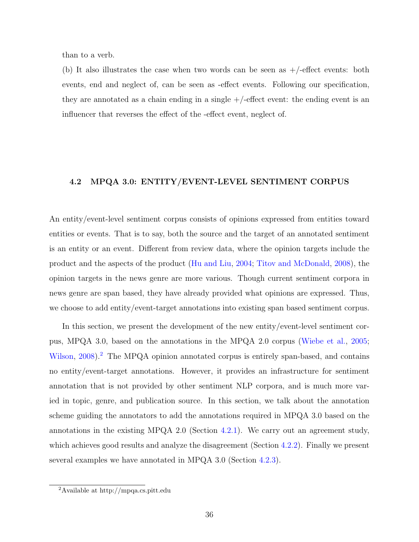than to a verb.

(b) It also illustrates the case when two words can be seen as  $+/-$  effect events: both events, end and neglect of, can be seen as -effect events. Following our specification, they are annotated as a chain ending in a single  $+/-$  effect event: the ending event is an influencer that reverses the effect of the -effect event, neglect of.

## <span id="page-50-0"></span>**4.2 MPQA 3.0: ENTITY/EVENT-LEVEL SENTIMENT CORPUS**

An entity/event-level sentiment corpus consists of opinions expressed from entities toward entities or events. That is to say, both the source and the target of an annotated sentiment is an entity or an event. Different from review data, where the opinion targets include the product and the aspects of the product ([Hu and Liu,](#page-156-1) [2004](#page-156-1); [Titov and McDonald,](#page-161-1) [2008](#page-161-1)), the opinion targets in the news genre are more various. Though current sentiment corpora in news genre are span based, they have already provided what opinions are expressed. Thus, we choose to add entity/event-target annotations into existing span based sentiment corpus.

In this section, we present the development of the new entity/event-level sentiment corpus, MPQA 3.0, based on the annotations in the MPQA 2.0 corpus ([Wiebe et al.](#page-162-0), [2005;](#page-162-0) [Wilson,](#page-163-1) [2008](#page-163-1)).<sup>[2](#page-50-1)</sup> The MPQA opinion annotated corpus is entirely span-based, and contains no entity/event-target annotations. However, it provides an infrastructure for sentiment annotation that is not provided by other sentiment NLP corpora, and is much more varied in topic, genre, and publication source. In this section, we talk about the annotation scheme guiding the annotators to add the annotations required in MPQA 3.0 based on the annotations in the existing MPQA 2.0 (Section [4.2.1\)](#page-51-0). We carry out an agreement study, which achieves good results and analyze the disagreement (Section [4.2.2\)](#page-56-0). Finally we present several examples we have annotated in MPQA 3.0 (Section [4.2.3\)](#page-58-0).

<span id="page-50-1"></span><sup>2</sup>Available at http://mpqa.cs.pitt.edu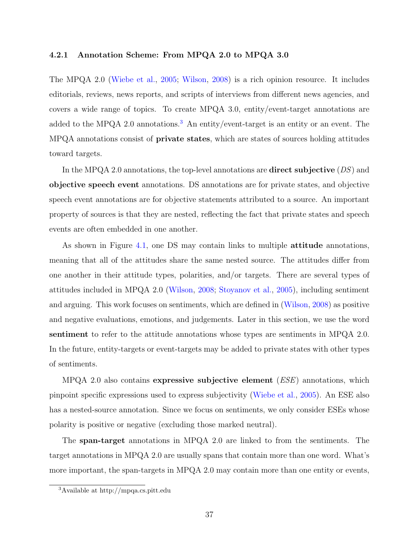### <span id="page-51-0"></span>**4.2.1 Annotation Scheme: From MPQA 2.0 to MPQA 3.0**

The MPQA 2.0 ([Wiebe et al.,](#page-162-0) [2005](#page-162-0); [Wilson,](#page-163-1) [2008](#page-163-1)) is a rich opinion resource. It includes editorials, reviews, news reports, and scripts of interviews from different news agencies, and covers a wide range of topics. To create MPQA 3.0, entity/event-target annotations are added to the MPQA 2.0 annotations.<sup>[3](#page-51-1)</sup> An entity/event-target is an entity or an event. The MPQA annotations consist of **private states**, which are states of sources holding attitudes toward targets.

In the MPQA 2.0 annotations, the top-level annotations are **direct subjective** (*DS*) and **objective speech event** annotations. DS annotations are for private states, and objective speech event annotations are for objective statements attributed to a source. An important property of sources is that they are nested, reflecting the fact that private states and speech events are often embedded in one another.

As shown in Figure [4.1,](#page-52-0) one DS may contain links to multiple **attitude** annotations, meaning that all of the attitudes share the same nested source. The attitudes differ from one another in their attitude types, polarities, and/or targets. There are several types of attitudes included in MPQA 2.0 ([Wilson](#page-163-1), [2008;](#page-163-1) [Stoyanov et al.,](#page-161-2) [2005\)](#page-161-2), including sentiment and arguing. This work focuses on sentiments, which are defined in ([Wilson](#page-163-1), [2008\)](#page-163-1) as positive and negative evaluations, emotions, and judgements. Later in this section, we use the word **sentiment** to refer to the attitude annotations whose types are sentiments in MPQA 2.0. In the future, entity-targets or event-targets may be added to private states with other types of sentiments.

MPQA 2.0 also contains **expressive subjective element** (*ESE*) annotations, which pinpoint specific expressions used to express subjectivity ([Wiebe et al.,](#page-162-0) [2005](#page-162-0)). An ESE also has a nested-source annotation. Since we focus on sentiments, we only consider ESEs whose polarity is positive or negative (excluding those marked neutral).

The **span-target** annotations in MPQA 2.0 are linked to from the sentiments. The target annotations in MPQA 2.0 are usually spans that contain more than one word. What's more important, the span-targets in MPQA 2.0 may contain more than one entity or events,

<span id="page-51-1"></span><sup>3</sup>Available at http://mpqa.cs.pitt.edu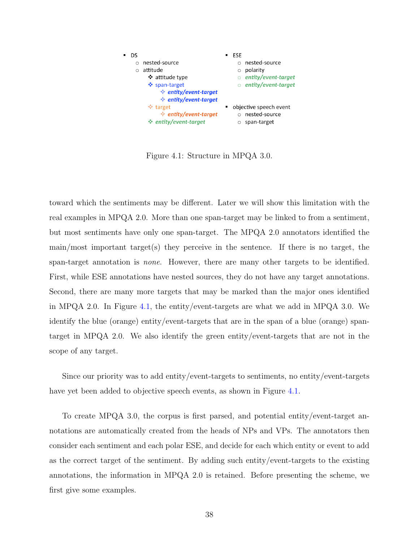

<span id="page-52-0"></span>Figure 4.1: Structure in MPQA 3.0.

toward which the sentiments may be different. Later we will show this limitation with the real examples in MPQA 2.0. More than one span-target may be linked to from a sentiment, but most sentiments have only one span-target. The MPQA 2.0 annotators identified the main/most important target(s) they perceive in the sentence. If there is no target, the span-target annotation is *none*. However, there are many other targets to be identified. First, while ESE annotations have nested sources, they do not have any target annotations. Second, there are many more targets that may be marked than the major ones identified in MPQA 2.0. In Figure [4.1](#page-52-0), the entity/event-targets are what we add in MPQA 3.0. We identify the blue (orange) entity/event-targets that are in the span of a blue (orange) spantarget in MPQA 2.0. We also identify the green entity/event-targets that are not in the scope of any target.

Since our priority was to add entity/event-targets to sentiments, no entity/event-targets have yet been added to objective speech events, as shown in Figure [4.1.](#page-52-0)

To create MPQA 3.0, the corpus is first parsed, and potential entity/event-target annotations are automatically created from the heads of NPs and VPs. The annotators then consider each sentiment and each polar ESE, and decide for each which entity or event to add as the correct target of the sentiment. By adding such entity/event-targets to the existing annotations, the information in MPQA 2.0 is retained. Before presenting the scheme, we first give some examples.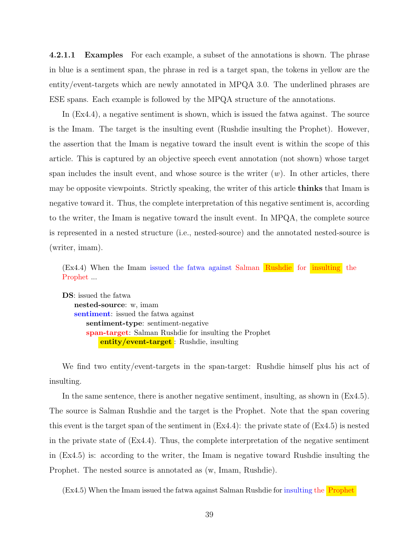**4.2.1.1 Examples** For each example, a subset of the annotations is shown. The phrase in blue is a sentiment span, the phrase in red is a target span, the tokens in yellow are the entity/event-targets which are newly annotated in MPQA 3.0. The underlined phrases are ESE spans. Each example is followed by the MPQA structure of the annotations.

In (Ex4.4), a negative sentiment is shown, which is issued the fatwa against. The source is the Imam. The target is the insulting event (Rushdie insulting the Prophet). However, the assertion that the Imam is negative toward the insult event is within the scope of this article. This is captured by an objective speech event annotation (not shown) whose target span includes the insult event, and whose source is the writer  $(w)$ . In other articles, there may be opposite viewpoints. Strictly speaking, the writer of this article **thinks** that Imam is negative toward it. Thus, the complete interpretation of this negative sentiment is, according to the writer, the Imam is negative toward the insult event. In MPQA, the complete source is represented in a nested structure (i.e., nested-source) and the annotated nested-source is (writer, imam).

(Ex4.4) When the Imam issued the fatwa against Salman Rushdie for insulting the Prophet ...

**DS**: issued the fatwa **nested-source**: w, imam **sentiment**: issued the fatwa against **sentiment-type**: sentiment-negative **span-target**: Salman Rushdie for insulting the Prophet **entity/event-target** : Rushdie, insulting

We find two entity/event-targets in the span-target: Rushdie himself plus his act of insulting.

In the same sentence, there is another negative sentiment, insulting, as shown in (Ex4.5). The source is Salman Rushdie and the target is the Prophet. Note that the span covering this event is the target span of the sentiment in  $(Ex4.4)$ : the private state of  $(Ex4.5)$  is nested in the private state of  $(Ex4.4)$ . Thus, the complete interpretation of the negative sentiment in (Ex4.5) is: according to the writer, the Imam is negative toward Rushdie insulting the Prophet. The nested source is annotated as (w, Imam, Rushdie).

(Ex4.5) When the Imam issued the fatwa against Salman Rushdie for insulting the Prophet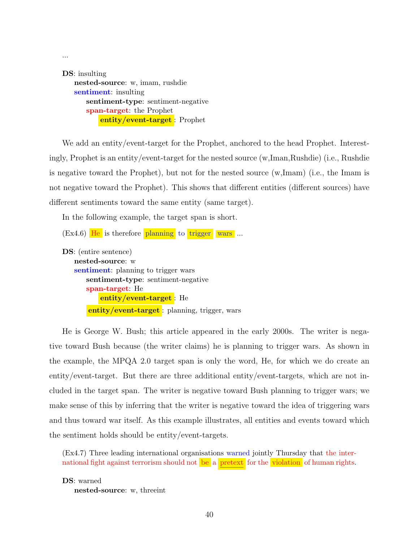**DS**: insulting **nested-source**: w, imam, rushdie **sentiment**: insulting **sentiment-type**: sentiment-negative **span-target**: the Prophet **entity/event-target** : Prophet

...

We add an entity/event-target for the Prophet, anchored to the head Prophet. Interestingly, Prophet is an entity/event-target for the nested source (w,Iman,Rushdie) (i.e., Rushdie is negative toward the Prophet), but not for the nested source (w,Imam) (i.e., the Imam is not negative toward the Prophet). This shows that different entities (different sources) have different sentiments toward the same entity (same target).

In the following example, the target span is short.

```
(Ex4.6) He is therefore planning to trigger wars ...
DS: (entire sentence)
   nested-source: w
   sentiment: planning to trigger wars
       sentiment-type: sentiment-negative
       span-target: He
           entity/event-target : He
       entity/event-target : planning, trigger, wars
```
He is George W. Bush; this article appeared in the early 2000s. The writer is negative toward Bush because (the writer claims) he is planning to trigger wars. As shown in the example, the MPQA 2.0 target span is only the word, He, for which we do create an entity/event-target. But there are three additional entity/event-targets, which are not included in the target span. The writer is negative toward Bush planning to trigger wars; we make sense of this by inferring that the writer is negative toward the idea of triggering wars and thus toward war itself. As this example illustrates, all entities and events toward which the sentiment holds should be entity/event-targets.

(Ex4.7) Three leading international organisations warned jointly Thursday that the international fight against terrorism should not be a pretext for the violation of human rights.

**DS**: warned **nested-source**: w, threeint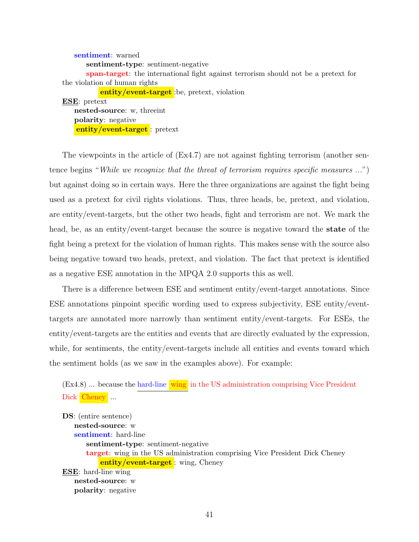**sentiment**: warned **sentiment-type**: sentiment-negative **span-target**: the international fight against terrorism should not be a pretext for the violation of human rights **entity/event-target** :be, pretext, violation **ESE**: pretext **nested-source**: w, threeint **polarity**: negative **entity/event-target** : pretext

The viewpoints in the article of  $(Ex4.7)$  are not against fighting terrorism (another sentence begins "*While we recognize that the threat of terrorism requires specific measures ...*") but against doing so in certain ways. Here the three organizations are against the fight being used as a pretext for civil rights violations. Thus, three heads, be, pretext, and violation, are entity/event-targets, but the other two heads, fight and terrorism are not. We mark the head, be, as an entity/event-target because the source is negative toward the **state** of the fight being a pretext for the violation of human rights. This makes sense with the source also being negative toward two heads, pretext, and violation. The fact that pretext is identified as a negative ESE annotation in the MPQA 2.0 supports this as well.

There is a difference between ESE and sentiment entity/event-target annotations. Since ESE annotations pinpoint specific wording used to express subjectivity, ESE entity/eventtargets are annotated more narrowly than sentiment entity/event-targets. For ESEs, the entity/event-targets are the entities and events that are directly evaluated by the expression, while, for sentiments, the entity/event-targets include all entities and events toward which the sentiment holds (as we saw in the examples above). For example:

 $(Ex4.8)$  ... because the hard-line wing in the US administration comprising Vice President Dick Cheney ...

**DS**: (entire sentence) **nested-source**: w **sentiment**: hard-line **sentiment-type**: sentiment-negative **target**: wing in the US administration comprising Vice President Dick Cheney **entity/event-target** : wing, Cheney **ESE**: hard-line wing **nested-source**: w **polarity**: negative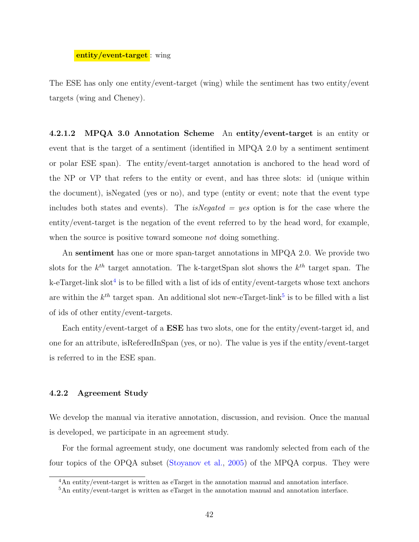## **entity/event-target** : wing

The ESE has only one entity/event-target (wing) while the sentiment has two entity/event targets (wing and Cheney).

**4.2.1.2 MPQA 3.0 Annotation Scheme** An **entity/event-target** is an entity or event that is the target of a sentiment (identified in MPQA 2.0 by a sentiment sentiment or polar ESE span). The entity/event-target annotation is anchored to the head word of the NP or VP that refers to the entity or event, and has three slots: id (unique within the document), isNegated (yes or no), and type (entity or event; note that the event type includes both states and events). The *isNegated = yes* option is for the case where the entity/event-target is the negation of the event referred to by the head word, for example, when the source is positive toward someone *not* doing something.

An **sentiment** has one or more span-target annotations in MPQA 2.0. We provide two slots for the *k th* target annotation. The k-targetSpan slot shows the *k th* target span. The k-eTarget-link slot<sup>[4](#page-56-1)</sup> is to be filled with a list of ids of entity/event-targets whose text anchors are within the  $k^{th}$  target span. An additional slot new-eTarget-link<sup>[5](#page-56-2)</sup> is to be filled with a list of ids of other entity/event-targets.

Each entity/event-target of a **ESE** has two slots, one for the entity/event-target id, and one for an attribute, isReferedInSpan (yes, or no). The value is yes if the entity/event-target is referred to in the ESE span.

## <span id="page-56-0"></span>**4.2.2 Agreement Study**

We develop the manual via iterative annotation, discussion, and revision. Once the manual is developed, we participate in an agreement study.

For the formal agreement study, one document was randomly selected from each of the four topics of the OPQA subset [\(Stoyanov et al.](#page-161-2), [2005\)](#page-161-2) of the MPQA corpus. They were

<span id="page-56-1"></span><sup>4</sup>An entity/event-target is written as eTarget in the annotation manual and annotation interface.

<span id="page-56-2"></span><sup>5</sup>An entity/event-target is written as eTarget in the annotation manual and annotation interface.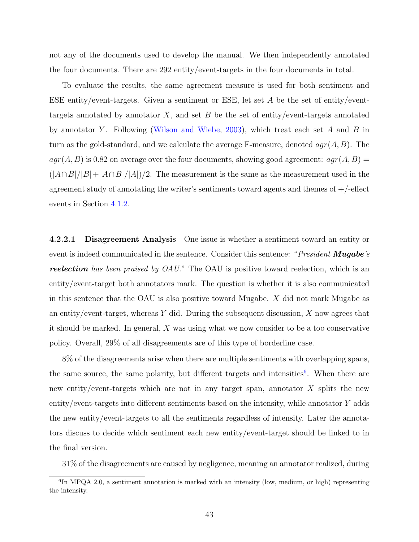not any of the documents used to develop the manual. We then independently annotated the four documents. There are 292 entity/event-targets in the four documents in total.

To evaluate the results, the same agreement measure is used for both sentiment and ESE entity/event-targets. Given a sentiment or ESE, let set *A* be the set of entity/eventtargets annotated by annotator *X*, and set *B* be the set of entity/event-targets annotated by annotator *Y* . Following [\(Wilson and Wiebe](#page-163-4), [2003](#page-163-4)), which treat each set *A* and *B* in turn as the gold-standard, and we calculate the average F-measure, denoted *agr*(*A, B*). The  $agr(A, B)$  is 0.82 on average over the four documents, showing good agreement:  $agr(A, B)$  =  $(|A \cap B|/|B| + |A \cap B|/|A|)/2$ . The measurement is the same as the measurement used in the agreement study of annotating the writer's sentiments toward agents and themes of  $+/-$ effect events in Section [4.1.2](#page-44-0).

**4.2.2.1 Disagreement Analysis** One issue is whether a sentiment toward an entity or event is indeed communicated in the sentence. Consider this sentence: "*President Mugabe's reelection has been praised by OAU.*" The OAU is positive toward reelection, which is an entity/event-target both annotators mark. The question is whether it is also communicated in this sentence that the OAU is also positive toward Mugabe. *X* did not mark Mugabe as an entity/event-target, whereas *Y* did. During the subsequent discussion, *X* now agrees that it should be marked. In general, *X* was using what we now consider to be a too conservative policy. Overall, 29% of all disagreements are of this type of borderline case.

8% of the disagreements arise when there are multiple sentiments with overlapping spans, the same source, the same polarity, but different targets and intensities<sup>[6](#page-57-0)</sup>. When there are new entity/event-targets which are not in any target span, annotator *X* splits the new entity/event-targets into different sentiments based on the intensity, while annotator *Y* adds the new entity/event-targets to all the sentiments regardless of intensity. Later the annotators discuss to decide which sentiment each new entity/event-target should be linked to in the final version.

31% of the disagreements are caused by negligence, meaning an annotator realized, during

<span id="page-57-0"></span><sup>&</sup>lt;sup>6</sup>In MPQA 2.0, a sentiment annotation is marked with an intensity (low, medium, or high) representing the intensity.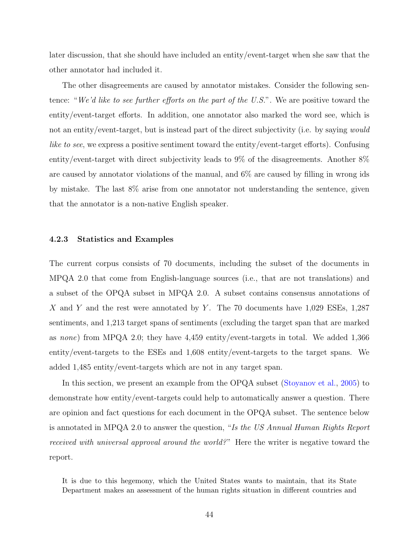later discussion, that she should have included an entity/event-target when she saw that the other annotator had included it.

The other disagreements are caused by annotator mistakes. Consider the following sentence: "*We'd like to see further efforts on the part of the U.S.*". We are positive toward the entity/event-target efforts. In addition, one annotator also marked the word see, which is not an entity/event-target, but is instead part of the direct subjectivity (i.e. by saying *would like to see*, we express a positive sentiment toward the entity/event-target efforts). Confusing entity/event-target with direct subjectivity leads to 9% of the disagreements. Another 8% are caused by annotator violations of the manual, and 6% are caused by filling in wrong ids by mistake. The last 8% arise from one annotator not understanding the sentence, given that the annotator is a non-native English speaker.

### <span id="page-58-0"></span>**4.2.3 Statistics and Examples**

The current corpus consists of 70 documents, including the subset of the documents in MPQA 2.0 that come from English-language sources (i.e., that are not translations) and a subset of the OPQA subset in MPQA 2.0. A subset contains consensus annotations of *X* and *Y* and the rest were annotated by *Y* . The 70 documents have 1,029 ESEs, 1,287 sentiments, and 1,213 target spans of sentiments (excluding the target span that are marked as *none*) from MPQA 2.0; they have 4,459 entity/event-targets in total. We added 1,366 entity/event-targets to the ESEs and 1,608 entity/event-targets to the target spans. We added 1,485 entity/event-targets which are not in any target span.

In this section, we present an example from the OPQA subset ([Stoyanov et al.](#page-161-2), [2005](#page-161-2)) to demonstrate how entity/event-targets could help to automatically answer a question. There are opinion and fact questions for each document in the OPQA subset. The sentence below is annotated in MPQA 2.0 to answer the question, "*Is the US Annual Human Rights Report received with universal approval around the world?* " Here the writer is negative toward the report.

It is due to this hegemony, which the United States wants to maintain, that its State Department makes an assessment of the human rights situation in different countries and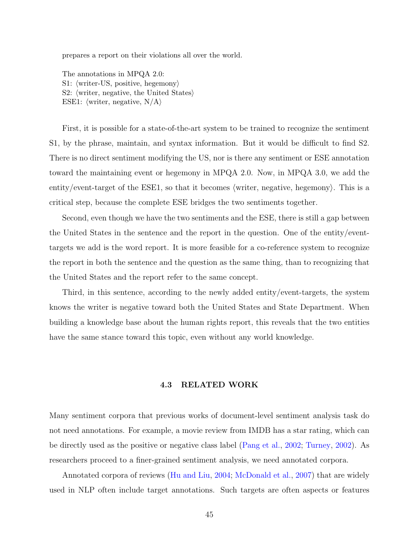prepares a report on their violations all over the world.

The annotations in MPQA 2.0: S1: *⟨*writer-US, positive, hegemony*⟩* S2: *⟨*writer, negative, the United States*⟩* ESE1: *⟨*writer, negative, N/A*⟩*

First, it is possible for a state-of-the-art system to be trained to recognize the sentiment S1, by the phrase, maintain, and syntax information. But it would be difficult to find S2. There is no direct sentiment modifying the US, nor is there any sentiment or ESE annotation toward the maintaining event or hegemony in MPQA 2.0. Now, in MPQA 3.0, we add the entity/event-target of the ESE1, so that it becomes *⟨*writer, negative, hegemony*⟩*. This is a critical step, because the complete ESE bridges the two sentiments together.

Second, even though we have the two sentiments and the ESE, there is still a gap between the United States in the sentence and the report in the question. One of the entity/eventtargets we add is the word report. It is more feasible for a co-reference system to recognize the report in both the sentence and the question as the same thing, than to recognizing that the United States and the report refer to the same concept.

Third, in this sentence, according to the newly added entity/event-targets, the system knows the writer is negative toward both the United States and State Department. When building a knowledge base about the human rights report, this reveals that the two entities have the same stance toward this topic, even without any world knowledge.

## **4.3 RELATED WORK**

Many sentiment corpora that previous works of document-level sentiment analysis task do not need annotations. For example, a movie review from IMDB has a star rating, which can be directly used as the positive or negative class label ([Pang et al.](#page-159-0), [2002;](#page-159-0) [Turney](#page-161-0), [2002\)](#page-161-0). As researchers proceed to a finer-grained sentiment analysis, we need annotated corpora.

Annotated corpora of reviews ([Hu and Liu,](#page-156-1) [2004;](#page-156-1) [McDonald et al.](#page-158-0), [2007](#page-158-0)) that are widely used in NLP often include target annotations. Such targets are often aspects or features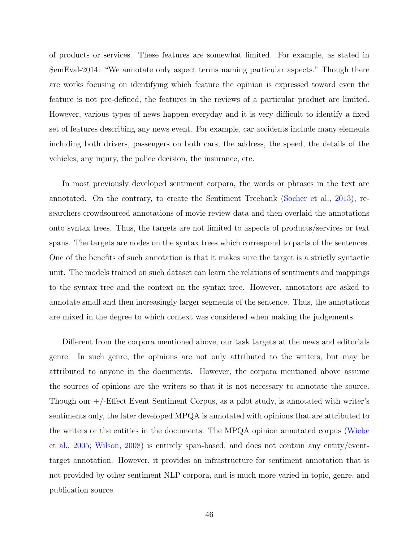of products or services. These features are somewhat limited. For example, as stated in SemEval-2014: "We annotate only aspect terms naming particular aspects." Though there are works focusing on identifying which feature the opinion is expressed toward even the feature is not pre-defined, the features in the reviews of a particular product are limited. However, various types of news happen everyday and it is very difficult to identify a fixed set of features describing any news event. For example, car accidents include many elements including both drivers, passengers on both cars, the address, the speed, the details of the vehicles, any injury, the police decision, the insurance, etc.

In most previously developed sentiment corpora, the words or phrases in the text are annotated. On the contrary, to create the Sentiment Treebank ([Socher et al.](#page-160-0), [2013](#page-160-0)), researchers crowdsourced annotations of movie review data and then overlaid the annotations onto syntax trees. Thus, the targets are not limited to aspects of products/services or text spans. The targets are nodes on the syntax trees which correspond to parts of the sentences. One of the benefits of such annotation is that it makes sure the target is a strictly syntactic unit. The models trained on such dataset can learn the relations of sentiments and mappings to the syntax tree and the context on the syntax tree. However, annotators are asked to annotate small and then increasingly larger segments of the sentence. Thus, the annotations are mixed in the degree to which context was considered when making the judgements.

Different from the corpora mentioned above, our task targets at the news and editorials genre. In such genre, the opinions are not only attributed to the writers, but may be attributed to anyone in the documents. However, the corpora mentioned above assume the sources of opinions are the writers so that it is not necessary to annotate the source. Though our +/-Effect Event Sentiment Corpus, as a pilot study, is annotated with writer's sentiments only, the later developed MPQA is annotated with opinions that are attributed to the writers or the entities in the documents. The MPQA opinion annotated corpus [\(Wiebe](#page-162-0) [et al.,](#page-162-0) [2005;](#page-162-0) [Wilson](#page-163-1), [2008\)](#page-163-1) is entirely span-based, and does not contain any entity/eventtarget annotation. However, it provides an infrastructure for sentiment annotation that is not provided by other sentiment NLP corpora, and is much more varied in topic, genre, and publication source.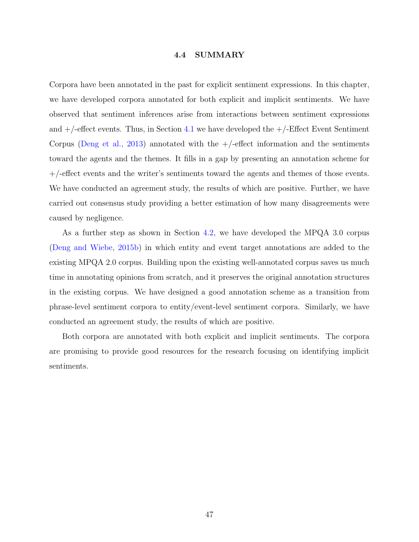## **4.4 SUMMARY**

Corpora have been annotated in the past for explicit sentiment expressions. In this chapter, we have developed corpora annotated for both explicit and implicit sentiments. We have observed that sentiment inferences arise from interactions between sentiment expressions and  $+/-$  effect events. Thus, in Section [4.1](#page-42-0) we have developed the  $+/-$  Effect Event Sentiment Corpus [\(Deng et al.](#page-154-2), [2013](#page-154-2)) annotated with the  $+/-$ effect information and the sentiments toward the agents and the themes. It fills in a gap by presenting an annotation scheme for +/-effect events and the writer's sentiments toward the agents and themes of those events. We have conducted an agreement study, the results of which are positive. Further, we have carried out consensus study providing a better estimation of how many disagreements were caused by negligence.

As a further step as shown in Section [4.2](#page-50-0), we have developed the MPQA 3.0 corpus ([Deng and Wiebe](#page-154-0), [2015b\)](#page-154-0) in which entity and event target annotations are added to the existing MPQA 2.0 corpus. Building upon the existing well-annotated corpus saves us much time in annotating opinions from scratch, and it preserves the original annotation structures in the existing corpus. We have designed a good annotation scheme as a transition from phrase-level sentiment corpora to entity/event-level sentiment corpora. Similarly, we have conducted an agreement study, the results of which are positive.

Both corpora are annotated with both explicit and implicit sentiments. The corpora are promising to provide good resources for the research focusing on identifying implicit sentiments.

47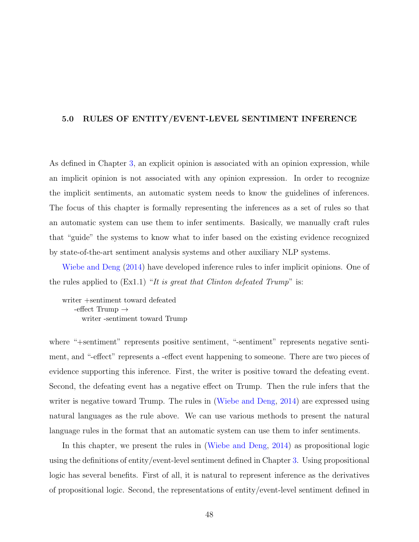## **5.0 RULES OF ENTITY/EVENT-LEVEL SENTIMENT INFERENCE**

As defined in Chapter [3,](#page-31-0) an explicit opinion is associated with an opinion expression, while an implicit opinion is not associated with any opinion expression. In order to recognize the implicit sentiments, an automatic system needs to know the guidelines of inferences. The focus of this chapter is formally representing the inferences as a set of rules so that an automatic system can use them to infer sentiments. Basically, we manually craft rules that "guide" the systems to know what to infer based on the existing evidence recognized by state-of-the-art sentiment analysis systems and other auxiliary NLP systems.

[Wiebe and Deng](#page-162-1) ([2014](#page-162-1)) have developed inference rules to infer implicit opinions. One of the rules applied to (Ex1.1) "*It is great that Clinton defeated Trump*" is:

writer +sentiment toward defeated -effect Trump *→* writer -sentiment toward Trump

where "+sentiment" represents positive sentiment, "-sentiment" represents negative sentiment, and "-effect" represents a -effect event happening to someone. There are two pieces of evidence supporting this inference. First, the writer is positive toward the defeating event. Second, the defeating event has a negative effect on Trump. Then the rule infers that the writer is negative toward Trump. The rules in ([Wiebe and Deng](#page-162-1), [2014\)](#page-162-1) are expressed using natural languages as the rule above. We can use various methods to present the natural language rules in the format that an automatic system can use them to infer sentiments.

In this chapter, we present the rules in [\(Wiebe and Deng](#page-162-1), [2014](#page-162-1)) as propositional logic using the definitions of entity/event-level sentiment defined in Chapter [3.](#page-31-0) Using propositional logic has several benefits. First of all, it is natural to represent inference as the derivatives of propositional logic. Second, the representations of entity/event-level sentiment defined in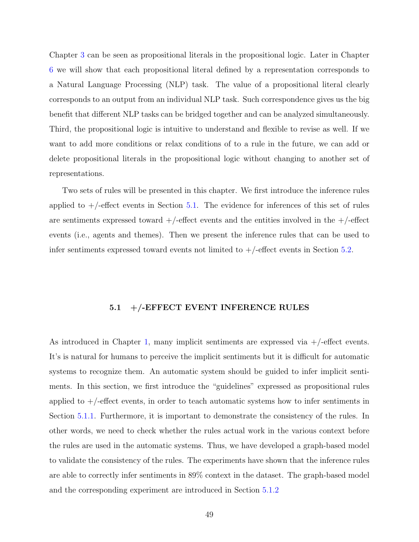Chapter [3](#page-31-0) can be seen as propositional literals in the propositional logic. Later in Chapter [6](#page-75-0) we will show that each propositional literal defined by a representation corresponds to a Natural Language Processing (NLP) task. The value of a propositional literal clearly corresponds to an output from an individual NLP task. Such correspondence gives us the big benefit that different NLP tasks can be bridged together and can be analyzed simultaneously. Third, the propositional logic is intuitive to understand and flexible to revise as well. If we want to add more conditions or relax conditions of to a rule in the future, we can add or delete propositional literals in the propositional logic without changing to another set of representations.

Two sets of rules will be presented in this chapter. We first introduce the inference rules applied to  $+/-$  effect events in Section [5.1](#page-63-0). The evidence for inferences of this set of rules are sentiments expressed toward  $+/-$ effect events and the entities involved in the  $+/-$ effect events (i.e., agents and themes). Then we present the inference rules that can be used to infer sentiments expressed toward events not limited to  $+/-$ effect events in Section [5.2.](#page-71-0)

### **5.1 +/-EFFECT EVENT INFERENCE RULES**

<span id="page-63-0"></span>As introduced in Chapter [1,](#page-15-0) many implicit sentiments are expressed via  $+/-$ effect events. It's is natural for humans to perceive the implicit sentiments but it is difficult for automatic systems to recognize them. An automatic system should be guided to infer implicit sentiments. In this section, we first introduce the "guidelines" expressed as propositional rules applied to  $+/-$  effect events, in order to teach automatic systems how to infer sentiments in Section [5.1.1](#page-64-0). Furthermore, it is important to demonstrate the consistency of the rules. In other words, we need to check whether the rules actual work in the various context before the rules are used in the automatic systems. Thus, we have developed a graph-based model to validate the consistency of the rules. The experiments have shown that the inference rules are able to correctly infer sentiments in 89% context in the dataset. The graph-based model and the corresponding experiment are introduced in Section [5.1.2](#page-66-0)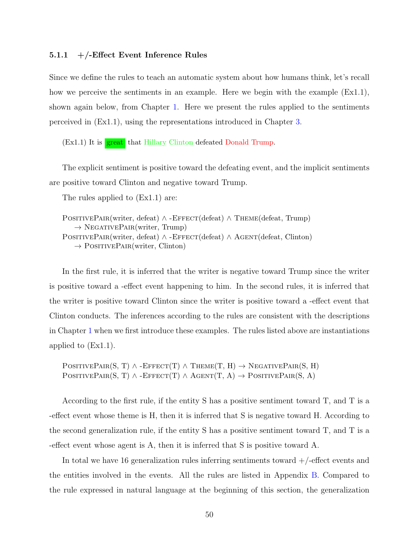### <span id="page-64-0"></span>**5.1.1 +/-Effect Event Inference Rules**

Since we define the rules to teach an automatic system about how humans think, let's recall how we perceive the sentiments in an example. Here we begin with the example (Ex1.1), shown again below, from Chapter [1.](#page-15-0) Here we present the rules applied to the sentiments perceived in (Ex1.1), using the representations introduced in Chapter [3](#page-31-0).

 $(Ex1.1)$  It is  $\frac{great}{g}$  that Hillary Clinton defeated Donald Trump.

The explicit sentiment is positive toward the defeating event, and the implicit sentiments are positive toward Clinton and negative toward Trump.

The rules applied to (Ex1.1) are:

POSITIVEPAIR(writer, defeat) *∧* -EFFECT(defeat) *∧* THEME(defeat, Trump) *→* NegativePair(writer, Trump) POSITIVEPAIR(writer, defeat) *∧* -EFFECT(defeat) *∧* AGENT(defeat, Clinton) *→* PositivePair(writer, Clinton)

In the first rule, it is inferred that the writer is negative toward Trump since the writer is positive toward a -effect event happening to him. In the second rules, it is inferred that the writer is positive toward Clinton since the writer is positive toward a -effect event that Clinton conducts. The inferences according to the rules are consistent with the descriptions in Chapter [1](#page-15-0) when we first introduce these examples. The rules listed above are instantiations applied to (Ex1.1).

 $\text{PosITIVEPAR}(S, T) \wedge \text{-EFFECT}(T) \wedge \text{THEME}(T, H) \rightarrow \text{NEGATIVEPAR}(S, H)$  $PostTUREPAR(S, T) \wedge - EFFECT(T) \wedge AGENT(T, A) \rightarrow PostTUREPAR(S, A)$ 

According to the first rule, if the entity S has a positive sentiment toward T, and T is a -effect event whose theme is H, then it is inferred that S is negative toward H. According to the second generalization rule, if the entity S has a positive sentiment toward T, and T is a -effect event whose agent is A, then it is inferred that S is positive toward A.

In total we have 16 generalization rules inferring sentiments toward  $+/-$ effect events and the entities involved in the events. All the rules are listed in Appendix [B.](#page-150-0) Compared to the rule expressed in natural language at the beginning of this section, the generalization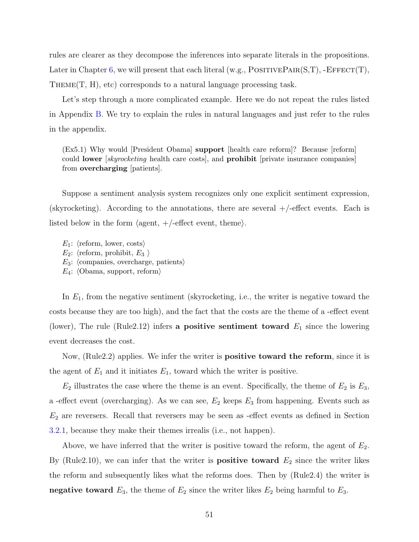rules are clearer as they decompose the inferences into separate literals in the propositions. Later in Chapter [6](#page-75-0), we will present that each literal (w.g., POSITIVEPAIR(S,T), -EFFECT(T), Theme(T, H), etc) corresponds to a natural language processing task.

Let's step through a more complicated example. Here we do not repeat the rules listed in Appendix [B.](#page-150-0) We try to explain the rules in natural languages and just refer to the rules in the appendix.

(Ex5.1) Why would [President Obama] **support** [health care reform]? Because [reform] could **lower** [*skyrocketing* health care costs], and **prohibit** [private insurance companies] from **overcharging** [patients].

Suppose a sentiment analysis system recognizes only one explicit sentiment expression, (skyrocketing). According to the annotations, there are several  $+/-$ effect events. Each is listed below in the form *⟨*agent, +/-effect event, theme*⟩*.

*E*1: *⟨*reform, lower, costs*⟩*  $E_2$ :  $\langle$ reform, prohibit,  $E_3 \rangle$ *E*3: *⟨*companies, overcharge, patients*⟩ E*4: *⟨*Obama, support, reform*⟩*

In  $E_1$ , from the negative sentiment (skyrocketing, i.e., the writer is negative toward the costs because they are too high), and the fact that the costs are the theme of a -effect event (lower), The rule (Rule2.12) infers **a positive sentiment toward**  $E_1$  since the lowering event decreases the cost.

Now, (Rule2.2) applies. We infer the writer is **positive toward the reform**, since it is the agent of  $E_1$  and it initiates  $E_1$ , toward which the writer is positive.

 $E_2$  illustrates the case where the theme is an event. Specifically, the theme of  $E_2$  is  $E_3$ , a -effect event (overcharging). As we can see,  $E_2$  keeps  $E_3$  from happening. Events such as *E*<sup>2</sup> are reversers. Recall that reversers may be seen as -effect events as defined in Section [3.2.1](#page-34-0), because they make their themes irrealis (i.e., not happen).

Above, we have inferred that the writer is positive toward the reform, the agent of *E*2. By (Rule2.10), we can infer that the writer is **positive toward**  $E_2$  since the writer likes the reform and subsequently likes what the reforms does. Then by (Rule2.4) the writer is **negative toward**  $E_3$ , the theme of  $E_2$  since the writer likes  $E_2$  being harmful to  $E_3$ .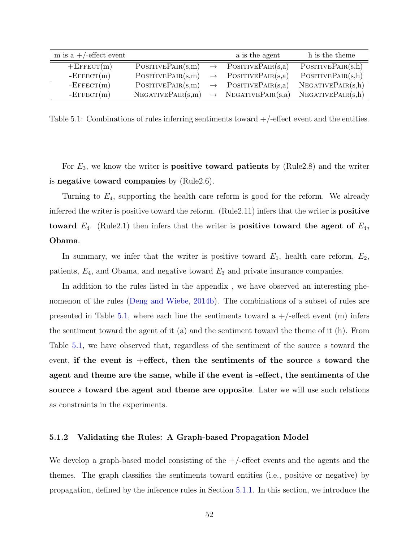| m is a $+/-$ effect event |                   |               | a is the agent    | h is the theme    |
|---------------------------|-------------------|---------------|-------------------|-------------------|
| $+E$ FFECT $(m)$          | PostTIVEPAIR(s,m) | $\rightarrow$ | POSITIVEPAIR(s,a) | PostTIVEPAIR(s,h) |
| $-$ EFFECT $(m)$          | PosITIVEPAIR(s,m) | $\rightarrow$ | PostTIVEPAIR(s,a) | PostTIVEPAIR(s,h) |
| $-$ EFFECT $(m)$          | PosITIVEPAIR(s,m) |               | PostTIVEPAIR(s,a) | NEGATIVEPAIR(s,h) |
| $-$ EFFECT $(m)$          | NEGATIVEPAIR(s,m) |               | NEGATIVEPAIR(s,a) | NEGATIVEPAIR(s,h) |

<span id="page-66-1"></span>Table 5.1: Combinations of rules inferring sentiments toward +/-effect event and the entities.

For *E*3, we know the writer is **positive toward patients** by (Rule2.8) and the writer is **negative toward companies** by (Rule2.6).

Turning to *E*4, supporting the health care reform is good for the reform. We already inferred the writer is positive toward the reform. (Rule2.11) infers that the writer is **positive toward** *E*4. (Rule2.1) then infers that the writer is **positive toward the agent of** *E*4**, Obama**.

In summary, we infer that the writer is positive toward  $E_1$ , health care reform,  $E_2$ , patients, *E*4, and Obama, and negative toward *E*<sup>3</sup> and private insurance companies.

In addition to the rules listed in the appendix , we have observed an interesting phenomenon of the rules [\(Deng and Wiebe,](#page-154-3) [2014b\)](#page-154-3). The combinations of a subset of rules are presented in Table [5.1,](#page-66-1) where each line the sentiments toward a  $+/-$  effect event (m) infers the sentiment toward the agent of it (a) and the sentiment toward the theme of it (h). From Table [5.1](#page-66-1), we have observed that, regardless of the sentiment of the source *s* toward the event, **if the event is +effect, then the sentiments of the source** *s* **toward the agent and theme are the same, while if the event is -effect, the sentiments of the source** *s* **toward the agent and theme are opposite**. Later we will use such relations as constraints in the experiments.

## <span id="page-66-0"></span>**5.1.2 Validating the Rules: A Graph-based Propagation Model**

We develop a graph-based model consisting of the  $+/-$  effect events and the agents and the themes. The graph classifies the sentiments toward entities (i.e., positive or negative) by propagation, defined by the inference rules in Section [5.1.1.](#page-64-0) In this section, we introduce the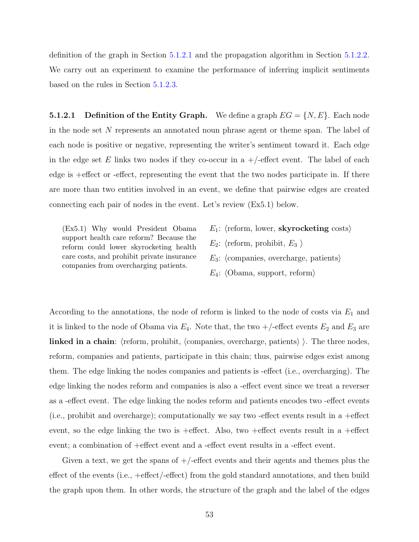definition of the graph in Section [5.1.2.1](#page-67-0) and the propagation algorithm in Section [5.1.2.2.](#page-68-0) We carry out an experiment to examine the performance of inferring implicit sentiments based on the rules in Section [5.1.2.3.](#page-70-0)

<span id="page-67-0"></span>**5.1.2.1** Definition of the Entity Graph. We define a graph  $EG = \{N, E\}$ . Each node in the node set *N* represents an annotated noun phrase agent or theme span. The label of each node is positive or negative, representing the writer's sentiment toward it. Each edge in the edge set  $E$  links two nodes if they co-occur in a  $+/-$  effect event. The label of each edge is +effect or -effect, representing the event that the two nodes participate in. If there are more than two entities involved in an event, we define that pairwise edges are created connecting each pair of nodes in the event. Let's review (Ex5.1) below.

(Ex5.1) Why would President Obama support health care reform? Because the reform could lower skyrocketing health care costs, and prohibit private insurance companies from overcharging patients.

- *E*1: *⟨*reform, lower, **skyrocketing** costs*⟩*
- $E_2$ :  $\langle$ reform, prohibit,  $E_3 \rangle$
- *E*3: *⟨*companies, overcharge, patients*⟩*
- *E*4: *⟨*Obama, support, reform*⟩*

According to the annotations, the node of reform is linked to the node of costs via *E*<sup>1</sup> and it is linked to the node of Obama via  $E_4$ . Note that, the two  $+/-$  effect events  $E_2$  and  $E_3$  are **linked in a chain**: *⟨*reform, prohibit, *⟨*companies, overcharge, patients*⟩ ⟩*. The three nodes, reform, companies and patients, participate in this chain; thus, pairwise edges exist among them. The edge linking the nodes companies and patients is -effect (i.e., overcharging). The edge linking the nodes reform and companies is also a -effect event since we treat a reverser as a -effect event. The edge linking the nodes reform and patients encodes two -effect events (i.e., prohibit and overcharge); computationally we say two -effect events result in a +effect event, so the edge linking the two is  $+$ effect. Also, two  $+$ effect events result in a  $+$ effect event; a combination of +effect event and a -effect event results in a -effect event.

Given a text, we get the spans of  $+/-$  effect events and their agents and themes plus the effect of the events (i.e., +effect/-effect) from the gold standard annotations, and then build the graph upon them. In other words, the structure of the graph and the label of the edges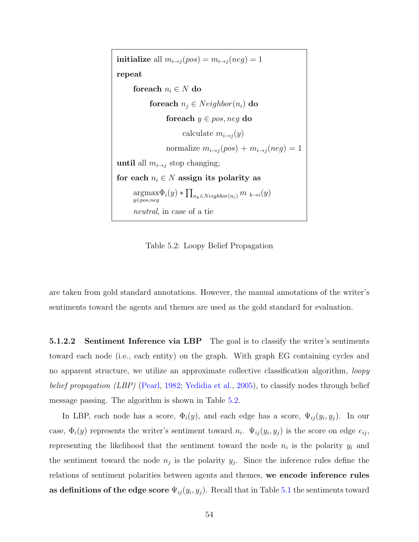**initialize** all  $m_{i\rightarrow j}(pos) = m_{i\rightarrow j}(neg) = 1$ **repeat foreach**  $n_i \in N$  **do foreach**  $n_j \in Neighbour(n_i)$  **do foreach** *y ∈ pos, neg* **do** calculate  $m_{i\rightarrow j}(y)$ normalize  $m_{i\rightarrow j}(pos) + m_{i\rightarrow j}(neg) = 1$ **until** all  $m_{i\rightarrow j}$  stop changing; for each  $n_i \in N$  assign its polarity as argmax *y∈pos,neg*  $\Phi_i(y) * \prod_{n_k \in Neighbour}(n_i)$  *m*  $k \rightarrow i(y)$ *neutral*, in case of a tie

<span id="page-68-1"></span>Table 5.2: Loopy Belief Propagation

are taken from gold standard annotations. However, the manual annotations of the writer's sentiments toward the agents and themes are used as the gold standard for evaluation.

<span id="page-68-0"></span>**5.1.2.2 Sentiment Inference via LBP** The goal is to classify the writer's sentiments toward each node (i.e., each entity) on the graph. With graph EG containing cycles and no apparent structure, we utilize an approximate collective classification algorithm, *loopy belief propagation (LBP)* ([Pearl](#page-159-4), [1982;](#page-159-4) [Yedidia et al.](#page-163-5), [2005](#page-163-5)), to classify nodes through belief message passing. The algorithm is shown in Table [5.2](#page-68-1).

In LBP, each node has a score,  $\Phi_i(y)$ , and each edge has a score,  $\Psi_{ij}(y_i, y_j)$ . In our case,  $\Phi_i(y)$  represents the writer's sentiment toward  $n_i$ .  $\Psi_{ij}(y_i, y_j)$  is the score on edge  $e_{ij}$ , representing the likelihood that the sentiment toward the node  $n_i$  is the polarity  $y_i$  and the sentiment toward the node  $n_j$  is the polarity  $y_j$ . Since the inference rules define the relations of sentiment polarities between agents and themes, **we encode inference rules as definitions of the edge score**  $\Psi_{ij}(y_i, y_j)$ . Recall that in Table [5.1](#page-66-1) the sentiments toward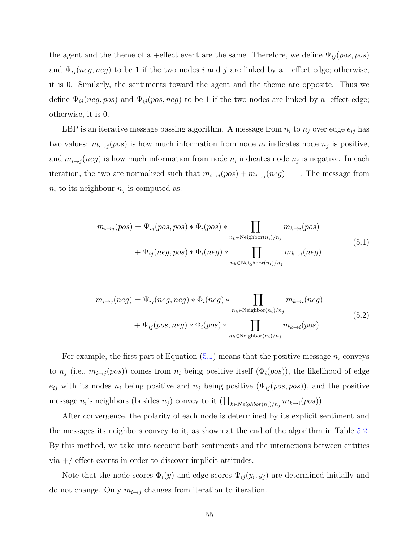the agent and the theme of a +effect event are the same. Therefore, we define Ψ*ij* (*pos, pos*) and  $\Psi_{ij}(neg, neg)$  to be 1 if the two nodes *i* and *j* are linked by a +effect edge; otherwise, it is 0. Similarly, the sentiments toward the agent and the theme are opposite. Thus we define  $\Psi_{ij}(neg, pos)$  and  $\Psi_{ij}(pos, neg)$  to be 1 if the two nodes are linked by a -effect edge; otherwise, it is 0.

LBP is an iterative message passing algorithm. A message from  $n_i$  to  $n_j$  over edge  $e_{ij}$  has two values:  $m_{i\rightarrow j}(pos)$  is how much information from node  $n_i$  indicates node  $n_j$  is positive, and  $m_{i\rightarrow j}(neg)$  is how much information from node  $n_i$  indicates node  $n_j$  is negative. In each iteration, the two are normalized such that  $m_{i\rightarrow j}(pos) + m_{i\rightarrow j}(neg) = 1$ . The message from  $n_i$  to its neighbour  $n_j$  is computed as:

<span id="page-69-0"></span>
$$
m_{i\to j}(pos) = \Psi_{ij}(pos, pos) * \Phi_i(pos) * \prod_{n_k \in Neighbour(n_i)/n_j} m_{k\to i}(pos)
$$
  
+  $\Psi_{ij}(neg, pos) * \Phi_i(neg) * \prod_{n_k \in Neighbour(n_i)/n_j} m_{k\to i}(neg)$  (5.1)

$$
m_{i \to j}(neg) = \Psi_{ij}(neg, neg) * \Phi_i(neg) * \prod_{n_k \in Neighbour(n_i)/n_j} m_{k \to i}(neg)
$$
  
+  $\Psi_{ij}(pos, neg) * \Phi_i(pos) * \prod_{n_k \in Neighbour(n_i)/n_j} m_{k \to i}(pos)$  (5.2)

For example, the first part of Equation  $(5.1)$  $(5.1)$  means that the positive message  $n_i$  conveys to  $n_j$  (i.e.,  $m_{i\rightarrow j}(pos)$ ) comes from  $n_i$  being positive itself  $(\Phi_i(pos))$ , the likelihood of edge  $e_{ij}$  with its nodes  $n_i$  being positive and  $n_j$  being positive ( $\Psi_{ij}(pos, pos)$ ), and the positive  $\text{message } n_i$ 's neighbors (besides  $n_j$ ) convey to it  $\left(\prod_{k \in Neighbour(n_i)/n_j} m_{k \to i}(pos)\right)$ .

After convergence, the polarity of each node is determined by its explicit sentiment and the messages its neighbors convey to it, as shown at the end of the algorithm in Table [5.2.](#page-68-1) By this method, we take into account both sentiments and the interactions between entities  $via +$ -effect events in order to discover implicit attitudes.

Note that the node scores  $\Phi_i(y)$  and edge scores  $\Psi_{ij}(y_i, y_j)$  are determined initially and do not change. Only  $m_{i\rightarrow j}$  changes from iteration to iteration.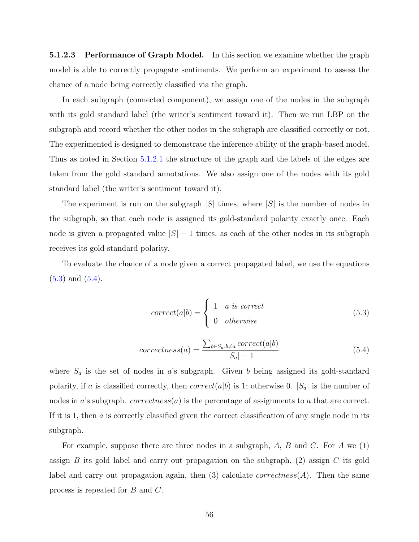<span id="page-70-0"></span>**5.1.2.3 Performance of Graph Model.** In this section we examine whether the graph model is able to correctly propagate sentiments. We perform an experiment to assess the chance of a node being correctly classified via the graph.

In each subgraph (connected component), we assign one of the nodes in the subgraph with its gold standard label (the writer's sentiment toward it). Then we run LBP on the subgraph and record whether the other nodes in the subgraph are classified correctly or not. The experimented is designed to demonstrate the inference ability of the graph-based model. Thus as noted in Section [5.1.2.1](#page-67-0) the structure of the graph and the labels of the edges are taken from the gold standard annotations. We also assign one of the nodes with its gold standard label (the writer's sentiment toward it).

The experiment is run on the subgraph *|S|* times, where *|S|* is the number of nodes in the subgraph, so that each node is assigned its gold-standard polarity exactly once. Each node is given a propagated value *|S| −* 1 times, as each of the other nodes in its subgraph receives its gold-standard polarity.

<span id="page-70-1"></span>To evaluate the chance of a node given a correct propagated label, we use the equations ([5.3\)](#page-70-1) and [\(5.4](#page-70-2)).

$$
correct(a|b) = \begin{cases} 1 & a \text{ is correct} \\ 0 & otherwise \end{cases}
$$
 (5.3)

$$
correctness(a) = \frac{\sum_{b \in S_a, b \neq a} correct(a|b)}{|S_a| - 1}
$$
\n
$$
(5.4)
$$

<span id="page-70-2"></span>where  $S_a$  is the set of nodes in *a*'s subgraph. Given *b* being assigned its gold-standard polarity, if *a* is classified correctly, then *correct*(*a*|*b*) is 1; otherwise 0.  $|S_a|$  is the number of nodes in *a*'s subgraph. *correctness*(*a*) is the percentage of assignments to *a* that are correct. If it is 1, then *a* is correctly classified given the correct classification of any single node in its subgraph.

For example, suppose there are three nodes in a subgraph, *A*, *B* and *C*. For *A* we (1) assign *B* its gold label and carry out propagation on the subgraph, (2) assign *C* its gold label and carry out propagation again, then  $(3)$  calculate *correctness* $(A)$ . Then the same process is repeated for *B* and *C*.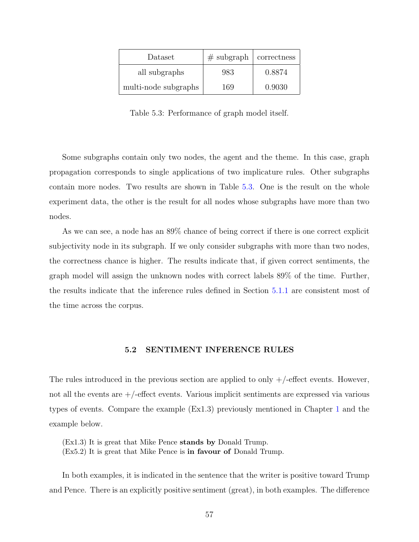| Dataset              | $#$ subgraph | correctness |
|----------------------|--------------|-------------|
| all subgraphs        | 983          | 0.8874      |
| multi-node subgraphs | 169          | 0.9030      |

<span id="page-71-1"></span>Table 5.3: Performance of graph model itself.

Some subgraphs contain only two nodes, the agent and the theme. In this case, graph propagation corresponds to single applications of two implicature rules. Other subgraphs contain more nodes. Two results are shown in Table [5.3.](#page-71-1) One is the result on the whole experiment data, the other is the result for all nodes whose subgraphs have more than two nodes.

As we can see, a node has an 89% chance of being correct if there is one correct explicit subjectivity node in its subgraph. If we only consider subgraphs with more than two nodes, the correctness chance is higher. The results indicate that, if given correct sentiments, the graph model will assign the unknown nodes with correct labels 89% of the time. Further, the results indicate that the inference rules defined in Section [5.1.1](#page-64-0) are consistent most of the time across the corpus.

# **5.2 SENTIMENT INFERENCE RULES**

<span id="page-71-0"></span>The rules introduced in the previous section are applied to only  $+/-$  effect events. However, not all the events are  $+/-$  effect events. Various implicit sentiments are expressed via various types of events. Compare the example (Ex1.3) previously mentioned in Chapter [1](#page-15-0) and the example below.

(Ex1.3) It is great that Mike Pence **stands by** Donald Trump.

(Ex5.2) It is great that Mike Pence is **in favour of** Donald Trump.

In both examples, it is indicated in the sentence that the writer is positive toward Trump and Pence. There is an explicitly positive sentiment (great), in both examples. The difference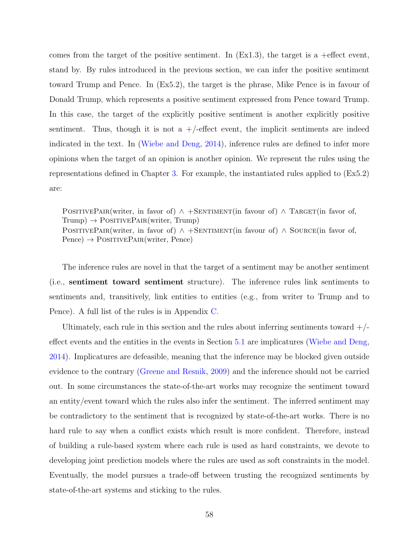comes from the target of the positive sentiment. In  $(Ex1.3)$ , the target is a +effect event, stand by. By rules introduced in the previous section, we can infer the positive sentiment toward Trump and Pence. In (Ex5.2), the target is the phrase, Mike Pence is in favour of Donald Trump, which represents a positive sentiment expressed from Pence toward Trump. In this case, the target of the explicitly positive sentiment is another explicitly positive sentiment. Thus, though it is not a  $+/-$  effect event, the implicit sentiments are indeed indicated in the text. In [\(Wiebe and Deng](#page-162-0), [2014](#page-162-0)), inference rules are defined to infer more opinions when the target of an opinion is another opinion. We represent the rules using the representations defined in Chapter [3](#page-31-0). For example, the instantiated rules applied to (Ex5.2) are:

POSITIVEPAIR(writer, in favor of)  $\land$  +SENTIMENT(in favour of)  $\land$  TARGET(in favor of, Trump) → POSITIVEPAIR(writer, Trump) POSITIVEPAIR(writer, in favor of) *∧* +SENTIMENT(in favour of) *∧* SOURCE(in favor of, Pence) → POSITIVEPAIR(writer, Pence)

The inference rules are novel in that the target of a sentiment may be another sentiment (i.e., **sentiment toward sentiment** structure). The inference rules link sentiments to sentiments and, transitively, link entities to entities (e.g., from writer to Trump and to Pence). A full list of the rules is in Appendix [C.](#page-151-0)

Ultimately, each rule in this section and the rules about inferring sentiments toward  $+/$ effect events and the entities in the events in Section [5.1](#page-63-0) are implicatures ([Wiebe and Deng,](#page-162-0) [2014](#page-162-0)). Implicatures are defeasible, meaning that the inference may be blocked given outside evidence to the contrary [\(Greene and Resnik](#page-155-0), [2009](#page-155-0)) and the inference should not be carried out. In some circumstances the state-of-the-art works may recognize the sentiment toward an entity/event toward which the rules also infer the sentiment. The inferred sentiment may be contradictory to the sentiment that is recognized by state-of-the-art works. There is no hard rule to say when a conflict exists which result is more confident. Therefore, instead of building a rule-based system where each rule is used as hard constraints, we devote to developing joint prediction models where the rules are used as soft constraints in the model. Eventually, the model pursues a trade-off between trusting the recognized sentiments by state-of-the-art systems and sticking to the rules.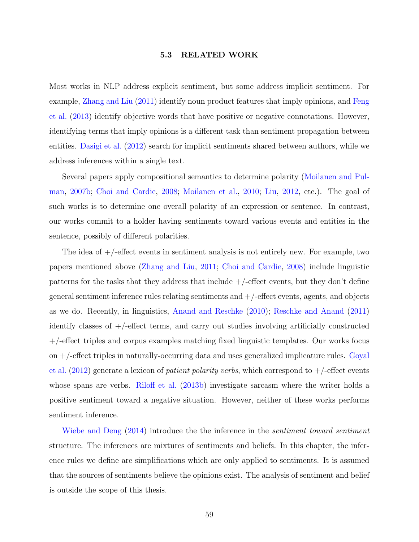#### **5.3 RELATED WORK**

Most works in NLP address explicit sentiment, but some address implicit sentiment. For example, [Zhang and Liu](#page-163-0) ([2011](#page-163-0)) identify noun product features that imply opinions, and [Feng](#page-155-1) [et al.](#page-155-1) [\(2013\)](#page-155-1) identify objective words that have positive or negative connotations. However, identifying terms that imply opinions is a different task than sentiment propagation between entities. [Dasigi et al.](#page-154-0) ([2012](#page-154-0)) search for implicit sentiments shared between authors, while we address inferences within a single text.

Several papers apply compositional semantics to determine polarity ([Moilanen and Pul](#page-158-0)[man](#page-158-0), [2007b](#page-158-0); [Choi and Cardie,](#page-153-0) [2008](#page-153-0); [Moilanen et al.](#page-158-1), [2010;](#page-158-1) [Liu](#page-157-0), [2012](#page-157-0), etc.). The goal of such works is to determine one overall polarity of an expression or sentence. In contrast, our works commit to a holder having sentiments toward various events and entities in the sentence, possibly of different polarities.

The idea of  $+/-$  effect events in sentiment analysis is not entirely new. For example, two papers mentioned above [\(Zhang and Liu,](#page-163-0) [2011](#page-163-0); [Choi and Cardie](#page-153-0), [2008\)](#page-153-0) include linguistic patterns for the tasks that they address that include  $+/-$ effect events, but they don't define general sentiment inference rules relating sentiments and  $+/-$  effect events, agents, and objects as we do. Recently, in linguistics, [Anand and Reschke](#page-152-0) [\(2010\)](#page-152-0); [Reschke and Anand](#page-160-0) [\(2011](#page-160-0)) identify classes of +/-effect terms, and carry out studies involving artificially constructed +/-effect triples and corpus examples matching fixed linguistic templates. Our works focus on +/-effect triples in naturally-occurring data and uses generalized implicature rules. [Goyal](#page-155-2) [et al.](#page-155-2) ([2012](#page-155-2)) generate a lexicon of *patient polarity verbs*, which correspond to +/-effect events whose spans are verbs. [Riloff et al.](#page-160-1) ([2013b\)](#page-160-1) investigate sarcasm where the writer holds a positive sentiment toward a negative situation. However, neither of these works performs sentiment inference.

[Wiebe and Deng](#page-162-0) ([2014](#page-162-0)) introduce the the inference in the *sentiment toward sentiment* structure. The inferences are mixtures of sentiments and beliefs. In this chapter, the inference rules we define are simplifications which are only applied to sentiments. It is assumed that the sources of sentiments believe the opinions exist. The analysis of sentiment and belief is outside the scope of this thesis.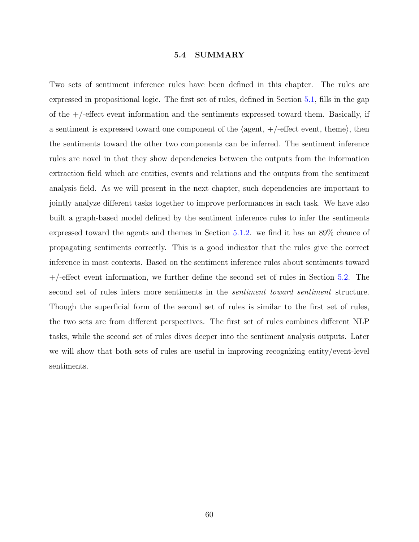### **5.4 SUMMARY**

Two sets of sentiment inference rules have been defined in this chapter. The rules are expressed in propositional logic. The first set of rules, defined in Section [5.1,](#page-63-0) fills in the gap of the  $+/-$ -effect event information and the sentiments expressed toward them. Basically, if a sentiment is expressed toward one component of the *⟨*agent, +/-effect event, theme*⟩*, then the sentiments toward the other two components can be inferred. The sentiment inference rules are novel in that they show dependencies between the outputs from the information extraction field which are entities, events and relations and the outputs from the sentiment analysis field. As we will present in the next chapter, such dependencies are important to jointly analyze different tasks together to improve performances in each task. We have also built a graph-based model defined by the sentiment inference rules to infer the sentiments expressed toward the agents and themes in Section [5.1.2.](#page-66-0) we find it has an 89% chance of propagating sentiments correctly. This is a good indicator that the rules give the correct inference in most contexts. Based on the sentiment inference rules about sentiments toward +/-effect event information, we further define the second set of rules in Section [5.2.](#page-71-0) The second set of rules infers more sentiments in the *sentiment toward sentiment* structure. Though the superficial form of the second set of rules is similar to the first set of rules, the two sets are from different perspectives. The first set of rules combines different NLP tasks, while the second set of rules dives deeper into the sentiment analysis outputs. Later we will show that both sets of rules are useful in improving recognizing entity/event-level sentiments.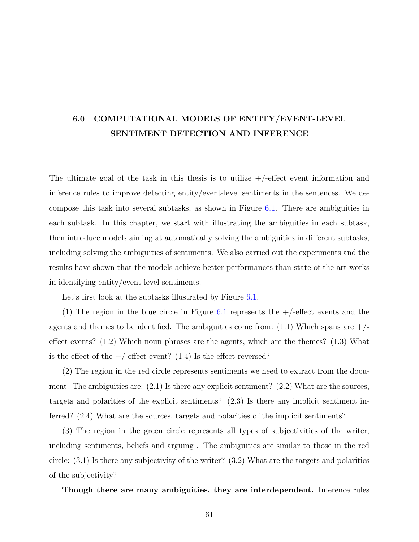# **6.0 COMPUTATIONAL MODELS OF ENTITY/EVENT-LEVEL SENTIMENT DETECTION AND INFERENCE**

The ultimate goal of the task in this thesis is to utilize  $+/-$  effect event information and inference rules to improve detecting entity/event-level sentiments in the sentences. We decompose this task into several subtasks, as shown in Figure [6.1](#page-76-0). There are ambiguities in each subtask. In this chapter, we start with illustrating the ambiguities in each subtask, then introduce models aiming at automatically solving the ambiguities in different subtasks, including solving the ambiguities of sentiments. We also carried out the experiments and the results have shown that the models achieve better performances than state-of-the-art works in identifying entity/event-level sentiments.

Let's first look at the subtasks illustrated by Figure [6.1](#page-76-0).

(1) The region in the blue circle in Figure [6.1](#page-76-0) represents the  $+/-$  effect events and the agents and themes to be identified. The ambiguities come from:  $(1.1)$  Which spans are  $+/$ effect events? (1.2) Which noun phrases are the agents, which are the themes? (1.3) What is the effect of the  $+/-$  effect event? (1.4) Is the effect reversed?

(2) The region in the red circle represents sentiments we need to extract from the document. The ambiguities are: (2.1) Is there any explicit sentiment? (2.2) What are the sources, targets and polarities of the explicit sentiments? (2.3) Is there any implicit sentiment inferred? (2.4) What are the sources, targets and polarities of the implicit sentiments?

(3) The region in the green circle represents all types of subjectivities of the writer, including sentiments, beliefs and arguing . The ambiguities are similar to those in the red circle: (3.1) Is there any subjectivity of the writer? (3.2) What are the targets and polarities of the subjectivity?

**Though there are many ambiguities, they are interdependent.** Inference rules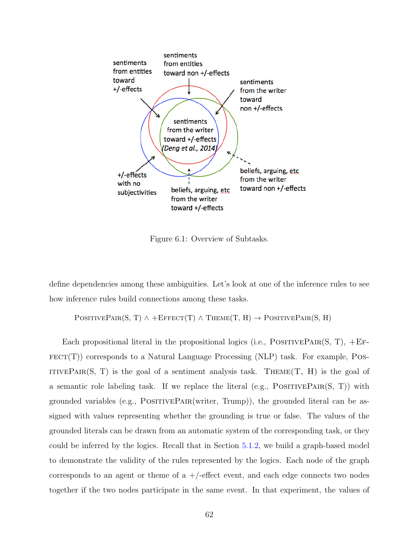

<span id="page-76-0"></span>Figure 6.1: Overview of Subtasks.

define dependencies among these ambiguities. Let's look at one of the inference rules to see how inference rules build connections among these tasks.

 $\text{PosITIVEPAR}(S, T) \wedge + \text{EFFECT}(T) \wedge \text{THEME}(T, H) \rightarrow \text{PosITIVEPAR}(S, H)$ 

Each propositional literal in the propositional logics (i.e.,  $\text{PosITIVEPAR}(S, T)$ ,  $\text{+EF-}$  $FECT(T))$  corresponds to a Natural Language Processing (NLP) task. For example, POS-ITIVEPAIR(S, T) is the goal of a sentiment analysis task. THEME(T, H) is the goal of a semantic role labeling task. If we replace the literal (e.g.,  $\text{PosITIVEPAIR}(S, T)$ ) with grounded variables (e.g.,  $\text{PosITIVEPAIR}(writer, Trump)$ ), the grounded literal can be assigned with values representing whether the grounding is true or false. The values of the grounded literals can be drawn from an automatic system of the corresponding task, or they could be inferred by the logics. Recall that in Section [5.1.2,](#page-66-0) we build a graph-based model to demonstrate the validity of the rules represented by the logics. Each node of the graph corresponds to an agent or theme of  $a +$ -effect event, and each edge connects two nodes together if the two nodes participate in the same event. In that experiment, the values of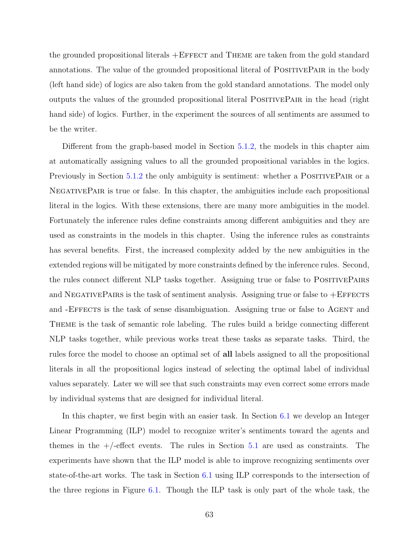the grounded propositional literals +Effect and Theme are taken from the gold standard annotations. The value of the grounded propositional literal of PositivePair in the body (left hand side) of logics are also taken from the gold standard annotations. The model only outputs the values of the grounded propositional literal PositivePair in the head (right hand side) of logics. Further, in the experiment the sources of all sentiments are assumed to be the writer.

Different from the graph-based model in Section [5.1.2,](#page-66-0) the models in this chapter aim at automatically assigning values to all the grounded propositional variables in the logics. Previously in Section [5.1.2](#page-66-0) the only ambiguity is sentiment: whether a POSITIVEPAIR or a NegativePair is true or false. In this chapter, the ambiguities include each propositional literal in the logics. With these extensions, there are many more ambiguities in the model. Fortunately the inference rules define constraints among different ambiguities and they are used as constraints in the models in this chapter. Using the inference rules as constraints has several benefits. First, the increased complexity added by the new ambiguities in the extended regions will be mitigated by more constraints defined by the inference rules. Second, the rules connect different NLP tasks together. Assigning true or false to POSITIVEPAIRS and NEGATIVEPAIRS is the task of sentiment analysis. Assigning true or false to  $+E$ FFECTS and -EFFECTS is the task of sense disambiguation. Assigning true or false to AGENT and Theme is the task of semantic role labeling. The rules build a bridge connecting different NLP tasks together, while previous works treat these tasks as separate tasks. Third, the rules force the model to choose an optimal set of **all** labels assigned to all the propositional literals in all the propositional logics instead of selecting the optimal label of individual values separately. Later we will see that such constraints may even correct some errors made by individual systems that are designed for individual literal.

In this chapter, we first begin with an easier task. In Section [6.1](#page-78-0) we develop an Integer Linear Programming (ILP) model to recognize writer's sentiments toward the agents and themes in the  $+/-$  effect events. The rules in Section [5.1](#page-63-0) are used as constraints. The experiments have shown that the ILP model is able to improve recognizing sentiments over state-of-the-art works. The task in Section [6.1](#page-78-0) using ILP corresponds to the intersection of the three regions in Figure [6.1.](#page-76-0) Though the ILP task is only part of the whole task, the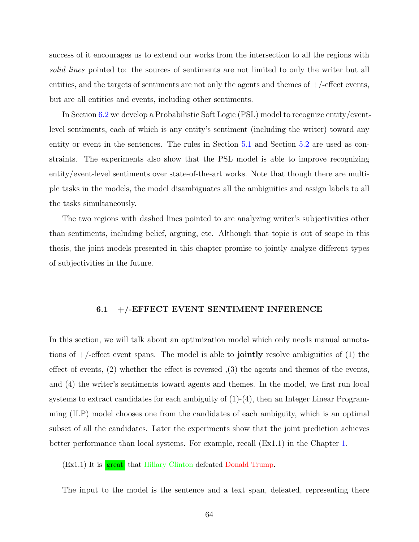success of it encourages us to extend our works from the intersection to all the regions with *solid lines* pointed to: the sources of sentiments are not limited to only the writer but all entities, and the targets of sentiments are not only the agents and themes of  $+/-$ effect events, but are all entities and events, including other sentiments.

In Section [6.2](#page-91-0) we develop a Probabilistic Soft Logic (PSL) model to recognize entity/eventlevel sentiments, each of which is any entity's sentiment (including the writer) toward any entity or event in the sentences. The rules in Section [5.1](#page-63-0) and Section [5.2](#page-71-0) are used as constraints. The experiments also show that the PSL model is able to improve recognizing entity/event-level sentiments over state-of-the-art works. Note that though there are multiple tasks in the models, the model disambiguates all the ambiguities and assign labels to all the tasks simultaneously.

The two regions with dashed lines pointed to are analyzing writer's subjectivities other than sentiments, including belief, arguing, etc. Although that topic is out of scope in this thesis, the joint models presented in this chapter promise to jointly analyze different types of subjectivities in the future.

# **6.1 +/-EFFECT EVENT SENTIMENT INFERENCE**

<span id="page-78-0"></span>In this section, we will talk about an optimization model which only needs manual annotations of  $+$ /-effect event spans. The model is able to **jointly** resolve ambiguities of  $(1)$  the effect of events, (2) whether the effect is reversed ,(3) the agents and themes of the events, and (4) the writer's sentiments toward agents and themes. In the model, we first run local systems to extract candidates for each ambiguity of  $(1)-(4)$ , then an Integer Linear Programming (ILP) model chooses one from the candidates of each ambiguity, which is an optimal subset of all the candidates. Later the experiments show that the joint prediction achieves better performance than local systems. For example, recall (Ex1.1) in the Chapter [1](#page-15-0).

 $(Ex1.1)$  It is  $\frac{great}{g}$  that Hillary Clinton defeated Donald Trump.

The input to the model is the sentence and a text span, defeated, representing there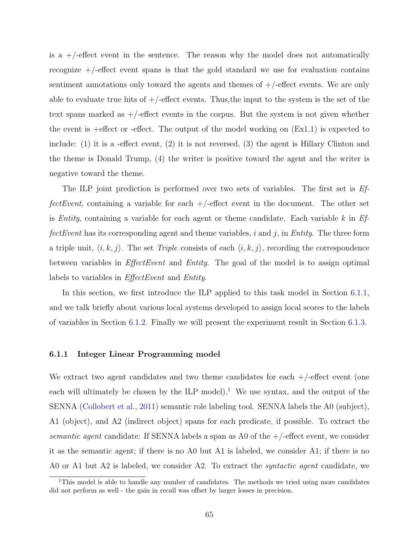is a  $+/-$  effect event in the sentence. The reason why the model does not automatically recognize  $+$ /-effect event spans is that the gold standard we use for evaluation contains sentiment annotations only toward the agents and themes of  $+/-$ effect events. We are only able to evaluate true hits of  $+/-$  effect events. Thus, the input to the system is the set of the text spans marked as  $+/-$  effect events in the corpus. But the system is not given whether the event is +effect or -effect. The output of the model working on  $(Ex1.1)$  is expected to include: (1) it is a -effect event, (2) it is not reversed, (3) the agent is Hillary Clinton and the theme is Donald Trump, (4) the writer is positive toward the agent and the writer is negative toward the theme.

The ILP joint prediction is performed over two sets of variables. The first set is *EffectEvent*, containing a variable for each  $+/-$  effect event in the document. The other set is *Entity*, containing a variable for each agent or theme candidate. Each variable *k* in *EffectEvent* has its corresponding agent and theme variables, *i* and *j*, in *Entity*. The three form a triple unit,  $\langle i, k, j \rangle$ . The set *Triple* consists of each  $\langle i, k, j \rangle$ , recording the correspondence between variables in *EffectEvent* and *Entity*. The goal of the model is to assign optimal labels to variables in *EffectEvent* and *Entity*.

In this section, we first introduce the ILP applied to this task model in Section [6.1.1,](#page-79-0) and we talk briefly about various local systems developed to assign local scores to the labels of variables in Section [6.1.2.](#page-84-0) Finally we will present the experiment result in Section [6.1.3](#page-87-0).

# <span id="page-79-0"></span>**6.1.1 Integer Linear Programming model**

We extract two agent candidates and two theme candidates for each  $+/-$  effect event (one each will ultimately be chosen by the ILP model).<sup>[1](#page-79-1)</sup> We use syntax, and the output of the SENNA ([Collobert et al.](#page-153-1), [2011](#page-153-1)) semantic role labeling tool. SENNA labels the A0 (subject), A1 (object), and A2 (indirect object) spans for each predicate, if possible. To extract the *semantic agent* candidate: If SENNA labels a span as A0 of the +/-effect event, we consider it as the semantic agent; if there is no A0 but A1 is labeled, we consider A1; if there is no A0 or A1 but A2 is labeled, we consider A2. To extract the *syntactic agent* candidate, we

<span id="page-79-1"></span><sup>&</sup>lt;sup>1</sup>This model is able to handle any number of candidates. The methods we tried using more candidates did not perform as well - the gain in recall was offset by larger losses in precision.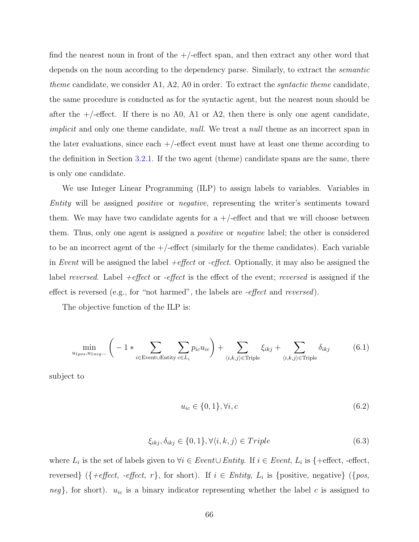find the nearest noun in front of the  $+/-$ effect span, and then extract any other word that depends on the noun according to the dependency parse. Similarly, to extract the *semantic theme* candidate, we consider A1, A2, A0 in order. To extract the *syntactic theme* candidate, the same procedure is conducted as for the syntactic agent, but the nearest noun should be after the  $+/-$ -effect. If there is no A0, A1 or A2, then there is only one agent candidate, *implicit* and only one theme candidate, *null*. We treat a *null* theme as an incorrect span in the later evaluations, since each  $+/-$  effect event must have at least one theme according to the definition in Section [3.2.1.](#page-34-0) If the two agent (theme) candidate spans are the same, there is only one candidate.

We use Integer Linear Programming (ILP) to assign labels to variables. Variables in *Entity* will be assigned *positive* or *negative*, representing the writer's sentiments toward them. We may have two candidate agents for a  $+/-$  effect and that we will choose between them. Thus, only one agent is assigned a *positive* or *negative* label; the other is considered to be an incorrect agent of the  $+/-$ effect (similarly for the theme candidates). Each variable in *Event* will be assigned the label *+effect* or *-effect*. Optionally, it may also be assigned the label *reversed*. Label *+effect* or *-effect* is the effect of the event; *reversed* is assigned if the effect is reversed (e.g., for "not harmed", the labels are *-effect* and *reversed*).

The objective function of the ILP is:

$$
\min_{u_{1pos}, u_{1neg...}} \left( -1 * \sum_{i \in \text{EventUEntity}} \sum_{c \in L_i} p_{ic} u_{ic} \right) + \sum_{\langle i, k, j \rangle \in \text{Triple}} \xi_{ikj} + \sum_{\langle i, k, j \rangle \in \text{Triple}} \delta_{ikj} \tag{6.1}
$$

subject to

$$
u_{ic} \in \{0, 1\}, \forall i, c \tag{6.2}
$$

$$
\xi_{ikj}, \delta_{ikj} \in \{0, 1\}, \forall \langle i, k, j \rangle \in Triple \tag{6.3}
$$

where  $L_i$  is the set of labels given to  $\forall i \in Event \cup Entity$ . If  $i \in Event$ ,  $L_i$  is {+effect, -effect, reversed} ({+effect, -effect, r}, for short). If  $i \in Entity$ ,  $L_i$  is {positive, negative} ({pos,  $neg$ }, for short).  $u_{ic}$  is a binary indicator representing whether the label *c* is assigned to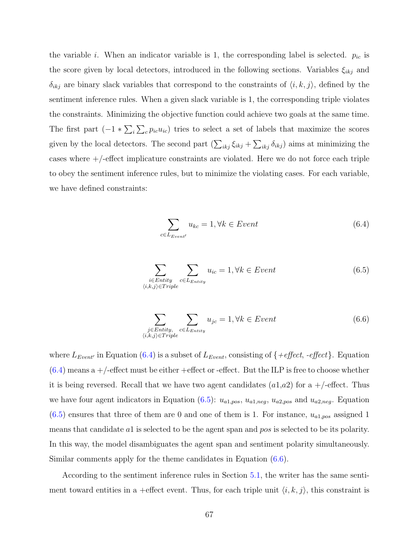the variable *i*. When an indicator variable is 1, the corresponding label is selected.  $p_{ic}$  is the score given by local detectors, introduced in the following sections. Variables *ξikj* and  $\delta_{ikj}$  are binary slack variables that correspond to the constraints of  $\langle i, k, j \rangle$ , defined by the sentiment inference rules. When a given slack variable is 1, the corresponding triple violates the constraints. Minimizing the objective function could achieve two goals at the same time. The first part  $(-1 * \sum_i \sum_c p_{ic} u_{ic})$  tries to select a set of labels that maximize the scores given by the local detectors. The second part  $(\sum_{ikj} \xi_{ikj} + \sum_{ikj} \delta_{ikj})$  aims at minimizing the cases where  $+$ /-effect implicature constraints are violated. Here we do not force each triple to obey the sentiment inference rules, but to minimize the violating cases. For each variable, we have defined constraints:

<span id="page-81-0"></span>
$$
\sum_{c \in L_{Event'}} u_{kc} = 1, \forall k \in Event \tag{6.4}
$$

<span id="page-81-1"></span>
$$
\sum_{\substack{i \in Entity \\ \langle i,k,j \rangle \in Triple}} \sum_{c \in L_{Entity}} u_{ic} = 1, \forall k \in Event \tag{6.5}
$$

$$
\sum_{\substack{j \in Entity, \\ \langle i,k,j \rangle \in Triple}} \sum_{c \in L_{Entity}} u_{jc} = 1, \forall k \in Event \tag{6.6}
$$

<span id="page-81-2"></span>where  $L_{Event}$ <sup>*'*</sup> in Equation [\(6.4](#page-81-0)) is a subset of  $L_{Event}$ , consisting of  $\{+effect, -effect\}$ . Equation  $(6.4)$  $(6.4)$  means a +/-effect must be either +effect or -effect. But the ILP is free to choose whether it is being reversed. Recall that we have two agent candidates  $(a1,a2)$  for a  $+/-$ effect. Thus we have four agent indicators in Equation ([6.5\)](#page-81-1):  $u_{a1,pos}$ ,  $u_{a1,neg}$ ,  $u_{a2,pos}$  and  $u_{a2,neg}$ . Equation  $(6.5)$  $(6.5)$  ensures that three of them are 0 and one of them is 1. For instance,  $u_{a1,pos}$  assigned 1 means that candidate *a*1 is selected to be the agent span and *pos* is selected to be its polarity. In this way, the model disambiguates the agent span and sentiment polarity simultaneously. Similar comments apply for the theme candidates in Equation [\(6.6](#page-81-2)).

According to the sentiment inference rules in Section [5.1,](#page-63-0) the writer has the same sentiment toward entities in a +effect event. Thus, for each triple unit  $\langle i, k, j \rangle$ , this constraint is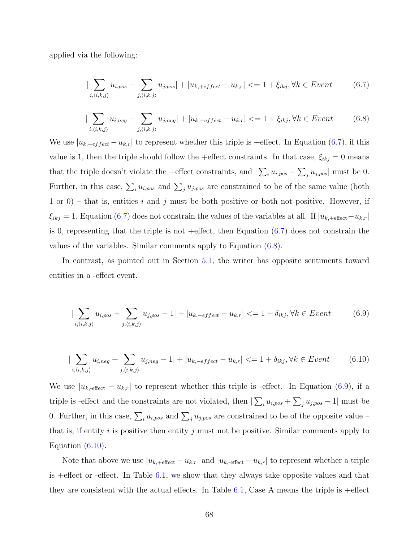<span id="page-82-0"></span>applied via the following:

$$
|\sum_{i,\langle i,k,j\rangle} u_{i,pos} - \sum_{j,\langle i,k,j\rangle} u_{j,pos}| + |u_{k,+effect} - u_{k,r}| \langle i+1 \rangle + \xi_{ikj}, \forall k \in Event \tag{6.7}
$$

$$
|\sum_{i,\langle i,k,j\rangle} u_{i,neg} - \sum_{j,\langle i,k,j\rangle} u_{j,neg}| + |u_{k,+effect} - u_{k,r}| \langle i+1 \rangle + \xi_{ikj}, \forall k \in Event \tag{6.8}
$$

<span id="page-82-1"></span>We use  $|u_{k, \text{+}effect} - u_{k,r}|$  to represent whether this triple is +effect. In Equation [\(6.7](#page-82-0)), if this value is 1, then the triple should follow the +effect constraints. In that case,  $\xi_{ikj} = 0$  means that the triple doesn't violate the +effect constraints, and  $|\sum_i u_{i, pos} - \sum_j u_{j, pos}|$  must be 0. Further, in this case,  $\sum_{i} u_{i, pos}$  and  $\sum_{j} u_{j, pos}$  are constrained to be of the same value (both 1 or 0) – that is, entities *i* and *j* must be both positive or both not positive. However, if  $\xi_{ikj} = 1$ , Equation ([6.7\)](#page-82-0) does not constrain the values of the variables at all. If  $|u_{k, \text{+effect}} - u_{k,r}|$ is 0, representing that the triple is not +effect, then Equation  $(6.7)$  $(6.7)$  does not constrain the values of the variables. Similar comments apply to Equation [\(6.8](#page-82-1)).

<span id="page-82-2"></span>In contrast, as pointed out in Section [5.1,](#page-63-0) the writer has opposite sentiments toward entities in a -effect event.

$$
|\sum_{i,\langle i,k,j\rangle} u_{i,pos} + \sum_{j,\langle i,k,j\rangle} u_{j,pos} - 1| + |u_{k,-effect} - u_{k,r}| \langle i+1+\delta_{ikj}, \forall k \in Event
$$
 (6.9)

<span id="page-82-3"></span>
$$
|\sum_{i,\langle i,k,j\rangle} u_{i,neg} + \sum_{j,\langle i,k,j\rangle} u_{j,neg} - 1| + |u_{k,-effect} - u_{k,r}| \langle i+1+\delta_{ikj}, \forall k \in Event \tag{6.10}
$$

We use  $|u_{k,\text{effect}} - u_{k,r}|$  to represent whether this triple is -effect. In Equation [\(6.9](#page-82-2)), if a triple is -effect and the constraints are not violated, then  $|\sum_i u_{i,pos} + \sum_j u_{j,pos} - 1|$  must be 0. Further, in this case,  $\sum_i u_{i, pos}$  and  $\sum_j u_{j, pos}$  are constrained to be of the opposite value – that is, if entity  $i$  is positive then entity  $j$  must not be positive. Similar comments apply to Equation  $(6.10)$ .

Note that above we use  $|u_{k, \text{+effect}} - u_{k,r}|$  and  $|u_{k, \text{-effect}} - u_{k,r}|$  to represent whether a triple is +effect or -effect. In Table [6.1](#page-83-0), we show that they always take opposite values and that they are consistent with the actual effects. In Table [6.1,](#page-83-0) Case A means the triple is +effect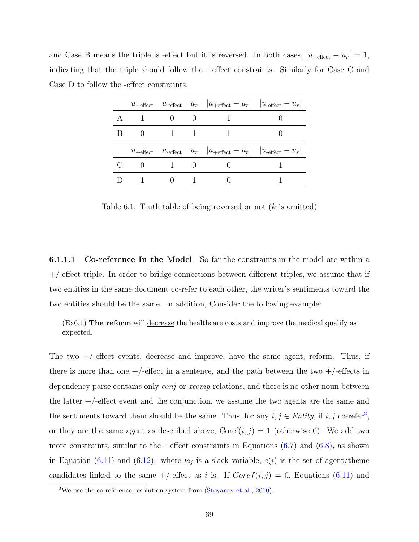and Case B means the triple is -effect but it is reversed. In both cases,  $|u_{\text{+effect}} - u_r| = 1$ , indicating that the triple should follow the +effect constraints. Similarly for Case C and Case D to follow the -effect constraints.

|  |                |        | $u_{\text{+effect}}$ $u_{\text{-effect}}$ $u_r$ $ u_{\text{+effect}} - u_r $ $ u_{\text{-effect}} - u_r $ |  |
|--|----------------|--------|-----------------------------------------------------------------------------------------------------------|--|
|  | $\theta$       |        |                                                                                                           |  |
|  | 1              |        |                                                                                                           |  |
|  |                |        | $u_{\text{+effect}}$ $u_{\text{-effect}}$ $u_r$ $ u_{\text{+effect}} - u_r $ $ u_{\text{-effect}} - u_r $ |  |
|  |                |        |                                                                                                           |  |
|  | $\overline{1}$ | $\cup$ |                                                                                                           |  |

<span id="page-83-0"></span>Table 6.1: Truth table of being reversed or not (*k* is omitted)

<span id="page-83-2"></span>**6.1.1.1 Co-reference In the Model** So far the constraints in the model are within a  $+/-$ effect triple. In order to bridge connections between different triples, we assume that if two entities in the same document co-refer to each other, the writer's sentiments toward the two entities should be the same. In addition, Consider the following example:

(Ex6.1) **The reform** will decrease the healthcare costs and improve the medical qualify as expected.

The two +/-effect events, decrease and improve, have the same agent, reform. Thus, if there is more than one  $+/-$ effect in a sentence, and the path between the two  $+/-$ effects in dependency parse contains only *conj* or *xcomp* relations, and there is no other noun between the latter  $+$ /-effect event and the conjunction, we assume the two agents are the same and the sentiments toward them should be the same. Thus, for any  $i, j \in Entity$ , if  $i, j$  co-refer<sup>[2](#page-83-1)</sup>, or they are the same agent as described above,  $\text{Coref}(i, j) = 1$  (otherwise 0). We add two more constraints, similar to the +effect constraints in Equations  $(6.7)$  $(6.7)$  and  $(6.8)$  $(6.8)$ , as shown in Equation ([6.11\)](#page-84-1) and ([6.12](#page-84-2)). where  $\nu_{ij}$  is a slack variable,  $e(i)$  is the set of agent/theme candidates linked to the same  $+/-$ effect as *i* is. If  $Coref(i, j) = 0$ , Equations ([6.11\)](#page-84-1) and

<span id="page-83-1"></span><sup>&</sup>lt;sup>2</sup>We use the co-reference resolution system from ([Stoyanov et al.,](#page-161-0) [2010\)](#page-161-0).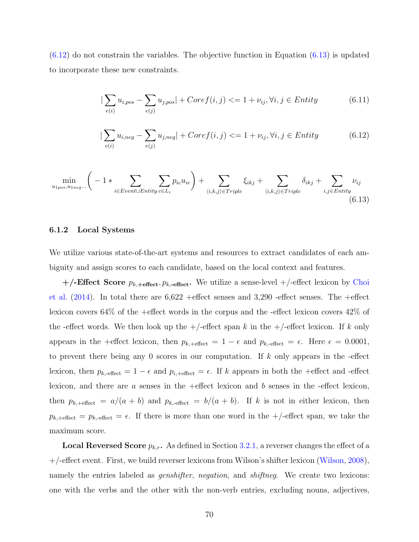<span id="page-84-1"></span> $(6.12)$  $(6.12)$  $(6.12)$  do not constrain the variables. The objective function in Equation  $(6.13)$  $(6.13)$  is updated to incorporate these new constraints.

$$
|\sum_{e(i)} u_{i, pos} - \sum_{e(j)} u_{j, pos}| + Coref(i, j) \leq 1 + \nu_{ij}, \forall i, j \in Entity
$$
 (6.11)

$$
|\sum_{e(i)} u_{i,neg} - \sum_{e(j)} u_{j,neg}| + Coref(i,j) \leq 1 + \nu_{ij}, \forall i, j \in Entity
$$
 (6.12)

<span id="page-84-3"></span><span id="page-84-2"></span>
$$
\min_{u_{1pos}, u_{1neg} \ldots} \left( -1 * \sum_{i \in Event \cup Entity} \sum_{c \in L_i} p_{ic} u_{ic} \right) + \sum_{\langle i, k, j \rangle \in Triple} \xi_{ikj} + \sum_{\langle i, k, j \rangle \in Triple} \delta_{ikj} + \sum_{i, j \in Entity} \nu_{ij}
$$
\n(6.13)

# <span id="page-84-0"></span>**6.1.2 Local Systems**

We utilize various state-of-the-art systems and resources to extract candidates of each ambiguity and assign scores to each candidate, based on the local context and features.

**+/-Effect Score** *pk,***+effect***, pk,***-effect.** We utilize a sense-level +/-effect lexicon by [Choi](#page-153-2) [et al.](#page-153-2)  $(2014)$  $(2014)$  $(2014)$ . In total there are  $6,622$  +effect senses and  $3,290$  -effect senses. The +effect lexicon covers 64% of the +effect words in the corpus and the -effect lexicon covers 42% of the -effect words. We then look up the  $+/-$ effect span k in the  $+/-$ effect lexicon. If k only appears in the +effect lexicon, then  $p_{k, \text{+effect}} = 1 - \epsilon$  and  $p_{k, \text{-effect}} = \epsilon$ . Here  $\epsilon = 0.0001$ , to prevent there being any 0 scores in our computation. If *k* only appears in the -effect lexicon, then  $p_{k,\text{-effect}} = 1 - \epsilon$  and  $p_{i,\text{+effect}} = \epsilon$ . If *k* appears in both the +effect and -effect lexicon, and there are *a* senses in the +effect lexicon and *b* senses in the -effect lexicon, then  $p_{k, \text{+effect}} = a/(a + b)$  and  $p_{k, \text{-effect}} = b/(a + b)$ . If *k* is not in either lexicon, then  $p_{k, \text{+effect}} = p_{k, \text{-effect}} = \epsilon$ . If there is more than one word in the  $+/-$ effect span, we take the maximum score.

**Local Reversed Score**  $p_{k,r}$ . As defined in Section [3.2.1](#page-34-0), a reverser changes the effect of a +/-effect event. First, we build reverser lexicons from Wilson's shifter lexicon [\(Wilson,](#page-163-1) [2008](#page-163-1)), namely the entries labeled as *genshifter*, *negation*, and *shiftneg*. We create two lexicons: one with the verbs and the other with the non-verb entries, excluding nouns, adjectives,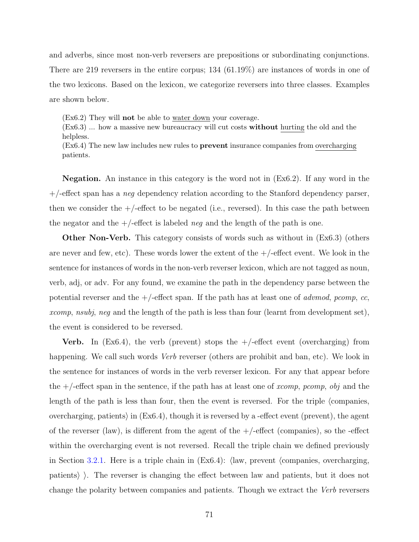and adverbs, since most non-verb reversers are prepositions or subordinating conjunctions. There are 219 reversers in the entire corpus; 134 (61.19%) are instances of words in one of the two lexicons. Based on the lexicon, we categorize reversers into three classes. Examples are shown below.

(Ex6.2) They will **not** be able to water down your coverage.

(Ex6.3) ... how a massive new bureaucracy will cut costs **without** hurting the old and the helpless.

(Ex6.4) The new law includes new rules to **prevent** insurance companies from overcharging patients.

**Negation.** An instance in this category is the word not in (Ex6.2). If any word in the +/-effect span has a *neg* dependency relation according to the Stanford dependency parser, then we consider the  $+/-$  effect to be negated (i.e., reversed). In this case the path between the negator and the +/-effect is labeled *neg* and the length of the path is one.

**Other Non-Verb.** This category consists of words such as without in (Ex6.3) (others are never and few, etc). These words lower the extent of the  $+/-$  effect event. We look in the sentence for instances of words in the non-verb reverser lexicon, which are not tagged as noun, verb, adj, or adv. For any found, we examine the path in the dependency parse between the potential reverser and the +/-effect span. If the path has at least one of *advmod*, *pcomp*, *cc*, *xcomp*, *nsubj*, *neg* and the length of the path is less than four (learnt from development set), the event is considered to be reversed.

**Verb.** In  $(Ex6.4)$ , the verb (prevent) stops the  $+/-$  effect event (overcharging) from happening. We call such words *Verb* reverser (others are prohibit and ban, etc). We look in the sentence for instances of words in the verb reverser lexicon. For any that appear before the +/-effect span in the sentence, if the path has at least one of *xcomp*, *pcomp*, *obj* and the length of the path is less than four, then the event is reversed. For the triple *⟨*companies, overcharging, patients*⟩* in (Ex6.4), though it is reversed by a -effect event (prevent), the agent of the reverser (law), is different from the agent of the  $+/-$ effect (companies), so the -effect within the overcharging event is not reversed. Recall the triple chain we defined previously in Section [3.2.1](#page-34-0). Here is a triple chain in (Ex6.4): *⟨*law, prevent *⟨*companies, overcharging, patients*⟩ ⟩*. The reverser is changing the effect between law and patients, but it does not change the polarity between companies and patients. Though we extract the *Verb* reversers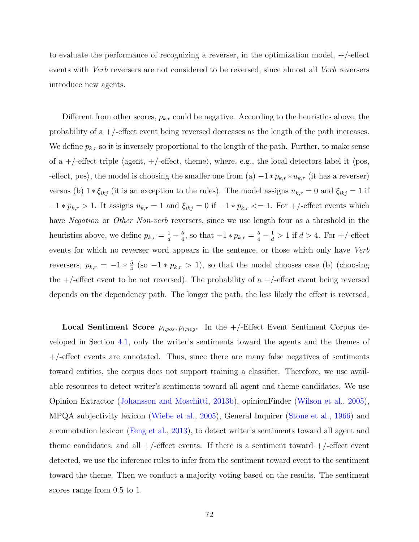to evaluate the performance of recognizing a reverser, in the optimization model, +/-effect events with *Verb* reversers are not considered to be reversed, since almost all *Verb* reversers introduce new agents.

Different from other scores,  $p_{k,r}$  could be negative. According to the heuristics above, the probability of a  $+/-$  effect event being reversed decreases as the length of the path increases. We define  $p_{k,r}$  so it is inversely proportional to the length of the path. Further, to make sense of a +/-effect triple *⟨*agent, +/-effect, theme*⟩*, where, e.g., the local detectors label it *⟨*pos, -effect, pos*⟩*, the model is choosing the smaller one from (a) *−*1 *∗ pk,r ∗ uk,r* (it has a reverser) versus (b)  $1 * \xi_{ikj}$  (it is an exception to the rules). The model assigns  $u_{k,r} = 0$  and  $\xi_{ikj} = 1$  if  $-1 * p_{k,r} > 1$ . It assigns  $u_{k,r} = 1$  and  $\xi_{ikj} = 0$  if  $-1 * p_{k,r} < 1$ . For  $+/-$ effect events which have *Negation* or *Other Non-verb* reversers, since we use length four as a threshold in the heuristics above, we define  $p_{k,r} = \frac{1}{d} - \frac{5}{4}$  $\frac{5}{4}$ , so that  $-1 * p_{k,r} = \frac{5}{4} - \frac{1}{d} > 1$  if  $d > 4$ . For  $+/-$ effect events for which no reverser word appears in the sentence, or those which only have *Verb* reversers,  $p_{k,r} = -1 * \frac{5}{4}$  $\frac{5}{4}$  (so  $-1 * p_{k,r} > 1$ ), so that the model chooses case (b) (choosing the  $+/-$  effect event to be not reversed). The probability of a  $+/-$  effect event being reversed depends on the dependency path. The longer the path, the less likely the effect is reversed.

**Local Sentiment Score** *pi,pos, pi,neg***.** In the +/-Effect Event Sentiment Corpus developed in Section [4.1](#page-42-0), only the writer's sentiments toward the agents and the themes of  $+/-$ effect events are annotated. Thus, since there are many false negatives of sentiments toward entities, the corpus does not support training a classifier. Therefore, we use available resources to detect writer's sentiments toward all agent and theme candidates. We use Opinion Extractor ([Johansson and Moschitti](#page-156-0), [2013b\)](#page-156-0), opinionFinder [\(Wilson et al.](#page-163-2), [2005](#page-163-2)), MPQA subjectivity lexicon [\(Wiebe et al.,](#page-162-1) [2005\)](#page-162-1), General Inquirer ([Stone et al.](#page-161-1), [1966](#page-161-1)) and a connotation lexicon ([Feng et al.](#page-155-1), [2013\)](#page-155-1), to detect writer's sentiments toward all agent and theme candidates, and all  $+/-$ effect events. If there is a sentiment toward  $+/-$ effect event detected, we use the inference rules to infer from the sentiment toward event to the sentiment toward the theme. Then we conduct a majority voting based on the results. The sentiment scores range from 0.5 to 1.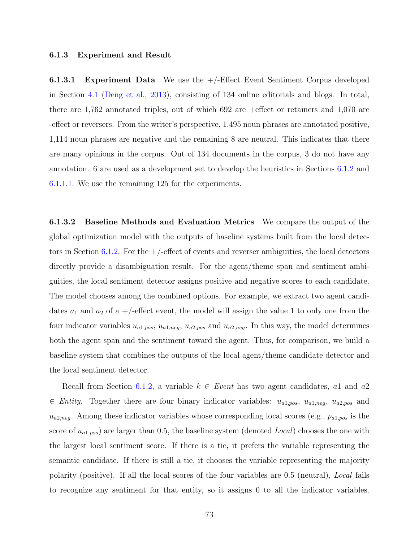#### <span id="page-87-0"></span>**6.1.3 Experiment and Result**

**6.1.3.1 Experiment Data** We use the +/-Effect Event Sentiment Corpus developed in Section [4.1](#page-42-0) [\(Deng et al.,](#page-154-1) [2013](#page-154-1)), consisting of 134 online editorials and blogs. In total, there are 1,762 annotated triples, out of which 692 are +effect or retainers and 1,070 are -effect or reversers. From the writer's perspective, 1,495 noun phrases are annotated positive, 1,114 noun phrases are negative and the remaining 8 are neutral. This indicates that there are many opinions in the corpus. Out of 134 documents in the corpus, 3 do not have any annotation. 6 are used as a development set to develop the heuristics in Sections [6.1.2](#page-84-0) and [6.1.1.1](#page-83-2). We use the remaining 125 for the experiments.

**6.1.3.2 Baseline Methods and Evaluation Metrics** We compare the output of the global optimization model with the outputs of baseline systems built from the local detec-tors in Section [6.1.2](#page-84-0). For the  $+/-$  effect of events and reverser ambiguities, the local detectors directly provide a disambiguation result. For the agent/theme span and sentiment ambiguities, the local sentiment detector assigns positive and negative scores to each candidate. The model chooses among the combined options. For example, we extract two agent candidates  $a_1$  and  $a_2$  of a  $+/-$ effect event, the model will assign the value 1 to only one from the four indicator variables  $u_{a1, pos}$ ,  $u_{a1, neg}$ ,  $u_{a2, pos}$  and  $u_{a2, neg}$ . In this way, the model determines both the agent span and the sentiment toward the agent. Thus, for comparison, we build a baseline system that combines the outputs of the local agent/theme candidate detector and the local sentiment detector.

Recall from Section [6.1.2](#page-84-0), a variable *k ∈ Event* has two agent candidates, *a*1 and *a*2 *∈ Entity*. Together there are four binary indicator variables: *ua*1*,pos*, *ua*1*,neg*, *ua*2*,pos* and  $u_{a2,neg}$ . Among these indicator variables whose corresponding local scores (e.g.,  $p_{a1,pos}$  is the score of *ua*1*,pos*) are larger than 0.5, the baseline system (denoted *Local*) chooses the one with the largest local sentiment score. If there is a tie, it prefers the variable representing the semantic candidate. If there is still a tie, it chooses the variable representing the majority polarity (positive). If all the local scores of the four variables are 0.5 (neutral), *Local* fails to recognize any sentiment for that entity, so it assigns 0 to all the indicator variables.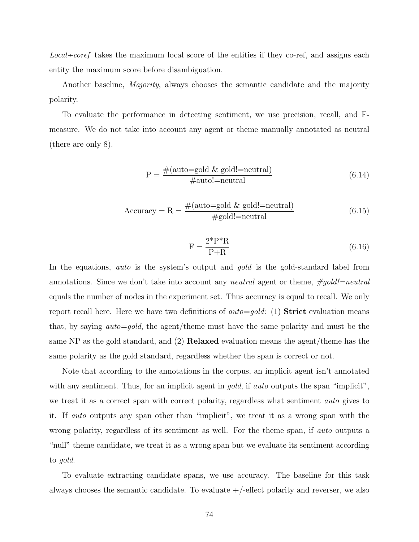*Local+coref* takes the maximum local score of the entities if they co-ref, and assigns each entity the maximum score before disambiguation.

Another baseline, *Majority*, always chooses the semantic candidate and the majority polarity.

To evaluate the performance in detecting sentiment, we use precision, recall, and Fmeasure. We do not take into account any agent or theme manually annotated as neutral (there are only 8).

$$
P = \frac{\#(auto=gold & gold!=neutral)}{\#auto!=neutral} \tag{6.14}
$$

$$
Accuracy = R = \frac{\#(auto=gold \& gold!=neutral)}{\#gold!=neutral}
$$
\n(6.15)

$$
F = \frac{2^* P^* R}{P + R} \tag{6.16}
$$

In the equations, *auto* is the system's output and *gold* is the gold-standard label from annotations. Since we don't take into account any *neutral* agent or theme, *#gold!=neutral* equals the number of nodes in the experiment set. Thus accuracy is equal to recall. We only report recall here. Here we have two definitions of *auto*=*gold*: (1) **Strict** evaluation means that, by saying *auto*=*gold*, the agent/theme must have the same polarity and must be the same NP as the gold standard, and (2) **Relaxed** evaluation means the agent/theme has the same polarity as the gold standard, regardless whether the span is correct or not.

Note that according to the annotations in the corpus, an implicit agent isn't annotated with any sentiment. Thus, for an implicit agent in *gold*, if *auto* outputs the span "implicit", we treat it as a correct span with correct polarity, regardless what sentiment *auto* gives to it. If *auto* outputs any span other than "implicit", we treat it as a wrong span with the wrong polarity, regardless of its sentiment as well. For the theme span, if *auto* outputs a "null" theme candidate, we treat it as a wrong span but we evaluate its sentiment according to *gold*.

To evaluate extracting candidate spans, we use accuracy. The baseline for this task always chooses the semantic candidate. To evaluate  $+/-$  effect polarity and reverser, we also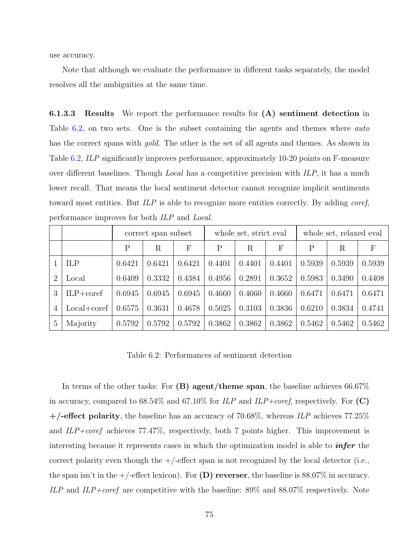use accuracy.

Note that although we evaluate the performance in different tasks separately, the model resolves all the ambiguities at the same time.

**6.1.3.3 Results** We report the performance results for **(A) sentiment detection** in Table [6.2,](#page-89-0) on two sets. One is the subset containing the agents and themes where *auto* has the correct spans with *gold*. The other is the set of all agents and themes. As shown in Table [6.2](#page-89-0), *ILP* significantly improves performance, approximately 10-20 points on F-measure over different baselines. Though *Local* has a competitive precision with *ILP*, it has a much lower recall. That means the local sentiment detector cannot recognize implicit sentiments toward most entities. But *ILP* is able to recognize more entities correctly. By adding *coref*, performance improves for both *ILP* and *Local*.

|               |               | correct span subset |        | whole set, strict eval |        |         | whole set, relaxed eval |              |        |        |
|---------------|---------------|---------------------|--------|------------------------|--------|---------|-------------------------|--------------|--------|--------|
|               |               | Ρ                   | R      | F                      | P      | $\rm R$ | F                       | $\mathsf{P}$ | R      | F      |
|               | ILP           | 0.6421              | 0.6421 | 0.6421                 | 0.4401 | 0.4401  | 0.4401                  | 0.5939       | 0.5939 | 0.5939 |
| $\mathcal{D}$ | Local         | 0.6409              | 0.3332 | 0.4384                 | 0.4956 | 0.2891  | 0.3652                  | 0.5983       | 0.3490 | 0.4408 |
| 3             | $ILP+coref$   | 0.6945              | 0.6945 | 0.6945                 | 0.4660 | 0.4660  | 0.4660                  | 0.6471       | 0.6471 | 0.6471 |
| 4             | $Local+coref$ | 0.6575              | 0.3631 | 0.4678                 | 0.5025 | 0.3103  | 0.3836                  | 0.6210       | 0.3834 | 0.4741 |
| 5             | Majority      | 0.5792              | 0.5792 | 0.5792                 | 0.3862 | 0.3862  | 0.3862                  | 0.5462       | 0.5462 | 0.5462 |

<span id="page-89-0"></span>Table 6.2: Performances of sentiment detection

In terms of the other tasks: For **(B) agent/theme span**, the baseline achieves 66.67% in accuracy, compared to 68.54% and 67.10% for *ILP* and *ILP+coref*, respectively. For **(C) +/-effect polarity**, the baseline has an accuracy of 70.68%, whereas *ILP* achieves 77.25% and *ILP+coref* achieves 77.47%, respectively, both 7 points higher. This improvement is interesting because it represents cases in which the optimization model is able to *infer* the correct polarity even though the  $+/-$  effect span is not recognized by the local detector (i.e., the span isn't in the  $+$ /-effect lexicon). For **(D) reverser**, the baseline is 88.07% in accuracy. *ILP* and *ILP+coref* are competitive with the baseline: 89% and 88.07% respectively. Note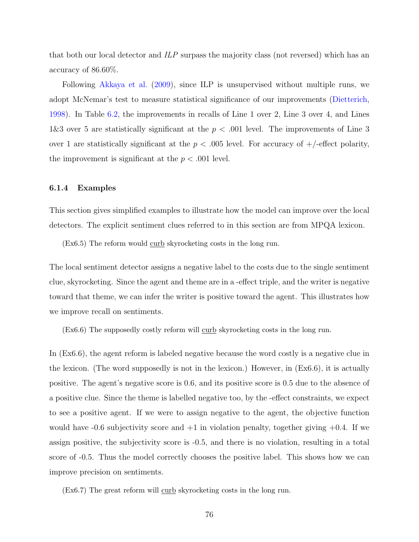that both our local detector and *ILP* surpass the majority class (not reversed) which has an accuracy of 86.60%.

Following [Akkaya et al.](#page-152-1) ([2009](#page-152-1)), since ILP is unsupervised without multiple runs, we adopt McNemar's test to measure statistical significance of our improvements ([Dietterich,](#page-155-3) [1998](#page-155-3)). In Table [6.2,](#page-89-0) the improvements in recalls of Line 1 over 2, Line 3 over 4, and Lines 1&3 over 5 are statistically significant at the *p < .*001 level. The improvements of Line 3 over 1 are statistically significant at the  $p < .005$  level. For accuracy of  $+/-$  effect polarity, the improvement is significant at the  $p < .001$  level.

# **6.1.4 Examples**

This section gives simplified examples to illustrate how the model can improve over the local detectors. The explicit sentiment clues referred to in this section are from MPQA lexicon.

(Ex6.5) The reform would curb skyrocketing costs in the long run.

The local sentiment detector assigns a negative label to the costs due to the single sentiment clue, skyrocketing. Since the agent and theme are in a -effect triple, and the writer is negative toward that theme, we can infer the writer is positive toward the agent. This illustrates how we improve recall on sentiments.

(Ex6.6) The supposedly costly reform will curb skyrocketing costs in the long run.

In (Ex6.6), the agent reform is labeled negative because the word costly is a negative clue in the lexicon. (The word supposedly is not in the lexicon.) However, in  $(Ex6.6)$ , it is actually positive. The agent's negative score is 0.6, and its positive score is 0.5 due to the absence of a positive clue. Since the theme is labelled negative too, by the -effect constraints, we expect to see a positive agent. If we were to assign negative to the agent, the objective function would have  $-0.6$  subjectivity score and  $+1$  in violation penalty, together giving  $+0.4$ . If we assign positive, the subjectivity score is -0.5, and there is no violation, resulting in a total score of -0.5. Thus the model correctly chooses the positive label. This shows how we can improve precision on sentiments.

(Ex6.7) The great reform will curb skyrocketing costs in the long run.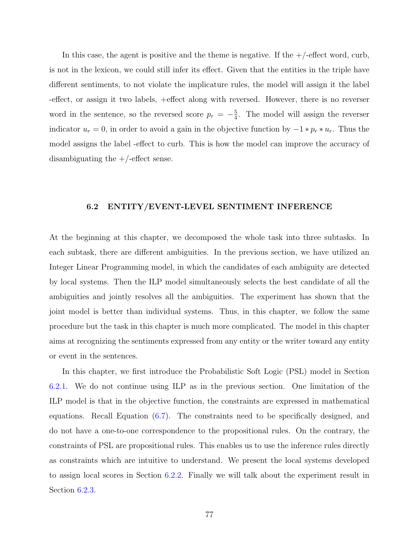In this case, the agent is positive and the theme is negative. If the  $+/-$  effect word, curb, is not in the lexicon, we could still infer its effect. Given that the entities in the triple have different sentiments, to not violate the implicature rules, the model will assign it the label -effect, or assign it two labels, +effect along with reversed. However, there is no reverser word in the sentence, so the reversed score  $p_r = -\frac{5}{4}$  $\frac{5}{4}$ . The model will assign the reverser indicator  $u_r = 0$ , in order to avoid a gain in the objective function by  $-1 * p_r * u_r$ . Thus the model assigns the label -effect to curb. This is how the model can improve the accuracy of disambiguating the  $+/-$ effect sense.

# <span id="page-91-0"></span>**6.2 ENTITY/EVENT-LEVEL SENTIMENT INFERENCE**

At the beginning at this chapter, we decomposed the whole task into three subtasks. In each subtask, there are different ambiguities. In the previous section, we have utilized an Integer Linear Programming model, in which the candidates of each ambiguity are detected by local systems. Then the ILP model simultaneously selects the best candidate of all the ambiguities and jointly resolves all the ambiguities. The experiment has shown that the joint model is better than individual systems. Thus, in this chapter, we follow the same procedure but the task in this chapter is much more complicated. The model in this chapter aims at recognizing the sentiments expressed from any entity or the writer toward any entity or event in the sentences.

In this chapter, we first introduce the Probabilistic Soft Logic (PSL) model in Section [6.2.1](#page-92-0). We do not continue using ILP as in the previous section. One limitation of the ILP model is that in the objective function, the constraints are expressed in mathematical equations. Recall Equation ([6.7\)](#page-82-0). The constraints need to be specifically designed, and do not have a one-to-one correspondence to the propositional rules. On the contrary, the constraints of PSL are propositional rules. This enables us to use the inference rules directly as constraints which are intuitive to understand. We present the local systems developed to assign local scores in Section [6.2.2.](#page-94-0) Finally we will talk about the experiment result in Section [6.2.3](#page-98-0).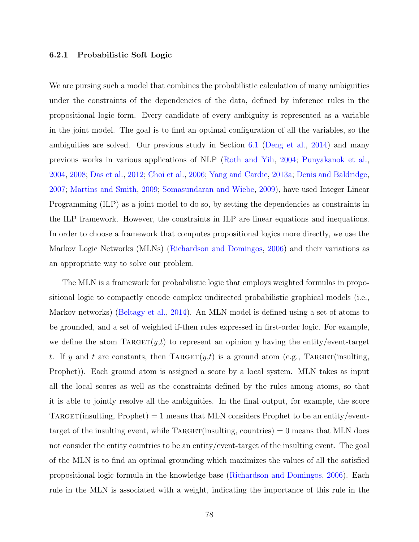# <span id="page-92-0"></span>**6.2.1 Probabilistic Soft Logic**

We are pursing such a model that combines the probabilistic calculation of many ambiguities under the constraints of the dependencies of the data, defined by inference rules in the propositional logic form. Every candidate of every ambiguity is represented as a variable in the joint model. The goal is to find an optimal configuration of all the variables, so the ambiguities are solved. Our previous study in Section [6.1](#page-78-0) ([Deng et al.,](#page-155-4) [2014](#page-155-4)) and many previous works in various applications of NLP ([Roth and Yih,](#page-160-2) [2004;](#page-160-2) [Punyakanok et al.,](#page-159-0) [2004](#page-159-0), [2008](#page-159-1); [Das et al.](#page-154-2), [2012](#page-154-2); [Choi et al.](#page-153-3), [2006](#page-153-3); [Yang and Cardie](#page-163-3), [2013a;](#page-163-3) [Denis and Baldridge,](#page-155-5) [2007](#page-155-5); [Martins and Smith,](#page-157-1) [2009](#page-157-1); [Somasundaran and Wiebe,](#page-161-2) [2009](#page-161-2)), have used Integer Linear Programming (ILP) as a joint model to do so, by setting the dependencies as constraints in the ILP framework. However, the constraints in ILP are linear equations and inequations. In order to choose a framework that computes propositional logics more directly, we use the Markov Logic Networks (MLNs) [\(Richardson and Domingos,](#page-160-3) [2006\)](#page-160-3) and their variations as an appropriate way to solve our problem.

The MLN is a framework for probabilistic logic that employs weighted formulas in propositional logic to compactly encode complex undirected probabilistic graphical models (i.e., Markov networks) ([Beltagy et al.](#page-152-2), [2014\)](#page-152-2). An MLN model is defined using a set of atoms to be grounded, and a set of weighted if-then rules expressed in first-order logic. For example, we define the atom  $\text{TARGE}(y,t)$  to represent an opinion *y* having the entity/event-target *t*. If *y* and *t* are constants, then TARGET $(y,t)$  is a ground atom (e.g., TARGET(insulting, Prophet)). Each ground atom is assigned a score by a local system. MLN takes as input all the local scores as well as the constraints defined by the rules among atoms, so that it is able to jointly resolve all the ambiguities. In the final output, for example, the score TARGET(insulting, Prophet) = 1 means that MLN considers Prophet to be an entity/eventtarget of the insulting event, while  $\text{TARGE}(\text{insulting}, \text{countries}) = 0$  means that MLN does not consider the entity countries to be an entity/event-target of the insulting event. The goal of the MLN is to find an optimal grounding which maximizes the values of all the satisfied propositional logic formula in the knowledge base [\(Richardson and Domingos](#page-160-3), [2006](#page-160-3)). Each rule in the MLN is associated with a weight, indicating the importance of this rule in the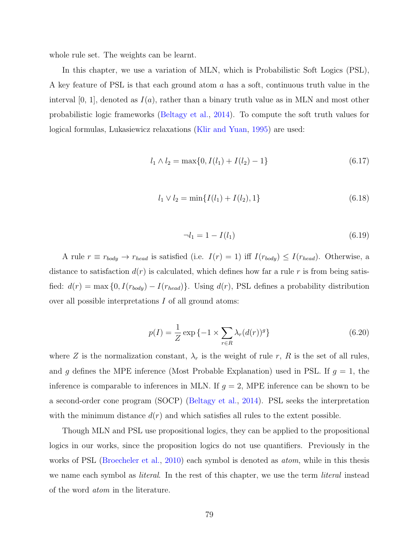whole rule set. The weights can be learnt.

In this chapter, we use a variation of MLN, which is Probabilistic Soft Logics (PSL), A key feature of PSL is that each ground atom *a* has a soft, continuous truth value in the interval  $[0, 1]$ , denoted as  $I(a)$ , rather than a binary truth value as in MLN and most other probabilistic logic frameworks ([Beltagy et al.,](#page-152-2) [2014\)](#page-152-2). To compute the soft truth values for logical formulas, Lukasiewicz relaxations ([Klir and Yuan](#page-156-1), [1995\)](#page-156-1) are used:

$$
l_1 \wedge l_2 = \max\{0, I(l_1) + I(l_2) - 1\} \tag{6.17}
$$

$$
l_1 \vee l_2 = \min\{I(l_1) + I(l_2), 1\} \tag{6.18}
$$

$$
\neg l_1 = 1 - I(l_1) \tag{6.19}
$$

A rule  $r \equiv r_{body} \rightarrow r_{head}$  is satisfied (i.e.  $I(r) = 1$ ) iff  $I(r_{body}) \leq I(r_{head})$ . Otherwise, a distance to satisfaction  $d(r)$  is calculated, which defines how far a rule r is from being satisfied:  $d(r) = \max\{0, I(r_{body}) - I(r_{head})\}$ . Using  $d(r)$ , PSL defines a probability distribution over all possible interpretations *I* of all ground atoms:

$$
p(I) = \frac{1}{Z} \exp\left\{-1 \times \sum_{r \in R} \lambda_r (d(r))^g\right\}
$$
\n
$$
(6.20)
$$

where *Z* is the normalization constant,  $\lambda_r$  is the weight of rule *r*, *R* is the set of all rules, and *g* defines the MPE inference (Most Probable Explanation) used in PSL. If  $g = 1$ , the inference is comparable to inferences in MLN. If  $g = 2$ , MPE inference can be shown to be a second-order cone program (SOCP) ([Beltagy et al.](#page-152-2), [2014](#page-152-2)). PSL seeks the interpretation with the minimum distance  $d(r)$  and which satisfies all rules to the extent possible.

Though MLN and PSL use propositional logics, they can be applied to the propositional logics in our works, since the proposition logics do not use quantifiers. Previously in the works of PSL [\(Broecheler et al.,](#page-153-4) [2010](#page-153-4)) each symbol is denoted as *atom*, while in this thesis we name each symbol as *literal*. In the rest of this chapter, we use the term *literal* instead of the word *atom* in the literature.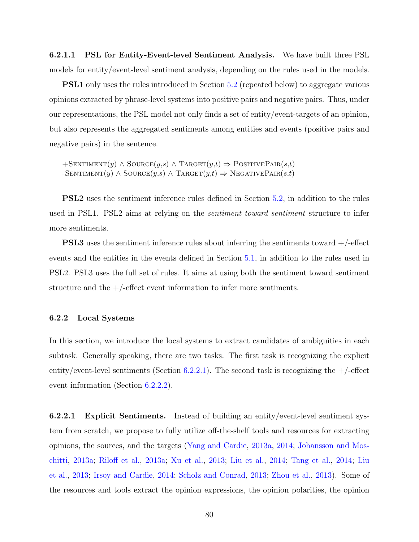**6.2.1.1 PSL for Entity-Event-level Sentiment Analysis.** We have built three PSL models for entity/event-level sentiment analysis, depending on the rules used in the models.

**PSL1** only uses the rules introduced in Section [5.2](#page-71-0) (repeated below) to aggregate various opinions extracted by phrase-level systems into positive pairs and negative pairs. Thus, under our representations, the PSL model not only finds a set of entity/event-targets of an opinion, but also represents the aggregated sentiments among entities and events (positive pairs and negative pairs) in the sentence.

 $+$ SENTIMENT $(y)$   $\wedge$  SOURCE $(y,s)$   $\wedge$  TARGET $(y,t) \Rightarrow$  POSITIVEPAIR $(s,t)$  $\rightarrow$  SENTIMENT $(y) \land$  SOURCE $(y,s) \land$  TARGET $(y,t) \Rightarrow$  NEGATIVEPAIR $(s,t)$ 

**PSL2** uses the sentiment inference rules defined in Section [5.2](#page-71-0), in addition to the rules used in PSL1. PSL2 aims at relying on the *sentiment toward sentiment* structure to infer more sentiments.

**PSL3** uses the sentiment inference rules about inferring the sentiments toward  $+/-$ effect events and the entities in the events defined in Section [5.1](#page-63-0), in addition to the rules used in PSL2. PSL3 uses the full set of rules. It aims at using both the sentiment toward sentiment structure and the  $+/-$  effect event information to infer more sentiments.

# <span id="page-94-0"></span>**6.2.2 Local Systems**

In this section, we introduce the local systems to extract candidates of ambiguities in each subtask. Generally speaking, there are two tasks. The first task is recognizing the explicit entity/event-level sentiments (Section [6.2.2.1\)](#page-94-1). The second task is recognizing the  $+/-$ effect event information (Section [6.2.2.2\)](#page-97-0).

<span id="page-94-1"></span>**6.2.2.1 Explicit Sentiments.** Instead of building an entity/event-level sentiment system from scratch, we propose to fully utilize off-the-shelf tools and resources for extracting opinions, the sources, and the targets ([Yang and Cardie,](#page-163-3) [2013a](#page-163-3), [2014](#page-163-4); [Johansson and Mos](#page-156-2)[chitti,](#page-156-2) [2013a](#page-156-2); [Riloff et al.](#page-160-4), [2013a;](#page-160-4) [Xu et al.](#page-163-5), [2013;](#page-163-5) [Liu et al.,](#page-157-2) [2014](#page-157-2); [Tang et al.](#page-161-3), [2014;](#page-161-3) [Liu](#page-157-3) [et al.](#page-157-3), [2013](#page-157-3); [Irsoy and Cardie](#page-156-3), [2014](#page-156-3); [Scholz and Conrad,](#page-160-5) [2013;](#page-160-5) [Zhou et al.,](#page-163-6) [2013\)](#page-163-6). Some of the resources and tools extract the opinion expressions, the opinion polarities, the opinion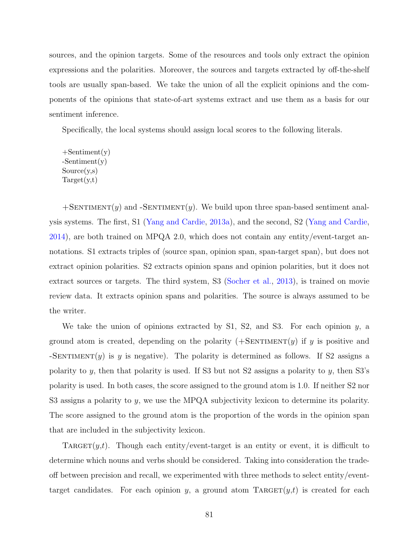sources, and the opinion targets. Some of the resources and tools only extract the opinion expressions and the polarities. Moreover, the sources and targets extracted by off-the-shelf tools are usually span-based. We take the union of all the explicit opinions and the components of the opinions that state-of-art systems extract and use them as a basis for our sentiment inference.

Specifically, the local systems should assign local scores to the following literals.

 $+$ Sentiment $(y)$ -Sentiment(y)  $Source(v,s)$  $Target(y,t)$ 

 $+$ SENTIMENT $(y)$  and  $-$ SENTIMENT $(y)$ . We build upon three span-based sentiment analysis systems. The first, S1 ([Yang and Cardie,](#page-163-3) [2013a\)](#page-163-3), and the second, S2 ([Yang and Cardie,](#page-163-4) [2014](#page-163-4)), are both trained on MPQA 2.0, which does not contain any entity/event-target annotations. S1 extracts triples of *⟨*source span, opinion span, span-target span*⟩*, but does not extract opinion polarities. S2 extracts opinion spans and opinion polarities, but it does not extract sources or targets. The third system, S3 ([Socher et al.,](#page-160-6) [2013\)](#page-160-6), is trained on movie review data. It extracts opinion spans and polarities. The source is always assumed to be the writer.

We take the union of opinions extracted by S1, S2, and S3. For each opinion *y*, a ground atom is created, depending on the polarity  $(+\text{SENTIMENT}(y)$  if *y* is positive and -SENTIMENT $(y)$  is *y* is negative). The polarity is determined as follows. If S2 assigns a polarity to *y*, then that polarity is used. If S3 but not S2 assigns a polarity to *y*, then S3's polarity is used. In both cases, the score assigned to the ground atom is 1.0. If neither S2 nor S3 assigns a polarity to *y*, we use the MPQA subjectivity lexicon to determine its polarity. The score assigned to the ground atom is the proportion of the words in the opinion span that are included in the subjectivity lexicon.

TARGET $(y,t)$ . Though each entity/event-target is an entity or event, it is difficult to determine which nouns and verbs should be considered. Taking into consideration the tradeoff between precision and recall, we experimented with three methods to select entity/eventtarget candidates. For each opinion *y*, a ground atom TARGET $(y,t)$  is created for each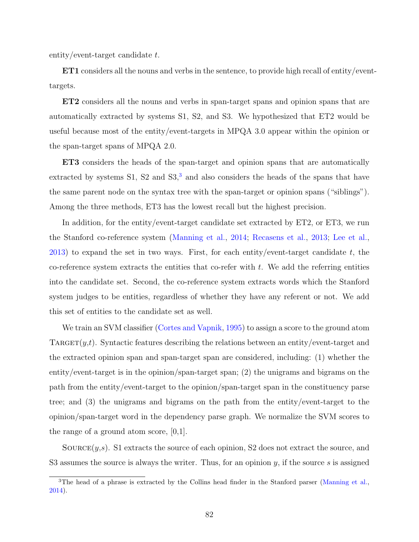entity/event-target candidate *t*.

**ET1** considers all the nouns and verbs in the sentence, to provide high recall of entity/eventtargets.

**ET2** considers all the nouns and verbs in span-target spans and opinion spans that are automatically extracted by systems S1, S2, and S3. We hypothesized that ET2 would be useful because most of the entity/event-targets in MPQA 3.0 appear within the opinion or the span-target spans of MPQA 2.0.

**ET3** considers the heads of the span-target and opinion spans that are automatically extracted by systems  $S1$ ,  $S2$  and  $S3$  $S3$ ,<sup>3</sup> and also considers the heads of the spans that have the same parent node on the syntax tree with the span-target or opinion spans ("siblings"). Among the three methods, ET3 has the lowest recall but the highest precision.

In addition, for the entity/event-target candidate set extracted by ET2, or ET3, we run the Stanford co-reference system ([Manning et al.](#page-157-4), [2014;](#page-157-4) [Recasens et al.,](#page-160-7) [2013;](#page-160-7) [Lee et al.,](#page-157-5) [2013](#page-157-5)) to expand the set in two ways. First, for each entity/event-target candidate *t*, the co-reference system extracts the entities that co-refer with *t*. We add the referring entities into the candidate set. Second, the co-reference system extracts words which the Stanford system judges to be entities, regardless of whether they have any referent or not. We add this set of entities to the candidate set as well.

We train an SVM classifier ([Cortes and Vapnik](#page-154-3), [1995\)](#page-154-3) to assign a score to the ground atom  $\text{TARGE}(y,t)$ . Syntactic features describing the relations between an entity/event-target and the extracted opinion span and span-target span are considered, including: (1) whether the entity/event-target is in the opinion/span-target span; (2) the unigrams and bigrams on the path from the entity/event-target to the opinion/span-target span in the constituency parse tree; and (3) the unigrams and bigrams on the path from the entity/event-target to the opinion/span-target word in the dependency parse graph. We normalize the SVM scores to the range of a ground atom score,  $[0,1]$ .

SOURCE $(y, s)$ . S1 extracts the source of each opinion, S2 does not extract the source, and S3 assumes the source is always the writer. Thus, for an opinion *y*, if the source *s* is assigned

<span id="page-96-0"></span><sup>&</sup>lt;sup>3</sup>The head of a phrase is extracted by the Collins head finder in the Stanford parser ([Manning et al.](#page-157-4), [2014\)](#page-157-4).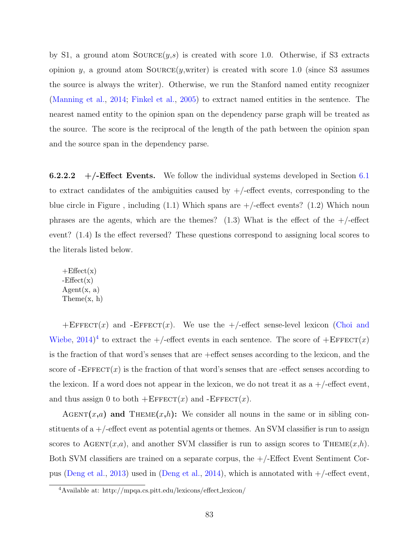by S1, a ground atom  $\text{Source}(y,s)$  is created with score 1.0. Otherwise, if S3 extracts opinion *y*, a ground atom  $SOLVECE(y, writer)$  is created with score 1.0 (since S3 assumes the source is always the writer). Otherwise, we run the Stanford named entity recognizer ([Manning et al.](#page-157-4), [2014](#page-157-4); [Finkel et al.](#page-155-6), [2005\)](#page-155-6) to extract named entities in the sentence. The nearest named entity to the opinion span on the dependency parse graph will be treated as the source. The score is the reciprocal of the length of the path between the opinion span and the source span in the dependency parse.

<span id="page-97-0"></span>**6.2.2.2**  $+/-$ **Effect Events.** We follow the individual systems developed in Section [6.1](#page-78-0) to extract candidates of the ambiguities caused by  $+/-$ effect events, corresponding to the blue circle in Figure, including  $(1.1)$  Which spans are  $+/-$  effect events?  $(1.2)$  Which noun phrases are the agents, which are the themes?  $(1.3)$  What is the effect of the  $+/-$ effect event? (1.4) Is the effect reversed? These questions correspond to assigning local scores to the literals listed below.

 $+Effect(x)$  $-Effect(x)$  $Agent(x, a)$ Theme(x, h)

 $+E$ FFECT $(x)$  and  $-E$ FFECT $(x)$ . We use the  $+/-$ effect sense-level lexicon ([Choi and](#page-153-5) [Wiebe,](#page-153-5)  $2014)^4$  $2014)^4$  $2014)^4$  to extract the  $+/-$ effect events in each sentence. The score of  $+E$ FFECT $(x)$ is the fraction of that word's senses that are +effect senses according to the lexicon, and the score of  $-FFFECT(x)$  is the fraction of that word's senses that are -effect senses according to the lexicon. If a word does not appear in the lexicon, we do not treat it as a  $+/-$  effect event, and thus assign 0 to both  $+ \text{EFFECT}(x)$  and  $- \text{EFFECT}(x)$ .

AGENT $(x,a)$  and THEME $(x,h)$ : We consider all nouns in the same or in sibling constituents of  $a +$ -effect event as potential agents or themes. An SVM classifier is run to assign scores to  $\text{AGENT}(x,a)$ , and another SVM classifier is run to assign scores to THEME $(x,h)$ . Both SVM classifiers are trained on a separate corpus, the +/-Effect Event Sentiment Cor-pus ([Deng et al.,](#page-154-1) [2013\)](#page-154-1) used in ([Deng et al.](#page-155-4), [2014\)](#page-155-4), which is annotated with  $+/-$  effect event,

<span id="page-97-1"></span><sup>4</sup>Available at: http://mpqa.cs.pitt.edu/lexicons/effect lexicon/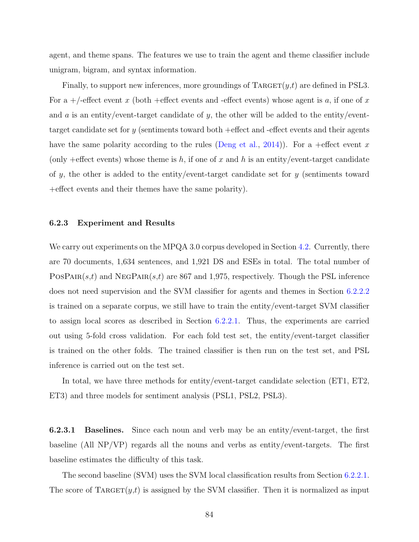agent, and theme spans. The features we use to train the agent and theme classifier include unigram, bigram, and syntax information.

Finally, to support new inferences, more groundings of  $\text{TARGE}(y,t)$  are defined in PSL3. For a +/-effect event *x* (both +effect events and -effect events) whose agent is *a*, if one of *x* and *a* is an entity/event-target candidate of *y*, the other will be added to the entity/eventtarget candidate set for *y* (sentiments toward both +effect and -effect events and their agents have the same polarity according to the rules ([Deng et al.,](#page-155-4) [2014](#page-155-4))). For a +effect event *x* (only +effect events) whose theme is  $h$ , if one of  $x$  and  $h$  is an entity/event-target candidate of *y*, the other is added to the entity/event-target candidate set for *y* (sentiments toward +effect events and their themes have the same polarity).

# <span id="page-98-0"></span>**6.2.3 Experiment and Results**

We carry out experiments on the MPQA 3.0 corpus developed in Section [4.2](#page-50-0). Currently, there are 70 documents, 1,634 sentences, and 1,921 DS and ESEs in total. The total number of PosPair(*s*,*t*) and NegPair(*s*,*t*) are 867 and 1,975, respectively. Though the PSL inference does not need supervision and the SVM classifier for agents and themes in Section [6.2.2.2](#page-97-0) is trained on a separate corpus, we still have to train the entity/event-target SVM classifier to assign local scores as described in Section [6.2.2.1.](#page-94-1) Thus, the experiments are carried out using 5-fold cross validation. For each fold test set, the entity/event-target classifier is trained on the other folds. The trained classifier is then run on the test set, and PSL inference is carried out on the test set.

In total, we have three methods for entity/event-target candidate selection (ET1, ET2, ET3) and three models for sentiment analysis (PSL1, PSL2, PSL3).

**6.2.3.1 Baselines.** Since each noun and verb may be an entity/event-target, the first baseline (All NP/VP) regards all the nouns and verbs as entity/event-targets. The first baseline estimates the difficulty of this task.

The second baseline (SVM) uses the SVM local classification results from Section [6.2.2.1.](#page-94-1) The score of  $\text{TARGE}(y,t)$  is assigned by the SVM classifier. Then it is normalized as input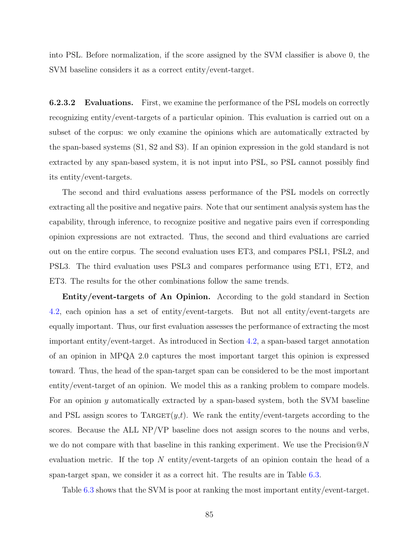into PSL. Before normalization, if the score assigned by the SVM classifier is above 0, the SVM baseline considers it as a correct entity/event-target.

**6.2.3.2** Evaluations. First, we examine the performance of the PSL models on correctly recognizing entity/event-targets of a particular opinion. This evaluation is carried out on a subset of the corpus: we only examine the opinions which are automatically extracted by the span-based systems (S1, S2 and S3). If an opinion expression in the gold standard is not extracted by any span-based system, it is not input into PSL, so PSL cannot possibly find its entity/event-targets.

The second and third evaluations assess performance of the PSL models on correctly extracting all the positive and negative pairs. Note that our sentiment analysis system has the capability, through inference, to recognize positive and negative pairs even if corresponding opinion expressions are not extracted. Thus, the second and third evaluations are carried out on the entire corpus. The second evaluation uses ET3, and compares PSL1, PSL2, and PSL3. The third evaluation uses PSL3 and compares performance using ET1, ET2, and ET3. The results for the other combinations follow the same trends.

**Entity/event-targets of An Opinion.** According to the gold standard in Section [4.2,](#page-50-0) each opinion has a set of entity/event-targets. But not all entity/event-targets are equally important. Thus, our first evaluation assesses the performance of extracting the most important entity/event-target. As introduced in Section [4.2](#page-50-0), a span-based target annotation of an opinion in MPQA 2.0 captures the most important target this opinion is expressed toward. Thus, the head of the span-target span can be considered to be the most important entity/event-target of an opinion. We model this as a ranking problem to compare models. For an opinion *y* automatically extracted by a span-based system, both the SVM baseline and PSL assign scores to TARGET $(y,t)$ . We rank the entity/event-targets according to the scores. Because the ALL NP/VP baseline does not assign scores to the nouns and verbs, we do not compare with that baseline in this ranking experiment. We use the Precision@*N* evaluation metric. If the top *N* entity/event-targets of an opinion contain the head of a span-target span, we consider it as a correct hit. The results are in Table [6.3](#page-100-0).

Table [6.3](#page-100-0) shows that the SVM is poor at ranking the most important entity/event-target.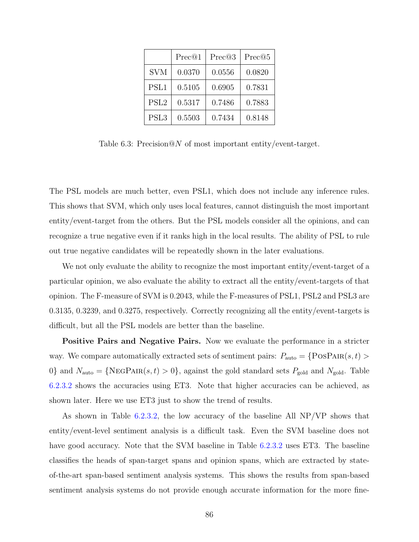|                  | Prec@1 | Prec@3 | Prec@5 |
|------------------|--------|--------|--------|
| <b>SVM</b>       | 0.0370 | 0.0556 | 0.0820 |
| PSL1             | 0.5105 | 0.6905 | 0.7831 |
| PSL <sub>2</sub> | 0.5317 | 0.7486 | 0.7883 |
| PSL <sub>3</sub> | 0.5503 | 0.7434 | 0.8148 |

<span id="page-100-0"></span>Table 6.3: Precision@*N* of most important entity/event-target.

The PSL models are much better, even PSL1, which does not include any inference rules. This shows that SVM, which only uses local features, cannot distinguish the most important entity/event-target from the others. But the PSL models consider all the opinions, and can recognize a true negative even if it ranks high in the local results. The ability of PSL to rule out true negative candidates will be repeatedly shown in the later evaluations.

We not only evaluate the ability to recognize the most important entity/event-target of a particular opinion, we also evaluate the ability to extract all the entity/event-targets of that opinion. The F-measure of SVM is 0.2043, while the F-measures of PSL1, PSL2 and PSL3 are 0.3135, 0.3239, and 0.3275, respectively. Correctly recognizing all the entity/event-targets is difficult, but all the PSL models are better than the baseline.

**Positive Pairs and Negative Pairs.** Now we evaluate the performance in a stricter way. We compare automatically extracted sets of sentiment pairs:  $P_{\text{auto}} = \{ \text{PosPAR}(s, t) >$ 0<sup>}</sup> and  $N_{\text{auto}} = \{ \text{NEGPath}(s, t) > 0 \}$ , against the gold standard sets  $P_{\text{gold}}$  and  $N_{\text{gold}}$ . Table [6.2.3.2](#page-100-0) shows the accuracies using ET3. Note that higher accuracies can be achieved, as shown later. Here we use ET3 just to show the trend of results.

As shown in Table [6.2.3.2,](#page-100-0) the low accuracy of the baseline All NP/VP shows that entity/event-level sentiment analysis is a difficult task. Even the SVM baseline does not have good accuracy. Note that the SVM baseline in Table [6.2.3.2](#page-100-0) uses ET3. The baseline classifies the heads of span-target spans and opinion spans, which are extracted by stateof-the-art span-based sentiment analysis systems. This shows the results from span-based sentiment analysis systems do not provide enough accurate information for the more fine-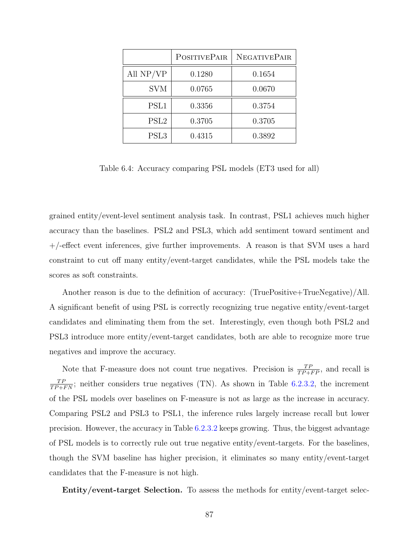|                  | <b>POSITIVEPAIR</b> | <b>NEGATIVEPAIR</b> |
|------------------|---------------------|---------------------|
| All NP/VP        | 0.1280              | 0.1654              |
| <b>SVM</b>       | 0.0765              | 0.0670              |
| PSL1             | 0.3356              | 0.3754              |
| PSL <sub>2</sub> | 0.3705              | 0.3705              |
| PSL <sub>3</sub> | 0.4315              | 0.3892              |

<span id="page-101-0"></span>Table 6.4: Accuracy comparing PSL models (ET3 used for all)

grained entity/event-level sentiment analysis task. In contrast, PSL1 achieves much higher accuracy than the baselines. PSL2 and PSL3, which add sentiment toward sentiment and +/-effect event inferences, give further improvements. A reason is that SVM uses a hard constraint to cut off many entity/event-target candidates, while the PSL models take the scores as soft constraints.

Another reason is due to the definition of accuracy: (TruePositive+TrueNegative)/All. A significant benefit of using PSL is correctly recognizing true negative entity/event-target candidates and eliminating them from the set. Interestingly, even though both PSL2 and PSL3 introduce more entity/event-target candidates, both are able to recognize more true negatives and improve the accuracy.

Note that F-measure does not count true negatives. Precision is  $\frac{TP}{TP+FP}$ , and recall is  $\frac{TP}{TP+FN}$ ; neither considers true negatives (TN). As shown in Table [6.2.3.2](#page-101-0), the increment of the PSL models over baselines on F-measure is not as large as the increase in accuracy. Comparing PSL2 and PSL3 to PSL1, the inference rules largely increase recall but lower precision. However, the accuracy in Table [6.2.3.2](#page-100-0) keeps growing. Thus, the biggest advantage of PSL models is to correctly rule out true negative entity/event-targets. For the baselines, though the SVM baseline has higher precision, it eliminates so many entity/event-target candidates that the F-measure is not high.

**Entity/event-target Selection.** To assess the methods for entity/event-target selec-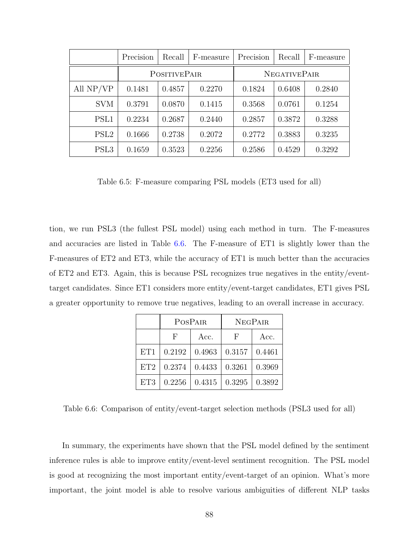|                  | Precision           | Recall | F-measure           | Precision | Recall | F-measure |
|------------------|---------------------|--------|---------------------|-----------|--------|-----------|
|                  | <b>POSITIVEPAIR</b> |        | <b>NEGATIVEPAIR</b> |           |        |           |
| All NP/VP        | 0.1481              | 0.4857 | 0.2270              | 0.1824    | 0.6408 | 0.2840    |
| <b>SVM</b>       | 0.3791              | 0.0870 | 0.1415              | 0.3568    | 0.0761 | 0.1254    |
| PSL1             | 0.2234              | 0.2687 | 0.2440              | 0.2857    | 0.3872 | 0.3288    |
| PSL <sub>2</sub> | 0.1666              | 0.2738 | 0.2072              | 0.2772    | 0.3883 | 0.3235    |
| PSL <sub>3</sub> | 0.1659              | 0.3523 | 0.2256              | 0.2586    | 0.4529 | 0.3292    |

Table 6.5: F-measure comparing PSL models (ET3 used for all)

tion, we run PSL3 (the fullest PSL model) using each method in turn. The F-measures and accuracies are listed in Table [6.6.](#page-102-0) The F-measure of ET1 is slightly lower than the F-measures of ET2 and ET3, while the accuracy of ET1 is much better than the accuracies of ET2 and ET3. Again, this is because PSL recognizes true negatives in the entity/eventtarget candidates. Since ET1 considers more entity/event-target candidates, ET1 gives PSL a greater opportunity to remove true negatives, leading to an overall increase in accuracy.

|     |        | POSPAIR | <b>NEGPAIR</b> |        |  |
|-----|--------|---------|----------------|--------|--|
|     | F      | Acc.    | H              | Acc.   |  |
| ET1 | 0.2192 | 0.4963  | 0.3157         | 0.4461 |  |
| ET2 | 0.2374 | 0.4433  | 0.3261         | 0.3969 |  |
| ET3 | 0.2256 | 0.4315  | 0.3295         | 0.3892 |  |

<span id="page-102-0"></span>Table 6.6: Comparison of entity/event-target selection methods (PSL3 used for all)

In summary, the experiments have shown that the PSL model defined by the sentiment inference rules is able to improve entity/event-level sentiment recognition. The PSL model is good at recognizing the most important entity/event-target of an opinion. What's more important, the joint model is able to resolve various ambiguities of different NLP tasks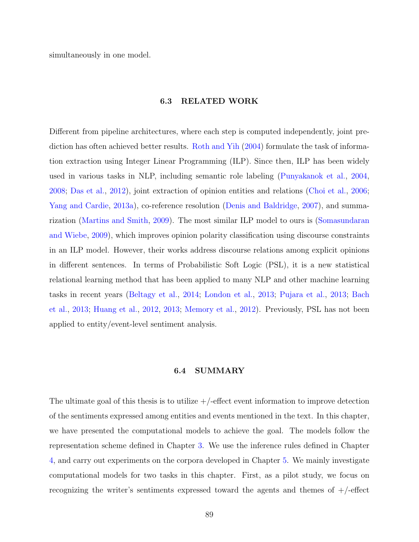simultaneously in one model.

# **6.3 RELATED WORK**

Different from pipeline architectures, where each step is computed independently, joint prediction has often achieved better results. [Roth and Yih](#page-160-2) ([2004](#page-160-2)) formulate the task of information extraction using Integer Linear Programming (ILP). Since then, ILP has been widely used in various tasks in NLP, including semantic role labeling ([Punyakanok et al.,](#page-159-0) [2004,](#page-159-0) [2008](#page-159-1); [Das et al.,](#page-154-2) [2012\)](#page-154-2), joint extraction of opinion entities and relations [\(Choi et al.,](#page-153-3) [2006;](#page-153-3) [Yang and Cardie,](#page-163-3) [2013a](#page-163-3)), co-reference resolution ([Denis and Baldridge](#page-155-5), [2007\)](#page-155-5), and summarization [\(Martins and Smith,](#page-157-1) [2009](#page-157-1)). The most similar ILP model to ours is [\(Somasundaran](#page-161-2) [and Wiebe,](#page-161-2) [2009](#page-161-2)), which improves opinion polarity classification using discourse constraints in an ILP model. However, their works address discourse relations among explicit opinions in different sentences. In terms of Probabilistic Soft Logic (PSL), it is a new statistical relational learning method that has been applied to many NLP and other machine learning tasks in recent years [\(Beltagy et al.](#page-152-2), [2014;](#page-152-2) [London et al.](#page-157-6), [2013;](#page-157-6) [Pujara et al.,](#page-159-2) [2013](#page-159-2); [Bach](#page-152-3) [et al.](#page-152-3), [2013](#page-152-3); [Huang et al.,](#page-156-4) [2012,](#page-156-4) [2013;](#page-156-5) [Memory et al.,](#page-158-2) [2012\)](#page-158-2). Previously, PSL has not been applied to entity/event-level sentiment analysis.

# **6.4 SUMMARY**

The ultimate goal of this thesis is to utilize  $+/-$  effect event information to improve detection of the sentiments expressed among entities and events mentioned in the text. In this chapter, we have presented the computational models to achieve the goal. The models follow the representation scheme defined in Chapter [3](#page-31-0). We use the inference rules defined in Chapter [4,](#page-41-0) and carry out experiments on the corpora developed in Chapter [5](#page-62-0). We mainly investigate computational models for two tasks in this chapter. First, as a pilot study, we focus on recognizing the writer's sentiments expressed toward the agents and themes of  $+/-$ effect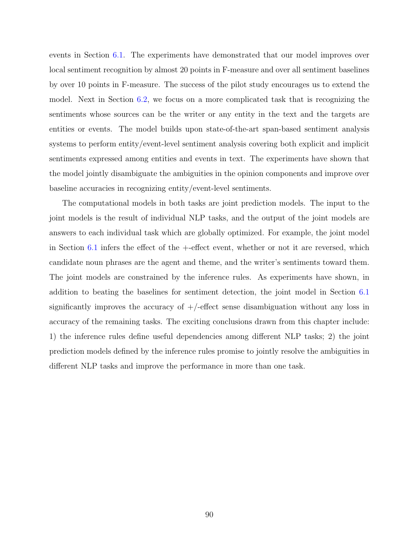events in Section [6.1.](#page-78-0) The experiments have demonstrated that our model improves over local sentiment recognition by almost 20 points in F-measure and over all sentiment baselines by over 10 points in F-measure. The success of the pilot study encourages us to extend the model. Next in Section [6.2](#page-91-0), we focus on a more complicated task that is recognizing the sentiments whose sources can be the writer or any entity in the text and the targets are entities or events. The model builds upon state-of-the-art span-based sentiment analysis systems to perform entity/event-level sentiment analysis covering both explicit and implicit sentiments expressed among entities and events in text. The experiments have shown that the model jointly disambiguate the ambiguities in the opinion components and improve over baseline accuracies in recognizing entity/event-level sentiments.

The computational models in both tasks are joint prediction models. The input to the joint models is the result of individual NLP tasks, and the output of the joint models are answers to each individual task which are globally optimized. For example, the joint model in Section [6.1](#page-78-0) infers the effect of the +-effect event, whether or not it are reversed, which candidate noun phrases are the agent and theme, and the writer's sentiments toward them. The joint models are constrained by the inference rules. As experiments have shown, in addition to beating the baselines for sentiment detection, the joint model in Section [6.1](#page-78-0) significantly improves the accuracy of  $+/-$ effect sense disambiguation without any loss in accuracy of the remaining tasks. The exciting conclusions drawn from this chapter include: 1) the inference rules define useful dependencies among different NLP tasks; 2) the joint prediction models defined by the inference rules promise to jointly resolve the ambiguities in different NLP tasks and improve the performance in more than one task.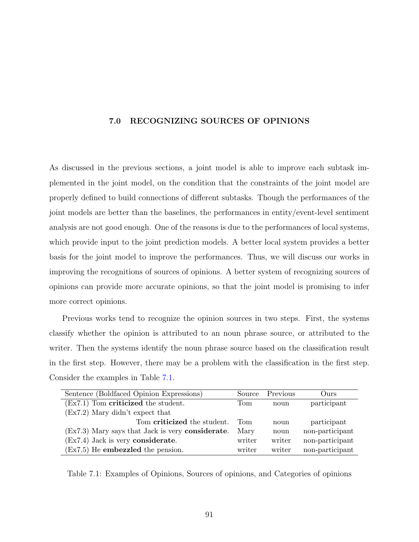# **7.0 RECOGNIZING SOURCES OF OPINIONS**

As discussed in the previous sections, a joint model is able to improve each subtask implemented in the joint model, on the condition that the constraints of the joint model are properly defined to build connections of different subtasks. Though the performances of the joint models are better than the baselines, the performances in entity/event-level sentiment analysis are not good enough. One of the reasons is due to the performances of local systems, which provide input to the joint prediction models. A better local system provides a better basis for the joint model to improve the performances. Thus, we will discuss our works in improving the recognitions of sources of opinions. A better system of recognizing sources of opinions can provide more accurate opinions, so that the joint model is promising to infer more correct opinions.

Previous works tend to recognize the opinion sources in two steps. First, the systems classify whether the opinion is attributed to an noun phrase source, or attributed to the writer. Then the systems identify the noun phrase source based on the classification result in the first step. However, there may be a problem with the classification in the first step. Consider the examples in Table [7.1](#page-105-0).

| Sentence (Boldfaced Opinion Expressions)                   | Source | Previous | Ours            |
|------------------------------------------------------------|--------|----------|-----------------|
| $(EX7.1)$ Tom criticized the student.                      | Tom    | noun     | participant     |
| $(EX7.2)$ Mary didn't expect that                          |        |          |                 |
| Tom criticized the student.                                | Tom.   | noun     | participant     |
| $(Ex7.3)$ Mary says that Jack is very <b>considerate</b> . | Mary   | noun     | non-participant |
| $(EX7.4)$ Jack is very considerate.                        | writer | writer   | non-participant |
| $(EX7.5)$ He <b>embezzled</b> the pension.                 | writer | writer   | non-participant |

<span id="page-105-0"></span>Table 7.1: Examples of Opinions, Sources of opinions, and Categories of opinions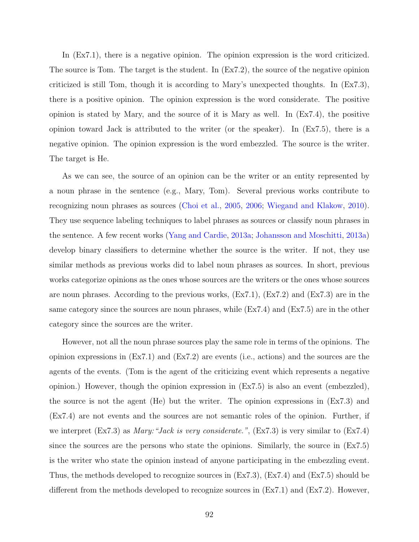In  $(Ex7.1)$ , there is a negative opinion. The opinion expression is the word criticized. The source is Tom. The target is the student. In (Ex7.2), the source of the negative opinion criticized is still Tom, though it is according to Mary's unexpected thoughts. In (Ex7.3), there is a positive opinion. The opinion expression is the word considerate. The positive opinion is stated by Mary, and the source of it is Mary as well. In (Ex7.4), the positive opinion toward Jack is attributed to the writer (or the speaker). In (Ex7.5), there is a negative opinion. The opinion expression is the word embezzled. The source is the writer. The target is He.

As we can see, the source of an opinion can be the writer or an entity represented by a noun phrase in the sentence (e.g., Mary, Tom). Several previous works contribute to recognizing noun phrases as sources ([Choi et al.,](#page-153-6) [2005,](#page-153-6) [2006;](#page-153-3) [Wiegand and Klakow](#page-162-2), [2010](#page-162-2)). They use sequence labeling techniques to label phrases as sources or classify noun phrases in the sentence. A few recent works [\(Yang and Cardie](#page-163-3), [2013a](#page-163-3); [Johansson and Moschitti,](#page-156-2) [2013a](#page-156-2)) develop binary classifiers to determine whether the source is the writer. If not, they use similar methods as previous works did to label noun phrases as sources. In short, previous works categorize opinions as the ones whose sources are the writers or the ones whose sources are noun phrases. According to the previous works, (Ex7.1), (Ex7.2) and (Ex7.3) are in the same category since the sources are noun phrases, while (Ex7.4) and (Ex7.5) are in the other category since the sources are the writer.

However, not all the noun phrase sources play the same role in terms of the opinions. The opinion expressions in (Ex7.1) and (Ex7.2) are events (i.e., actions) and the sources are the agents of the events. (Tom is the agent of the criticizing event which represents a negative opinion.) However, though the opinion expression in (Ex7.5) is also an event (embezzled), the source is not the agent (He) but the writer. The opinion expressions in (Ex7.3) and (Ex7.4) are not events and the sources are not semantic roles of the opinion. Further, if we interpret (Ex7.3) as *Mary:"Jack is very considerate."*, (Ex7.3) is very similar to (Ex7.4) since the sources are the persons who state the opinions. Similarly, the source in (Ex7.5) is the writer who state the opinion instead of anyone participating in the embezzling event. Thus, the methods developed to recognize sources in (Ex7.3), (Ex7.4) and (Ex7.5) should be different from the methods developed to recognize sources in (Ex7.1) and (Ex7.2). However,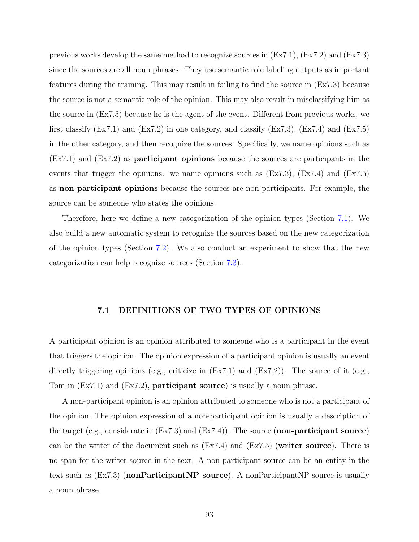previous works develop the same method to recognize sources in (Ex7.1), (Ex7.2) and (Ex7.3) since the sources are all noun phrases. They use semantic role labeling outputs as important features during the training. This may result in failing to find the source in (Ex7.3) because the source is not a semantic role of the opinion. This may also result in misclassifying him as the source in (Ex7.5) because he is the agent of the event. Different from previous works, we first classify  $(Ex7.1)$  and  $(Ex7.2)$  in one category, and classify  $(Ex7.3)$ ,  $(Ex7.4)$  and  $(Ex7.5)$ in the other category, and then recognize the sources. Specifically, we name opinions such as (Ex7.1) and (Ex7.2) as **participant opinions** because the sources are participants in the events that trigger the opinions. we name opinions such as  $(Ex7.3)$ ,  $(Ex7.4)$  and  $(Ex7.5)$ as **non-participant opinions** because the sources are non participants. For example, the source can be someone who states the opinions.

Therefore, here we define a new categorization of the opinion types (Section [7.1\)](#page-107-0). We also build a new automatic system to recognize the sources based on the new categorization of the opinion types (Section [7.2\)](#page-108-0). We also conduct an experiment to show that the new categorization can help recognize sources (Section [7.3\)](#page-114-0).

# **7.1 DEFINITIONS OF TWO TYPES OF OPINIONS**

<span id="page-107-0"></span>A participant opinion is an opinion attributed to someone who is a participant in the event that triggers the opinion. The opinion expression of a participant opinion is usually an event directly triggering opinions (e.g., criticize in  $(EX7.1)$  and  $(EX7.2)$ ). The source of it (e.g., Tom in (Ex7.1) and (Ex7.2), **participant source**) is usually a noun phrase.

A non-participant opinion is an opinion attributed to someone who is not a participant of the opinion. The opinion expression of a non-participant opinion is usually a description of the target (e.g., considerate in (Ex7.3) and (Ex7.4)). The source (**non-participant source**) can be the writer of the document such as (Ex7.4) and (Ex7.5) (**writer source**). There is no span for the writer source in the text. A non-participant source can be an entity in the text such as (Ex7.3) (**nonParticipantNP source**). A nonParticipantNP source is usually a noun phrase.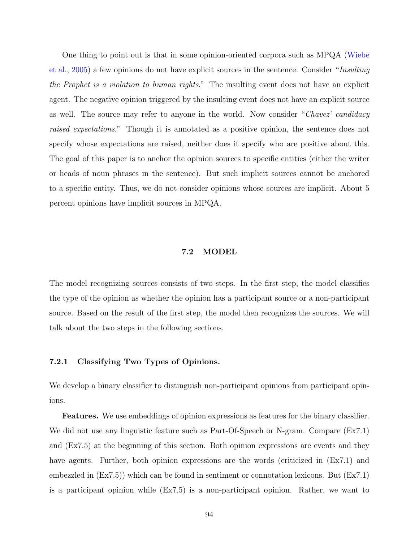One thing to point out is that in some opinion-oriented corpora such as MPQA [\(Wiebe](#page-162-0) [et al.,](#page-162-0) [2005](#page-162-0)) a few opinions do not have explicit sources in the sentence. Consider "*Insulting the Prophet is a violation to human rights*." The insulting event does not have an explicit agent. The negative opinion triggered by the insulting event does not have an explicit source as well. The source may refer to anyone in the world. Now consider "*Chavez' candidacy raised expectations*." Though it is annotated as a positive opinion, the sentence does not specify whose expectations are raised, neither does it specify who are positive about this. The goal of this paper is to anchor the opinion sources to specific entities (either the writer or heads of noun phrases in the sentence). But such implicit sources cannot be anchored to a specific entity. Thus, we do not consider opinions whose sources are implicit. About 5 percent opinions have implicit sources in MPQA.

### **7.2 MODEL**

The model recognizing sources consists of two steps. In the first step, the model classifies the type of the opinion as whether the opinion has a participant source or a non-participant source. Based on the result of the first step, the model then recognizes the sources. We will talk about the two steps in the following sections.

### <span id="page-108-0"></span>**7.2.1 Classifying Two Types of Opinions.**

We develop a binary classifier to distinguish non-participant opinions from participant opinions.

**Features.** We use embeddings of opinion expressions as features for the binary classifier. We did not use any linguistic feature such as Part-Of-Speech or N-gram. Compare (Ex7.1) and (Ex7.5) at the beginning of this section. Both opinion expressions are events and they have agents. Further, both opinion expressions are the words (criticized in  $(Ex7.1)$ ) and embezzled in (Ex7.5)) which can be found in sentiment or connotation lexicons. But (Ex7.1) is a participant opinion while (Ex7.5) is a non-participant opinion. Rather, we want to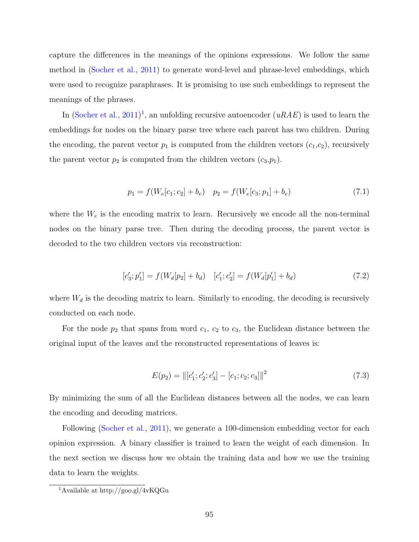capture the differences in the meanings of the opinions expressions. We follow the same method in ([Socher et al.](#page-160-0), [2011\)](#page-160-0) to generate word-level and phrase-level embeddings, which were used to recognize paraphrases. It is promising to use such embeddings to represent the meanings of the phrases.

In ([Socher et al.](#page-160-0), [2011](#page-160-0)) [1](#page-109-0) , an unfolding recursive autoencoder (*uRAE*) is used to learn the embeddings for nodes on the binary parse tree where each parent has two children. During the encoding, the parent vector  $p_1$  is computed from the children vectors  $(c_1, c_2)$ , recursively the parent vector  $p_2$  is computed from the children vectors  $(c_3, p_1)$ .

$$
p_1 = f(W_e[c_1; c_2] + b_e) \quad p_2 = f(W_e[c_3; p_1] + b_e)
$$
\n(7.1)

where the  $W_e$  is the encoding matrix to learn. Recursively we encode all the non-terminal nodes on the binary parse tree. Then during the decoding process, the parent vector is decoded to the two children vectors via reconstruction:

$$
[c'_3; p'_1] = f(W_d[p_2] + b_d) \quad [c'_1; c'_2] = f(W_d[p'_1] + b_d) \tag{7.2}
$$

where  $W_d$  is the decoding matrix to learn. Similarly to encoding, the decoding is recursively conducted on each node.

For the node  $p_2$  that spans from word  $c_1$ ,  $c_2$  to  $c_3$ , the Euclidean distance between the original input of the leaves and the reconstructed representations of leaves is:

$$
E(p_2) = ||[c'_1; c'_2; c'_3] - [c_1; c_2; c_3]||^2
$$
\n(7.3)

By minimizing the sum of all the Euclidean distances between all the nodes, we can learn the encoding and decoding matrices.

Following [\(Socher et al.,](#page-160-0) [2011\)](#page-160-0), we generate a 100-dimension embedding vector for each opinion expression. A binary classifier is trained to learn the weight of each dimension. In the next section we discuss how we obtain the training data and how we use the training data to learn the weights.

<span id="page-109-0"></span> $\overline{1\text{Avalable}}$  at http://goo.gl/4vKQGu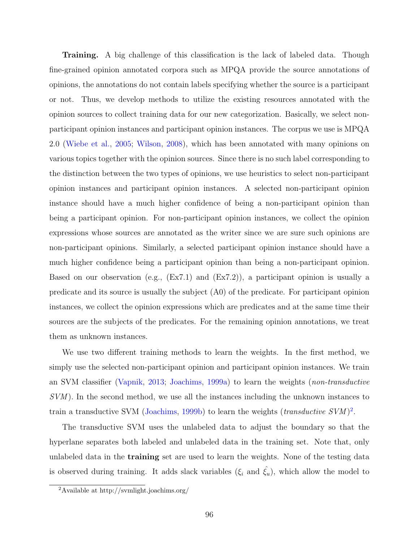**Training.** A big challenge of this classification is the lack of labeled data. Though fine-grained opinion annotated corpora such as MPQA provide the source annotations of opinions, the annotations do not contain labels specifying whether the source is a participant or not. Thus, we develop methods to utilize the existing resources annotated with the opinion sources to collect training data for our new categorization. Basically, we select nonparticipant opinion instances and participant opinion instances. The corpus we use is MPQA 2.0 [\(Wiebe et al.](#page-162-0), [2005;](#page-162-0) [Wilson](#page-163-0), [2008\)](#page-163-0), which has been annotated with many opinions on various topics together with the opinion sources. Since there is no such label corresponding to the distinction between the two types of opinions, we use heuristics to select non-participant opinion instances and participant opinion instances. A selected non-participant opinion instance should have a much higher confidence of being a non-participant opinion than being a participant opinion. For non-participant opinion instances, we collect the opinion expressions whose sources are annotated as the writer since we are sure such opinions are non-participant opinions. Similarly, a selected participant opinion instance should have a much higher confidence being a participant opinion than being a non-participant opinion. Based on our observation (e.g.,  $(Ex7.1)$  and  $(Ex7.2)$ ), a participant opinion is usually a predicate and its source is usually the subject (A0) of the predicate. For participant opinion instances, we collect the opinion expressions which are predicates and at the same time their sources are the subjects of the predicates. For the remaining opinion annotations, we treat them as unknown instances.

We use two different training methods to learn the weights. In the first method, we simply use the selected non-participant opinion and participant opinion instances. We train an SVM classifier [\(Vapnik,](#page-161-0) [2013](#page-161-0); [Joachims,](#page-156-0) [1999a](#page-156-0)) to learn the weights (*non-transductive SVM* ). In the second method, we use all the instances including the unknown instances to train a transductive SVM ([Joachims,](#page-156-1) [1999b\)](#page-156-1) to learn the weights (*transductive SVM*)<sup>[2](#page-110-0)</sup>.

The transductive SVM uses the unlabeled data to adjust the boundary so that the hyperlane separates both labeled and unlabeled data in the training set. Note that, only unlabeled data in the **training** set are used to learn the weights. None of the testing data is observed during training. It adds slack variables  $(\xi_i \text{ and } \hat{\xi}_u)$ , which allow the model to

<span id="page-110-0"></span><sup>2</sup>Available at http://svmlight.joachims.org/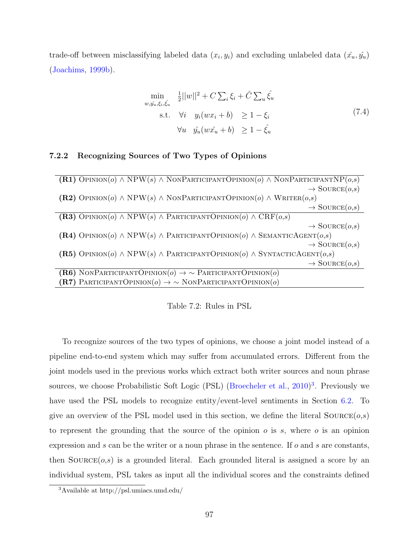trade-off between misclassifying labeled data  $(x_i, y_i)$  and excluding unlabeled data  $(\hat{x_u}, \hat{y_u})$ ([Joachims](#page-156-1), [1999b](#page-156-1)).

$$
\min_{w, \hat{y_u}, \xi_i, \hat{\xi_u}} \quad \frac{1}{2} ||w||^2 + C \sum_i \xi_i + \hat{C} \sum_u \hat{\xi_u}
$$
\n
$$
\text{s.t.} \quad \forall i \quad y_i (wx_i + b) \quad \geq 1 - \xi_i
$$
\n
$$
\forall u \quad \hat{y_u} (w\hat{x_u} + b) \quad \geq 1 - \hat{\xi_u} \tag{7.4}
$$

# <span id="page-111-2"></span>**7.2.2 Recognizing Sources of Two Types of Opinions**

| <b>(R1)</b> OPINION( $o$ ) $\land$ NPW( $s$ ) $\land$ NONPARTICIPANTOPINION( $o$ ) $\land$ NONPARTICIPANTNP( $o,s$ ) |
|----------------------------------------------------------------------------------------------------------------------|
| $\rightarrow$ SOURCE $(o,s)$                                                                                         |
| (R2) OPINION( $o$ ) $\wedge$ NPW( $s$ ) $\wedge$ NONPARTICIPANTOPINION( $o$ ) $\wedge$ WRITER( $o,s$ )               |
| $\rightarrow$ SOURCE $(o,s)$                                                                                         |
| (R3) OPINION( $o$ ) $\land$ NPW( $s$ ) $\land$ PARTICIPANTOPINION( $o$ ) $\land$ CRF( $o,s$ )                        |
| $\rightarrow$ SOURCE $(o,s)$                                                                                         |
| (R4) OPINION( $o$ ) $\wedge$ NPW( $s$ ) $\wedge$ PARTICIPANTOPINION( $o$ ) $\wedge$ SEMANTICAGENT( $o,s$ )           |
| $\rightarrow$ SOURCE $(o,s)$                                                                                         |
| (R5) OPINION( $o$ ) $\land$ NPW( $s$ ) $\land$ PARTICIPANTOPINION( $o$ ) $\land$ SYNTACTICAGENT( $o,s$ )             |
| $\rightarrow$ SOURCE $(o,s)$                                                                                         |
| (R6) NONPARTICIPANTOPINION( $o$ ) $\rightarrow \sim$ ParticipantOpinion( $o$ )                                       |
| (R7) PARTICIPANTOPINION( $o$ ) $\rightarrow \sim$ NONPARTICIPANTOPINION( $o$ )                                       |

<span id="page-111-1"></span>Table 7.2: Rules in PSL

To recognize sources of the two types of opinions, we choose a joint model instead of a pipeline end-to-end system which may suffer from accumulated errors. Different from the joint models used in the previous works which extract both writer sources and noun phrase sources, we choose Probabilistic Soft Logic (PSL) [\(Broecheler et al.,](#page-153-0) [2010](#page-153-0))<sup>[3](#page-111-0)</sup>. Previously we have used the PSL models to recognize entity/event-level sentiments in Section [6.2.](#page-91-0) To give an overview of the PSL model used in this section, we define the literal  $\text{SOLVECE}(o,s)$ to represent the grounding that the source of the opinion *o* is *s*, where *o* is an opinion expression and *s* can be the writer or a noun phrase in the sentence. If *o* and *s* are constants, then  $\text{SOLVECE}(o,s)$  is a grounded literal. Each grounded literal is assigned a score by an individual system, PSL takes as input all the individual scores and the constraints defined

<span id="page-111-0"></span><sup>3</sup>Available at http://psl.umiacs.umd.edu/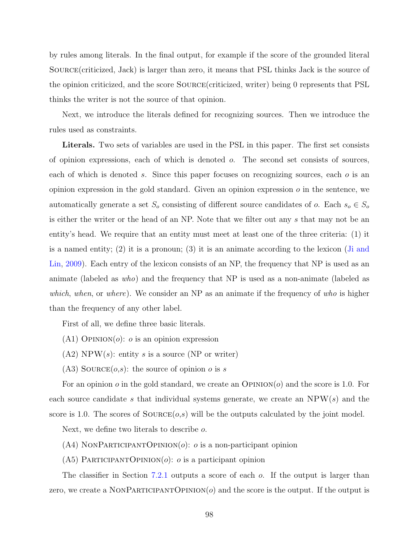by rules among literals. In the final output, for example if the score of the grounded literal Source(criticized, Jack) is larger than zero, it means that PSL thinks Jack is the source of the opinion criticized, and the score Source(criticized, writer) being 0 represents that PSL thinks the writer is not the source of that opinion.

Next, we introduce the literals defined for recognizing sources. Then we introduce the rules used as constraints.

**Literals.** Two sets of variables are used in the PSL in this paper. The first set consists of opinion expressions, each of which is denoted *o*. The second set consists of sources, each of which is denoted *s*. Since this paper focuses on recognizing sources, each *o* is an opinion expression in the gold standard. Given an opinion expression *o* in the sentence, we automatically generate a set  $S<sub>o</sub>$  consisting of different source candidates of *o*. Each  $s<sub>o</sub> \in S<sub>o</sub>$ is either the writer or the head of an NP. Note that we filter out any *s* that may not be an entity's head. We require that an entity must meet at least one of the three criteria: (1) it is a named entity; (2) it is a pronoun; (3) it is an animate according to the lexicon ([Ji and](#page-156-2) [Lin](#page-156-2), [2009](#page-156-2)). Each entry of the lexicon consists of an NP, the frequency that NP is used as an animate (labeled as *who*) and the frequency that NP is used as a non-animate (labeled as *which*, *when*, or *where*). We consider an NP as an animate if the frequency of *who* is higher than the frequency of any other label.

First of all, we define three basic literals.

- $(A1)$  OPINION $(o)$ : *o* is an opinion expression
- $(A2)$  NPW(*s*): entity *s* is a source (NP or writer)
- (A3) SOURCE $(o,s)$ : the source of opinion *o* is *s*

For an opinion *o* in the gold standard, we create an Opinion(*o*) and the score is 1.0. For each source candidate *s* that individual systems generate, we create an NPW(*s*) and the score is 1.0. The scores of  $SOLVEE(o,s)$  will be the outputs calculated by the joint model.

Next, we define two literals to describe *o*.

- $(A4)$  NONPARTICIPANTOPINION $(o)$ : *o* is a non-participant opinion
- (A5) ParticipantOpinion(*o*): *o* is a participant opinion

The classifier in Section [7.2.1](#page-108-0) outputs a score of each *o*. If the output is larger than zero, we create a NONPARTICIPANTOPINION $(o)$  and the score is the output. If the output is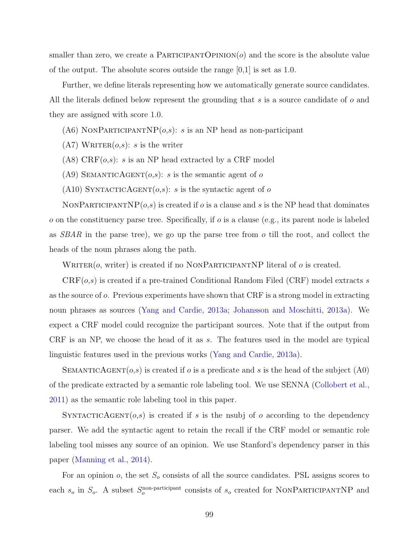smaller than zero, we create a PARTICIPANTOPINION(*o*) and the score is the absolute value of the output. The absolute scores outside the range  $[0,1]$  is set as 1.0.

Further, we define literals representing how we automatically generate source candidates. All the literals defined below represent the grounding that *s* is a source candidate of *o* and they are assigned with score 1.0.

- (A6) NONPARTICIPANTNP $(o,s)$ : *s* is an NP head as non-participant
- $(A7)$  WRITER $(o,s)$ : *s* is the writer
- (A8) CRF(*o*,*s*): *s* is an NP head extracted by a CRF model
- (A9) SEMANTICAGENT $(o,s)$ : *s* is the semantic agent of *o*
- (A10) SYNTACTICAGENT $(o,s)$ : *s* is the syntactic agent of *o*

NONPARTICIPANTNP $(o, s)$  is created if *o* is a clause and *s* is the NP head that dominates *o* on the constituency parse tree. Specifically, if *o* is a clause (e.g., its parent node is labeled as *SBAR* in the parse tree), we go up the parse tree from *o* till the root, and collect the heads of the noun phrases along the path.

WRITER( $o$ , writer) is created if no NONPARTICIPANTNP literal of  $o$  is created.

CRF(*o*,*s*) is created if a pre-trained Conditional Random Filed (CRF) model extracts *s* as the source of *o*. Previous experiments have shown that CRF is a strong model in extracting noun phrases as sources ([Yang and Cardie](#page-163-1), [2013a;](#page-163-1) [Johansson and Moschitti](#page-156-3), [2013a\)](#page-156-3). We expect a CRF model could recognize the participant sources. Note that if the output from CRF is an NP, we choose the head of it as *s*. The features used in the model are typical linguistic features used in the previous works ([Yang and Cardie](#page-163-1), [2013a\)](#page-163-1).

SEMANTICAGENT( $o,s$ ) is created if  $o$  is a predicate and  $s$  is the head of the subject (A0) of the predicate extracted by a semantic role labeling tool. We use SENNA ([Collobert et al.,](#page-153-1) [2011](#page-153-1)) as the semantic role labeling tool in this paper.

SYNTACTICAGENT( $o,s$ ) is created if *s* is the nsubj of *o* according to the dependency parser. We add the syntactic agent to retain the recall if the CRF model or semantic role labeling tool misses any source of an opinion. We use Stanford's dependency parser in this paper [\(Manning et al.,](#page-157-0) [2014](#page-157-0)).

For an opinion *o*, the set *S<sup>o</sup>* consists of all the source candidates. PSL assigns scores to each  $s_o$  in  $S_o$ . A subset  $S_o^{\text{non-participant}}$  consists of  $s_o$  created for NONPARTICIPANTNP and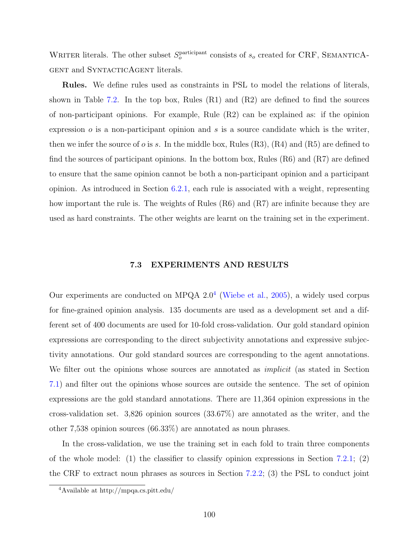WRITER literals. The other subset  $S_o^{\text{participant}}$  consists of  $s_o$  created for CRF, SEMANTICA-GENT and SYNTACTICAGENT literals.

**Rules.** We define rules used as constraints in PSL to model the relations of literals, shown in Table [7.2](#page-111-1). In the top box, Rules  $(R1)$  and  $(R2)$  are defined to find the sources of non-participant opinions. For example, Rule  $(R2)$  can be explained as: if the opinion expression *o* is a non-participant opinion and *s* is a source candidate which is the writer, then we infer the source of  $o$  is  $s$ . In the middle box, Rules  $(R3)$ ,  $(R4)$  and  $(R5)$  are defined to find the sources of participant opinions. In the bottom box, Rules  $(R6)$  and  $(R7)$  are defined to ensure that the same opinion cannot be both a non-participant opinion and a participant opinion. As introduced in Section [6.2.1](#page-92-0), each rule is associated with a weight, representing how important the rule is. The weights of Rules (R6) and (R7) are infinite because they are used as hard constraints. The other weights are learnt on the training set in the experiment.

## **7.3 EXPERIMENTS AND RESULTS**

Our experiments are conducted on MPQA  $2.0<sup>4</sup>$  $2.0<sup>4</sup>$  $2.0<sup>4</sup>$  [\(Wiebe et al.,](#page-162-0) [2005\)](#page-162-0), a widely used corpus for fine-grained opinion analysis. 135 documents are used as a development set and a different set of 400 documents are used for 10-fold cross-validation. Our gold standard opinion expressions are corresponding to the direct subjectivity annotations and expressive subjectivity annotations. Our gold standard sources are corresponding to the agent annotations. We filter out the opinions whose sources are annotated as *implicit* (as stated in Section [7.1\)](#page-107-0) and filter out the opinions whose sources are outside the sentence. The set of opinion expressions are the gold standard annotations. There are 11,364 opinion expressions in the cross-validation set. 3,826 opinion sources (33.67%) are annotated as the writer, and the other 7,538 opinion sources (66.33%) are annotated as noun phrases.

In the cross-validation, we use the training set in each fold to train three components of the whole model: (1) the classifier to classify opinion expressions in Section [7.2.1](#page-108-0); (2) the CRF to extract noun phrases as sources in Section [7.2.2;](#page-111-2) (3) the PSL to conduct joint

<span id="page-114-0"></span><sup>4</sup>Available at http://mpqa.cs.pitt.edu/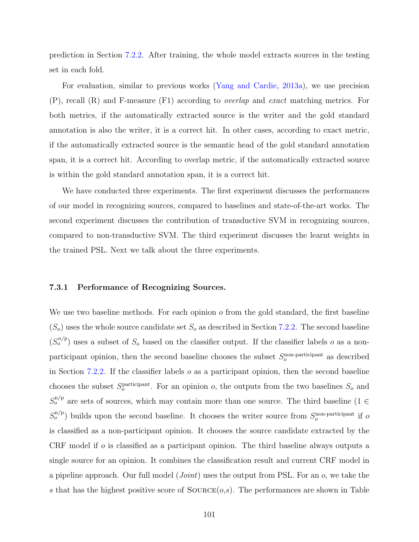prediction in Section [7.2.2](#page-111-2). After training, the whole model extracts sources in the testing set in each fold.

For evaluation, similar to previous works ([Yang and Cardie,](#page-163-1) [2013a](#page-163-1)), we use precision (P), recall (R) and F-measure (F1) according to *overlap* and *exact* matching metrics. For both metrics, if the automatically extracted source is the writer and the gold standard annotation is also the writer, it is a correct hit. In other cases, according to exact metric, if the automatically extracted source is the semantic head of the gold standard annotation span, it is a correct hit. According to overlap metric, if the automatically extracted source is within the gold standard annotation span, it is a correct hit.

We have conducted three experiments. The first experiment discusses the performances of our model in recognizing sources, compared to baselines and state-of-the-art works. The second experiment discusses the contribution of transductive SVM in recognizing sources, compared to non-transductive SVM. The third experiment discusses the learnt weights in the trained PSL. Next we talk about the three experiments.

## **7.3.1 Performance of Recognizing Sources.**

We use two baseline methods. For each opinion *o* from the gold standard, the first baseline  $(S<sub>o</sub>)$  uses the whole source candidate set  $S<sub>o</sub>$  as described in Section [7.2.2.](#page-111-2) The second baseline  $(S_o^{n/p})$  uses a subset of  $S_o$  based on the classifier output. If the classifier labels *o* as a nonparticipant opinion, then the second baseline chooses the subset  $S_o^{\text{non-participant}}$  as described in Section [7.2.2](#page-111-2). If the classifier labels *o* as a participant opinion, then the second baseline chooses the subset  $S_o^{\text{participant}}$ . For an opinion *o*, the outputs from the two baselines  $S_o$  and  $S_0^{n/p}$  are sets of sources, which may contain more than one source. The third baseline (1  $\in$  $S_o^{n/p}$  builds upon the second baseline. It chooses the writer source from  $S_o^{\text{non-participant}}$  if *o* is classified as a non-participant opinion. It chooses the source candidate extracted by the CRF model if *o* is classified as a participant opinion. The third baseline always outputs a single source for an opinion. It combines the classification result and current CRF model in a pipeline approach. Our full model (*Joint*) uses the output from PSL. For an *o*, we take the *s* that has the highest positive score of  $\text{Source}(o,s)$ . The performances are shown in Table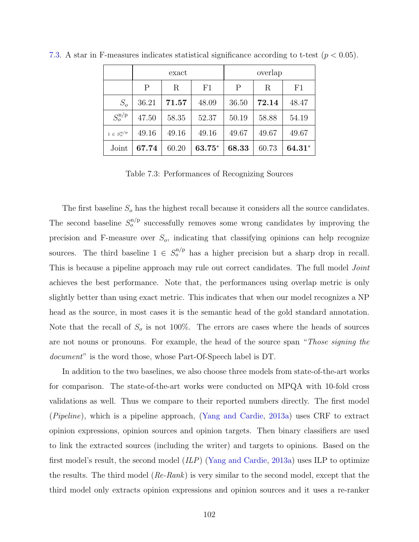|                                       | exact |       | overlap |       |       |        |
|---------------------------------------|-------|-------|---------|-------|-------|--------|
|                                       | P     | R     | F1      | P     | R     | F1     |
| $S_o$                                 | 36.21 | 71.57 | 48.09   | 36.50 | 72.14 | 48.47  |
| $S_{o}^{\rm n/p}$                     | 47.50 | 58.35 | 52.37   | 50.19 | 58.88 | 54.19  |
| $1 \in S^{\mathrm{n/p}}_{\mathrm{o}}$ | 49.16 | 49.16 | 49.16   | 49.67 | 49.67 | 49.67  |
| Joint                                 | 67.74 | 60.20 | 63.75*  | 68.33 | 60.73 | 64.31* |

[7.3.](#page-116-0) A star in F-measures indicates statistical significance according to t-test (*p <* 0*.*05).

<span id="page-116-0"></span>Table 7.3: Performances of Recognizing Sources

The first baseline *S<sup>o</sup>* has the highest recall because it considers all the source candidates. The second baseline  $S_o^{n/p}$  successfully removes some wrong candidates by improving the precision and F-measure over *So*, indicating that classifying opinions can help recognize sources. The third baseline  $1 \in S_0^{n/p}$  has a higher precision but a sharp drop in recall. This is because a pipeline approach may rule out correct candidates. The full model *Joint* achieves the best performance. Note that, the performances using overlap metric is only slightly better than using exact metric. This indicates that when our model recognizes a NP head as the source, in most cases it is the semantic head of the gold standard annotation. Note that the recall of  $S<sub>o</sub>$  is not 100%. The errors are cases where the heads of sources are not nouns or pronouns. For example, the head of the source span "*Those signing the document*" is the word those, whose Part-Of-Speech label is DT.

In addition to the two baselines, we also choose three models from state-of-the-art works for comparison. The state-of-the-art works were conducted on MPQA with 10-fold cross validations as well. Thus we compare to their reported numbers directly. The first model (*Pipeline*), which is a pipeline approach, ([Yang and Cardie,](#page-163-1) [2013a](#page-163-1)) uses CRF to extract opinion expressions, opinion sources and opinion targets. Then binary classifiers are used to link the extracted sources (including the writer) and targets to opinions. Based on the first model's result, the second model (*ILP*) [\(Yang and Cardie](#page-163-1), [2013a](#page-163-1)) uses ILP to optimize the results. The third model (*Re-Rank*) is very similar to the second model, except that the third model only extracts opinion expressions and opinion sources and it uses a re-ranker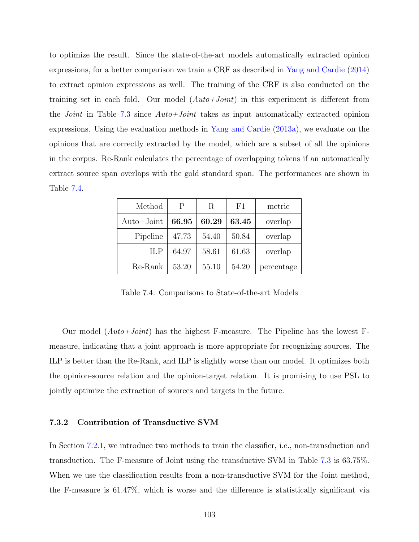to optimize the result. Since the state-of-the-art models automatically extracted opinion expressions, for a better comparison we train a CRF as described in [Yang and Cardie](#page-163-2) [\(2014](#page-163-2)) to extract opinion expressions as well. The training of the CRF is also conducted on the training set in each fold. Our model (*Auto+Joint*) in this experiment is different from the *Joint* in Table [7.3](#page-116-0) since *Auto+Joint* takes as input automatically extracted opinion expressions. Using the evaluation methods in [Yang and Cardie](#page-163-1) [\(2013a](#page-163-1)), we evaluate on the opinions that are correctly extracted by the model, which are a subset of all the opinions in the corpus. Re-Rank calculates the percentage of overlapping tokens if an automatically extract source span overlaps with the gold standard span. The performances are shown in Table [7.4](#page-117-0).

| Method              | P     | R     | F1    | metric     |
|---------------------|-------|-------|-------|------------|
| $\text{Auto+Joint}$ | 66.95 | 60.29 | 63.45 | overlap    |
| Pipeline            | 47.73 | 54.40 | 50.84 | overlap    |
| <b>ILP</b>          | 64.97 | 58.61 | 61.63 | overlap    |
| Re-Rank             | 53.20 | 55.10 | 54.20 | percentage |

<span id="page-117-0"></span>Table 7.4: Comparisons to State-of-the-art Models

Our model (*Auto+Joint*) has the highest F-measure. The Pipeline has the lowest Fmeasure, indicating that a joint approach is more appropriate for recognizing sources. The ILP is better than the Re-Rank, and ILP is slightly worse than our model. It optimizes both the opinion-source relation and the opinion-target relation. It is promising to use PSL to jointly optimize the extraction of sources and targets in the future.

#### **7.3.2 Contribution of Transductive SVM**

In Section [7.2.1](#page-108-0), we introduce two methods to train the classifier, i.e., non-transduction and transduction. The F-measure of Joint using the transductive SVM in Table [7.3](#page-116-0) is 63.75%. When we use the classification results from a non-transductive SVM for the Joint method, the F-measure is 61.47%, which is worse and the difference is statistically significant via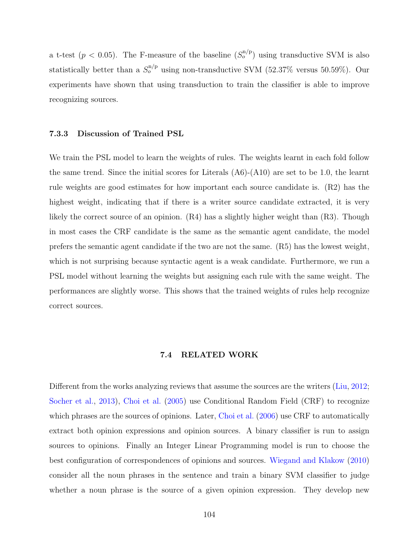a t-test ( $p < 0.05$ ). The F-measure of the baseline  $(S_o^{n/p})$  using transductive SVM is also statistically better than a  $S_o^{n/p}$  using non-transductive SVM (52.37% versus 50.59%). Our experiments have shown that using transduction to train the classifier is able to improve recognizing sources.

#### **7.3.3 Discussion of Trained PSL**

We train the PSL model to learn the weights of rules. The weights learnt in each fold follow the same trend. Since the initial scores for Literals  $(A6)-(A10)$  are set to be 1.0, the learnt rule weights are good estimates for how important each source candidate is. (R2) has the highest weight, indicating that if there is a writer source candidate extracted, it is very likely the correct source of an opinion. (R4) has a slightly higher weight than (R3). Though in most cases the CRF candidate is the same as the semantic agent candidate, the model prefers the semantic agent candidate if the two are not the same. (R5) has the lowest weight, which is not surprising because syntactic agent is a weak candidate. Furthermore, we run a PSL model without learning the weights but assigning each rule with the same weight. The performances are slightly worse. This shows that the trained weights of rules help recognize correct sources.

# **7.4 RELATED WORK**

Different from the works analyzing reviews that assume the sources are the writers ([Liu](#page-157-1), [2012;](#page-157-1) [Socher et al.,](#page-160-1) [2013](#page-160-1)), [Choi et al.](#page-153-2) ([2005\)](#page-153-2) use Conditional Random Field (CRF) to recognize which phrases are the sources of opinions. Later, [Choi et al.](#page-153-3)  $(2006)$  $(2006)$  $(2006)$  use CRF to automatically extract both opinion expressions and opinion sources. A binary classifier is run to assign sources to opinions. Finally an Integer Linear Programming model is run to choose the best configuration of correspondences of opinions and sources. [Wiegand and Klakow](#page-162-1) [\(2010](#page-162-1)) consider all the noun phrases in the sentence and train a binary SVM classifier to judge whether a noun phrase is the source of a given opinion expression. They develop new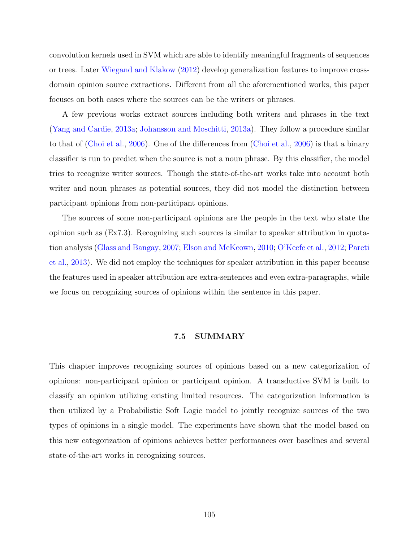convolution kernels used in SVM which are able to identify meaningful fragments of sequences or trees. Later [Wiegand and Klakow](#page-162-2) [\(2012\)](#page-162-2) develop generalization features to improve crossdomain opinion source extractions. Different from all the aforementioned works, this paper focuses on both cases where the sources can be the writers or phrases.

A few previous works extract sources including both writers and phrases in the text ([Yang and Cardie](#page-163-1), [2013a;](#page-163-1) [Johansson and Moschitti,](#page-156-3) [2013a\)](#page-156-3). They follow a procedure similar to that of [\(Choi et al.,](#page-153-3) [2006\)](#page-153-3). One of the differences from ([Choi et al.](#page-153-3), [2006](#page-153-3)) is that a binary classifier is run to predict when the source is not a noun phrase. By this classifier, the model tries to recognize writer sources. Though the state-of-the-art works take into account both writer and noun phrases as potential sources, they did not model the distinction between participant opinions from non-participant opinions.

The sources of some non-participant opinions are the people in the text who state the opinion such as (Ex7.3). Recognizing such sources is similar to speaker attribution in quotation analysis [\(Glass and Bangay](#page-155-0), [2007](#page-155-0); [Elson and McKeown](#page-155-1), [2010;](#page-155-1) [O'Keefe et al.,](#page-158-0) [2012](#page-158-0); [Pareti](#page-159-0) [et al.](#page-159-0), [2013](#page-159-0)). We did not employ the techniques for speaker attribution in this paper because the features used in speaker attribution are extra-sentences and even extra-paragraphs, while we focus on recognizing sources of opinions within the sentence in this paper.

# **7.5 SUMMARY**

This chapter improves recognizing sources of opinions based on a new categorization of opinions: non-participant opinion or participant opinion. A transductive SVM is built to classify an opinion utilizing existing limited resources. The categorization information is then utilized by a Probabilistic Soft Logic model to jointly recognize sources of the two types of opinions in a single model. The experiments have shown that the model based on this new categorization of opinions achieves better performances over baselines and several state-of-the-art works in recognizing sources.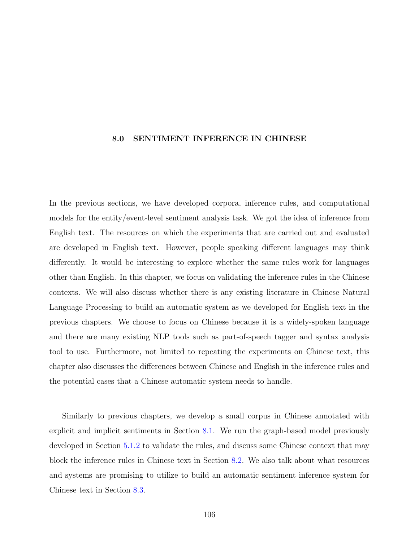# **8.0 SENTIMENT INFERENCE IN CHINESE**

In the previous sections, we have developed corpora, inference rules, and computational models for the entity/event-level sentiment analysis task. We got the idea of inference from English text. The resources on which the experiments that are carried out and evaluated are developed in English text. However, people speaking different languages may think differently. It would be interesting to explore whether the same rules work for languages other than English. In this chapter, we focus on validating the inference rules in the Chinese contexts. We will also discuss whether there is any existing literature in Chinese Natural Language Processing to build an automatic system as we developed for English text in the previous chapters. We choose to focus on Chinese because it is a widely-spoken language and there are many existing NLP tools such as part-of-speech tagger and syntax analysis tool to use. Furthermore, not limited to repeating the experiments on Chinese text, this chapter also discusses the differences between Chinese and English in the inference rules and the potential cases that a Chinese automatic system needs to handle.

Similarly to previous chapters, we develop a small corpus in Chinese annotated with explicit and implicit sentiments in Section [8.1](#page-121-0). We run the graph-based model previously developed in Section [5.1.2](#page-66-0) to validate the rules, and discuss some Chinese context that may block the inference rules in Chinese text in Section [8.2](#page-126-0). We also talk about what resources and systems are promising to utilize to build an automatic sentiment inference system for Chinese text in Section [8.3.](#page-130-0)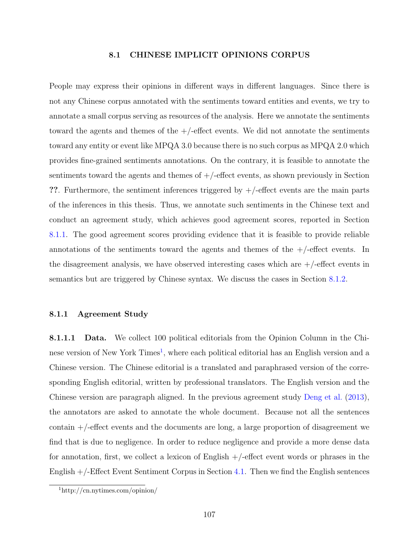## **8.1 CHINESE IMPLICIT OPINIONS CORPUS**

<span id="page-121-0"></span>People may express their opinions in different ways in different languages. Since there is not any Chinese corpus annotated with the sentiments toward entities and events, we try to annotate a small corpus serving as resources of the analysis. Here we annotate the sentiments toward the agents and themes of the  $+/-$ effect events. We did not annotate the sentiments toward any entity or event like MPQA 3.0 because there is no such corpus as MPQA 2.0 which provides fine-grained sentiments annotations. On the contrary, it is feasible to annotate the sentiments toward the agents and themes of  $+/-$ effect events, as shown previously in Section **??**. Furthermore, the sentiment inferences triggered by +/-effect events are the main parts of the inferences in this thesis. Thus, we annotate such sentiments in the Chinese text and conduct an agreement study, which achieves good agreement scores, reported in Section [8.1.1](#page-121-1). The good agreement scores providing evidence that it is feasible to provide reliable annotations of the sentiments toward the agents and themes of the  $+/-$ effect events. In the disagreement analysis, we have observed interesting cases which are  $+/-$ effect events in semantics but are triggered by Chinese syntax. We discuss the cases in Section [8.1.2](#page-124-0).

#### <span id="page-121-1"></span>**8.1.1 Agreement Study**

**8.1.1.1 Data.** We collect 100 political editorials from the Opinion Column in the Chi-nese version of New York Times<sup>[1](#page-121-2)</sup>, where each political editorial has an English version and a Chinese version. The Chinese editorial is a translated and paraphrased version of the corresponding English editorial, written by professional translators. The English version and the Chinese version are paragraph aligned. In the previous agreement study [Deng et al.](#page-154-0) ([2013](#page-154-0)), the annotators are asked to annotate the whole document. Because not all the sentences contain +/-effect events and the documents are long, a large proportion of disagreement we find that is due to negligence. In order to reduce negligence and provide a more dense data for annotation, first, we collect a lexicon of English +/-effect event words or phrases in the English  $+/-$  Effect Event Sentiment Corpus in Section [4.1](#page-42-0). Then we find the English sentences

<span id="page-121-2"></span><sup>1</sup>http://cn.nytimes.com/opinion/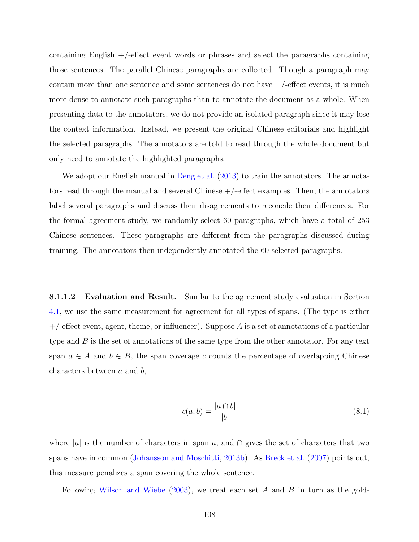containing English  $+/-$  effect event words or phrases and select the paragraphs containing those sentences. The parallel Chinese paragraphs are collected. Though a paragraph may contain more than one sentence and some sentences do not have  $+/-$ effect events, it is much more dense to annotate such paragraphs than to annotate the document as a whole. When presenting data to the annotators, we do not provide an isolated paragraph since it may lose the context information. Instead, we present the original Chinese editorials and highlight the selected paragraphs. The annotators are told to read through the whole document but only need to annotate the highlighted paragraphs.

We adopt our English manual in [Deng et al.](#page-154-0)  $(2013)$  $(2013)$  $(2013)$  to train the annotators. The annotators read through the manual and several Chinese  $+/-$  effect examples. Then, the annotators label several paragraphs and discuss their disagreements to reconcile their differences. For the formal agreement study, we randomly select 60 paragraphs, which have a total of 253 Chinese sentences. These paragraphs are different from the paragraphs discussed during training. The annotators then independently annotated the 60 selected paragraphs.

**8.1.1.2 Evaluation and Result.** Similar to the agreement study evaluation in Section [4.1,](#page-42-0) we use the same measurement for agreement for all types of spans. (The type is either +/-effect event, agent, theme, or influencer). Suppose *A* is a set of annotations of a particular type and *B* is the set of annotations of the same type from the other annotator. For any text span  $a \in A$  and  $b \in B$ , the span coverage c counts the percentage of overlapping Chinese characters between *a* and *b*,

$$
c(a,b) = \frac{|a \cap b|}{|b|} \tag{8.1}
$$

where *|a|* is the number of characters in span *a*, and *∩* gives the set of characters that two spans have in common [\(Johansson and Moschitti,](#page-156-4) [2013b\)](#page-156-4). As [Breck et al.](#page-153-4) ([2007\)](#page-153-4) points out, this measure penalizes a span covering the whole sentence.

Following [Wilson and Wiebe](#page-163-3) [\(2003\)](#page-163-3), we treat each set *A* and *B* in turn as the gold-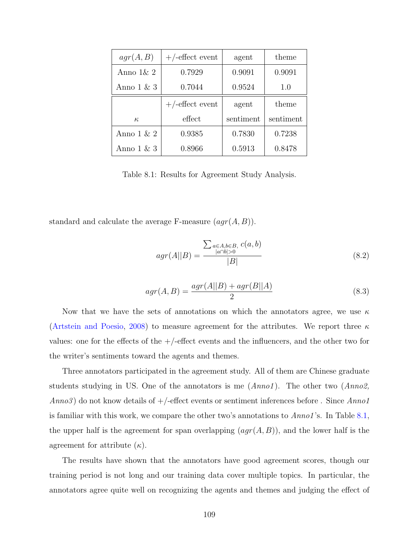| agr(A, B)     | $+/-$ effect event | agent     | theme     |
|---------------|--------------------|-----------|-----------|
| Anno $1\& 2$  | 0.7929             | 0.9091    | 0.9091    |
| Anno $1 \& 3$ | 0.7044             | 0.9524    | 1.0       |
|               | $+/-$ effect event | agent     | theme     |
| $\kappa$      | effect             | sentiment | sentiment |
| Anno $1 \& 2$ | 0.9385             | 0.7830    | 0.7238    |
| Anno $1 \& 3$ | 0.8966             | 0.5913    | 0.8478    |

<span id="page-123-0"></span>Table 8.1: Results for Agreement Study Analysis.

standard and calculate the average F-measure (*agr*(*A, B*)).

$$
agr(A||B) = \frac{\sum_{a \in A, b \in B, c(a, b)} c(a, b)}{|B|}
$$
\n
$$
(8.2)
$$

$$
agr(A, B) = \frac{agr(A||B) + agr(B||A)}{2}
$$
 (8.3)

Now that we have the sets of annotations on which the annotators agree, we use *κ* ([Artstein and Poesio](#page-152-0), [2008](#page-152-0)) to measure agreement for the attributes. We report three *κ* values: one for the effects of the  $+/-$ effect events and the influencers, and the other two for the writer's sentiments toward the agents and themes.

Three annotators participated in the agreement study. All of them are Chinese graduate students studying in US. One of the annotators is me (*Anno1* ). The other two (*Anno2, Anno3* ) do not know details of +/-effect events or sentiment inferences before . Since *Anno1* is familiar with this work, we compare the other two's annotations to *Anno1* 's. In Table [8.1,](#page-123-0) the upper half is the agreement for span overlapping (*agr*(*A, B*)), and the lower half is the agreement for attribute  $(\kappa)$ .

The results have shown that the annotators have good agreement scores, though our training period is not long and our training data cover multiple topics. In particular, the annotators agree quite well on recognizing the agents and themes and judging the effect of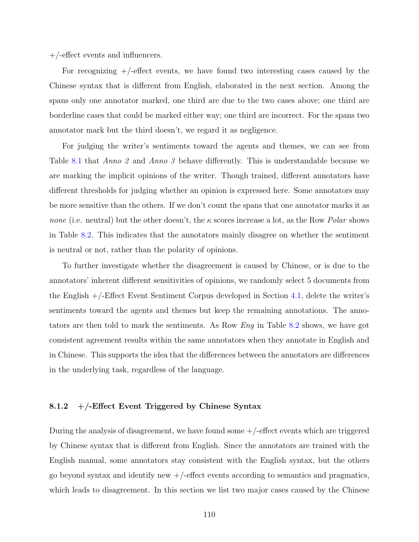+/-effect events and influencers.

For recognizing  $+/-$  effect events, we have found two interesting cases caused by the Chinese syntax that is different from English, elaborated in the next section. Among the spans only one annotator marked, one third are due to the two cases above; one third are borderline cases that could be marked either way; one third are incorrect. For the spans two annotator mark but the third doesn't, we regard it as negligence.

For judging the writer's sentiments toward the agents and themes, we can see from Table [8.1](#page-123-0) that *Anno 2* and *Anno 3* behave differently. This is understandable because we are marking the implicit opinions of the writer. Though trained, different annotators have different thresholds for judging whether an opinion is expressed here. Some annotators may be more sensitive than the others. If we don't count the spans that one annotator marks it as *none* (i.e. neutral) but the other doesn't, the *κ* scores increase a lot, as the Row *Polar* shows in Table [8.2](#page-125-0). This indicates that the annotators mainly disagree on whether the sentiment is neutral or not, rather than the polarity of opinions.

To further investigate whether the disagreement is caused by Chinese, or is due to the annotators' inherent different sensitivities of opinions, we randomly select 5 documents from the English +/-Effect Event Sentiment Corpus developed in Section [4.1](#page-42-0), delete the writer's sentiments toward the agents and themes but keep the remaining annotations. The annotators are then told to mark the sentiments. As Row *Eng* in Table [8.2](#page-125-0) shows, we have got consistent agreement results within the same annotators when they annotate in English and in Chinese. This supports the idea that the differences between the annotators are differences in the underlying task, regardless of the language.

# <span id="page-124-0"></span>**8.1.2 +/-Effect Event Triggered by Chinese Syntax**

During the analysis of disagreement, we have found some  $+/-$  effect events which are triggered by Chinese syntax that is different from English. Since the annotators are trained with the English manual, some annotators stay consistent with the English syntax, but the others go beyond syntax and identify new  $+/-$ effect events according to semantics and pragmatics, which leads to disagreement. In this section we list two major cases caused by the Chinese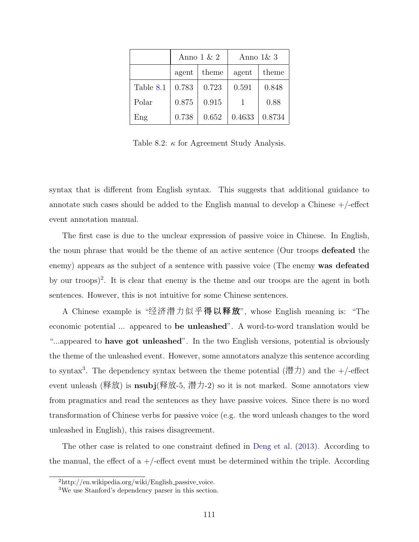|           | Anno $1 \& 2$ |       | Anno $1\& 3$ |        |
|-----------|---------------|-------|--------------|--------|
|           | agent         | theme | agent        | theme  |
| Table 8.1 | 0.783         | 0.723 | 0.591        | 0.848  |
| Polar     | 0.875         | 0.915 |              | 0.88   |
| Eng       | 0.738         | 0.652 | 0.4633       | 0.8734 |

<span id="page-125-0"></span>Table 8.2: *κ* for Agreement Study Analysis.

syntax that is different from English syntax. This suggests that additional guidance to annotate such cases should be added to the English manual to develop a Chinese  $+/-$ effect event annotation manual.

The first case is due to the unclear expression of passive voice in Chinese. In English, the noun phrase that would be the theme of an active sentence (Our troops **defeated** the enemy) appears as the subject of a sentence with passive voice (The enemy **was defeated** by our troops)<sup>[2](#page-125-1)</sup>. It is clear that enemy is the theme and our troops are the agent in both sentences. However, this is not intuitive for some Chinese sentences.

A Chinese example is "经济潜力似乎得以释放", whose English meaning is: "The economic potential ... appeared to **be unleashed**". A word-to-word translation would be "...appeared to **have got unleashed**". In the two English versions, potential is obviously the theme of the unleashed event. However, some annotators analyze this sentence according to syntax<sup>[3](#page-125-2)</sup>. The dependency syntax between the theme potential (潜力) and the  $+/-$ effect event unleash (释放) is **nsubj**(释放-5, 潜力-2) so it is not marked. Some annotators view from pragmatics and read the sentences as they have passive voices. Since there is no word transformation of Chinese verbs for passive voice (e.g. the word unleash changes to the word unleashed in English), this raises disagreement.

The other case is related to one constraint defined in [Deng et al.](#page-154-0) ([2013](#page-154-0)). According to the manual, the effect of a  $+/-$  effect event must be determined within the triple. According

<span id="page-125-1"></span> $^{2}$ http://en.wikipedia.org/wiki/English\_passive\_voice.

<span id="page-125-2"></span><sup>3</sup>We use Stanford's dependency parser in this section.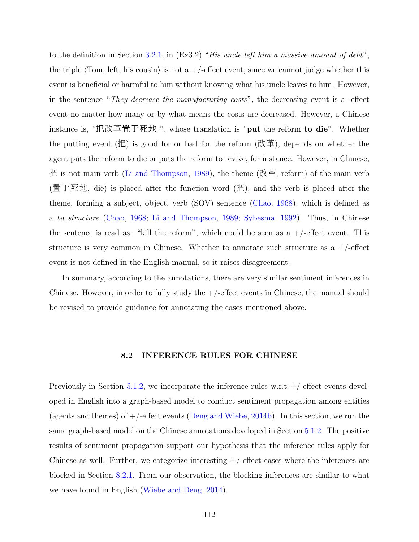to the definition in Section [3.2.1](#page-34-0), in (Ex3.2) "*His uncle left him a massive amount of debt*", the triple  $\langle$ Tom, left, his cousin $\rangle$  is not a  $+/-$  effect event, since we cannot judge whether this event is beneficial or harmful to him without knowing what his uncle leaves to him. However, in the sentence "*They decrease the manufacturing costs*", the decreasing event is a -effect event no matter how many or by what means the costs are decreased. However, a Chinese instance is, "把改革置于死地 ", whose translation is "**put** the reform **to die**". Whether the putting event (把) is good for or bad for the reform (改革), depends on whether the agent puts the reform to die or puts the reform to revive, for instance. However, in Chinese, 把 is not main verb ([Li and Thompson,](#page-157-2) [1989](#page-157-2)), the theme (改革, reform) of the main verb (置于死地, die) is placed after the function word (把), and the verb is placed after the theme, forming a subject, object, verb (SOV) sentence [\(Chao](#page-153-5), [1968\)](#page-153-5), which is defined as a *ba structure* [\(Chao,](#page-153-5) [1968;](#page-153-5) [Li and Thompson](#page-157-2), [1989](#page-157-2); [Sybesma,](#page-161-1) [1992\)](#page-161-1). Thus, in Chinese the sentence is read as: "kill the reform", which could be seen as  $a +$ /-effect event. This structure is very common in Chinese. Whether to annotate such structure as  $a +$ /-effect event is not defined in the English manual, so it raises disagreement.

In summary, according to the annotations, there are very similar sentiment inferences in Chinese. However, in order to fully study the  $+/-$  effect events in Chinese, the manual should be revised to provide guidance for annotating the cases mentioned above.

#### **8.2 INFERENCE RULES FOR CHINESE**

<span id="page-126-0"></span>Previously in Section [5.1.2](#page-66-0), we incorporate the inference rules w.r.t  $+/-$ effect events developed in English into a graph-based model to conduct sentiment propagation among entities (agents and themes) of  $+/-$ effect events [\(Deng and Wiebe,](#page-154-1) [2014b](#page-154-1)). In this section, we run the same graph-based model on the Chinese annotations developed in Section [5.1.2](#page-66-0). The positive results of sentiment propagation support our hypothesis that the inference rules apply for Chinese as well. Further, we categorize interesting  $+/-$  effect cases where the inferences are blocked in Section [8.2.1.](#page-128-0) From our observation, the blocking inferences are similar to what we have found in English [\(Wiebe and Deng,](#page-162-3) [2014](#page-162-3)).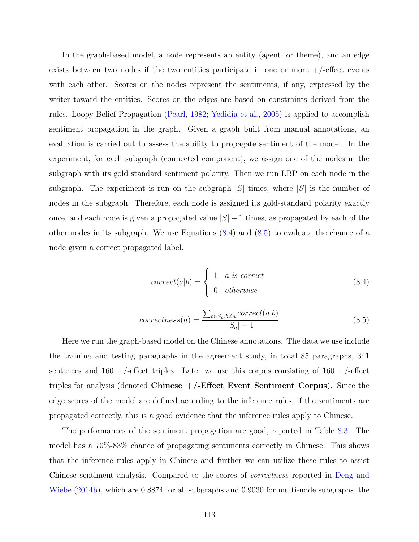In the graph-based model, a node represents an entity (agent, or theme), and an edge exists between two nodes if the two entities participate in one or more  $+/-$  effect events with each other. Scores on the nodes represent the sentiments, if any, expressed by the writer toward the entities. Scores on the edges are based on constraints derived from the rules. Loopy Belief Propagation ([Pearl](#page-159-1), [1982;](#page-159-1) [Yedidia et al.](#page-163-4), [2005](#page-163-4)) is applied to accomplish sentiment propagation in the graph. Given a graph built from manual annotations, an evaluation is carried out to assess the ability to propagate sentiment of the model. In the experiment, for each subgraph (connected component), we assign one of the nodes in the subgraph with its gold standard sentiment polarity. Then we run LBP on each node in the subgraph. The experiment is run on the subgraph  $|S|$  times, where  $|S|$  is the number of nodes in the subgraph. Therefore, each node is assigned its gold-standard polarity exactly once, and each node is given a propagated value *|S| −* 1 times, as propagated by each of the other nodes in its subgraph. We use Equations ([8.4\)](#page-127-0) and ([8.5\)](#page-127-1) to evaluate the chance of a node given a correct propagated label.

$$
correct(a|b) = \begin{cases} 1 & a \text{ is correct} \\ 0 & otherwise \end{cases}
$$
 (8.4)

$$
correctness(a) = \frac{\sum_{b \in S_a, b \neq a} correct(a|b)}{|S_a| - 1}
$$
\n(8.5)

<span id="page-127-1"></span><span id="page-127-0"></span>Here we run the graph-based model on the Chinese annotations. The data we use include the training and testing paragraphs in the agreement study, in total 85 paragraphs, 341 sentences and  $160 +$ -effect triples. Later we use this corpus consisting of  $160 +$ -effect triples for analysis (denoted **Chinese +/-Effect Event Sentiment Corpus**). Since the edge scores of the model are defined according to the inference rules, if the sentiments are propagated correctly, this is a good evidence that the inference rules apply to Chinese.

The performances of the sentiment propagation are good, reported in Table [8.3.](#page-128-1) The model has a 70%-83% chance of propagating sentiments correctly in Chinese. This shows that the inference rules apply in Chinese and further we can utilize these rules to assist Chinese sentiment analysis. Compared to the scores of *correctness* reported in [Deng and](#page-154-1) [Wiebe](#page-154-1) ([2014b\)](#page-154-1), which are 0.8874 for all subgraphs and 0.9030 for multi-node subgraphs, the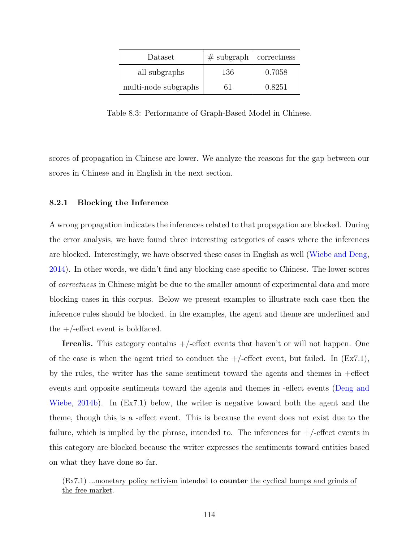| Dataset              | $#$ subgraph | correctness |
|----------------------|--------------|-------------|
| all subgraphs        | 136          | 0.7058      |
| multi-node subgraphs |              | 0.8251      |

<span id="page-128-1"></span>Table 8.3: Performance of Graph-Based Model in Chinese.

scores of propagation in Chinese are lower. We analyze the reasons for the gap between our scores in Chinese and in English in the next section.

## <span id="page-128-0"></span>**8.2.1 Blocking the Inference**

A wrong propagation indicates the inferences related to that propagation are blocked. During the error analysis, we have found three interesting categories of cases where the inferences are blocked. Interestingly, we have observed these cases in English as well ([Wiebe and Deng,](#page-162-3) [2014](#page-162-3)). In other words, we didn't find any blocking case specific to Chinese. The lower scores of *correctness* in Chinese might be due to the smaller amount of experimental data and more blocking cases in this corpus. Below we present examples to illustrate each case then the inference rules should be blocked. in the examples, the agent and theme are underlined and the  $+/-$  effect event is boldfaced.

**Irrealis.** This category contains  $+/-$  effect events that haven't or will not happen. One of the case is when the agent tried to conduct the  $+/-$  effect event, but failed. In  $(Ex7.1)$ , by the rules, the writer has the same sentiment toward the agents and themes in +effect events and opposite sentiments toward the agents and themes in -effect events ([Deng and](#page-154-1) [Wiebe,](#page-154-1) [2014b\)](#page-154-1). In (Ex7.1) below, the writer is negative toward both the agent and the theme, though this is a -effect event. This is because the event does not exist due to the failure, which is implied by the phrase, intended to. The inferences for  $+/-$  effect events in this category are blocked because the writer expresses the sentiments toward entities based on what they have done so far.

(Ex7.1) ...monetary policy activism intended to **counter** the cyclical bumps and grinds of the free market.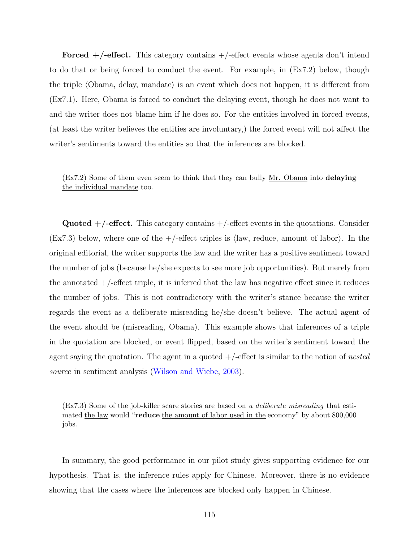**Forced +/-effect.** This category contains +/-effect events whose agents don't intend to do that or being forced to conduct the event. For example, in (Ex7.2) below, though the triple *⟨*Obama, delay, mandate*⟩* is an event which does not happen, it is different from (Ex7.1). Here, Obama is forced to conduct the delaying event, though he does not want to and the writer does not blame him if he does so. For the entities involved in forced events, (at least the writer believes the entities are involuntary,) the forced event will not affect the writer's sentiments toward the entities so that the inferences are blocked.

(Ex7.2) Some of them even seem to think that they can bully Mr. Obama into **delaying** the individual mandate too.

**Quoted +/-effect.** This category contains +/-effect events in the quotations. Consider (Ex7.3) below, where one of the +/-effect triples is *⟨*law, reduce, amount of labor*⟩*. In the original editorial, the writer supports the law and the writer has a positive sentiment toward the number of jobs (because he/she expects to see more job opportunities). But merely from the annotated  $+/-$  effect triple, it is inferred that the law has negative effect since it reduces the number of jobs. This is not contradictory with the writer's stance because the writer regards the event as a deliberate misreading he/she doesn't believe. The actual agent of the event should be (misreading, Obama). This example shows that inferences of a triple in the quotation are blocked, or event flipped, based on the writer's sentiment toward the agent saying the quotation. The agent in a quoted +/-effect is similar to the notion of *nested source* in sentiment analysis ([Wilson and Wiebe,](#page-163-3) [2003](#page-163-3)).

(Ex7.3) Some of the job-killer scare stories are based on *a deliberate misreading* that estimated the law would "**reduce** the amount of labor used in the economy" by about 800,000 jobs.

In summary, the good performance in our pilot study gives supporting evidence for our hypothesis. That is, the inference rules apply for Chinese. Moreover, there is no evidence showing that the cases where the inferences are blocked only happen in Chinese.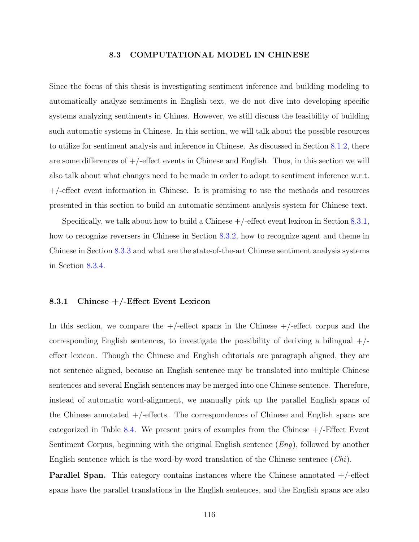#### **8.3 COMPUTATIONAL MODEL IN CHINESE**

<span id="page-130-0"></span>Since the focus of this thesis is investigating sentiment inference and building modeling to automatically analyze sentiments in English text, we do not dive into developing specific systems analyzing sentiments in Chines. However, we still discuss the feasibility of building such automatic systems in Chinese. In this section, we will talk about the possible resources to utilize for sentiment analysis and inference in Chinese. As discussed in Section [8.1.2](#page-124-0), there are some differences of  $+/-$  effect events in Chinese and English. Thus, in this section we will also talk about what changes need to be made in order to adapt to sentiment inference w.r.t. +/-effect event information in Chinese. It is promising to use the methods and resources presented in this section to build an automatic sentiment analysis system for Chinese text.

Specifically, we talk about how to build a Chinese  $+/-$  effect event lexicon in Section [8.3.1,](#page-130-1) how to recognize reversers in Chinese in Section [8.3.2,](#page-132-0) how to recognize agent and theme in Chinese in Section [8.3.3](#page-133-0) and what are the state-of-the-art Chinese sentiment analysis systems in Section [8.3.4.](#page-135-0)

### <span id="page-130-1"></span>**8.3.1 Chinese +/-Effect Event Lexicon**

In this section, we compare the  $+/-$ effect spans in the Chinese  $+/-$ effect corpus and the corresponding English sentences, to investigate the possibility of deriving a bilingual  $+/$ effect lexicon. Though the Chinese and English editorials are paragraph aligned, they are not sentence aligned, because an English sentence may be translated into multiple Chinese sentences and several English sentences may be merged into one Chinese sentence. Therefore, instead of automatic word-alignment, we manually pick up the parallel English spans of the Chinese annotated  $+/-$  effects. The correspondences of Chinese and English spans are categorized in Table [8.4](#page-131-0). We present pairs of examples from the Chinese  $+/-E$  ffect Event Sentiment Corpus, beginning with the original English sentence (*Eng*), followed by another English sentence which is the word-by-word translation of the Chinese sentence (*Chi*).

**Parallel Span.** This category contains instances where the Chinese annotated  $+$ /-effect spans have the parallel translations in the English sentences, and the English spans are also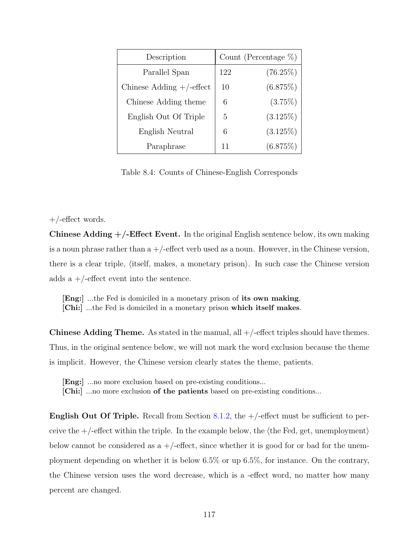| Description                 | Count (Percentage $\%$ ) |             |  |
|-----------------------------|--------------------------|-------------|--|
| Parallel Span               | 122                      | $(76.25\%)$ |  |
| Chinese Adding $+/-$ effect | 10                       | (6.875%)    |  |
| Chinese Adding theme        | 6                        | $(3.75\%)$  |  |
| English Out Of Triple       | 5                        | $(3.125\%)$ |  |
| English Neutral             | 6                        | $(3.125\%)$ |  |
| Paraphrase                  | 11                       | (6.875%)    |  |

<span id="page-131-0"></span>Table 8.4: Counts of Chinese-English Corresponds

## $+/-$ effect words.

**Chinese Adding +/-Effect Event.** In the original English sentence below, its own making is a noun phrase rather than  $a +$ -effect verb used as a noun. However, in the Chinese version, there is a clear triple, *⟨*itself, makes, a monetary prison*⟩*. In such case the Chinese version adds a  $+/-$ effect event into the sentence.

**[Eng:]** ...the Fed is domiciled in a monetary prison of **its own making**. **[Chi:]** ...the Fed is domiciled in a monetary prison **which itself makes**.

**Chinese Adding Theme.** As stated in the manual, all  $+/-$  effect triples should have themes. Thus, in the original sentence below, we will not mark the word exclusion because the theme is implicit. However, the Chinese version clearly states the theme, patients.

**[Eng:]** ...no more exclusion based on pre-existing conditions...

**[Chi:]** ...no more exclusion **of the patients** based on pre-existing conditions...

**English Out Of Triple.** Recall from Section [8.1.2,](#page-124-0) the  $+/-$  effect must be sufficient to perceive the +/-effect within the triple. In the example below, the *⟨*the Fed, get, unemployment*⟩* below cannot be considered as  $a +$ -effect, since whether it is good for or bad for the unemployment depending on whether it is below 6.5% or up 6.5%, for instance. On the contrary, the Chinese version uses the word decrease, which is a -effect word, no matter how many percent are changed.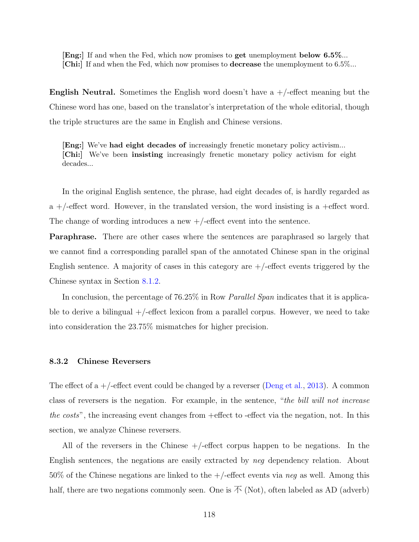**[Eng:]** If and when the Fed, which now promises to **get** unemployment **below 6.5%**... **[Chi:]** If and when the Fed, which now promises to **decrease** the unemployment to 6.5%...

**English Neutral.** Sometimes the English word doesn't have a  $+/-$  effect meaning but the Chinese word has one, based on the translator's interpretation of the whole editorial, though the triple structures are the same in English and Chinese versions.

**[Eng:]** We've **had eight decades of** increasingly frenetic monetary policy activism... **[Chi:]** We've been **insisting** increasingly frenetic monetary policy activism for eight decades...

In the original English sentence, the phrase, had eight decades of, is hardly regarded as a  $+/-$  effect word. However, in the translated version, the word insisting is a +effect word. The change of wording introduces a new  $+/-$  effect event into the sentence.

**Paraphrase.** There are other cases where the sentences are paraphrased so largely that we cannot find a corresponding parallel span of the annotated Chinese span in the original English sentence. A majority of cases in this category are  $+/-$  effect events triggered by the Chinese syntax in Section [8.1.2.](#page-124-0)

In conclusion, the percentage of 76.25% in Row *Parallel Span* indicates that it is applicable to derive a bilingual  $+/-$  effect lexicon from a parallel corpus. However, we need to take into consideration the 23.75% mismatches for higher precision.

#### <span id="page-132-0"></span>**8.3.2 Chinese Reversers**

The effect of a  $+/-$  effect event could be changed by a reverser ([Deng et al.,](#page-154-0) [2013](#page-154-0)). A common class of reversers is the negation. For example, in the sentence, "*the bill will not increase the costs*", the increasing event changes from +effect to -effect via the negation, not. In this section, we analyze Chinese reversers.

All of the reversers in the Chinese  $+/-$  effect corpus happen to be negations. In the English sentences, the negations are easily extracted by *neg* dependency relation. About 50% of the Chinese negations are linked to the +/-effect events via *neg* as well. Among this half, there are two negations commonly seen. One is  $\bar{\wedge}$  (Not), often labeled as AD (adverb)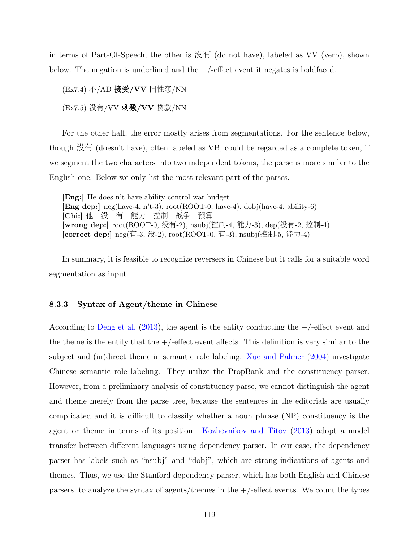in terms of Part-Of-Speech, the other is 没有 (do not have), labeled as VV (verb), shown below. The negation is underlined and the  $+/-$ effect event it negates is boldfaced.

(Ex7.4) 不/AD 接受**/VV** 同性恋/NN (Ex7.5) 没有/VV 刺激**/VV** 贷款/NN

For the other half, the error mostly arises from segmentations. For the sentence below, though 没有 (doesn't have), often labeled as VB, could be regarded as a complete token, if we segment the two characters into two independent tokens, the parse is more similar to the English one. Below we only list the most relevant part of the parses.

**[Eng:]** He does n't have ability control war budget **[Eng dep:]** neg(have-4, n't-3), root(ROOT-0, have-4), dobj(have-4, ability-6) **[Chi:]** 他 没 有 能力 控制 战争 预算 **[wrong dep:]** root(ROOT-0, 没有-2), nsubj(控制-4, 能力-3), dep(没有-2, 控制-4) **[correct dep:]** neg(有-3, 没-2), root(ROOT-0, 有-3), nsubj(控制-5, 能力-4)

In summary, it is feasible to recognize reversers in Chinese but it calls for a suitable word segmentation as input.

### <span id="page-133-0"></span>**8.3.3 Syntax of Agent/theme in Chinese**

According to [Deng et al.](#page-154-0) [\(2013\)](#page-154-0), the agent is the entity conducting the  $+/-$  effect event and the theme is the entity that the  $+/-$  effect event affects. This definition is very similar to the subject and (in)direct theme in semantic role labeling. [Xue and Palmer](#page-163-5) [\(2004\)](#page-163-5) investigate Chinese semantic role labeling. They utilize the PropBank and the constituency parser. However, from a preliminary analysis of constituency parse, we cannot distinguish the agent and theme merely from the parse tree, because the sentences in the editorials are usually complicated and it is difficult to classify whether a noun phrase (NP) constituency is the agent or theme in terms of its position. [Kozhevnikov and Titov](#page-157-3) [\(2013\)](#page-157-3) adopt a model transfer between different languages using dependency parser. In our case, the dependency parser has labels such as "nsubj" and "dobj", which are strong indications of agents and themes. Thus, we use the Stanford dependency parser, which has both English and Chinese parsers, to analyze the syntax of agents/themes in the  $+/-$  effect events. We count the types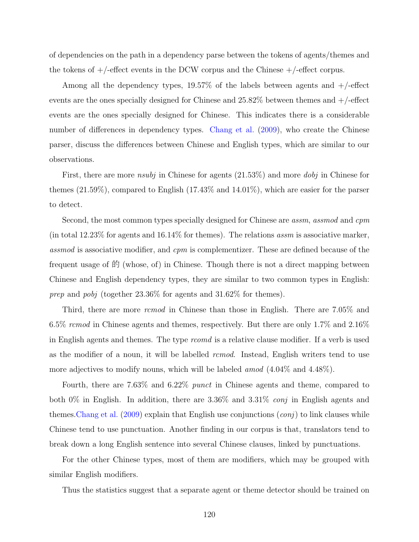of dependencies on the path in a dependency parse between the tokens of agents/themes and the tokens of  $+/-$  effect events in the DCW corpus and the Chinese  $+/-$  effect corpus.

Among all the dependency types,  $19.57\%$  of the labels between agents and  $+/-$ effect events are the ones specially designed for Chinese and  $25.82\%$  between themes and  $+/-$ effect events are the ones specially designed for Chinese. This indicates there is a considerable number of differences in dependency types. [Chang et al.](#page-153-6) [\(2009\)](#page-153-6), who create the Chinese parser, discuss the differences between Chinese and English types, which are similar to our observations.

First, there are more *nsubj* in Chinese for agents (21.53%) and more *dobj* in Chinese for themes (21.59%), compared to English (17.43% and 14.01%), which are easier for the parser to detect.

Second, the most common types specially designed for Chinese are *assm*, *assmod* and *cpm* (in total 12.23% for agents and 16.14% for themes). The relations *assm* is associative marker, *assmod* is associative modifier, and *cpm* is complementizer. These are defined because of the frequent usage of  $\hat{E}$  (whose, of) in Chinese. Though there is not a direct mapping between Chinese and English dependency types, they are similar to two common types in English: *prep* and *pobj* (together 23.36% for agents and 31.62% for themes).

Third, there are more *rcmod* in Chinese than those in English. There are 7.05% and 6.5% *rcmod* in Chinese agents and themes, respectively. But there are only 1.7% and 2.16% in English agents and themes. The type *rcomd* is a relative clause modifier. If a verb is used as the modifier of a noun, it will be labelled *rcmod*. Instead, English writers tend to use more adjectives to modify nouns, which will be labeled *amod* (4.04% and 4.48%).

Fourth, there are 7.63% and 6.22% *punct* in Chinese agents and theme, compared to both 0% in English. In addition, there are 3.36% and 3.31% *conj* in English agents and themes[.Chang et al.](#page-153-6) [\(2009\)](#page-153-6) explain that English use conjunctions (*conj*) to link clauses while Chinese tend to use punctuation. Another finding in our corpus is that, translators tend to break down a long English sentence into several Chinese clauses, linked by punctuations.

For the other Chinese types, most of them are modifiers, which may be grouped with similar English modifiers.

Thus the statistics suggest that a separate agent or theme detector should be trained on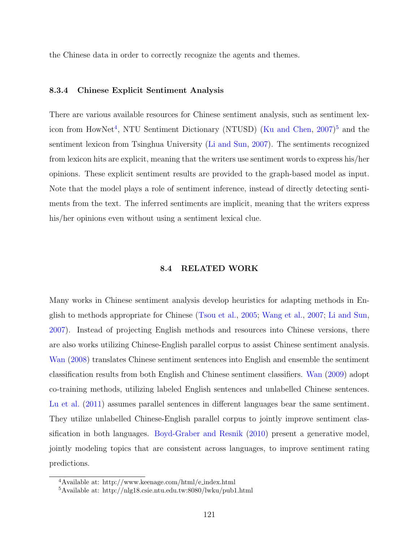the Chinese data in order to correctly recognize the agents and themes.

### <span id="page-135-0"></span>**8.3.4 Chinese Explicit Sentiment Analysis**

There are various available resources for Chinese sentiment analysis, such as sentiment lex-icon from HowNet<sup>[4](#page-135-1)</sup>, NTU Sentiment Dictionary (NTUSD) ([Ku and Chen](#page-157-4), [2007](#page-157-4))<sup>[5](#page-135-2)</sup> and the sentiment lexicon from Tsinghua University [\(Li and Sun](#page-157-5), [2007\)](#page-157-5). The sentiments recognized from lexicon hits are explicit, meaning that the writers use sentiment words to express his/her opinions. These explicit sentiment results are provided to the graph-based model as input. Note that the model plays a role of sentiment inference, instead of directly detecting sentiments from the text. The inferred sentiments are implicit, meaning that the writers express his/her opinions even without using a sentiment lexical clue.

### **8.4 RELATED WORK**

Many works in Chinese sentiment analysis develop heuristics for adapting methods in English to methods appropriate for Chinese ([Tsou et al.](#page-161-2), [2005;](#page-161-2) [Wang et al.](#page-162-4), [2007;](#page-162-4) [Li and Sun,](#page-157-5) [2007](#page-157-5)). Instead of projecting English methods and resources into Chinese versions, there are also works utilizing Chinese-English parallel corpus to assist Chinese sentiment analysis. [Wan](#page-162-5) [\(2008\)](#page-162-5) translates Chinese sentiment sentences into English and ensemble the sentiment classification results from both English and Chinese sentiment classifiers. [Wan](#page-162-6) [\(2009\)](#page-162-6) adopt co-training methods, utilizing labeled English sentences and unlabelled Chinese sentences. [Lu et al.](#page-157-6) [\(2011\)](#page-157-6) assumes parallel sentences in different languages bear the same sentiment. They utilize unlabelled Chinese-English parallel corpus to jointly improve sentiment classification in both languages. [Boyd-Graber and Resnik](#page-153-7) [\(2010\)](#page-153-7) present a generative model, jointly modeling topics that are consistent across languages, to improve sentiment rating predictions.

<span id="page-135-1"></span><sup>4</sup>Available at: http://www.keenage.com/html/e index.html

<span id="page-135-2"></span><sup>5</sup>Available at: http://nlg18.csie.ntu.edu.tw:8080/lwku/pub1.html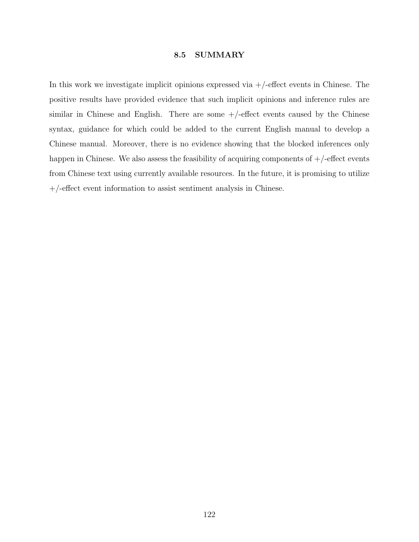## **8.5 SUMMARY**

In this work we investigate implicit opinions expressed via  $+/-$  effect events in Chinese. The positive results have provided evidence that such implicit opinions and inference rules are similar in Chinese and English. There are some  $+/-$  effect events caused by the Chinese syntax, guidance for which could be added to the current English manual to develop a Chinese manual. Moreover, there is no evidence showing that the blocked inferences only happen in Chinese. We also assess the feasibility of acquiring components of  $+/-$ effect events from Chinese text using currently available resources. In the future, it is promising to utilize +/-effect event information to assist sentiment analysis in Chinese.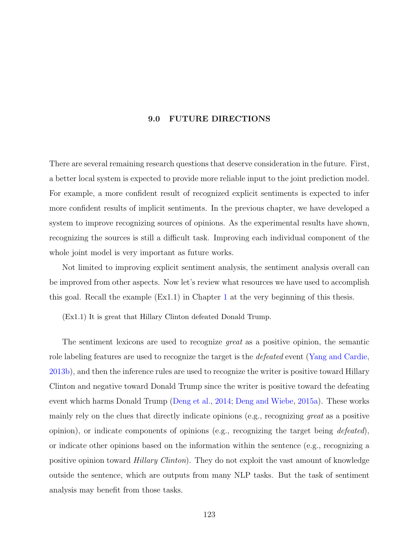## **9.0 FUTURE DIRECTIONS**

There are several remaining research questions that deserve consideration in the future. First, a better local system is expected to provide more reliable input to the joint prediction model. For example, a more confident result of recognized explicit sentiments is expected to infer more confident results of implicit sentiments. In the previous chapter, we have developed a system to improve recognizing sources of opinions. As the experimental results have shown, recognizing the sources is still a difficult task. Improving each individual component of the whole joint model is very important as future works.

Not limited to improving explicit sentiment analysis, the sentiment analysis overall can be improved from other aspects. Now let's review what resources we have used to accomplish this goal. Recall the example  $(Ex1.1)$  $(Ex1.1)$  $(Ex1.1)$  in Chapter 1 at the very beginning of this thesis.

(Ex1.1) It is great that Hillary Clinton defeated Donald Trump.

The sentiment lexicons are used to recognize *great* as a positive opinion, the semantic role labeling features are used to recognize the target is the *defeated* event ([Yang and Cardie,](#page-163-6) [2013b\)](#page-163-6), and then the inference rules are used to recognize the writer is positive toward Hillary Clinton and negative toward Donald Trump since the writer is positive toward the defeating event which harms Donald Trump ([Deng et al.,](#page-155-2) [2014;](#page-155-2) [Deng and Wiebe,](#page-154-2) [2015a\)](#page-154-2). These works mainly rely on the clues that directly indicate opinions (e.g., recognizing *great* as a positive opinion), or indicate components of opinions (e.g., recognizing the target being *defeated*), or indicate other opinions based on the information within the sentence (e.g., recognizing a positive opinion toward *Hillary Clinton*). They do not exploit the vast amount of knowledge outside the sentence, which are outputs from many NLP tasks. But the task of sentiment analysis may benefit from those tasks.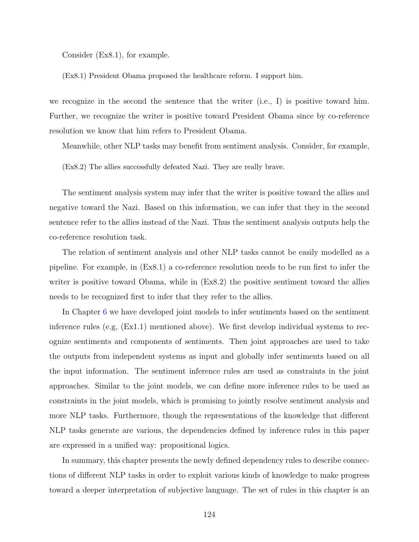Consider (Ex8.1), for example.

(Ex8.1) President Obama proposed the healthcare reform. I support him.

we recognize in the second the sentence that the writer (i.e., I) is positive toward him. Further, we recognize the writer is positive toward President Obama since by co-reference resolution we know that him refers to President Obama.

Meanwhile, other NLP tasks may benefit from sentiment analysis. Consider, for example,

(Ex8.2) The allies successfully defeated Nazi. They are really brave.

The sentiment analysis system may infer that the writer is positive toward the allies and negative toward the Nazi. Based on this information, we can infer that they in the second sentence refer to the allies instead of the Nazi. Thus the sentiment analysis outputs help the co-reference resolution task.

The relation of sentiment analysis and other NLP tasks cannot be easily modelled as a pipeline. For example, in (Ex8.1) a co-reference resolution needs to be run first to infer the writer is positive toward Obama, while in  $(Ex8.2)$  the positive sentiment toward the allies needs to be recognized first to infer that they refer to the allies.

In Chapter [6](#page-75-0) we have developed joint models to infer sentiments based on the sentiment inference rules (e.g, (Ex1.1) mentioned above). We first develop individual systems to recognize sentiments and components of sentiments. Then joint approaches are used to take the outputs from independent systems as input and globally infer sentiments based on all the input information. The sentiment inference rules are used as constraints in the joint approaches. Similar to the joint models, we can define more inference rules to be used as constraints in the joint models, which is promising to jointly resolve sentiment analysis and more NLP tasks. Furthermore, though the representations of the knowledge that different NLP tasks generate are various, the dependencies defined by inference rules in this paper are expressed in a unified way: propositional logics.

In summary, this chapter presents the newly defined dependency rules to describe connections of different NLP tasks in order to exploit various kinds of knowledge to make progress toward a deeper interpretation of subjective language. The set of rules in this chapter is an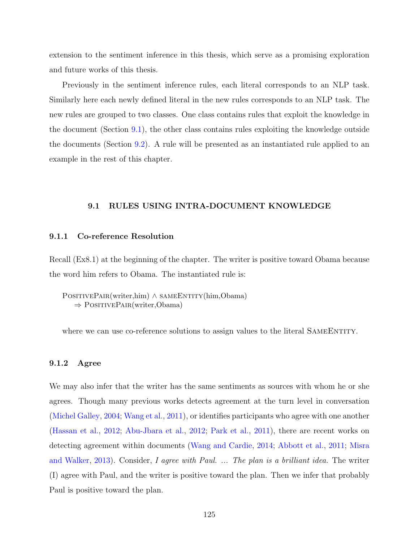extension to the sentiment inference in this thesis, which serve as a promising exploration and future works of this thesis.

Previously in the sentiment inference rules, each literal corresponds to an NLP task. Similarly here each newly defined literal in the new rules corresponds to an NLP task. The new rules are grouped to two classes. One class contains rules that exploit the knowledge in the document (Section [9.1](#page-139-0)), the other class contains rules exploiting the knowledge outside the documents (Section [9.2\)](#page-142-0). A rule will be presented as an instantiated rule applied to an example in the rest of this chapter.

## **9.1 RULES USING INTRA-DOCUMENT KNOWLEDGE**

### <span id="page-139-0"></span>**9.1.1 Co-reference Resolution**

Recall (Ex8.1) at the beginning of the chapter. The writer is positive toward Obama because the word him refers to Obama. The instantiated rule is:

POSITIVEPAIR(writer,him) ∧ SAMEENTITY(him,Obama) *⇒* PositivePair(writer,Obama)

where we can use co-reference solutions to assign values to the literal SAMEENTITY.

# **9.1.2 Agree**

We may also infer that the writer has the same sentiments as sources with whom he or she agrees. Though many previous works detects agreement at the turn level in conversation ([Michel Galley,](#page-158-1) [2004](#page-158-1); [Wang et al.,](#page-162-7) [2011](#page-162-7)), or identifies participants who agree with one another ([Hassan et al.](#page-155-3), [2012](#page-155-3); [Abu-Jbara et al.,](#page-152-1) [2012](#page-152-1); [Park et al.,](#page-159-2) [2011\)](#page-159-2), there are recent works on detecting agreement within documents ([Wang and Cardie](#page-162-8), [2014](#page-162-8); [Abbott et al.](#page-152-2), [2011;](#page-152-2) [Misra](#page-158-2) [and Walker,](#page-158-2) [2013](#page-158-2)). Consider, *I agree with Paul. ... The plan is a brilliant idea.* The writer (I) agree with Paul, and the writer is positive toward the plan. Then we infer that probably Paul is positive toward the plan.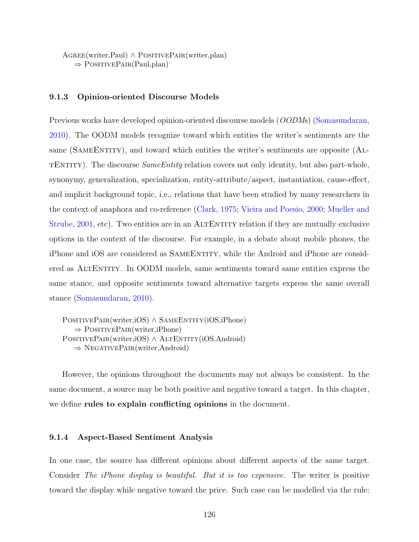Agree(writer,Paul) *∧* PositivePair(writer,plan) *⇒* PositivePair(Paul,plan)

### **9.1.3 Opinion-oriented Discourse Models**

Previous works have developed opinion-oriented discourse models (*OODM*s) ([Somasundaran,](#page-160-2) [2010](#page-160-2)). The OODM models recognize toward which entities the writer's sentiments are the same (SAMEENTITY), and toward which entities the writer's sentiments are opposite (ALtEntity). The discourse *SameEntity* relation covers not only identity, but also part-whole, synonymy, generalization, specialization, entity-attribute/aspect, instantiation, cause-effect, and implicit background topic, i.e., relations that have been studied by many researchers in the context of anaphora and co-reference [\(Clark,](#page-153-8) [1975;](#page-153-8) [Vieira and Poesio](#page-161-3), [2000](#page-161-3); [Mueller and](#page-158-3) [Strube](#page-158-3), [2001,](#page-158-3) etc). Two entities are in an ALTENTITY relation if they are mutually exclusive options in the context of the discourse. For example, in a debate about mobile phones, the iPhone and iOS are considered as SAMEENTITY, while the Android and iPhone are considered as AltEntity. In OODM models, same sentiments toward same entities express the same stance, and opposite sentiments toward alternative targets express the same overall stance [\(Somasundaran](#page-160-2), [2010\)](#page-160-2).

POSITIVEPAIR(writer,iOS) ∧ SAMEENTITY(iOS,iPhone) *⇒* PositivePair(writer,iPhone) POSITIVEPAIR(writer,iOS) ∧ ALTENTITY(iOS,Android) *⇒* NegativePair(writer,Android)

However, the opinions throughout the documents may not always be consistent. In the same document, a source may be both positive and negative toward a target. In this chapter, we define **rules to explain conflicting opinions** in the document.

## **9.1.4 Aspect-Based Sentiment Analysis**

In one case, the source has different opinions about different aspects of the same target. Consider *The iPhone display is beautiful. But it is too expensive.* The writer is positive toward the display while negative toward the price. Such case can be modelled via the rule: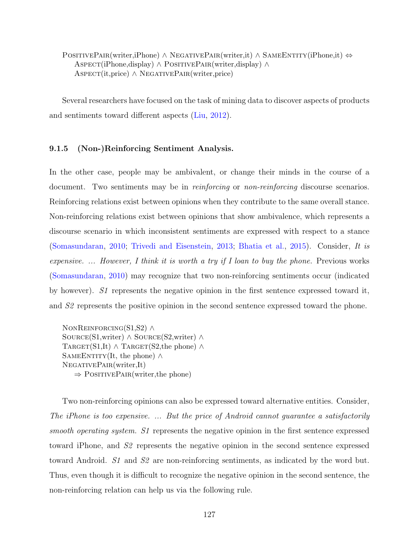POSITIVEPAIR(writer,iPhone) *∧* NEGATIVEPAIR(writer,it) *∧* SAMEENTITY(iPhone,it)  $\Leftrightarrow$ Aspect(iPhone,display) *∧* PositivePair(writer,display) *∧* Aspect(it,price) *∧* NegativePair(writer,price)

Several researchers have focused on the task of mining data to discover aspects of products and sentiments toward different aspects [\(Liu](#page-157-1), [2012\)](#page-157-1).

## **9.1.5 (Non-)Reinforcing Sentiment Analysis.**

In the other case, people may be ambivalent, or change their minds in the course of a document. Two sentiments may be in *reinforcing* or *non-reinforcing* discourse scenarios. Reinforcing relations exist between opinions when they contribute to the same overall stance. Non-reinforcing relations exist between opinions that show ambivalence, which represents a discourse scenario in which inconsistent sentiments are expressed with respect to a stance ([Somasundaran](#page-160-2), [2010](#page-160-2); [Trivedi and Eisenstein,](#page-161-4) [2013](#page-161-4); [Bhatia et al.,](#page-152-3) [2015](#page-152-3)). Consider, *It is expensive. ... However, I think it is worth a try if I loan to buy the phone.* Previous works ([Somasundaran](#page-160-2), [2010](#page-160-2)) may recognize that two non-reinforcing sentiments occur (indicated by however). *S1* represents the negative opinion in the first sentence expressed toward it, and *S2* represents the positive opinion in the second sentence expressed toward the phone.

NonReinforcing(S1,S2) *∧* Source(S1,writer) *∧* Source(S2,writer) *∧*  $T \text{ARGET}(S1,It) \wedge T \text{ARGET}(S2,the phone)$ SAMEENTITY(It, the phone)  $\land$ NegativePair(writer,It) *⇒* PositivePair(writer,the phone)

Two non-reinforcing opinions can also be expressed toward alternative entities. Consider, *The iPhone is too expensive. ... But the price of Android cannot guarantee a satisfactorily smooth operating system. S1* represents the negative opinion in the first sentence expressed toward iPhone, and *S2* represents the negative opinion in the second sentence expressed toward Android. *S1* and *S2* are non-reinforcing sentiments, as indicated by the word but. Thus, even though it is difficult to recognize the negative opinion in the second sentence, the non-reinforcing relation can help us via the following rule.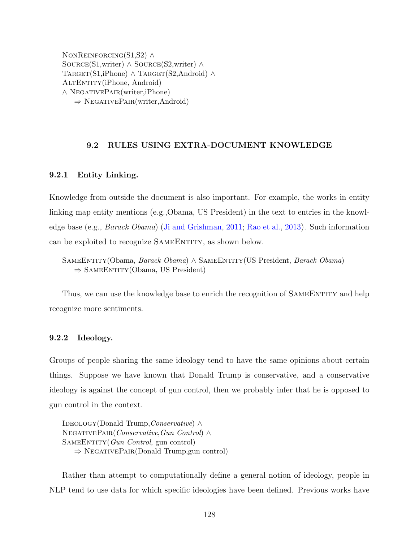NonReinforcing(S1,S2) *∧* Source(S1,writer) *∧* Source(S2,writer) *∧* TARGET(S1,iPhone) *∧* TARGET(S2,Android) *∧* AltEntity(iPhone, Android) *∧* NegativePair(writer,iPhone) *⇒* NegativePair(writer,Android)

# **9.2 RULES USING EXTRA-DOCUMENT KNOWLEDGE**

### <span id="page-142-0"></span>**9.2.1 Entity Linking.**

Knowledge from outside the document is also important. For example, the works in entity linking map entity mentions (e.g.,Obama, US President) in the text to entries in the knowledge base (e.g., *Barack Obama*) [\(Ji and Grishman](#page-156-5), [2011](#page-156-5); [Rao et al.,](#page-160-3) [2013\)](#page-160-3). Such information can be exploited to recognize SAMEENTITY, as shown below.

SameEntity(Obama, *Barack Obama*) *∧* SameEntity(US President, *Barack Obama*) ⇒ SAMEENTITY(Obama, US President)

Thus, we can use the knowledge base to enrich the recognition of SAMEENTITY and help recognize more sentiments.

# **9.2.2 Ideology.**

Groups of people sharing the same ideology tend to have the same opinions about certain things. Suppose we have known that Donald Trump is conservative, and a conservative ideology is against the concept of gun control, then we probably infer that he is opposed to gun control in the context.

Ideology(Donald Trump,*Conservative*) *∧* NegativePair(*Conservative*,*Gun Control*) *∧* SameEntity(*Gun Control*, gun control) *⇒* NegativePair(Donald Trump,gun control)

Rather than attempt to computationally define a general notion of ideology, people in NLP tend to use data for which specific ideologies have been defined. Previous works have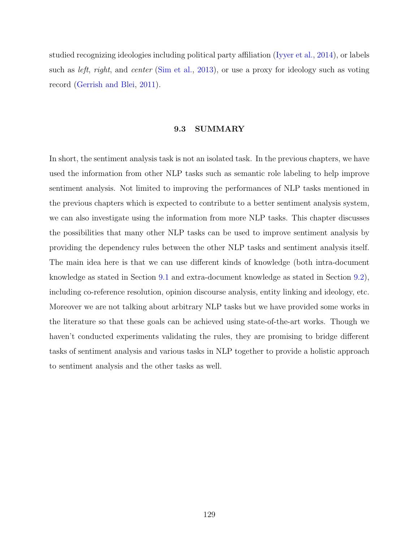studied recognizing ideologies including political party affiliation [\(Iyyer et al.](#page-156-6), [2014\)](#page-156-6), or labels such as *left*, *right*, and *center* ([Sim et al.,](#page-160-4) [2013\)](#page-160-4), or use a proxy for ideology such as voting record [\(Gerrish and Blei,](#page-155-4) [2011](#page-155-4)).

## **9.3 SUMMARY**

In short, the sentiment analysis task is not an isolated task. In the previous chapters, we have used the information from other NLP tasks such as semantic role labeling to help improve sentiment analysis. Not limited to improving the performances of NLP tasks mentioned in the previous chapters which is expected to contribute to a better sentiment analysis system, we can also investigate using the information from more NLP tasks. This chapter discusses the possibilities that many other NLP tasks can be used to improve sentiment analysis by providing the dependency rules between the other NLP tasks and sentiment analysis itself. The main idea here is that we can use different kinds of knowledge (both intra-document knowledge as stated in Section [9.1](#page-139-0) and extra-document knowledge as stated in Section [9.2](#page-142-0)), including co-reference resolution, opinion discourse analysis, entity linking and ideology, etc. Moreover we are not talking about arbitrary NLP tasks but we have provided some works in the literature so that these goals can be achieved using state-of-the-art works. Though we haven't conducted experiments validating the rules, they are promising to bridge different tasks of sentiment analysis and various tasks in NLP together to provide a holistic approach to sentiment analysis and the other tasks as well.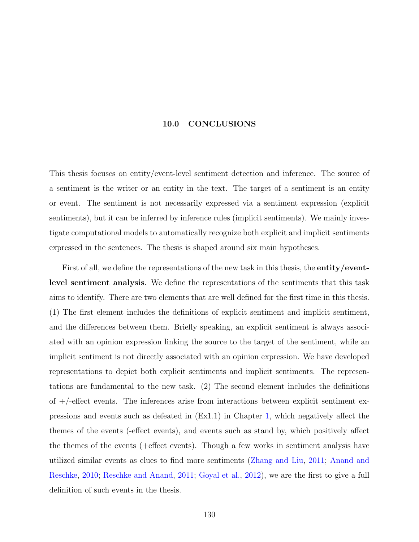#### **10.0 CONCLUSIONS**

This thesis focuses on entity/event-level sentiment detection and inference. The source of a sentiment is the writer or an entity in the text. The target of a sentiment is an entity or event. The sentiment is not necessarily expressed via a sentiment expression (explicit sentiments), but it can be inferred by inference rules (implicit sentiments). We mainly investigate computational models to automatically recognize both explicit and implicit sentiments expressed in the sentences. The thesis is shaped around six main hypotheses.

First of all, we define the representations of the new task in this thesis, the **entity/eventlevel sentiment analysis**. We define the representations of the sentiments that this task aims to identify. There are two elements that are well defined for the first time in this thesis. (1) The first element includes the definitions of explicit sentiment and implicit sentiment, and the differences between them. Briefly speaking, an explicit sentiment is always associated with an opinion expression linking the source to the target of the sentiment, while an implicit sentiment is not directly associated with an opinion expression. We have developed representations to depict both explicit sentiments and implicit sentiments. The representations are fundamental to the new task. (2) The second element includes the definitions of  $+/-$  effect events. The inferences arise from interactions between explicit sentiment expressions and events such as defeated in (Ex1.1) in Chapter [1,](#page-15-0) which negatively affect the themes of the events (-effect events), and events such as stand by, which positively affect the themes of the events (+effect events). Though a few works in sentiment analysis have utilized similar events as clues to find more sentiments [\(Zhang and Liu](#page-163-0), [2011;](#page-163-0) [Anand and](#page-152-0) [Reschke,](#page-152-0) [2010;](#page-152-0) [Reschke and Anand,](#page-160-0) [2011;](#page-160-0) [Goyal et al.,](#page-155-0) [2012](#page-155-0)), we are the first to give a full definition of such events in the thesis.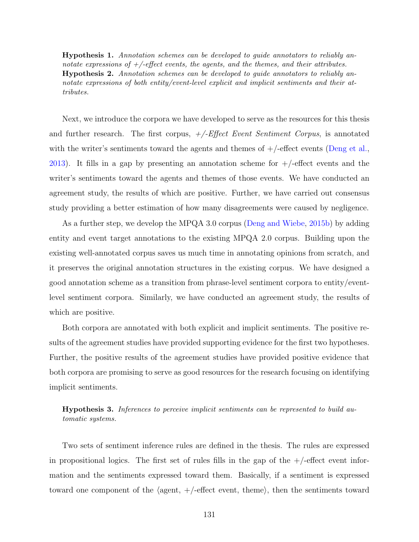**Hypothesis 1.** *Annotation schemes can be developed to guide annotators to reliably annotate expressions of +/-effect events, the agents, and the themes, and their attributes.* **Hypothesis 2.** *Annotation schemes can be developed to guide annotators to reliably annotate expressions of both entity/event-level explicit and implicit sentiments and their attributes.*

Next, we introduce the corpora we have developed to serve as the resources for this thesis and further research. The first corpus, *+/-Effect Event Sentiment Corpus*, is annotated with the writer's sentiments toward the agents and themes of  $+/-$  effect events [\(Deng et al.,](#page-154-0) [2013](#page-154-0)). It fills in a gap by presenting an annotation scheme for  $+/-$ effect events and the writer's sentiments toward the agents and themes of those events. We have conducted an agreement study, the results of which are positive. Further, we have carried out consensus study providing a better estimation of how many disagreements were caused by negligence.

As a further step, we develop the MPQA 3.0 corpus ([Deng and Wiebe](#page-154-1), [2015b\)](#page-154-1) by adding entity and event target annotations to the existing MPQA 2.0 corpus. Building upon the existing well-annotated corpus saves us much time in annotating opinions from scratch, and it preserves the original annotation structures in the existing corpus. We have designed a good annotation scheme as a transition from phrase-level sentiment corpora to entity/eventlevel sentiment corpora. Similarly, we have conducted an agreement study, the results of which are positive.

Both corpora are annotated with both explicit and implicit sentiments. The positive results of the agreement studies have provided supporting evidence for the first two hypotheses. Further, the positive results of the agreement studies have provided positive evidence that both corpora are promising to serve as good resources for the research focusing on identifying implicit sentiments.

**Hypothesis 3.** *Inferences to perceive implicit sentiments can be represented to build automatic systems.*

Two sets of sentiment inference rules are defined in the thesis. The rules are expressed in propositional logics. The first set of rules fills in the gap of the  $+/-$ effect event information and the sentiments expressed toward them. Basically, if a sentiment is expressed toward one component of the *⟨*agent, +/-effect event, theme*⟩*, then the sentiments toward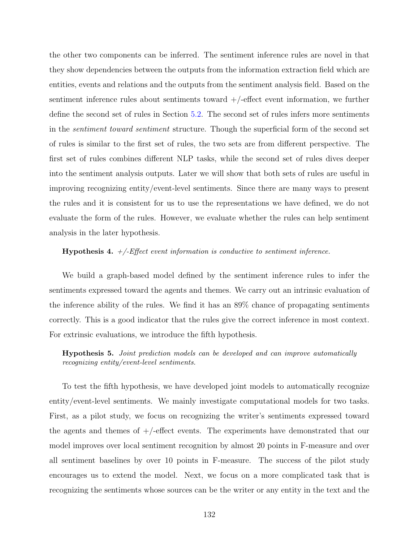the other two components can be inferred. The sentiment inference rules are novel in that they show dependencies between the outputs from the information extraction field which are entities, events and relations and the outputs from the sentiment analysis field. Based on the sentiment inference rules about sentiments toward  $+/-$ effect event information, we further define the second set of rules in Section [5.2.](#page-71-0) The second set of rules infers more sentiments in the *sentiment toward sentiment* structure. Though the superficial form of the second set of rules is similar to the first set of rules, the two sets are from different perspective. The first set of rules combines different NLP tasks, while the second set of rules dives deeper into the sentiment analysis outputs. Later we will show that both sets of rules are useful in improving recognizing entity/event-level sentiments. Since there are many ways to present the rules and it is consistent for us to use the representations we have defined, we do not evaluate the form of the rules. However, we evaluate whether the rules can help sentiment analysis in the later hypothesis.

#### **Hypothesis 4.** *+/-Effect event information is conductive to sentiment inference.*

We build a graph-based model defined by the sentiment inference rules to infer the sentiments expressed toward the agents and themes. We carry out an intrinsic evaluation of the inference ability of the rules. We find it has an 89% chance of propagating sentiments correctly. This is a good indicator that the rules give the correct inference in most context. For extrinsic evaluations, we introduce the fifth hypothesis.

**Hypothesis 5.** *Joint prediction models can be developed and can improve automatically recognizing entity/event-level sentiments.*

To test the fifth hypothesis, we have developed joint models to automatically recognize entity/event-level sentiments. We mainly investigate computational models for two tasks. First, as a pilot study, we focus on recognizing the writer's sentiments expressed toward the agents and themes of  $+/-$  effect events. The experiments have demonstrated that our model improves over local sentiment recognition by almost 20 points in F-measure and over all sentiment baselines by over 10 points in F-measure. The success of the pilot study encourages us to extend the model. Next, we focus on a more complicated task that is recognizing the sentiments whose sources can be the writer or any entity in the text and the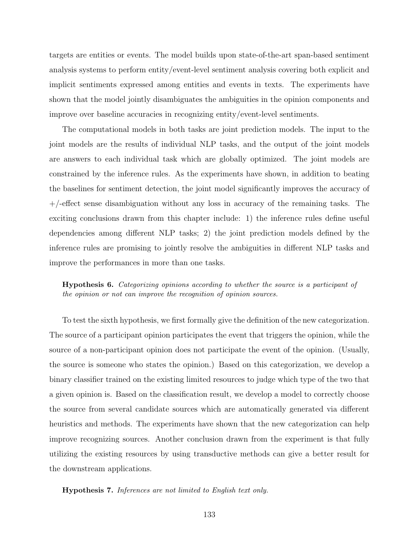targets are entities or events. The model builds upon state-of-the-art span-based sentiment analysis systems to perform entity/event-level sentiment analysis covering both explicit and implicit sentiments expressed among entities and events in texts. The experiments have shown that the model jointly disambiguates the ambiguities in the opinion components and improve over baseline accuracies in recognizing entity/event-level sentiments.

The computational models in both tasks are joint prediction models. The input to the joint models are the results of individual NLP tasks, and the output of the joint models are answers to each individual task which are globally optimized. The joint models are constrained by the inference rules. As the experiments have shown, in addition to beating the baselines for sentiment detection, the joint model significantly improves the accuracy of  $+/-$  effect sense disambiguation without any loss in accuracy of the remaining tasks. The exciting conclusions drawn from this chapter include: 1) the inference rules define useful dependencies among different NLP tasks; 2) the joint prediction models defined by the inference rules are promising to jointly resolve the ambiguities in different NLP tasks and improve the performances in more than one tasks.

**Hypothesis 6.** *Categorizing opinions according to whether the source is a participant of the opinion or not can improve the recognition of opinion sources.*

To test the sixth hypothesis, we first formally give the definition of the new categorization. The source of a participant opinion participates the event that triggers the opinion, while the source of a non-participant opinion does not participate the event of the opinion. (Usually, the source is someone who states the opinion.) Based on this categorization, we develop a binary classifier trained on the existing limited resources to judge which type of the two that a given opinion is. Based on the classification result, we develop a model to correctly choose the source from several candidate sources which are automatically generated via different heuristics and methods. The experiments have shown that the new categorization can help improve recognizing sources. Another conclusion drawn from the experiment is that fully utilizing the existing resources by using transductive methods can give a better result for the downstream applications.

**Hypothesis 7.** *Inferences are not limited to English text only.*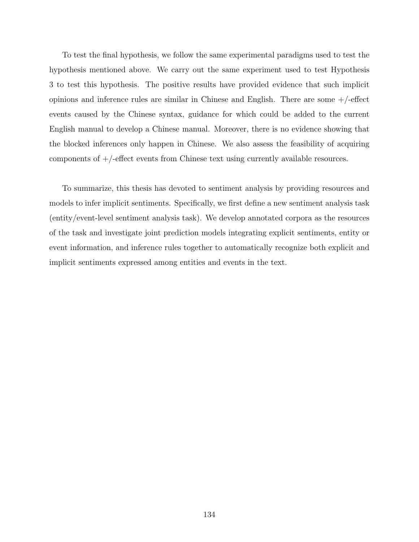To test the final hypothesis, we follow the same experimental paradigms used to test the hypothesis mentioned above. We carry out the same experiment used to test Hypothesis 3 to test this hypothesis. The positive results have provided evidence that such implicit opinions and inference rules are similar in Chinese and English. There are some  $+/-$ effect events caused by the Chinese syntax, guidance for which could be added to the current English manual to develop a Chinese manual. Moreover, there is no evidence showing that the blocked inferences only happen in Chinese. We also assess the feasibility of acquiring components of  $+$ /-effect events from Chinese text using currently available resources.

To summarize, this thesis has devoted to sentiment analysis by providing resources and models to infer implicit sentiments. Specifically, we first define a new sentiment analysis task (entity/event-level sentiment analysis task). We develop annotated corpora as the resources of the task and investigate joint prediction models integrating explicit sentiments, entity or event information, and inference rules together to automatically recognize both explicit and implicit sentiments expressed among entities and events in the text.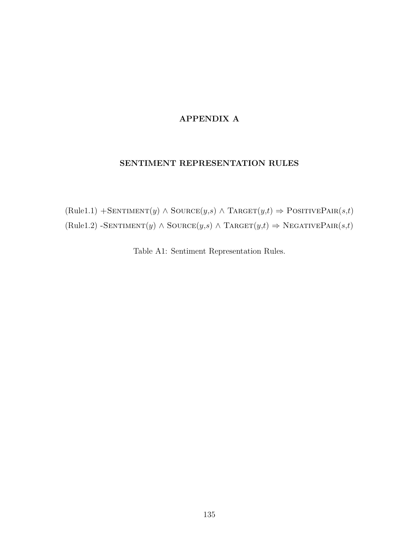### **APPENDIX A**

### **SENTIMENT REPRESENTATION RULES**

 $(Rule1.1) + \text{SENTIMENT}(y) \land \text{Source}(y,s) \land \text{TARGE}(y,t) \Rightarrow \text{PosITIVEPAR}(s,t)$  $(Rule1.2) - \text{SENTIMENT}(y) \wedge \text{Source}(y,s) \wedge \text{TARGE}(y,t) \Rightarrow \text{NEGATIVEPAIR}(s,t)$ 

Table A1: Sentiment Representation Rules.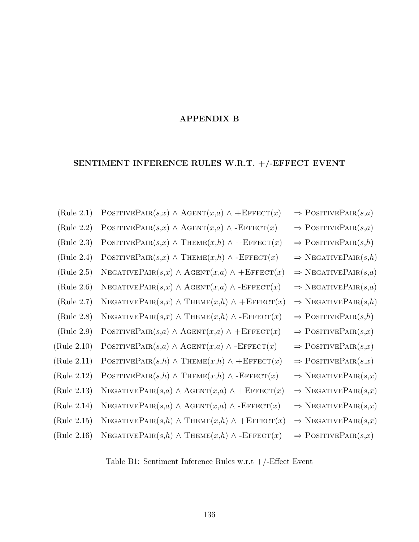### **APPENDIX B**

# **SENTIMENT INFERENCE RULES W.R.T. +/-EFFECT EVENT**

| (Rule 2.1)  | POSITIVEPAIR $(s,x) \wedge \text{AGENT}(x,a) \wedge + \text{EFFECT}(x)$ | $\Rightarrow$ POSITIVEPAIR $(s,a)$ |
|-------------|-------------------------------------------------------------------------|------------------------------------|
| (Rule 2.2)  | POSITIVEPAIR $(s,x) \wedge \text{AGENT}(x,a) \wedge \text{-EFFECT}(x)$  | $\Rightarrow$ POSITIVEPAIR $(s,a)$ |
| (Rule 2.3)  | POSITIVEPAIR $(s,x) \wedge$ THEME $(x,h) \wedge$ + EFFECT $(x)$         | $\Rightarrow$ POSITIVEPAIR $(s,h)$ |
| (Rule 2.4)  | POSITIVEPAIR $(s,x) \wedge$ THEME $(x,h) \wedge$ -EFFECT $(x)$          | $\Rightarrow$ NEGATIVEPAIR $(s,h)$ |
| (Rule 2.5)  | NEGATIVEPAIR $(s,x) \wedge \text{AGENT}(x,a) \wedge + \text{EFFECT}(x)$ | $\Rightarrow$ NEGATIVEPAIR $(s,a)$ |
| (Rule 2.6)  | NEGATIVEPAIR $(s,x) \wedge \text{AGENT}(x,a) \wedge \text{-EFFECT}(x)$  | $\Rightarrow$ NEGATIVEPAIR $(s,a)$ |
| (Rule 2.7)  | NEGATIVEPAIR $(s,x) \wedge$ THEME $(x,h) \wedge$ + EFFECT $(x)$         | $\Rightarrow$ NEGATIVEPAIR $(s,h)$ |
| (Rule 2.8)  | NEGATIVEPAIR $(s,x) \wedge$ THEME $(x,h) \wedge$ -EFFECT $(x)$          | $\Rightarrow$ POSITIVEPAIR $(s,h)$ |
| (Rule 2.9)  | POSITIVEPAIR $(s,a) \wedge \text{AGENT}(x,a) \wedge + \text{EFFECT}(x)$ | $\Rightarrow$ POSITIVEPAIR $(s,x)$ |
| (Rule 2.10) | POSITIVEPAIR $(s,a) \wedge \text{AGENT}(x,a) \wedge \text{-EFFECT}(x)$  | $\Rightarrow$ POSITIVEPAIR $(s,x)$ |
| (Rule 2.11) | POSITIVEPAIR $(s,h) \wedge$ THEME $(x,h) \wedge$ + EFFECT $(x)$         | $\Rightarrow$ POSITIVEPAIR $(s,x)$ |
| (Rule 2.12) | POSITIVEPAIR $(s,h) \wedge$ THEME $(x,h) \wedge$ -EFFECT $(x)$          | $\Rightarrow$ NEGATIVEPAIR $(s,x)$ |
| (Rule 2.13) | NEGATIVEPAIR $(s,a) \wedge \text{AGENT}(x,a) \wedge + \text{EFFECT}(x)$ | $\Rightarrow$ NEGATIVEPAIR $(s,x)$ |
| (Rule 2.14) | NEGATIVEPAIR $(s,a) \wedge \text{AGENT}(x,a) \wedge \text{-EFFECT}(x)$  | $\Rightarrow$ NEGATIVEPAIR $(s,x)$ |
| (Rule 2.15) | NEGATIVEPAIR $(s,h) \wedge$ THEME $(x,h) \wedge$ + EFFECT $(x)$         | $\Rightarrow$ NEGATIVEPAIR $(s,x)$ |
| (Rule 2.16) | NEGATIVEPAIR $(s,h) \wedge$ THEME $(x,h) \wedge$ -EFFECT $(x)$          | $\Rightarrow$ POSITIVEPAIR $(s,x)$ |

Table B1: Sentiment Inference Rules w.r.t +/-Effect Event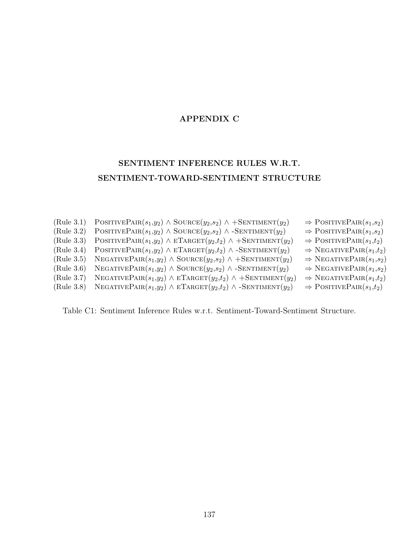### **APPENDIX C**

## **SENTIMENT INFERENCE RULES W.R.T. SENTIMENT-TOWARD-SENTIMENT STRUCTURE**

```
(Rule 3.1) POSITIVEPAIR(s_1,y_2) \land SOURCE(y_2,s_2) \land +SENTIMENT(y_2) \Rightarrow POSITIVEPAIR(s_1,s_2)(Rule 3.2) POSITIVEPAIR(s_1,y_2) \land SOURCE(y_2,s_2) \land -SENTIMENT(y_2) \Rightarrow POSITIVEPAIR(s_1,s_2)(Rule 3.3) POSITIVEPAIR(s_1,y_2) \wedge ETRGET(y_2,t_2) \wedge +SENTIMENT(y_2) \Rightarrow POSITIVEPAIR(s_1,t_2)(Rule 3.4) POSITIVEPAIR(s_1,y_2) \wedge ETARGET(y_2,t_2) \wedge -SENTIMENT(y_2) \Rightarrow NEGATIVEPAIR(s_1,t_2)(Rule 3.5) NEGATIVEPAIR(s_1,y_2) \land SOURCE(y_2,s_2) \land +SENTIMENT(y_2) \Rightarrow NEGATIVEPAIR(s_1,s_2)(Rule 3.6) NEGATIVEPAIR(s_1,y_2) \land SOURCE(y_2,s_2) \land -SENTIMENT(y_2) \Rightarrow NEGATIVEPAIR(s_1,s_2)(Rule 3.7) NEGATIVEPAIR(s_1,y_2) \land ETARGET(y_2,t_2) \land +SENTIMENT(y_2) \Rightarrow NEGATIVEPAIR(s_1,t_2)(Rule\ 3.8) NEGATIVEPAIR(s_1,y_2) \land ETARGET(y_2,t_2) \land -SENTIMENT(y_2) \Rightarrow POSITIVEPAIR(s_1,t_2)
```
Table C1: Sentiment Inference Rules w.r.t. Sentiment-Toward-Sentiment Structure.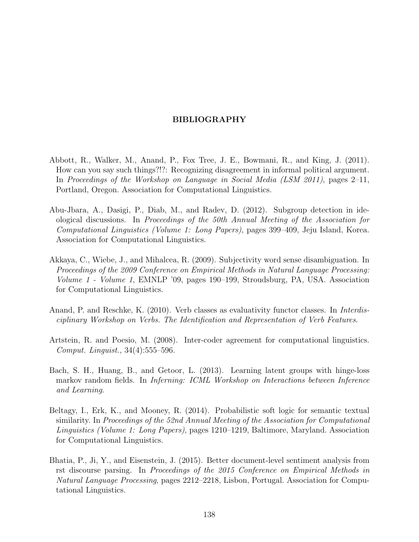#### **BIBLIOGRAPHY**

- Abbott, R., Walker, M., Anand, P., Fox Tree, J. E., Bowmani, R., and King, J. (2011). How can you say such things?!?: Recognizing disagreement in informal political argument. In *Proceedings of the Workshop on Language in Social Media (LSM 2011)*, pages 2–11, Portland, Oregon. Association for Computational Linguistics.
- Abu-Jbara, A., Dasigi, P., Diab, M., and Radev, D. (2012). Subgroup detection in ideological discussions. In *Proceedings of the 50th Annual Meeting of the Association for Computational Linguistics (Volume 1: Long Papers)*, pages 399–409, Jeju Island, Korea. Association for Computational Linguistics.
- Akkaya, C., Wiebe, J., and Mihalcea, R. (2009). Subjectivity word sense disambiguation. In *Proceedings of the 2009 Conference on Empirical Methods in Natural Language Processing: Volume 1 - Volume 1*, EMNLP '09, pages 190–199, Stroudsburg, PA, USA. Association for Computational Linguistics.
- <span id="page-152-0"></span>Anand, P. and Reschke, K. (2010). Verb classes as evaluativity functor classes. In *Interdisciplinary Workshop on Verbs. The Identification and Representation of Verb Features*.
- Artstein, R. and Poesio, M. (2008). Inter-coder agreement for computational linguistics. *Comput. Linguist.*, 34(4):555–596.
- Bach, S. H., Huang, B., and Getoor, L. (2013). Learning latent groups with hinge-loss markov random fields. In *Inferning: ICML Workshop on Interactions between Inference and Learning*.
- Beltagy, I., Erk, K., and Mooney, R. (2014). Probabilistic soft logic for semantic textual similarity. In *Proceedings of the 52nd Annual Meeting of the Association for Computational Linguistics (Volume 1: Long Papers)*, pages 1210–1219, Baltimore, Maryland. Association for Computational Linguistics.
- Bhatia, P., Ji, Y., and Eisenstein, J. (2015). Better document-level sentiment analysis from rst discourse parsing. In *Proceedings of the 2015 Conference on Empirical Methods in Natural Language Processing*, pages 2212–2218, Lisbon, Portugal. Association for Computational Linguistics.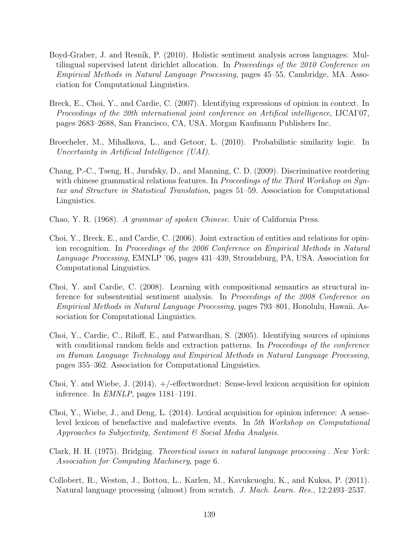- Boyd-Graber, J. and Resnik, P. (2010). Holistic sentiment analysis across languages: Multilingual supervised latent dirichlet allocation. In *Proceedings of the 2010 Conference on Empirical Methods in Natural Language Processing*, pages 45–55, Cambridge, MA. Association for Computational Linguistics.
- Breck, E., Choi, Y., and Cardie, C. (2007). Identifying expressions of opinion in context. In *Proceedings of the 20th international joint conference on Artifical intelligence*, IJCAI'07, pages 2683–2688, San Francisco, CA, USA. Morgan Kaufmann Publishers Inc.
- Broecheler, M., Mihalkova, L., and Getoor, L. (2010). Probabilistic similarity logic. In *Uncertainty in Artificial Intelligence (UAI)*.
- Chang, P.-C., Tseng, H., Jurafsky, D., and Manning, C. D. (2009). Discriminative reordering with chinese grammatical relations features. In *Proceedings of the Third Workshop on Syntax and Structure in Statistical Translation*, pages 51–59. Association for Computational Linguistics.
- Chao, Y. R. (1968). *A grammar of spoken Chinese*. Univ of California Press.
- Choi, Y., Breck, E., and Cardie, C. (2006). Joint extraction of entities and relations for opinion recognition. In *Proceedings of the 2006 Conference on Empirical Methods in Natural Language Processing*, EMNLP '06, pages 431–439, Stroudsburg, PA, USA. Association for Computational Linguistics.
- Choi, Y. and Cardie, C. (2008). Learning with compositional semantics as structural inference for subsentential sentiment analysis. In *Proceedings of the 2008 Conference on Empirical Methods in Natural Language Processing*, pages 793–801, Honolulu, Hawaii. Association for Computational Linguistics.
- Choi, Y., Cardie, C., Riloff, E., and Patwardhan, S. (2005). Identifying sources of opinions with conditional random fields and extraction patterns. In *Proceedings of the conference on Human Language Technology and Empirical Methods in Natural Language Processing*, pages 355–362. Association for Computational Linguistics.
- Choi, Y. and Wiebe, J.  $(2014)$ .  $+/-$ effectwordnet: Sense-level lexicon acquisition for opinion inference. In *EMNLP*, pages 1181–1191.
- Choi, Y., Wiebe, J., and Deng, L. (2014). Lexical acquisition for opinion inference: A senselevel lexicon of benefactive and malefactive events. In *5th Workshop on Computational Approaches to Subjectivity, Sentiment & Social Media Analysis*.
- Clark, H. H. (1975). Bridging. *Theoretical issues in natural language processing . New York: Association for Computing Machinery*, page 6.
- Collobert, R., Weston, J., Bottou, L., Karlen, M., Kavukcuoglu, K., and Kuksa, P. (2011). Natural language processing (almost) from scratch. *J. Mach. Learn. Res.*, 12:2493–2537.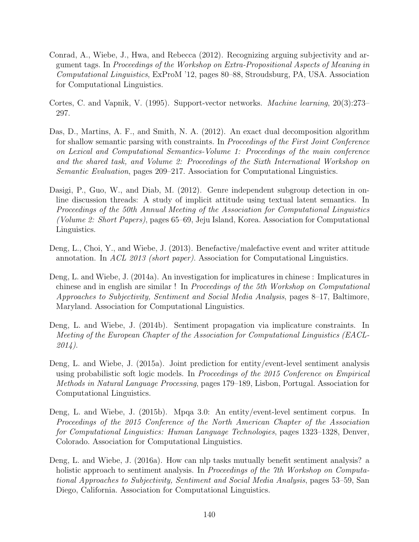- Conrad, A., Wiebe, J., Hwa, and Rebecca (2012). Recognizing arguing subjectivity and argument tags. In *Proceedings of the Workshop on Extra-Propositional Aspects of Meaning in Computational Linguistics*, ExProM '12, pages 80–88, Stroudsburg, PA, USA. Association for Computational Linguistics.
- Cortes, C. and Vapnik, V. (1995). Support-vector networks. *Machine learning*, 20(3):273– 297.
- Das, D., Martins, A. F., and Smith, N. A. (2012). An exact dual decomposition algorithm for shallow semantic parsing with constraints. In *Proceedings of the First Joint Conference on Lexical and Computational Semantics-Volume 1: Proceedings of the main conference and the shared task, and Volume 2: Proceedings of the Sixth International Workshop on Semantic Evaluation*, pages 209–217. Association for Computational Linguistics.
- Dasigi, P., Guo, W., and Diab, M. (2012). Genre independent subgroup detection in online discussion threads: A study of implicit attitude using textual latent semantics. In *Proceedings of the 50th Annual Meeting of the Association for Computational Linguistics (Volume 2: Short Papers)*, pages 65–69, Jeju Island, Korea. Association for Computational Linguistics.
- <span id="page-154-0"></span>Deng, L., Choi, Y., and Wiebe, J. (2013). Benefactive/malefactive event and writer attitude annotation. In *ACL 2013 (short paper)*. Association for Computational Linguistics.
- Deng, L. and Wiebe, J. (2014a). An investigation for implicatures in chinese : Implicatures in chinese and in english are similar ! In *Proceedings of the 5th Workshop on Computational Approaches to Subjectivity, Sentiment and Social Media Analysis*, pages 8–17, Baltimore, Maryland. Association for Computational Linguistics.
- Deng, L. and Wiebe, J. (2014b). Sentiment propagation via implicature constraints. In *Meeting of the European Chapter of the Association for Computational Linguistics (EACL-2014)*.
- Deng, L. and Wiebe, J. (2015a). Joint prediction for entity/event-level sentiment analysis using probabilistic soft logic models. In *Proceedings of the 2015 Conference on Empirical Methods in Natural Language Processing*, pages 179–189, Lisbon, Portugal. Association for Computational Linguistics.
- <span id="page-154-1"></span>Deng, L. and Wiebe, J. (2015b). Mpqa 3.0: An entity/event-level sentiment corpus. In *Proceedings of the 2015 Conference of the North American Chapter of the Association for Computational Linguistics: Human Language Technologies*, pages 1323–1328, Denver, Colorado. Association for Computational Linguistics.
- Deng, L. and Wiebe, J. (2016a). How can nlp tasks mutually benefit sentiment analysis? a holistic approach to sentiment analysis. In *Proceedings of the 7th Workshop on Computational Approaches to Subjectivity, Sentiment and Social Media Analysis*, pages 53–59, San Diego, California. Association for Computational Linguistics.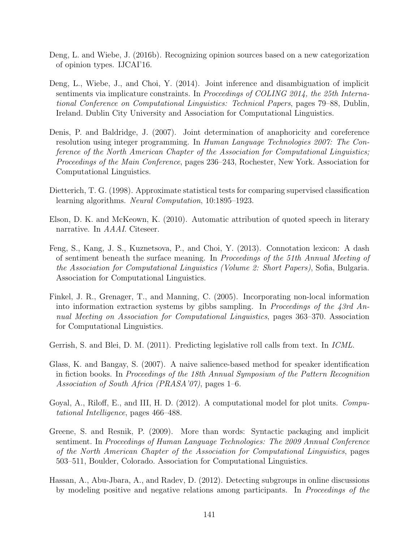- Deng, L. and Wiebe, J. (2016b). Recognizing opinion sources based on a new categorization of opinion types. IJCAI'16.
- Deng, L., Wiebe, J., and Choi, Y. (2014). Joint inference and disambiguation of implicit sentiments via implicature constraints. In *Proceedings of COLING 2014, the 25th International Conference on Computational Linguistics: Technical Papers*, pages 79–88, Dublin, Ireland. Dublin City University and Association for Computational Linguistics.
- Denis, P. and Baldridge, J. (2007). Joint determination of anaphoricity and coreference resolution using integer programming. In *Human Language Technologies 2007: The Conference of the North American Chapter of the Association for Computational Linguistics; Proceedings of the Main Conference*, pages 236–243, Rochester, New York. Association for Computational Linguistics.
- Dietterich, T. G. (1998). Approximate statistical tests for comparing supervised classification learning algorithms. *Neural Computation*, 10:1895–1923.
- Elson, D. K. and McKeown, K. (2010). Automatic attribution of quoted speech in literary narrative. In *AAAI*. Citeseer.
- Feng, S., Kang, J. S., Kuznetsova, P., and Choi, Y. (2013). Connotation lexicon: A dash of sentiment beneath the surface meaning. In *Proceedings of the 51th Annual Meeting of the Association for Computational Linguistics (Volume 2: Short Papers)*, Sofia, Bulgaria. Association for Computational Linguistics.
- Finkel, J. R., Grenager, T., and Manning, C. (2005). Incorporating non-local information into information extraction systems by gibbs sampling. In *Proceedings of the 43rd Annual Meeting on Association for Computational Linguistics*, pages 363–370. Association for Computational Linguistics.
- Gerrish, S. and Blei, D. M. (2011). Predicting legislative roll calls from text. In *ICML*.
- Glass, K. and Bangay, S. (2007). A naive salience-based method for speaker identification in fiction books. In *Proceedings of the 18th Annual Symposium of the Pattern Recognition Association of South Africa (PRASA'07)*, pages 1–6.
- <span id="page-155-0"></span>Goyal, A., Riloff, E., and III, H. D. (2012). A computational model for plot units. *Computational Intelligence*, pages 466–488.
- Greene, S. and Resnik, P. (2009). More than words: Syntactic packaging and implicit sentiment. In *Proceedings of Human Language Technologies: The 2009 Annual Conference of the North American Chapter of the Association for Computational Linguistics*, pages 503–511, Boulder, Colorado. Association for Computational Linguistics.
- Hassan, A., Abu-Jbara, A., and Radev, D. (2012). Detecting subgroups in online discussions by modeling positive and negative relations among participants. In *Proceedings of the*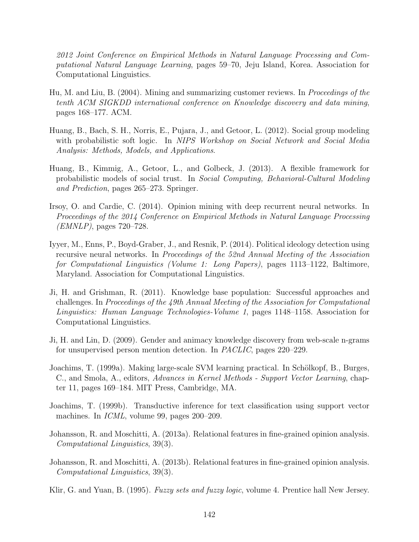*2012 Joint Conference on Empirical Methods in Natural Language Processing and Computational Natural Language Learning*, pages 59–70, Jeju Island, Korea. Association for Computational Linguistics.

- Hu, M. and Liu, B. (2004). Mining and summarizing customer reviews. In *Proceedings of the tenth ACM SIGKDD international conference on Knowledge discovery and data mining*, pages 168–177. ACM.
- Huang, B., Bach, S. H., Norris, E., Pujara, J., and Getoor, L. (2012). Social group modeling with probabilistic soft logic. In *NIPS Workshop on Social Network and Social Media Analysis: Methods, Models, and Applications*.
- Huang, B., Kimmig, A., Getoor, L., and Golbeck, J. (2013). A flexible framework for probabilistic models of social trust. In *Social Computing, Behavioral-Cultural Modeling and Prediction*, pages 265–273. Springer.
- Irsoy, O. and Cardie, C. (2014). Opinion mining with deep recurrent neural networks. In *Proceedings of the 2014 Conference on Empirical Methods in Natural Language Processing (EMNLP)*, pages 720–728.
- Iyyer, M., Enns, P., Boyd-Graber, J., and Resnik, P. (2014). Political ideology detection using recursive neural networks. In *Proceedings of the 52nd Annual Meeting of the Association for Computational Linguistics (Volume 1: Long Papers)*, pages 1113–1122, Baltimore, Maryland. Association for Computational Linguistics.
- Ji, H. and Grishman, R. (2011). Knowledge base population: Successful approaches and challenges. In *Proceedings of the 49th Annual Meeting of the Association for Computational Linguistics: Human Language Technologies-Volume 1*, pages 1148–1158. Association for Computational Linguistics.
- Ji, H. and Lin, D. (2009). Gender and animacy knowledge discovery from web-scale n-grams for unsupervised person mention detection. In *PACLIC*, pages 220–229.
- Joachims, T. (1999a). Making large-scale SVM learning practical. In Schölkopf, B., Burges, C., and Smola, A., editors, *Advances in Kernel Methods - Support Vector Learning*, chapter 11, pages 169–184. MIT Press, Cambridge, MA.
- Joachims, T. (1999b). Transductive inference for text classification using support vector machines. In *ICML*, volume 99, pages 200–209.
- Johansson, R. and Moschitti, A. (2013a). Relational features in fine-grained opinion analysis. *Computational Linguistics*, 39(3).
- Johansson, R. and Moschitti, A. (2013b). Relational features in fine-grained opinion analysis. *Computational Linguistics*, 39(3).
- Klir, G. and Yuan, B. (1995). *Fuzzy sets and fuzzy logic*, volume 4. Prentice hall New Jersey.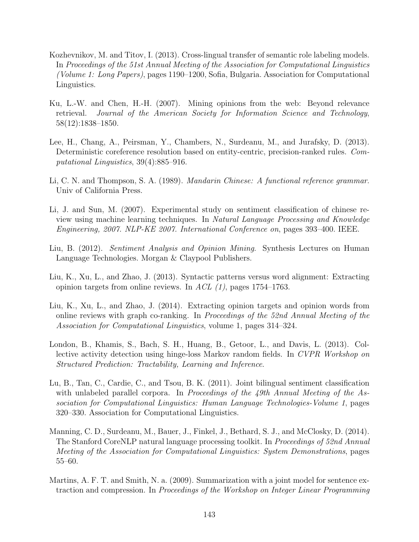- Kozhevnikov, M. and Titov, I. (2013). Cross-lingual transfer of semantic role labeling models. In *Proceedings of the 51st Annual Meeting of the Association for Computational Linguistics (Volume 1: Long Papers)*, pages 1190–1200, Sofia, Bulgaria. Association for Computational Linguistics.
- Ku, L.-W. and Chen, H.-H. (2007). Mining opinions from the web: Beyond relevance retrieval. *Journal of the American Society for Information Science and Technology*, 58(12):1838–1850.
- Lee, H., Chang, A., Peirsman, Y., Chambers, N., Surdeanu, M., and Jurafsky, D. (2013). Deterministic coreference resolution based on entity-centric, precision-ranked rules. *Computational Linguistics*, 39(4):885–916.
- Li, C. N. and Thompson, S. A. (1989). *Mandarin Chinese: A functional reference grammar*. Univ of California Press.
- Li, J. and Sun, M. (2007). Experimental study on sentiment classification of chinese review using machine learning techniques. In *Natural Language Processing and Knowledge Engineering, 2007. NLP-KE 2007. International Conference on*, pages 393–400. IEEE.
- Liu, B. (2012). *Sentiment Analysis and Opinion Mining*. Synthesis Lectures on Human Language Technologies. Morgan & Claypool Publishers.
- Liu, K., Xu, L., and Zhao, J. (2013). Syntactic patterns versus word alignment: Extracting opinion targets from online reviews. In *ACL (1)*, pages 1754–1763.
- Liu, K., Xu, L., and Zhao, J. (2014). Extracting opinion targets and opinion words from online reviews with graph co-ranking. In *Proceedings of the 52nd Annual Meeting of the Association for Computational Linguistics*, volume 1, pages 314–324.
- London, B., Khamis, S., Bach, S. H., Huang, B., Getoor, L., and Davis, L. (2013). Collective activity detection using hinge-loss Markov random fields. In *CVPR Workshop on Structured Prediction: Tractability, Learning and Inference*.
- Lu, B., Tan, C., Cardie, C., and Tsou, B. K. (2011). Joint bilingual sentiment classification with unlabeled parallel corpora. In *Proceedings of the 49th Annual Meeting of the Association for Computational Linguistics: Human Language Technologies-Volume 1*, pages 320–330. Association for Computational Linguistics.
- Manning, C. D., Surdeanu, M., Bauer, J., Finkel, J., Bethard, S. J., and McClosky, D. (2014). The Stanford CoreNLP natural language processing toolkit. In *Proceedings of 52nd Annual Meeting of the Association for Computational Linguistics: System Demonstrations*, pages 55–60.
- Martins, A. F. T. and Smith, N. a. (2009). Summarization with a joint model for sentence extraction and compression. In *Proceedings of the Workshop on Integer Linear Programming*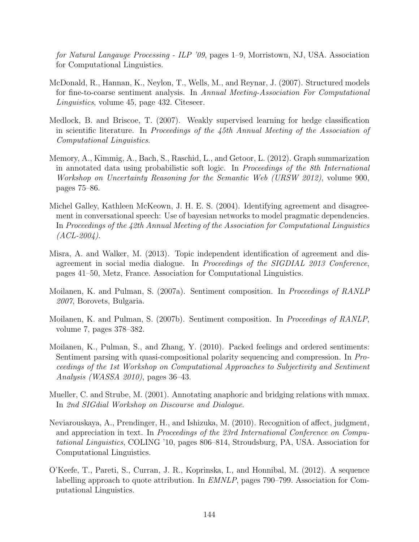*for Natural Langauge Processing - ILP '09*, pages 1–9, Morristown, NJ, USA. Association for Computational Linguistics.

- McDonald, R., Hannan, K., Neylon, T., Wells, M., and Reynar, J. (2007). Structured models for fine-to-coarse sentiment analysis. In *Annual Meeting-Association For Computational Linguistics*, volume 45, page 432. Citeseer.
- Medlock, B. and Briscoe, T. (2007). Weakly supervised learning for hedge classification in scientific literature. In *Proceedings of the 45th Annual Meeting of the Association of Computational Linguistics*.
- Memory, A., Kimmig, A., Bach, S., Raschid, L., and Getoor, L. (2012). Graph summarization in annotated data using probabilistic soft logic. In *Proceedings of the 8th International Workshop on Uncertainty Reasoning for the Semantic Web (URSW 2012)*, volume 900, pages 75–86.
- Michel Galley, Kathleen McKeown, J. H. E. S. (2004). Identifying agreement and disagreement in conversational speech: Use of bayesian networks to model pragmatic dependencies. In *Proceedings of the 42th Annual Meeting of the Association for Computational Linguistics (ACL-2004)*.
- Misra, A. and Walker, M. (2013). Topic independent identification of agreement and disagreement in social media dialogue. In *Proceedings of the SIGDIAL 2013 Conference*, pages 41–50, Metz, France. Association for Computational Linguistics.
- Moilanen, K. and Pulman, S. (2007a). Sentiment composition. In *Proceedings of RANLP 2007*, Borovets, Bulgaria.
- Moilanen, K. and Pulman, S. (2007b). Sentiment composition. In *Proceedings of RANLP*, volume 7, pages 378–382.
- Moilanen, K., Pulman, S., and Zhang, Y. (2010). Packed feelings and ordered sentiments: Sentiment parsing with quasi-compositional polarity sequencing and compression. In *Proceedings of the 1st Workshop on Computational Approaches to Subjectivity and Sentiment Analysis (WASSA 2010)*, pages 36–43.
- Mueller, C. and Strube, M. (2001). Annotating anaphoric and bridging relations with mmax. In *2nd SIGdial Workshop on Discourse and Dialogue*.
- Neviarouskaya, A., Prendinger, H., and Ishizuka, M. (2010). Recognition of affect, judgment, and appreciation in text. In *Proceedings of the 23rd International Conference on Computational Linguistics*, COLING '10, pages 806–814, Stroudsburg, PA, USA. Association for Computational Linguistics.
- O'Keefe, T., Pareti, S., Curran, J. R., Koprinska, I., and Honnibal, M. (2012). A sequence labelling approach to quote attribution. In *EMNLP*, pages 790–799. Association for Computational Linguistics.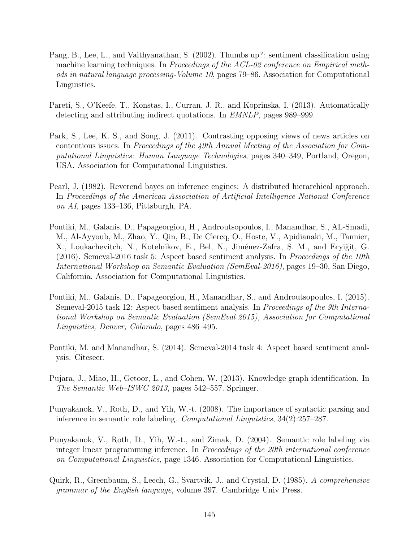- Pang, B., Lee, L., and Vaithyanathan, S. (2002). Thumbs up?: sentiment classification using machine learning techniques. In *Proceedings of the ACL-02 conference on Empirical methods in natural language processing-Volume 10*, pages 79–86. Association for Computational Linguistics.
- Pareti, S., O'Keefe, T., Konstas, I., Curran, J. R., and Koprinska, I. (2013). Automatically detecting and attributing indirect quotations. In *EMNLP*, pages 989–999.
- Park, S., Lee, K. S., and Song, J. (2011). Contrasting opposing views of news articles on contentious issues. In *Proceedings of the 49th Annual Meeting of the Association for Computational Linguistics: Human Language Technologies*, pages 340–349, Portland, Oregon, USA. Association for Computational Linguistics.
- Pearl, J. (1982). Reverend bayes on inference engines: A distributed hierarchical approach. In *Proceedings of the American Association of Artificial Intelligence National Conference on AI*, pages 133–136, Pittsburgh, PA.
- Pontiki, M., Galanis, D., Papageorgiou, H., Androutsopoulos, I., Manandhar, S., AL-Smadi, M., Al-Ayyoub, M., Zhao, Y., Qin, B., De Clercq, O., Hoste, V., Apidianaki, M., Tannier, X., Loukachevitch, N., Kotelnikov, E., Bel, N., Jiménez-Zafra, S. M., and Erviğit, G. (2016). Semeval-2016 task 5: Aspect based sentiment analysis. In *Proceedings of the 10th International Workshop on Semantic Evaluation (SemEval-2016)*, pages 19–30, San Diego, California. Association for Computational Linguistics.
- Pontiki, M., Galanis, D., Papageorgiou, H., Manandhar, S., and Androutsopoulos, I. (2015). Semeval-2015 task 12: Aspect based sentiment analysis. In *Proceedings of the 9th International Workshop on Semantic Evaluation (SemEval 2015), Association for Computational Linguistics, Denver, Colorado*, pages 486–495.
- Pontiki, M. and Manandhar, S. (2014). Semeval-2014 task 4: Aspect based sentiment analysis. Citeseer.
- Pujara, J., Miao, H., Getoor, L., and Cohen, W. (2013). Knowledge graph identification. In *The Semantic Web–ISWC 2013*, pages 542–557. Springer.
- Punyakanok, V., Roth, D., and Yih, W.-t. (2008). The importance of syntactic parsing and inference in semantic role labeling. *Computational Linguistics*, 34(2):257–287.
- Punyakanok, V., Roth, D., Yih, W.-t., and Zimak, D. (2004). Semantic role labeling via integer linear programming inference. In *Proceedings of the 20th international conference on Computational Linguistics*, page 1346. Association for Computational Linguistics.
- Quirk, R., Greenbaum, S., Leech, G., Svartvik, J., and Crystal, D. (1985). *A comprehensive grammar of the English language*, volume 397. Cambridge Univ Press.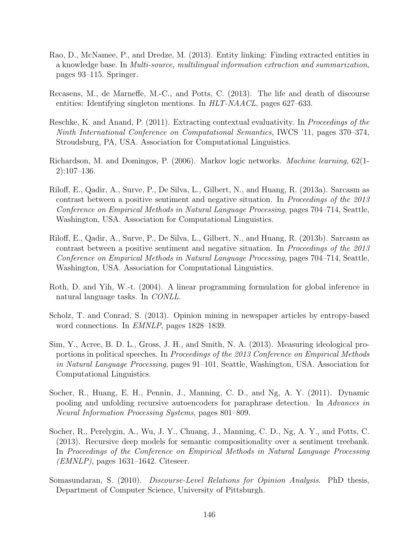- Rao, D., McNamee, P., and Dredze, M. (2013). Entity linking: Finding extracted entities in a knowledge base. In *Multi-source, multilingual information extraction and summarization*, pages 93–115. Springer.
- Recasens, M., de Marneffe, M.-C., and Potts, C. (2013). The life and death of discourse entities: Identifying singleton mentions. In *HLT-NAACL*, pages 627–633.
- <span id="page-160-0"></span>Reschke, K. and Anand, P. (2011). Extracting contextual evaluativity. In *Proceedings of the Ninth International Conference on Computational Semantics*, IWCS '11, pages 370–374, Stroudsburg, PA, USA. Association for Computational Linguistics.
- Richardson, M. and Domingos, P. (2006). Markov logic networks. *Machine learning*, 62(1- 2):107–136.
- Riloff, E., Qadir, A., Surve, P., De Silva, L., Gilbert, N., and Huang, R. (2013a). Sarcasm as contrast between a positive sentiment and negative situation. In *Proceedings of the 2013 Conference on Empirical Methods in Natural Language Processing*, pages 704–714, Seattle, Washington, USA. Association for Computational Linguistics.
- Riloff, E., Qadir, A., Surve, P., De Silva, L., Gilbert, N., and Huang, R. (2013b). Sarcasm as contrast between a positive sentiment and negative situation. In *Proceedings of the 2013 Conference on Empirical Methods in Natural Language Processing*, pages 704–714, Seattle, Washington, USA. Association for Computational Linguistics.
- Roth, D. and Yih, W.-t. (2004). A linear programming formulation for global inference in natural language tasks. In *CONLL*.
- Scholz, T. and Conrad, S. (2013). Opinion mining in newspaper articles by entropy-based word connections. In *EMNLP*, pages 1828–1839.
- Sim, Y., Acree, B. D. L., Gross, J. H., and Smith, N. A. (2013). Measuring ideological proportions in political speeches. In *Proceedings of the 2013 Conference on Empirical Methods in Natural Language Processing*, pages 91–101, Seattle, Washington, USA. Association for Computational Linguistics.
- Socher, R., Huang, E. H., Pennin, J., Manning, C. D., and Ng, A. Y. (2011). Dynamic pooling and unfolding recursive autoencoders for paraphrase detection. In *Advances in Neural Information Processing Systems*, pages 801–809.
- Socher, R., Perelygin, A., Wu, J. Y., Chuang, J., Manning, C. D., Ng, A. Y., and Potts, C. (2013). Recursive deep models for semantic compositionality over a sentiment treebank. In *Proceedings of the Conference on Empirical Methods in Natural Language Processing (EMNLP)*, pages 1631–1642. Citeseer.
- Somasundaran, S. (2010). *Discourse-Level Relations for Opinion Analysis*. PhD thesis, Department of Computer Science, University of Pittsburgh.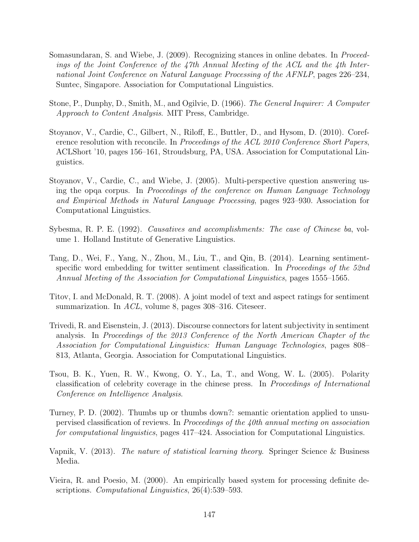- Somasundaran, S. and Wiebe, J. (2009). Recognizing stances in online debates. In *Proceedings of the Joint Conference of the 47th Annual Meeting of the ACL and the 4th International Joint Conference on Natural Language Processing of the AFNLP*, pages 226–234, Suntec, Singapore. Association for Computational Linguistics.
- Stone, P., Dunphy, D., Smith, M., and Ogilvie, D. (1966). *The General Inquirer: A Computer Approach to Content Analysis*. MIT Press, Cambridge.
- Stoyanov, V., Cardie, C., Gilbert, N., Riloff, E., Buttler, D., and Hysom, D. (2010). Coreference resolution with reconcile. In *Proceedings of the ACL 2010 Conference Short Papers*, ACLShort '10, pages 156–161, Stroudsburg, PA, USA. Association for Computational Linguistics.
- Stoyanov, V., Cardie, C., and Wiebe, J. (2005). Multi-perspective question answering using the opqa corpus. In *Proceedings of the conference on Human Language Technology and Empirical Methods in Natural Language Processing*, pages 923–930. Association for Computational Linguistics.
- Sybesma, R. P. E. (1992). *Causatives and accomplishments: The case of Chinese ba*, volume 1. Holland Institute of Generative Linguistics.
- Tang, D., Wei, F., Yang, N., Zhou, M., Liu, T., and Qin, B. (2014). Learning sentimentspecific word embedding for twitter sentiment classification. In *Proceedings of the 52nd Annual Meeting of the Association for Computational Linguistics*, pages 1555–1565.
- Titov, I. and McDonald, R. T. (2008). A joint model of text and aspect ratings for sentiment summarization. In *ACL*, volume 8, pages 308–316. Citeseer.
- Trivedi, R. and Eisenstein, J. (2013). Discourse connectors for latent subjectivity in sentiment analysis. In *Proceedings of the 2013 Conference of the North American Chapter of the Association for Computational Linguistics: Human Language Technologies*, pages 808– 813, Atlanta, Georgia. Association for Computational Linguistics.
- Tsou, B. K., Yuen, R. W., Kwong, O. Y., La, T., and Wong, W. L. (2005). Polarity classification of celebrity coverage in the chinese press. In *Proceedings of International Conference on Intelligence Analysis*.
- Turney, P. D. (2002). Thumbs up or thumbs down?: semantic orientation applied to unsupervised classification of reviews. In *Proceedings of the 40th annual meeting on association for computational linguistics*, pages 417–424. Association for Computational Linguistics.
- Vapnik, V. (2013). *The nature of statistical learning theory*. Springer Science & Business Media.
- Vieira, R. and Poesio, M. (2000). An empirically based system for processing definite descriptions. *Computational Linguistics*, 26(4):539–593.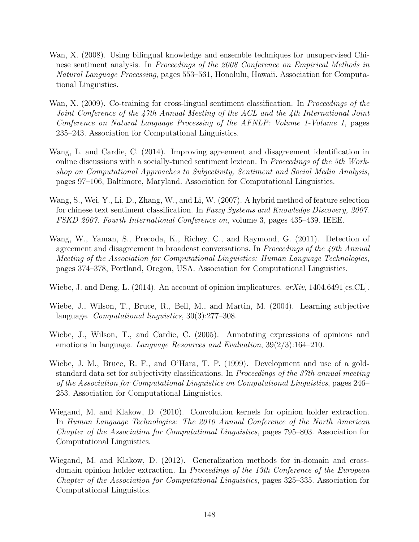- Wan, X. (2008). Using bilingual knowledge and ensemble techniques for unsupervised Chinese sentiment analysis. In *Proceedings of the 2008 Conference on Empirical Methods in Natural Language Processing*, pages 553–561, Honolulu, Hawaii. Association for Computational Linguistics.
- Wan, X. (2009). Co-training for cross-lingual sentiment classification. In *Proceedings of the Joint Conference of the 47th Annual Meeting of the ACL and the 4th International Joint Conference on Natural Language Processing of the AFNLP: Volume 1-Volume 1*, pages 235–243. Association for Computational Linguistics.
- Wang, L. and Cardie, C. (2014). Improving agreement and disagreement identification in online discussions with a socially-tuned sentiment lexicon. In *Proceedings of the 5th Workshop on Computational Approaches to Subjectivity, Sentiment and Social Media Analysis*, pages 97–106, Baltimore, Maryland. Association for Computational Linguistics.
- Wang, S., Wei, Y., Li, D., Zhang, W., and Li, W. (2007). A hybrid method of feature selection for chinese text sentiment classification. In *Fuzzy Systems and Knowledge Discovery, 2007. FSKD 2007. Fourth International Conference on*, volume 3, pages 435–439. IEEE.
- Wang, W., Yaman, S., Precoda, K., Richey, C., and Raymond, G. (2011). Detection of agreement and disagreement in broadcast conversations. In *Proceedings of the 49th Annual Meeting of the Association for Computational Linguistics: Human Language Technologies*, pages 374–378, Portland, Oregon, USA. Association for Computational Linguistics.
- Wiebe, J. and Deng, L. (2014). An account of opinion implicatures. *arXiv*, 1404.6491[cs.CL].
- Wiebe, J., Wilson, T., Bruce, R., Bell, M., and Martin, M. (2004). Learning subjective language. *Computational linguistics*, 30(3):277–308.
- Wiebe, J., Wilson, T., and Cardie, C. (2005). Annotating expressions of opinions and emotions in language. *Language Resources and Evaluation*, 39(2/3):164–210.
- Wiebe, J. M., Bruce, R. F., and O'Hara, T. P. (1999). Development and use of a goldstandard data set for subjectivity classifications. In *Proceedings of the 37th annual meeting of the Association for Computational Linguistics on Computational Linguistics*, pages 246– 253. Association for Computational Linguistics.
- Wiegand, M. and Klakow, D. (2010). Convolution kernels for opinion holder extraction. In *Human Language Technologies: The 2010 Annual Conference of the North American Chapter of the Association for Computational Linguistics*, pages 795–803. Association for Computational Linguistics.
- Wiegand, M. and Klakow, D. (2012). Generalization methods for in-domain and crossdomain opinion holder extraction. In *Proceedings of the 13th Conference of the European Chapter of the Association for Computational Linguistics*, pages 325–335. Association for Computational Linguistics.